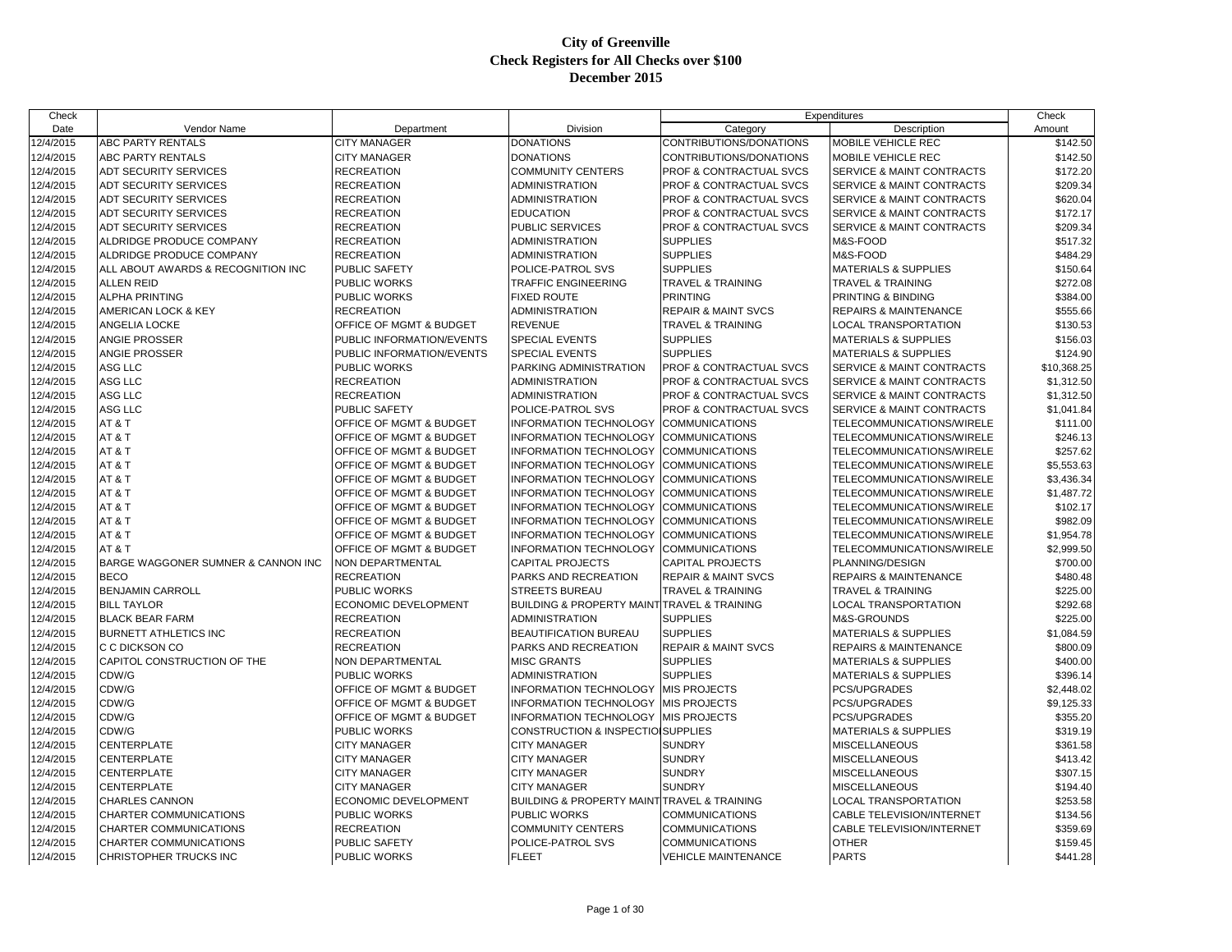| Check     |                                    |                                    |                                                            |                                    | Expenditures                         | Check       |
|-----------|------------------------------------|------------------------------------|------------------------------------------------------------|------------------------------------|--------------------------------------|-------------|
| Date      | Vendor Name                        | Department                         | Division                                                   | Category                           | Description                          | Amount      |
| 12/4/2015 | <b>ABC PARTY RENTALS</b>           | <b>CITY MANAGER</b>                | <b>DONATIONS</b>                                           | CONTRIBUTIONS/DONATIONS            | MOBILE VEHICLE REC                   | \$142.50    |
| 12/4/2015 | <b>ABC PARTY RENTALS</b>           | <b>CITY MANAGER</b>                | <b>DONATIONS</b>                                           | CONTRIBUTIONS/DONATIONS            | <b>MOBILE VEHICLE REC</b>            | \$142.50    |
| 12/4/2015 | <b>ADT SECURITY SERVICES</b>       | <b>RECREATION</b>                  | <b>COMMUNITY CENTERS</b>                                   | PROF & CONTRACTUAL SVCS            | SERVICE & MAINT CONTRACTS            | \$172.20    |
| 12/4/2015 | <b>ADT SECURITY SERVICES</b>       | <b>RECREATION</b>                  | <b>ADMINISTRATION</b>                                      | <b>PROF &amp; CONTRACTUAL SVCS</b> | <b>SERVICE &amp; MAINT CONTRACTS</b> | \$209.34    |
| 12/4/2015 | <b>ADT SECURITY SERVICES</b>       | <b>RECREATION</b>                  | <b>ADMINISTRATION</b>                                      | PROF & CONTRACTUAL SVCS            | <b>SERVICE &amp; MAINT CONTRACTS</b> | \$620.04    |
| 12/4/2015 | <b>ADT SECURITY SERVICES</b>       | <b>RECREATION</b>                  | <b>EDUCATION</b>                                           | PROF & CONTRACTUAL SVCS            | SERVICE & MAINT CONTRACTS            | \$172.17    |
| 12/4/2015 | <b>ADT SECURITY SERVICES</b>       | <b>RECREATION</b>                  | PUBLIC SERVICES                                            | PROF & CONTRACTUAL SVCS            | SERVICE & MAINT CONTRACTS            | \$209.34    |
| 12/4/2015 | <b>ALDRIDGE PRODUCE COMPANY</b>    | <b>RECREATION</b>                  | <b>ADMINISTRATION</b>                                      | <b>SUPPLIES</b>                    | M&S-FOOD                             | \$517.32    |
| 12/4/2015 | ALDRIDGE PRODUCE COMPANY           | <b>RECREATION</b>                  | <b>ADMINISTRATION</b>                                      | <b>SUPPLIES</b>                    | M&S-FOOD                             | \$484.29    |
| 12/4/2015 | ALL ABOUT AWARDS & RECOGNITION INC | <b>PUBLIC SAFETY</b>               | POLICE-PATROL SVS                                          | <b>SUPPLIES</b>                    | <b>MATERIALS &amp; SUPPLIES</b>      | \$150.64    |
| 12/4/2015 | <b>ALLEN REID</b>                  | PUBLIC WORKS                       | <b>TRAFFIC ENGINEERING</b>                                 | <b>TRAVEL &amp; TRAINING</b>       | <b>TRAVEL &amp; TRAINING</b>         | \$272.08    |
| 12/4/2015 | <b>ALPHA PRINTING</b>              | <b>PUBLIC WORKS</b>                | <b>FIXED ROUTE</b>                                         | <b>PRINTING</b>                    | PRINTING & BINDING                   | \$384.00    |
| 12/4/2015 | <b>AMERICAN LOCK &amp; KEY</b>     | <b>RECREATION</b>                  | <b>ADMINISTRATION</b>                                      | <b>REPAIR &amp; MAINT SVCS</b>     | <b>REPAIRS &amp; MAINTENANCE</b>     | \$555.66    |
| 12/4/2015 | <b>ANGELIA LOCKE</b>               | OFFICE OF MGMT & BUDGET            | <b>REVENUE</b>                                             | <b>TRAVEL &amp; TRAINING</b>       | <b>LOCAL TRANSPORTATION</b>          | \$130.53    |
| 12/4/2015 | <b>ANGIE PROSSER</b>               | PUBLIC INFORMATION/EVENTS          | <b>SPECIAL EVENTS</b>                                      | <b>SUPPLIES</b>                    | <b>MATERIALS &amp; SUPPLIES</b>      | \$156.03    |
| 12/4/2015 | <b>ANGIE PROSSER</b>               | PUBLIC INFORMATION/EVENTS          | <b>SPECIAL EVENTS</b>                                      | <b>SUPPLIES</b>                    | <b>MATERIALS &amp; SUPPLIES</b>      | \$124.90    |
| 12/4/2015 | <b>ASG LLC</b>                     | <b>PUBLIC WORKS</b>                | PARKING ADMINISTRATION                                     | PROF & CONTRACTUAL SVCS            | SERVICE & MAINT CONTRACTS            | \$10,368.25 |
| 12/4/2015 | <b>ASG LLC</b>                     | <b>RECREATION</b>                  | <b>ADMINISTRATION</b>                                      | PROF & CONTRACTUAL SVCS            | SERVICE & MAINT CONTRACTS            | \$1,312.50  |
| 12/4/2015 | ASG LLC                            | <b>RECREATION</b>                  | <b>ADMINISTRATION</b>                                      | <b>PROF &amp; CONTRACTUAL SVCS</b> | <b>SERVICE &amp; MAINT CONTRACTS</b> | \$1,312.50  |
| 12/4/2015 | ASG LLC                            | <b>PUBLIC SAFETY</b>               | POLICE-PATROL SVS                                          | PROF & CONTRACTUAL SVCS            | SERVICE & MAINT CONTRACTS            | \$1,041.84  |
| 12/4/2015 | AT&T                               | OFFICE OF MGMT & BUDGET            | INFORMATION TECHNOLOGY                                     | <b>COMMUNICATIONS</b>              | TELECOMMUNICATIONS/WIRELE            | \$111.00    |
| 12/4/2015 | AT&T                               | OFFICE OF MGMT & BUDGET            | INFORMATION TECHNOLOGY                                     | <b>COMMUNICATIONS</b>              | TELECOMMUNICATIONS/WIRELE            | \$246.13    |
| 12/4/2015 | AT&T                               | <b>OFFICE OF MGMT &amp; BUDGET</b> | <b>INFORMATION TECHNOLOGY</b>                              | <b>COMMUNICATIONS</b>              | TELECOMMUNICATIONS/WIRELE            | \$257.62    |
| 12/4/2015 | AT&T                               | OFFICE OF MGMT & BUDGET            | <b>INFORMATION TECHNOLOGY</b>                              | <b>COMMUNICATIONS</b>              | TELECOMMUNICATIONS/WIRELE            | \$5,553.63  |
| 12/4/2015 | AT&T                               | OFFICE OF MGMT & BUDGET            | INFORMATION TECHNOLOGY                                     | <b>COMMUNICATIONS</b>              | TELECOMMUNICATIONS/WIRELE            | \$3,436.34  |
| 12/4/2015 | AT&T                               | OFFICE OF MGMT & BUDGET            | INFORMATION TECHNOLOGY                                     | <b>COMMUNICATIONS</b>              | TELECOMMUNICATIONS/WIRELE            | \$1,487.72  |
| 12/4/2015 | AT&T                               | OFFICE OF MGMT & BUDGET            | <b>INFORMATION TECHNOLOGY</b>                              | <b>COMMUNICATIONS</b>              | TELECOMMUNICATIONS/WIRELE            | \$102.17    |
| 12/4/2015 | AT&T                               | <b>OFFICE OF MGMT &amp; BUDGET</b> | <b>INFORMATION TECHNOLOGY</b>                              | <b>COMMUNICATIONS</b>              | TELECOMMUNICATIONS/WIRELE            | \$982.09    |
| 12/4/2015 | AT&T                               | OFFICE OF MGMT & BUDGET            | <b>INFORMATION TECHNOLOGY</b>                              | <b>COMMUNICATIONS</b>              | TELECOMMUNICATIONS/WIRELE            | \$1,954.78  |
| 12/4/2015 | AT&T                               | OFFICE OF MGMT & BUDGET            | INFORMATION TECHNOLOGY                                     | <b>COMMUNICATIONS</b>              | TELECOMMUNICATIONS/WIRELE            | \$2,999.50  |
| 12/4/2015 | BARGE WAGGONER SUMNER & CANNON INC | NON DEPARTMENTAL                   | <b>CAPITAL PROJECTS</b>                                    | <b>CAPITAL PROJECTS</b>            | PLANNING/DESIGN                      | \$700.00    |
| 12/4/2015 | <b>BECO</b>                        | <b>RECREATION</b>                  | PARKS AND RECREATION                                       | <b>REPAIR &amp; MAINT SVCS</b>     | <b>REPAIRS &amp; MAINTENANCE</b>     | \$480.48    |
| 12/4/2015 | <b>BENJAMIN CARROLL</b>            | PUBLIC WORKS                       | <b>STREETS BUREAU</b>                                      | <b>TRAVEL &amp; TRAINING</b>       | <b>TRAVEL &amp; TRAINING</b>         | \$225.00    |
| 12/4/2015 | <b>BILL TAYLOR</b>                 | ECONOMIC DEVELOPMENT               | <b>BUILDING &amp; PROPERTY MAINT TRAVEL &amp; TRAINING</b> |                                    | <b>LOCAL TRANSPORTATION</b>          | \$292.68    |
| 12/4/2015 | <b>BLACK BEAR FARM</b>             | <b>RECREATION</b>                  | <b>ADMINISTRATION</b>                                      | <b>SUPPLIES</b>                    | M&S-GROUNDS                          | \$225.00    |
| 12/4/2015 | <b>BURNETT ATHLETICS INC</b>       | <b>RECREATION</b>                  | <b>BEAUTIFICATION BUREAU</b>                               | <b>SUPPLIES</b>                    | <b>MATERIALS &amp; SUPPLIES</b>      | \$1,084.59  |
| 12/4/2015 | IC C DICKSON CO                    | <b>RECREATION</b>                  | PARKS AND RECREATION                                       | <b>REPAIR &amp; MAINT SVCS</b>     | REPAIRS & MAINTENANCE                | \$800.09    |
| 12/4/2015 | CAPITOL CONSTRUCTION OF THE        | <b>NON DEPARTMENTAL</b>            | <b>MISC GRANTS</b>                                         | <b>SUPPLIES</b>                    | <b>MATERIALS &amp; SUPPLIES</b>      | \$400.00    |
| 12/4/2015 | CDW/G                              | PUBLIC WORKS                       | <b>ADMINISTRATION</b>                                      | <b>SUPPLIES</b>                    | <b>MATERIALS &amp; SUPPLIES</b>      | \$396.14    |
| 12/4/2015 | CDW/G                              | OFFICE OF MGMT & BUDGET            | INFORMATION TECHNOLOGY                                     | <b>MIS PROJECTS</b>                | <b>PCS/UPGRADES</b>                  | \$2,448.02  |
| 12/4/2015 | CDW/G                              | <b>OFFICE OF MGMT &amp; BUDGET</b> | INFORMATION TECHNOLOGY                                     | <b>MIS PROJECTS</b>                | <b>PCS/UPGRADES</b>                  | \$9,125.33  |
| 12/4/2015 | CDW/G                              | OFFICE OF MGMT & BUDGET            | INFORMATION TECHNOLOGY                                     | <b>MIS PROJECTS</b>                | PCS/UPGRADES                         | \$355.20    |
| 12/4/2015 | CDW/G                              | PUBLIC WORKS                       | CONSTRUCTION & INSPECTIOISUPPLIES                          |                                    | <b>MATERIALS &amp; SUPPLIES</b>      | \$319.19    |
| 12/4/2015 | <b>CENTERPLATE</b>                 | <b>CITY MANAGER</b>                | <b>CITY MANAGER</b>                                        | <b>SUNDRY</b>                      | <b>MISCELLANEOUS</b>                 | \$361.58    |
| 12/4/2015 | <b>CENTERPLATE</b>                 | <b>CITY MANAGER</b>                | <b>CITY MANAGER</b>                                        | <b>SUNDRY</b>                      | <b>MISCELLANEOUS</b>                 | \$413.42    |
| 12/4/2015 | <b>CENTERPLATE</b>                 | <b>CITY MANAGER</b>                | <b>CITY MANAGER</b>                                        | <b>SUNDRY</b>                      | <b>MISCELLANEOUS</b>                 | \$307.15    |
| 12/4/2015 | <b>CENTERPLATE</b>                 | CITY MANAGER                       | <b>CITY MANAGER</b>                                        | <b>SUNDRY</b>                      | <b>MISCELLANEOUS</b>                 | \$194.40    |
| 12/4/2015 | <b>CHARLES CANNON</b>              | ECONOMIC DEVELOPMENT               | BUILDING & PROPERTY MAINT TRAVEL & TRAINING                |                                    | LOCAL TRANSPORTATION                 | \$253.58    |
| 12/4/2015 | <b>CHARTER COMMUNICATIONS</b>      | PUBLIC WORKS                       | <b>PUBLIC WORKS</b>                                        | <b>COMMUNICATIONS</b>              | CABLE TELEVISION/INTERNET            | \$134.56    |
| 12/4/2015 | <b>CHARTER COMMUNICATIONS</b>      | <b>RECREATION</b>                  | <b>COMMUNITY CENTERS</b>                                   | <b>COMMUNICATIONS</b>              | CABLE TELEVISION/INTERNET            | \$359.69    |
| 12/4/2015 | <b>CHARTER COMMUNICATIONS</b>      | PUBLIC SAFETY                      | POLICE-PATROL SVS                                          | <b>COMMUNICATIONS</b>              | <b>OTHER</b>                         | \$159.45    |
| 12/4/2015 | CHRISTOPHER TRUCKS INC             | <b>PUBLIC WORKS</b>                | <b>FLEET</b>                                               | <b>VEHICLE MAINTENANCE</b>         | <b>PARTS</b>                         | \$441.28    |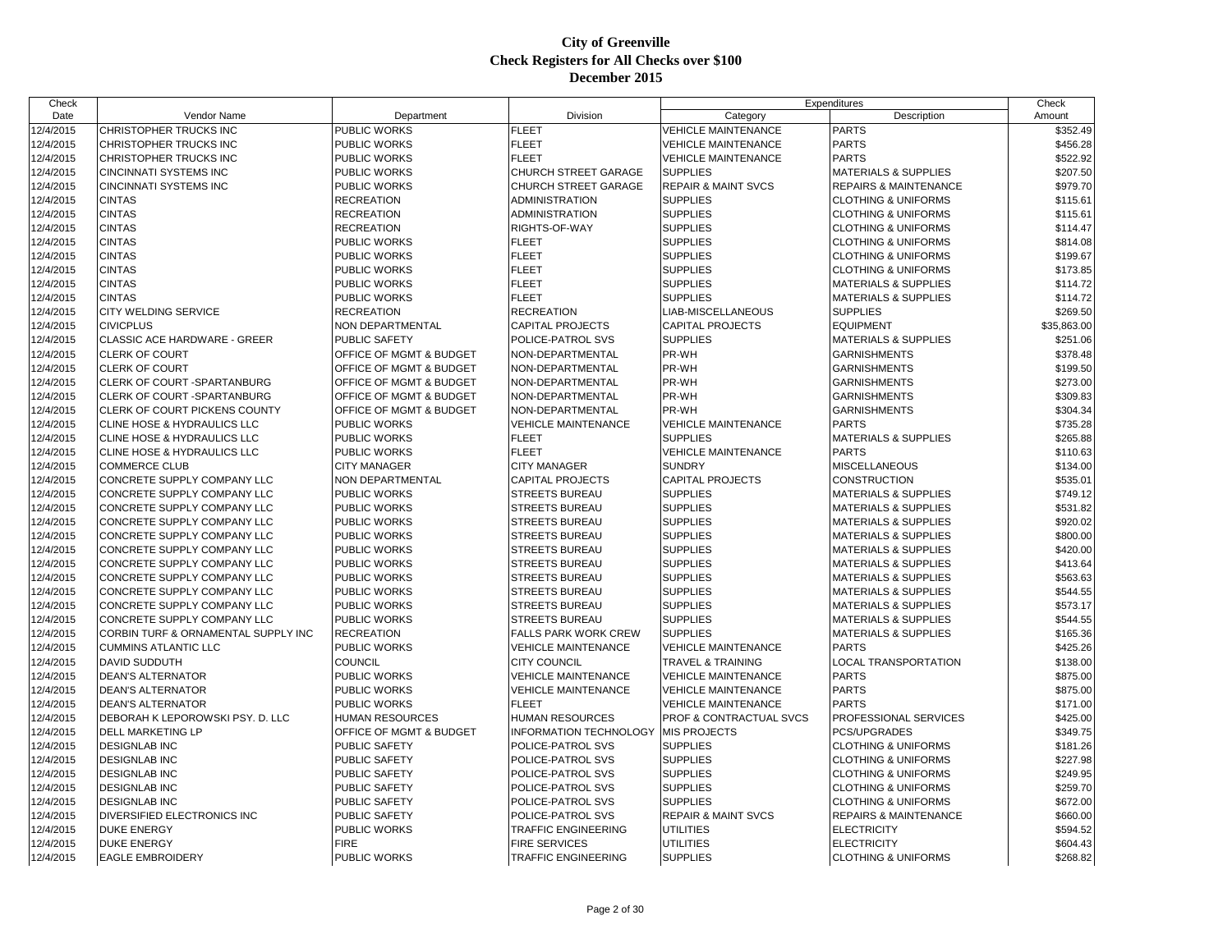| Check     |                                     |                         |                             | Expenditures                   |                                  | Check       |
|-----------|-------------------------------------|-------------------------|-----------------------------|--------------------------------|----------------------------------|-------------|
| Date      | Vendor Name                         | Department              | Division                    | Category                       | Description                      | Amount      |
| 12/4/2015 | CHRISTOPHER TRUCKS INC              | PUBLIC WORKS            | <b>FLEET</b>                | <b>VEHICLE MAINTENANCE</b>     | <b>PARTS</b>                     | \$352.49    |
| 12/4/2015 | CHRISTOPHER TRUCKS INC              | PUBLIC WORKS            | <b>FLEET</b>                | <b>VEHICLE MAINTENANCE</b>     | <b>PARTS</b>                     | \$456.28    |
| 12/4/2015 | CHRISTOPHER TRUCKS INC              | PUBLIC WORKS            | <b>FLEET</b>                | <b>VEHICLE MAINTENANCE</b>     | <b>PARTS</b>                     | \$522.92    |
| 12/4/2015 | <b>CINCINNATI SYSTEMS INC</b>       | PUBLIC WORKS            | CHURCH STREET GARAGE        | <b>SUPPLIES</b>                | <b>MATERIALS &amp; SUPPLIES</b>  | \$207.50    |
| 12/4/2015 | <b>CINCINNATI SYSTEMS INC</b>       | <b>PUBLIC WORKS</b>     | CHURCH STREET GARAGE        | <b>REPAIR &amp; MAINT SVCS</b> | <b>REPAIRS &amp; MAINTENANCE</b> | \$979.70    |
| 12/4/2015 | <b>CINTAS</b>                       | <b>RECREATION</b>       | <b>ADMINISTRATION</b>       | <b>SUPPLIES</b>                | <b>CLOTHING &amp; UNIFORMS</b>   | \$115.61    |
| 12/4/2015 | <b>CINTAS</b>                       | <b>RECREATION</b>       | <b>ADMINISTRATION</b>       | <b>SUPPLIES</b>                | <b>CLOTHING &amp; UNIFORMS</b>   | \$115.61    |
| 12/4/2015 | <b>CINTAS</b>                       | <b>RECREATION</b>       | RIGHTS-OF-WAY               | <b>SUPPLIES</b>                | <b>CLOTHING &amp; UNIFORMS</b>   | \$114.47    |
| 12/4/2015 | <b>CINTAS</b>                       | <b>PUBLIC WORKS</b>     | <b>FLEET</b>                | <b>SUPPLIES</b>                | <b>CLOTHING &amp; UNIFORMS</b>   | \$814.08    |
| 12/4/2015 | <b>CINTAS</b>                       | PUBLIC WORKS            | <b>FLEET</b>                | <b>SUPPLIES</b>                | <b>CLOTHING &amp; UNIFORMS</b>   | \$199.67    |
| 12/4/2015 | <b>CINTAS</b>                       | PUBLIC WORKS            | <b>FLEET</b>                | <b>SUPPLIES</b>                | <b>CLOTHING &amp; UNIFORMS</b>   | \$173.85    |
| 12/4/2015 | <b>CINTAS</b>                       | PUBLIC WORKS            | <b>FLEET</b>                | <b>SUPPLIES</b>                | <b>MATERIALS &amp; SUPPLIES</b>  | \$114.72    |
| 12/4/2015 | <b>CINTAS</b>                       | PUBLIC WORKS            | <b>FLEET</b>                | <b>SUPPLIES</b>                | <b>MATERIALS &amp; SUPPLIES</b>  | \$114.72    |
| 12/4/2015 | <b>CITY WELDING SERVICE</b>         | <b>RECREATION</b>       | <b>RECREATION</b>           | LIAB-MISCELLANEOUS             | <b>SUPPLIES</b>                  | \$269.50    |
| 12/4/2015 | <b>CIVICPLUS</b>                    | NON DEPARTMENTAL        | CAPITAL PROJECTS            | <b>CAPITAL PROJECTS</b>        | <b>EQUIPMENT</b>                 | \$35,863.00 |
| 12/4/2015 | CLASSIC ACE HARDWARE - GREER        | <b>PUBLIC SAFETY</b>    | POLICE-PATROL SVS           | <b>SUPPLIES</b>                | <b>MATERIALS &amp; SUPPLIES</b>  | \$251.06    |
| 12/4/2015 | <b>CLERK OF COURT</b>               | OFFICE OF MGMT & BUDGET | NON-DEPARTMENTAL            | PR-WH                          | <b>GARNISHMENTS</b>              | \$378.48    |
| 12/4/2015 | <b>CLERK OF COURT</b>               | OFFICE OF MGMT & BUDGET | NON-DEPARTMENTAL            | PR-WH                          | <b>GARNISHMENTS</b>              | \$199.50    |
| 12/4/2015 | CLERK OF COURT - SPARTANBURG        | OFFICE OF MGMT & BUDGET | NON-DEPARTMENTAL            | PR-WH                          | <b>GARNISHMENTS</b>              | \$273.00    |
| 12/4/2015 | CLERK OF COURT -SPARTANBURG         | OFFICE OF MGMT & BUDGET | NON-DEPARTMENTAL            | PR-WH                          | <b>GARNISHMENTS</b>              | \$309.83    |
| 12/4/2015 | CLERK OF COURT PICKENS COUNTY       | OFFICE OF MGMT & BUDGET | NON-DEPARTMENTAL            | PR-WH                          | <b>GARNISHMENTS</b>              | \$304.34    |
| 12/4/2015 | CLINE HOSE & HYDRAULICS LLC         | PUBLIC WORKS            | <b>VEHICLE MAINTENANCE</b>  | <b>VEHICLE MAINTENANCE</b>     | <b>PARTS</b>                     | \$735.28    |
| 12/4/2015 | CLINE HOSE & HYDRAULICS LLC         | PUBLIC WORKS            | <b>FLEET</b>                | <b>SUPPLIES</b>                | <b>MATERIALS &amp; SUPPLIES</b>  | \$265.88    |
| 12/4/2015 | CLINE HOSE & HYDRAULICS LLC         | <b>PUBLIC WORKS</b>     | <b>FLEET</b>                | <b>VEHICLE MAINTENANCE</b>     | <b>PARTS</b>                     | \$110.63    |
| 12/4/2015 | <b>COMMERCE CLUB</b>                | <b>CITY MANAGER</b>     | <b>CITY MANAGER</b>         | <b>SUNDRY</b>                  | <b>MISCELLANEOUS</b>             | \$134.00    |
| 12/4/2015 | CONCRETE SUPPLY COMPANY LLC         | NON DEPARTMENTAL        | <b>CAPITAL PROJECTS</b>     | <b>CAPITAL PROJECTS</b>        | <b>CONSTRUCTION</b>              | \$535.01    |
| 12/4/2015 | CONCRETE SUPPLY COMPANY LLC         | <b>PUBLIC WORKS</b>     | <b>STREETS BUREAU</b>       | <b>SUPPLIES</b>                | <b>MATERIALS &amp; SUPPLIES</b>  | \$749.12    |
| 12/4/2015 | CONCRETE SUPPLY COMPANY LLC         | PUBLIC WORKS            | STREETS BUREAU              | <b>SUPPLIES</b>                | <b>MATERIALS &amp; SUPPLIES</b>  | \$531.82    |
| 12/4/2015 | CONCRETE SUPPLY COMPANY LLC         | <b>PUBLIC WORKS</b>     | <b>STREETS BUREAU</b>       | <b>SUPPLIES</b>                | <b>MATERIALS &amp; SUPPLIES</b>  | \$920.02    |
| 12/4/2015 | CONCRETE SUPPLY COMPANY LLC         | PUBLIC WORKS            | <b>STREETS BUREAU</b>       | <b>SUPPLIES</b>                | <b>MATERIALS &amp; SUPPLIES</b>  | \$800.00    |
| 12/4/2015 | CONCRETE SUPPLY COMPANY LLC         | PUBLIC WORKS            | <b>STREETS BUREAU</b>       | <b>SUPPLIES</b>                | <b>MATERIALS &amp; SUPPLIES</b>  | \$420.00    |
| 12/4/2015 | CONCRETE SUPPLY COMPANY LLC         | <b>PUBLIC WORKS</b>     | <b>STREETS BUREAU</b>       | <b>SUPPLIES</b>                | <b>MATERIALS &amp; SUPPLIES</b>  | \$413.64    |
| 12/4/2015 | CONCRETE SUPPLY COMPANY LLC         | PUBLIC WORKS            | <b>STREETS BUREAU</b>       | <b>SUPPLIES</b>                | <b>MATERIALS &amp; SUPPLIES</b>  | \$563.63    |
| 12/4/2015 | CONCRETE SUPPLY COMPANY LLC         | <b>PUBLIC WORKS</b>     | <b>STREETS BUREAU</b>       | <b>SUPPLIES</b>                | <b>MATERIALS &amp; SUPPLIES</b>  | \$544.55    |
| 12/4/2015 | CONCRETE SUPPLY COMPANY LLC         | <b>PUBLIC WORKS</b>     | STREETS BUREAU              | <b>SUPPLIES</b>                | <b>MATERIALS &amp; SUPPLIES</b>  | \$573.17    |
| 12/4/2015 | CONCRETE SUPPLY COMPANY LLC         | <b>PUBLIC WORKS</b>     | <b>STREETS BUREAU</b>       | <b>SUPPLIES</b>                | <b>MATERIALS &amp; SUPPLIES</b>  | \$544.55    |
| 12/4/2015 | CORBIN TURF & ORNAMENTAL SUPPLY INC | <b>RECREATION</b>       | <b>FALLS PARK WORK CREW</b> | <b>SUPPLIES</b>                | <b>MATERIALS &amp; SUPPLIES</b>  | \$165.36    |
| 12/4/2015 | <b>CUMMINS ATLANTIC LLC</b>         | PUBLIC WORKS            | <b>VEHICLE MAINTENANCE</b>  | <b>VEHICLE MAINTENANCE</b>     | <b>PARTS</b>                     | \$425.26    |
| 12/4/2015 | <b>DAVID SUDDUTH</b>                | COUNCIL                 | CITY COUNCIL                | <b>TRAVEL &amp; TRAINING</b>   | LOCAL TRANSPORTATION             | \$138.00    |
| 12/4/2015 | <b>DEAN'S ALTERNATOR</b>            | <b>PUBLIC WORKS</b>     | <b>VEHICLE MAINTENANCE</b>  | <b>VEHICLE MAINTENANCE</b>     | <b>PARTS</b>                     | \$875.00    |
| 12/4/2015 | <b>DEAN'S ALTERNATOR</b>            | PUBLIC WORKS            | <b>VEHICLE MAINTENANCE</b>  | VEHICLE MAINTENANCE            | <b>PARTS</b>                     | \$875.00    |
| 12/4/2015 | <b>DEAN'S ALTERNATOR</b>            | <b>PUBLIC WORKS</b>     | <b>FLEET</b>                | <b>VEHICLE MAINTENANCE</b>     | <b>PARTS</b>                     | \$171.00    |
|           | DEBORAH K LEPOROWSKI PSY. D. LLC    | <b>HUMAN RESOURCES</b>  | <b>HUMAN RESOURCES</b>      | PROF & CONTRACTUAL SVCS        | PROFESSIONAL SERVICES            | \$425.00    |
| 12/4/2015 |                                     |                         |                             |                                |                                  |             |
| 12/4/2015 | <b>DELL MARKETING LP</b>            | OFFICE OF MGMT & BUDGET | INFORMATION TECHNOLOGY      | <b>MIS PROJECTS</b>            | PCS/UPGRADES                     | \$349.75    |
| 12/4/2015 | <b>DESIGNLAB INC</b>                | <b>PUBLIC SAFETY</b>    | POLICE-PATROL SVS           | <b>SUPPLIES</b>                | <b>CLOTHING &amp; UNIFORMS</b>   | \$181.26    |
| 12/4/2015 | <b>DESIGNLAB INC</b>                | <b>PUBLIC SAFETY</b>    | POLICE-PATROL SVS           | <b>SUPPLIES</b>                | <b>CLOTHING &amp; UNIFORMS</b>   | \$227.98    |
| 12/4/2015 | <b>DESIGNLAB INC</b>                | PUBLIC SAFETY           | POLICE-PATROL SVS           | <b>SUPPLIES</b>                | <b>CLOTHING &amp; UNIFORMS</b>   | \$249.95    |
| 12/4/2015 | <b>DESIGNLAB INC</b>                | PUBLIC SAFETY           | POLICE-PATROL SVS           | <b>SUPPLIES</b>                | <b>CLOTHING &amp; UNIFORMS</b>   | \$259.70    |
| 12/4/2015 | <b>DESIGNLAB INC</b>                | <b>PUBLIC SAFETY</b>    | POLICE-PATROL SVS           | <b>SUPPLIES</b>                | <b>CLOTHING &amp; UNIFORMS</b>   | \$672.00    |
| 12/4/2015 | DIVERSIFIED ELECTRONICS INC         | <b>PUBLIC SAFETY</b>    | POLICE-PATROL SVS           | <b>REPAIR &amp; MAINT SVCS</b> | <b>REPAIRS &amp; MAINTENANCE</b> | \$660.00    |
| 12/4/2015 | DUKE ENERGY                         | PUBLIC WORKS            | TRAFFIC ENGINEERING         | <b>UTILITIES</b>               | <b>ELECTRICITY</b>               | \$594.52    |
| 12/4/2015 | <b>DUKE ENERGY</b>                  | <b>FIRE</b>             | <b>FIRE SERVICES</b>        | <b>UTILITIES</b>               | <b>ELECTRICITY</b>               | \$604.43    |
| 12/4/2015 | <b>EAGLE EMBROIDERY</b>             | PUBLIC WORKS            | <b>TRAFFIC ENGINEERING</b>  | <b>SUPPLIES</b>                | <b>CLOTHING &amp; UNIFORMS</b>   | \$268.82    |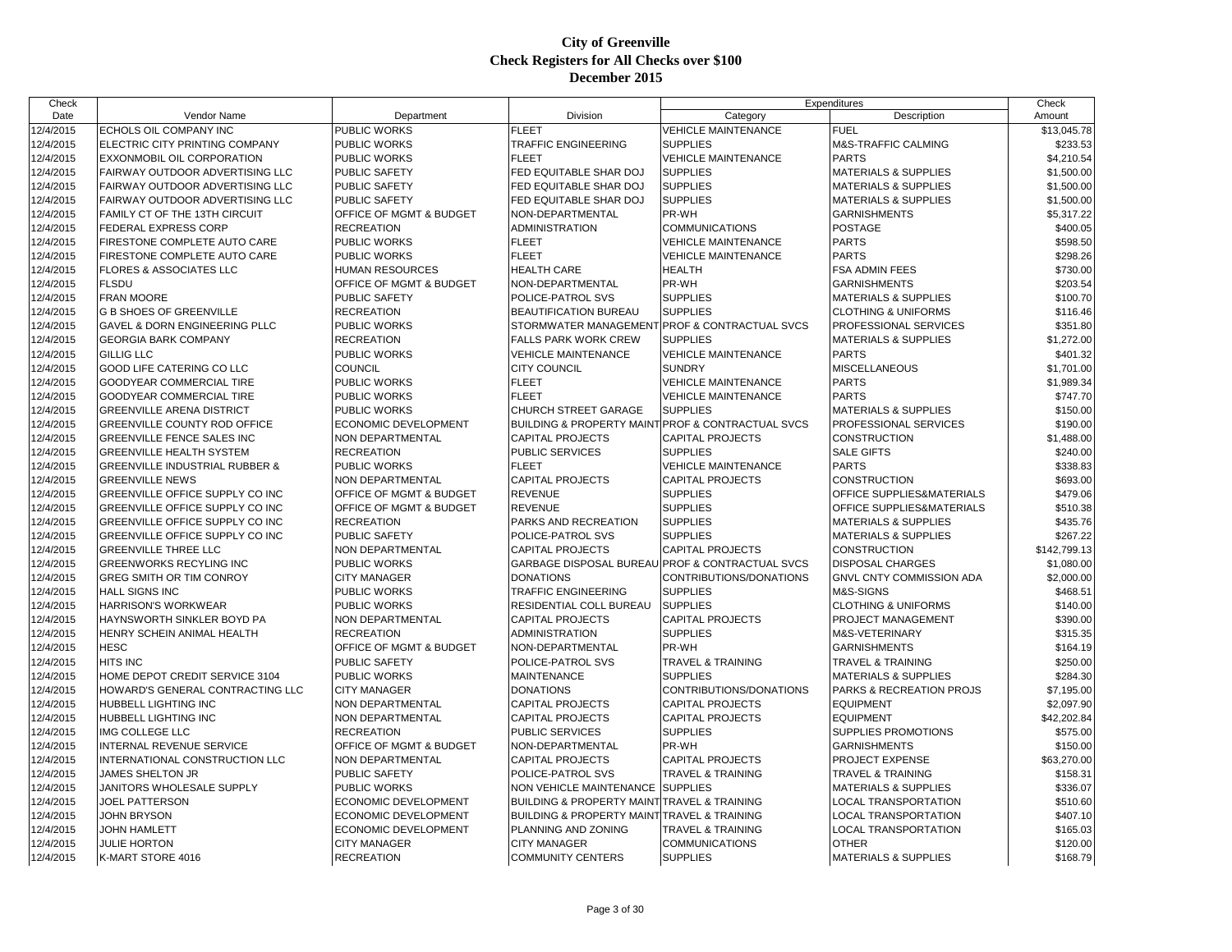| Check                  |                                                                    |                             |                                                            | Expenditures                                                     |                                      | Check                |
|------------------------|--------------------------------------------------------------------|-----------------------------|------------------------------------------------------------|------------------------------------------------------------------|--------------------------------------|----------------------|
| Date                   | Vendor Name                                                        | Department                  | Division                                                   | Category                                                         | Description                          | Amount               |
| 12/4/2015              | ECHOLS OIL COMPANY INC                                             | <b>PUBLIC WORKS</b>         | <b>FLEET</b>                                               | <b>VEHICLE MAINTENANCE</b>                                       | <b>FUEL</b>                          | \$13,045.78          |
| 12/4/2015              | ELECTRIC CITY PRINTING COMPANY                                     | PUBLIC WORKS                | TRAFFIC ENGINEERING                                        | <b>SUPPLIES</b>                                                  | M&S-TRAFFIC CALMING                  | \$233.53             |
| 12/4/2015              | EXXONMOBIL OIL CORPORATION                                         | PUBLIC WORKS                | <b>FLEET</b>                                               | <b>VEHICLE MAINTENANCE</b>                                       | <b>PARTS</b>                         | \$4,210.54           |
| 12/4/2015              | FAIRWAY OUTDOOR ADVERTISING LLC                                    | <b>PUBLIC SAFETY</b>        | FED EQUITABLE SHAR DOJ                                     | <b>SUPPLIES</b>                                                  | <b>MATERIALS &amp; SUPPLIES</b>      | \$1,500.00           |
| 12/4/2015              | FAIRWAY OUTDOOR ADVERTISING LLC                                    | <b>PUBLIC SAFETY</b>        | FED EQUITABLE SHAR DOJ                                     | <b>SUPPLIES</b>                                                  | <b>MATERIALS &amp; SUPPLIES</b>      | \$1,500.00           |
| 12/4/2015              | <b>FAIRWAY OUTDOOR ADVERTISING LLC</b>                             | <b>PUBLIC SAFETY</b>        | FED EQUITABLE SHAR DOJ                                     | <b>SUPPLIES</b>                                                  | <b>MATERIALS &amp; SUPPLIES</b>      | \$1,500.00           |
| 12/4/2015              | FAMILY CT OF THE 13TH CIRCUIT                                      | OFFICE OF MGMT & BUDGET     | NON-DEPARTMENTAL                                           | PR-WH                                                            | <b>GARNISHMENTS</b>                  | \$5,317.22           |
| 12/4/2015              | <b>FEDERAL EXPRESS CORP</b>                                        | <b>RECREATION</b>           | <b>ADMINISTRATION</b>                                      | <b>COMMUNICATIONS</b>                                            | <b>POSTAGE</b>                       | \$400.05             |
| 12/4/2015              | FIRESTONE COMPLETE AUTO CARE                                       | PUBLIC WORKS                | <b>FLEET</b>                                               | <b>VEHICLE MAINTENANCE</b>                                       | <b>PARTS</b>                         | \$598.50             |
| 12/4/2015              | FIRESTONE COMPLETE AUTO CARE                                       | PUBLIC WORKS                | <b>FLEET</b>                                               | <b>VEHICLE MAINTENANCE</b>                                       | <b>PARTS</b>                         | \$298.26             |
| 12/4/2015              | <b>FLORES &amp; ASSOCIATES LLC</b>                                 | <b>HUMAN RESOURCES</b>      | <b>HEALTH CARE</b>                                         | <b>HEALTH</b>                                                    | <b>FSA ADMIN FEES</b>                | \$730.00             |
| 12/4/2015              | <b>FLSDU</b>                                                       | OFFICE OF MGMT & BUDGET     | NON-DEPARTMENTAL                                           | PR-WH                                                            | <b>GARNISHMENTS</b>                  | \$203.54             |
| 12/4/2015              | <b>FRAN MOORE</b>                                                  | <b>PUBLIC SAFETY</b>        | POLICE-PATROL SVS                                          | <b>SUPPLIES</b>                                                  | <b>MATERIALS &amp; SUPPLIES</b>      | \$100.70             |
| 12/4/2015              | <b>G B SHOES OF GREENVILLE</b>                                     | <b>RECREATION</b>           | <b>BEAUTIFICATION BUREAU</b>                               | <b>SUPPLIES</b>                                                  | <b>CLOTHING &amp; UNIFORMS</b>       | \$116.46             |
| 12/4/2015              | <b>GAVEL &amp; DORN ENGINEERING PLLC</b>                           | <b>PUBLIC WORKS</b>         | STORMWATER MANAGEMEN                                       | <b>FPROF &amp; CONTRACTUAL SVCS</b>                              | PROFESSIONAL SERVICES                | \$351.80             |
| 12/4/2015              | <b>GEORGIA BARK COMPANY</b>                                        | <b>RECREATION</b>           | <b>FALLS PARK WORK CREW</b>                                | <b>SUPPLIES</b>                                                  | <b>MATERIALS &amp; SUPPLIES</b>      | \$1,272.00           |
| 12/4/2015              | <b>GILLIG LLC</b>                                                  | PUBLIC WORKS                | <b>VEHICLE MAINTENANCE</b>                                 | <b>VEHICLE MAINTENANCE</b>                                       | <b>PARTS</b>                         | \$401.32             |
| 12/4/2015              | <b>GOOD LIFE CATERING CO LLC</b>                                   | COUNCIL                     | <b>CITY COUNCIL</b>                                        | <b>SUNDRY</b>                                                    | <b>MISCELLANEOUS</b>                 | \$1,701.00           |
| 12/4/2015              | GOODYEAR COMMERCIAL TIRE                                           | PUBLIC WORKS                | <b>FLEET</b>                                               | <b>VEHICLE MAINTENANCE</b>                                       | <b>PARTS</b>                         | \$1,989.34           |
| 12/4/2015              | GOODYEAR COMMERCIAL TIRE                                           | PUBLIC WORKS                | <b>FLEET</b>                                               | <b>VEHICLE MAINTENANCE</b>                                       | <b>PARTS</b>                         | \$747.70             |
| 12/4/2015              | <b>GREENVILLE ARENA DISTRICT</b>                                   | <b>PUBLIC WORKS</b>         | <b>CHURCH STREET GARAGE</b>                                | <b>SUPPLIES</b>                                                  | <b>MATERIALS &amp; SUPPLIES</b>      | \$150.00             |
| 12/4/2015              | GREENVILLE COUNTY ROD OFFICE                                       | ECONOMIC DEVELOPMENT        |                                                            | <b>BUILDING &amp; PROPERTY MAINT PROF &amp; CONTRACTUAL SVCS</b> | PROFESSIONAL SERVICES                | \$190.00             |
| 12/4/2015              | <b>GREENVILLE FENCE SALES INC</b>                                  | <b>NON DEPARTMENTAL</b>     | <b>CAPITAL PROJECTS</b>                                    | <b>CAPITAL PROJECTS</b>                                          | <b>CONSTRUCTION</b>                  | \$1,488.00           |
| 12/4/2015              | <b>GREENVILLE HEALTH SYSTEM</b>                                    | <b>RECREATION</b>           | PUBLIC SERVICES                                            | <b>SUPPLIES</b>                                                  | <b>SALE GIFTS</b>                    | \$240.00             |
| 12/4/2015              | <b>GREENVILLE INDUSTRIAL RUBBER &amp;</b>                          | PUBLIC WORKS                | <b>FLEET</b>                                               | <b>VEHICLE MAINTENANCE</b>                                       | <b>PARTS</b>                         | \$338.83             |
| 12/4/2015              | <b>GREENVILLE NEWS</b>                                             | NON DEPARTMENTAL            | <b>CAPITAL PROJECTS</b>                                    | <b>CAPITAL PROJECTS</b>                                          | <b>CONSTRUCTION</b>                  | \$693.00             |
| 12/4/2015              | GREENVILLE OFFICE SUPPLY CO INC                                    | OFFICE OF MGMT & BUDGET     | <b>REVENUE</b>                                             | <b>SUPPLIES</b>                                                  | OFFICE SUPPLIES&MATERIALS            | \$479.06             |
|                        | GREENVILLE OFFICE SUPPLY CO INC                                    | OFFICE OF MGMT & BUDGET     | <b>REVENUE</b>                                             | <b>SUPPLIES</b>                                                  | <b>OFFICE SUPPLIES&amp;MATERIALS</b> |                      |
| 12/4/2015<br>12/4/2015 |                                                                    | <b>RECREATION</b>           | PARKS AND RECREATION                                       | <b>SUPPLIES</b>                                                  |                                      | \$510.38             |
|                        | GREENVILLE OFFICE SUPPLY CO INC<br>GREENVILLE OFFICE SUPPLY CO INC | PUBLIC SAFETY               | POLICE-PATROL SVS                                          | <b>SUPPLIES</b>                                                  | <b>MATERIALS &amp; SUPPLIES</b>      | \$435.76<br>\$267.22 |
| 12/4/2015              |                                                                    |                             |                                                            |                                                                  | <b>MATERIALS &amp; SUPPLIES</b>      |                      |
| 12/4/2015              | <b>GREENVILLE THREE LLC</b>                                        | NON DEPARTMENTAL            | <b>CAPITAL PROJECTS</b>                                    | CAPITAL PROJECTS                                                 | <b>CONSTRUCTION</b>                  | \$142,799.13         |
| 12/4/2015              | <b>GREENWORKS RECYLING INC</b>                                     | PUBLIC WORKS                |                                                            | GARBAGE DISPOSAL BUREAU PROF & CONTRACTUAL SVCS                  | <b>DISPOSAL CHARGES</b>              | \$1,080.00           |
| 12/4/2015              | GREG SMITH OR TIM CONROY                                           | <b>CITY MANAGER</b>         | <b>DONATIONS</b>                                           | CONTRIBUTIONS/DONATIONS                                          | GNVL CNTY COMMISSION ADA             | \$2,000.00           |
| 12/4/2015              | <b>HALL SIGNS INC</b>                                              | PUBLIC WORKS                | <b>TRAFFIC ENGINEERING</b>                                 | <b>SUPPLIES</b>                                                  | M&S-SIGNS                            | \$468.51             |
| 12/4/2015              | <b>HARRISON'S WORKWEAR</b>                                         | <b>PUBLIC WORKS</b>         | RESIDENTIAL COLL BUREAU                                    | <b>SUPPLIES</b>                                                  | <b>CLOTHING &amp; UNIFORMS</b>       | \$140.00             |
| 12/4/2015              | HAYNSWORTH SINKLER BOYD PA                                         | NON DEPARTMENTAL            | <b>CAPITAL PROJECTS</b>                                    | <b>CAPITAL PROJECTS</b>                                          | PROJECT MANAGEMENT                   | \$390.00             |
| 12/4/2015              | HENRY SCHEIN ANIMAL HEALTH                                         | <b>RECREATION</b>           | ADMINISTRATION                                             | <b>SUPPLIES</b>                                                  | M&S-VETERINARY                       | \$315.35             |
| 12/4/2015              | <b>HESC</b>                                                        | OFFICE OF MGMT & BUDGET     | NON-DEPARTMENTAL                                           | PR-WH                                                            | <b>GARNISHMENTS</b>                  | \$164.19             |
| 12/4/2015              | <b>HITS INC</b>                                                    | PUBLIC SAFETY               | POLICE-PATROL SVS                                          | TRAVEL & TRAINING                                                | <b>TRAVEL &amp; TRAINING</b>         | \$250.00             |
| 12/4/2015              | HOME DEPOT CREDIT SERVICE 3104                                     | <b>PUBLIC WORKS</b>         | <b>MAINTENANCE</b>                                         | <b>SUPPLIES</b>                                                  | <b>MATERIALS &amp; SUPPLIES</b>      | \$284.30             |
| 12/4/2015              | HOWARD'S GENERAL CONTRACTING LLC                                   | <b>CITY MANAGER</b>         | <b>DONATIONS</b>                                           | CONTRIBUTIONS/DONATIONS                                          | PARKS & RECREATION PROJS             | \$7,195.00           |
| 12/4/2015              | HUBBELL LIGHTING INC                                               | <b>NON DEPARTMENTAL</b>     | <b>CAPITAL PROJECTS</b>                                    | <b>CAPITAL PROJECTS</b>                                          | <b>EQUIPMENT</b>                     | \$2,097.90           |
| 12/4/2015              | HUBBELL LIGHTING INC                                               | NON DEPARTMENTAL            | <b>CAPITAL PROJECTS</b>                                    | <b>CAPITAL PROJECTS</b>                                          | <b>EQUIPMENT</b>                     | \$42,202.84          |
| 12/4/2015              | IMG COLLEGE LLC                                                    | <b>RECREATION</b>           | PUBLIC SERVICES                                            | <b>SUPPLIES</b>                                                  | SUPPLIES PROMOTIONS                  | \$575.00             |
| 12/4/2015              | INTERNAL REVENUE SERVICE                                           | OFFICE OF MGMT & BUDGET     | NON-DEPARTMENTAL                                           | PR-WH                                                            | <b>GARNISHMENTS</b>                  | \$150.00             |
| 12/4/2015              | INTERNATIONAL CONSTRUCTION LLC                                     | NON DEPARTMENTAL            | <b>CAPITAL PROJECTS</b>                                    | <b>CAPITAL PROJECTS</b>                                          | PROJECT EXPENSE                      | \$63,270.00          |
| 12/4/2015              | JAMES SHELTON JR                                                   | PUBLIC SAFETY               | POLICE-PATROL SVS                                          | <b>TRAVEL &amp; TRAINING</b>                                     | <b>TRAVEL &amp; TRAINING</b>         | \$158.31             |
| 12/4/2015              | JANITORS WHOLESALE SUPPLY                                          | PUBLIC WORKS                | NON VEHICLE MAINTENANCE SUPPLIES                           |                                                                  | <b>MATERIALS &amp; SUPPLIES</b>      | \$336.07             |
| 12/4/2015              | JOEL PATTERSON                                                     | ECONOMIC DEVELOPMENT        | <b>BUILDING &amp; PROPERTY MAINT TRAVEL &amp; TRAINING</b> |                                                                  | LOCAL TRANSPORTATION                 | \$510.60             |
| 12/4/2015              | <b>JOHN BRYSON</b>                                                 | ECONOMIC DEVELOPMENT        | <b>BUILDING &amp; PROPERTY MAINT TRAVEL &amp; TRAINING</b> |                                                                  | <b>LOCAL TRANSPORTATION</b>          | \$407.10             |
| 12/4/2015              | <b>JOHN HAMLETT</b>                                                | <b>ECONOMIC DEVELOPMENT</b> | PLANNING AND ZONING                                        | <b>TRAVEL &amp; TRAINING</b>                                     | <b>LOCAL TRANSPORTATION</b>          | \$165.03             |
| 12/4/2015              | <b>JULIE HORTON</b>                                                | <b>CITY MANAGER</b>         | <b>CITY MANAGER</b>                                        | <b>COMMUNICATIONS</b>                                            | <b>OTHER</b>                         | \$120.00             |
| 12/4/2015              | K-MART STORE 4016                                                  | <b>RECREATION</b>           | <b>COMMUNITY CENTERS</b>                                   | <b>SUPPLIES</b>                                                  | <b>MATERIALS &amp; SUPPLIES</b>      | \$168.79             |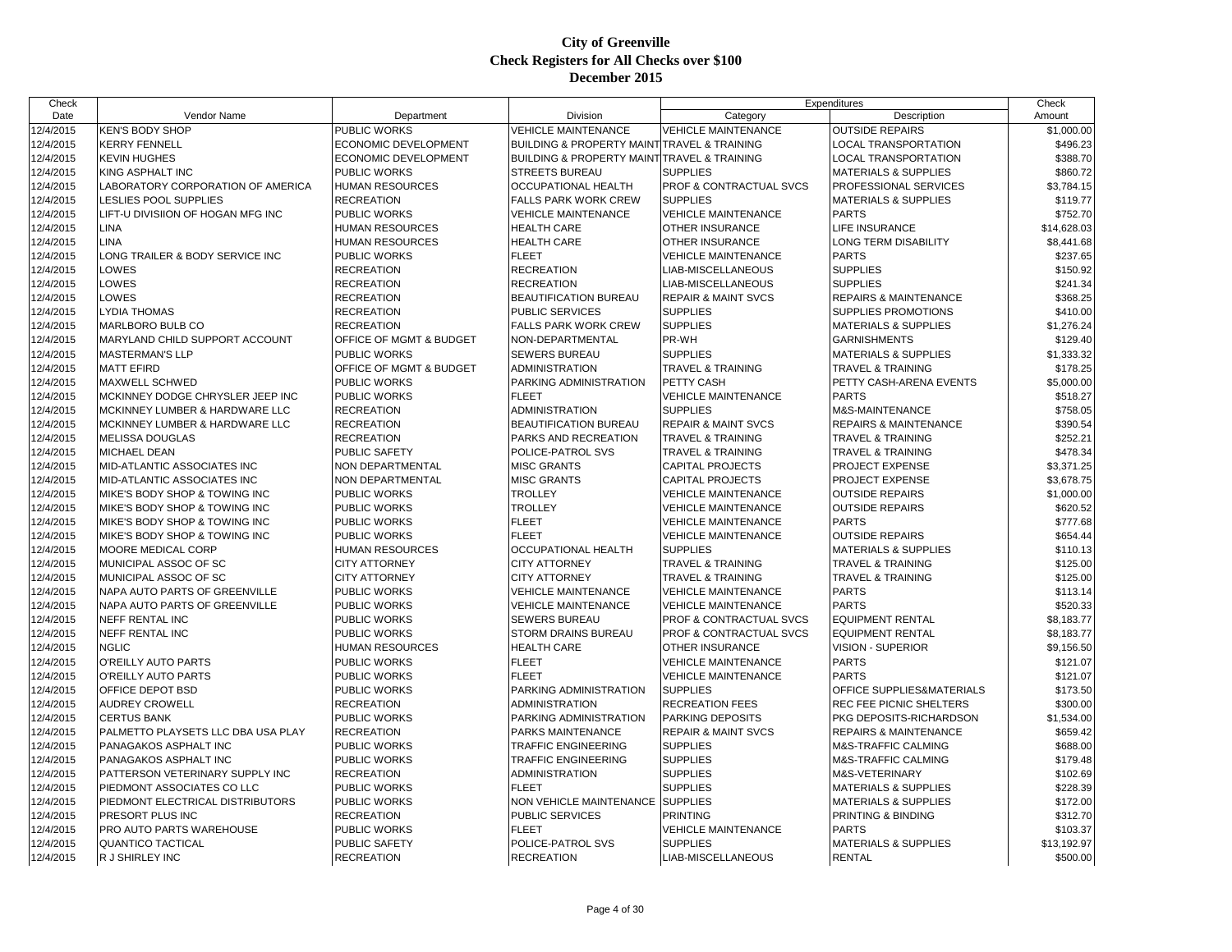| Check     |                                    |                         |                                                            |                                    | Expenditures                     | Check       |
|-----------|------------------------------------|-------------------------|------------------------------------------------------------|------------------------------------|----------------------------------|-------------|
| Date      | Vendor Name                        | Department              | Division                                                   | Category                           | Description                      | Amount      |
| 12/4/2015 | <b>KEN'S BODY SHOP</b>             | <b>PUBLIC WORKS</b>     | <b>VEHICLE MAINTENANCE</b>                                 | <b>VEHICLE MAINTENANCE</b>         | <b>OUTSIDE REPAIRS</b>           | \$1,000.00  |
| 12/4/2015 | <b>KERRY FENNELL</b>               | ECONOMIC DEVELOPMENT    | BUILDING & PROPERTY MAINT TRAVEL & TRAINING                |                                    | <b>LOCAL TRANSPORTATION</b>      | \$496.23    |
| 12/4/2015 | <b>KEVIN HUGHES</b>                | ECONOMIC DEVELOPMENT    | <b>BUILDING &amp; PROPERTY MAINT TRAVEL &amp; TRAINING</b> |                                    | <b>LOCAL TRANSPORTATION</b>      | \$388.70    |
| 12/4/2015 | <b>KING ASPHALT INC</b>            | <b>PUBLIC WORKS</b>     | <b>STREETS BUREAU</b>                                      | <b>SUPPLIES</b>                    | <b>MATERIALS &amp; SUPPLIES</b>  | \$860.72    |
| 12/4/2015 | LABORATORY CORPORATION OF AMERICA  | <b>HUMAN RESOURCES</b>  | OCCUPATIONAL HEALTH                                        | <b>PROF &amp; CONTRACTUAL SVCS</b> | PROFESSIONAL SERVICES            | \$3.784.15  |
| 12/4/2015 | LESLIES POOL SUPPLIES              | <b>RECREATION</b>       | <b>FALLS PARK WORK CREW</b>                                | <b>SUPPLIES</b>                    | <b>MATERIALS &amp; SUPPLIES</b>  | \$119.77    |
| 12/4/2015 | LIFT-U DIVISIION OF HOGAN MFG INC  | <b>PUBLIC WORKS</b>     | <b>VEHICLE MAINTENANCE</b>                                 | <b>VEHICLE MAINTENANCE</b>         | <b>PARTS</b>                     | \$752.70    |
| 12/4/2015 | <b>LINA</b>                        | <b>HUMAN RESOURCES</b>  | <b>HEALTH CARE</b>                                         | <b>OTHER INSURANCE</b>             | <b>LIFE INSURANCE</b>            | \$14,628.03 |
| 12/4/2015 | LINA                               | <b>HUMAN RESOURCES</b>  | <b>HEALTH CARE</b>                                         | <b>OTHER INSURANCE</b>             | LONG TERM DISABILITY             | \$8,441.68  |
| 12/4/2015 | LONG TRAILER & BODY SERVICE INC    | <b>PUBLIC WORKS</b>     | <b>FLEET</b>                                               | <b>VEHICLE MAINTENANCE</b>         | <b>PARTS</b>                     | \$237.65    |
| 12/4/2015 | LOWES                              | <b>RECREATION</b>       | <b>RECREATION</b>                                          | LIAB-MISCELLANEOUS                 | <b>SUPPLIES</b>                  | \$150.92    |
| 12/4/2015 | LOWES                              | <b>RECREATION</b>       | <b>RECREATION</b>                                          | LIAB-MISCELLANEOUS                 | <b>SUPPLIES</b>                  | \$241.34    |
| 12/4/2015 | LOWES                              | <b>RECREATION</b>       | <b>BEAUTIFICATION BUREAU</b>                               | <b>REPAIR &amp; MAINT SVCS</b>     | <b>REPAIRS &amp; MAINTENANCE</b> | \$368.25    |
| 12/4/2015 | <b>LYDIA THOMAS</b>                | <b>RECREATION</b>       | <b>PUBLIC SERVICES</b>                                     | <b>SUPPLIES</b>                    | SUPPLIES PROMOTIONS              | \$410.00    |
| 12/4/2015 | <b>MARLBORO BULB CO</b>            | <b>RECREATION</b>       | <b>FALLS PARK WORK CREW</b>                                | <b>SUPPLIES</b>                    | <b>MATERIALS &amp; SUPPLIES</b>  | \$1,276.24  |
| 12/4/2015 | MARYLAND CHILD SUPPORT ACCOUNT     | OFFICE OF MGMT & BUDGET | NON-DEPARTMENTAL                                           | PR-WH                              | <b>GARNISHMENTS</b>              | \$129.40    |
| 12/4/2015 | <b>MASTERMAN'S LLP</b>             | <b>PUBLIC WORKS</b>     | <b>SEWERS BUREAU</b>                                       | <b>SUPPLIES</b>                    | <b>MATERIALS &amp; SUPPLIES</b>  | \$1,333.32  |
| 12/4/2015 | <b>MATT EFIRD</b>                  | OFFICE OF MGMT & BUDGET | ADMINISTRATION                                             | <b>TRAVEL &amp; TRAINING</b>       | TRAVEL & TRAINING                | \$178.25    |
| 12/4/2015 | <b>MAXWELL SCHWED</b>              | PUBLIC WORKS            | PARKING ADMINISTRATION                                     | PETTY CASH                         | PETTY CASH-ARENA EVENTS          | \$5,000.00  |
| 12/4/2015 | MCKINNEY DODGE CHRYSLER JEEP INC   | <b>PUBLIC WORKS</b>     | <b>FLEET</b>                                               | <b>VEHICLE MAINTENANCE</b>         | <b>PARTS</b>                     | \$518.27    |
| 12/4/2015 | MCKINNEY LUMBER & HARDWARE LLC     | <b>RECREATION</b>       | <b>ADMINISTRATION</b>                                      | <b>SUPPLIES</b>                    | M&S-MAINTENANCE                  | \$758.05    |
| 12/4/2015 | MCKINNEY LUMBER & HARDWARE LLC     | <b>RECREATION</b>       | <b>BEAUTIFICATION BUREAU</b>                               | <b>REPAIR &amp; MAINT SVCS</b>     | <b>REPAIRS &amp; MAINTENANCE</b> | \$390.54    |
| 12/4/2015 | <b>MELISSA DOUGLAS</b>             | <b>RECREATION</b>       | PARKS AND RECREATION                                       | <b>TRAVEL &amp; TRAINING</b>       | <b>TRAVEL &amp; TRAINING</b>     | \$252.21    |
| 12/4/2015 | <b>MICHAEL DEAN</b>                | <b>PUBLIC SAFETY</b>    | POLICE-PATROL SVS                                          | <b>TRAVEL &amp; TRAINING</b>       | <b>TRAVEL &amp; TRAINING</b>     | \$478.34    |
| 12/4/2015 | MID-ATLANTIC ASSOCIATES INC        | <b>NON DEPARTMENTAL</b> | <b>MISC GRANTS</b>                                         | <b>CAPITAL PROJECTS</b>            | PROJECT EXPENSE                  | \$3,371.25  |
| 12/4/2015 | MID-ATLANTIC ASSOCIATES INC        | <b>NON DEPARTMENTAL</b> | <b>MISC GRANTS</b>                                         | <b>CAPITAL PROJECTS</b>            | PROJECT EXPENSE                  | \$3,678.75  |
| 12/4/2015 | MIKE'S BODY SHOP & TOWING INC      | <b>PUBLIC WORKS</b>     | <b>TROLLEY</b>                                             | <b>VEHICLE MAINTENANCE</b>         | <b>OUTSIDE REPAIRS</b>           | \$1,000.00  |
| 12/4/2015 | MIKE'S BODY SHOP & TOWING INC      | <b>PUBLIC WORKS</b>     | <b>TROLLEY</b>                                             | <b>VEHICLE MAINTENANCE</b>         | <b>OUTSIDE REPAIRS</b>           | \$620.52    |
| 12/4/2015 | MIKE'S BODY SHOP & TOWING INC      | <b>PUBLIC WORKS</b>     | <b>FLEET</b>                                               | <b>VEHICLE MAINTENANCE</b>         | <b>PARTS</b>                     | \$777.68    |
| 12/4/2015 | MIKE'S BODY SHOP & TOWING INC      | PUBLIC WORKS            | <b>FLEET</b>                                               | <b>VEHICLE MAINTENANCE</b>         | <b>OUTSIDE REPAIRS</b>           | \$654.44    |
| 12/4/2015 | MOORE MEDICAL CORP                 | <b>HUMAN RESOURCES</b>  | <b>OCCUPATIONAL HEALTH</b>                                 | <b>SUPPLIES</b>                    | <b>MATERIALS &amp; SUPPLIES</b>  | \$110.13    |
| 12/4/2015 | MUNICIPAL ASSOC OF SC              | <b>CITY ATTORNEY</b>    | <b>CITY ATTORNEY</b>                                       | <b>TRAVEL &amp; TRAINING</b>       | <b>TRAVEL &amp; TRAINING</b>     | \$125.00    |
| 12/4/2015 | MUNICIPAL ASSOC OF SC              | <b>CITY ATTORNEY</b>    | <b>CITY ATTORNEY</b>                                       | <b>TRAVEL &amp; TRAINING</b>       | <b>TRAVEL &amp; TRAINING</b>     | \$125.00    |
| 12/4/2015 | NAPA AUTO PARTS OF GREENVILLE      | PUBLIC WORKS            | <b>VEHICLE MAINTENANCE</b>                                 | <b>VEHICLE MAINTENANCE</b>         | <b>PARTS</b>                     | \$113.14    |
| 12/4/2015 | NAPA AUTO PARTS OF GREENVILLE      | <b>PUBLIC WORKS</b>     | <b>VEHICLE MAINTENANCE</b>                                 | <b>VEHICLE MAINTENANCE</b>         | <b>PARTS</b>                     | \$520.33    |
| 12/4/2015 | <b>NEFF RENTAL INC</b>             | <b>PUBLIC WORKS</b>     | SEWERS BUREAU                                              | <b>PROF &amp; CONTRACTUAL SVCS</b> | <b>EQUIPMENT RENTAL</b>          | \$8.183.77  |
| 12/4/2015 | <b>NEFF RENTAL INC</b>             | PUBLIC WORKS            | STORM DRAINS BUREAU                                        | PROF & CONTRACTUAL SVCS            | <b>EQUIPMENT RENTAL</b>          | \$8,183.77  |
| 12/4/2015 | <b>NGLIC</b>                       | <b>HUMAN RESOURCES</b>  | <b>HEALTH CARE</b>                                         | <b>OTHER INSURANCE</b>             | <b>VISION - SUPERIOR</b>         | \$9,156.50  |
| 12/4/2015 | O'REILLY AUTO PARTS                | <b>PUBLIC WORKS</b>     | <b>FLEET</b>                                               | <b>VEHICLE MAINTENANCE</b>         | <b>PARTS</b>                     | \$121.07    |
| 12/4/2015 | O'REILLY AUTO PARTS                | PUBLIC WORKS            | <b>FLEET</b>                                               | <b>VEHICLE MAINTENANCE</b>         | <b>PARTS</b>                     | \$121.07    |
| 12/4/2015 | OFFICE DEPOT BSD                   | <b>PUBLIC WORKS</b>     | PARKING ADMINISTRATION                                     | <b>SUPPLIES</b>                    | OFFICE SUPPLIES&MATERIALS        | \$173.50    |
| 12/4/2015 | <b>AUDREY CROWELL</b>              | <b>RECREATION</b>       | <b>ADMINISTRATION</b>                                      | <b>RECREATION FEES</b>             | <b>REC FEE PICNIC SHELTERS</b>   | \$300.00    |
| 12/4/2015 | <b>CERTUS BANK</b>                 | PUBLIC WORKS            | PARKING ADMINISTRATION                                     | PARKING DEPOSITS                   | PKG DEPOSITS-RICHARDSON          | \$1,534.00  |
| 12/4/2015 | PALMETTO PLAYSETS LLC DBA USA PLAY | <b>RECREATION</b>       | PARKS MAINTENANCE                                          | <b>REPAIR &amp; MAINT SVCS</b>     | <b>REPAIRS &amp; MAINTENANCE</b> | \$659.42    |
| 12/4/2015 | PANAGAKOS ASPHALT INC              | <b>PUBLIC WORKS</b>     | <b>TRAFFIC ENGINEERING</b>                                 | <b>SUPPLIES</b>                    | M&S-TRAFFIC CALMING              | \$688.00    |
| 12/4/2015 | PANAGAKOS ASPHALT INC              | <b>PUBLIC WORKS</b>     | <b>TRAFFIC ENGINEERING</b>                                 | <b>SUPPLIES</b>                    | M&S-TRAFFIC CALMING              | \$179.48    |
| 12/4/2015 | PATTERSON VETERINARY SUPPLY INC    | <b>RECREATION</b>       | <b>ADMINISTRATION</b>                                      | <b>SUPPLIES</b>                    | M&S-VETERINARY                   | \$102.69    |
| 12/4/2015 | PIEDMONT ASSOCIATES CO LLC         | <b>PUBLIC WORKS</b>     | <b>FLEET</b>                                               | <b>SUPPLIES</b>                    | <b>MATERIALS &amp; SUPPLIES</b>  | \$228.39    |
| 12/4/2015 | PIEDMONT ELECTRICAL DISTRIBUTORS   | <b>PUBLIC WORKS</b>     | NON VEHICLE MAINTENANCE                                    | <b>SUPPLIES</b>                    | <b>MATERIALS &amp; SUPPLIES</b>  | \$172.00    |
| 12/4/2015 | PRESORT PLUS INC                   | <b>RECREATION</b>       | PUBLIC SERVICES                                            | <b>PRINTING</b>                    | PRINTING & BINDING               | \$312.70    |
| 12/4/2015 | <b>PRO AUTO PARTS WAREHOUSE</b>    | <b>PUBLIC WORKS</b>     | <b>FLEET</b>                                               | <b>VEHICLE MAINTENANCE</b>         | <b>PARTS</b>                     | \$103.37    |
| 12/4/2015 | <b>QUANTICO TACTICAL</b>           | <b>PUBLIC SAFETY</b>    | POLICE-PATROL SVS                                          | <b>SUPPLIES</b>                    | <b>MATERIALS &amp; SUPPLIES</b>  | \$13,192.97 |
| 12/4/2015 | R J SHIRLEY INC                    | <b>RECREATION</b>       | <b>RECREATION</b>                                          | LIAB-MISCELLANEOUS                 | <b>RENTAL</b>                    | \$500.00    |
|           |                                    |                         |                                                            |                                    |                                  |             |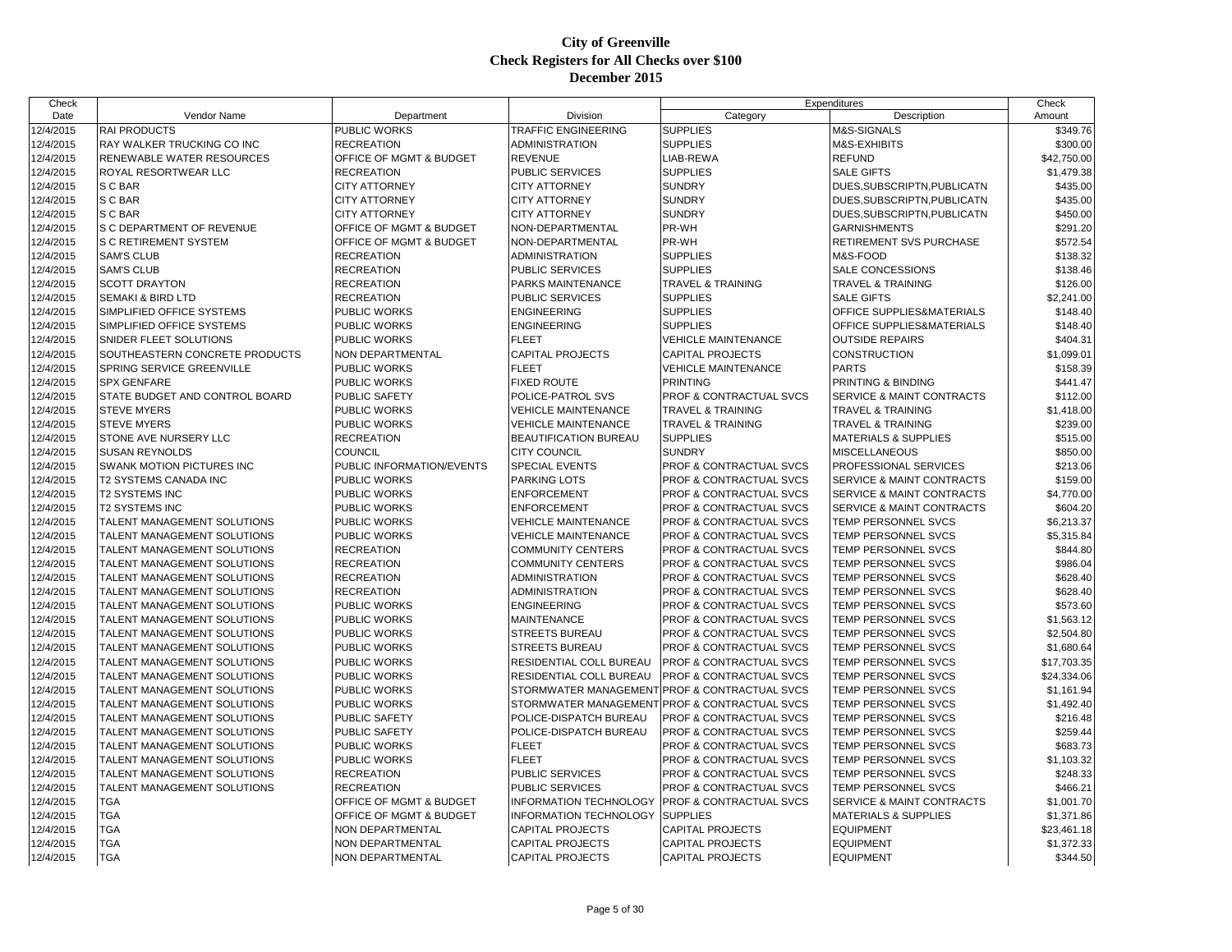| Check     |                                  |                           |                                               | Expenditures                       |                                 | Check       |
|-----------|----------------------------------|---------------------------|-----------------------------------------------|------------------------------------|---------------------------------|-------------|
| Date      | Vendor Name                      | Department                | Division                                      | Category                           | Description                     | Amount      |
| 12/4/2015 | <b>RAI PRODUCTS</b>              | PUBLIC WORKS              | TRAFFIC ENGINEERING                           | <b>SUPPLIES</b>                    | M&S-SIGNALS                     | \$349.76    |
| 12/4/2015 | RAY WALKER TRUCKING CO INC       | <b>RECREATION</b>         | ADMINISTRATION                                | <b>SUPPLIES</b>                    | M&S-EXHIBITS                    | \$300.00    |
| 12/4/2015 | RENEWABLE WATER RESOURCES        | OFFICE OF MGMT & BUDGET   | <b>REVENUE</b>                                | LIAB-REWA                          | <b>REFUND</b>                   | \$42,750.00 |
| 12/4/2015 | ROYAL RESORTWEAR LLC             | <b>RECREATION</b>         | PUBLIC SERVICES                               | <b>SUPPLIES</b>                    | <b>SALE GIFTS</b>               | \$1,479.38  |
| 12/4/2015 | S C BAR                          | <b>CITY ATTORNEY</b>      | <b>CITY ATTORNEY</b>                          | <b>SUNDRY</b>                      | DUES, SUBSCRIPTN, PUBLICATN     | \$435.00    |
| 12/4/2015 | S C BAR                          | <b>CITY ATTORNEY</b>      | <b>CITY ATTORNEY</b>                          | <b>SUNDRY</b>                      | DUES, SUBSCRIPTN, PUBLICATN     | \$435.00    |
| 12/4/2015 | S C BAR                          | <b>CITY ATTORNEY</b>      | <b>CITY ATTORNEY</b>                          | <b>SUNDRY</b>                      | DUES, SUBSCRIPTN, PUBLICATN     | \$450.00    |
| 12/4/2015 | S C DEPARTMENT OF REVENUE        | OFFICE OF MGMT & BUDGET   | NON-DEPARTMENTAL                              | PR-WH                              | <b>GARNISHMENTS</b>             | \$291.20    |
| 12/4/2015 | <b>S C RETIREMENT SYSTEM</b>     | OFFICE OF MGMT & BUDGET   | NON-DEPARTMENTAL                              | PR-WH                              | RETIREMENT SVS PURCHASE         | \$572.54    |
| 12/4/2015 | <b>SAM'S CLUB</b>                | <b>RECREATION</b>         | <b>ADMINISTRATION</b>                         | <b>SUPPLIES</b>                    | M&S-FOOD                        | \$138.32    |
| 12/4/2015 | <b>SAM'S CLUB</b>                | <b>RECREATION</b>         | <b>PUBLIC SERVICES</b>                        | <b>SUPPLIES</b>                    | <b>SALE CONCESSIONS</b>         | \$138.46    |
| 12/4/2015 | <b>SCOTT DRAYTON</b>             | <b>RECREATION</b>         | PARKS MAINTENANCE                             | <b>TRAVEL &amp; TRAINING</b>       | TRAVEL & TRAINING               | \$126.00    |
| 12/4/2015 | <b>SEMAKI &amp; BIRD LTD</b>     | <b>RECREATION</b>         | PUBLIC SERVICES                               | <b>SUPPLIES</b>                    | <b>SALE GIFTS</b>               | \$2,241.00  |
| 12/4/2015 | SIMPLIFIED OFFICE SYSTEMS        | PUBLIC WORKS              | <b>ENGINEERING</b>                            | <b>SUPPLIES</b>                    | OFFICE SUPPLIES&MATERIALS       | \$148.40    |
| 12/4/2015 | SIMPLIFIED OFFICE SYSTEMS        | PUBLIC WORKS              | <b>ENGINEERING</b>                            | <b>SUPPLIES</b>                    | OFFICE SUPPLIES&MATERIALS       | \$148.40    |
| 12/4/2015 | SNIDER FLEET SOLUTIONS           | <b>PUBLIC WORKS</b>       | <b>FLEET</b>                                  | <b>VEHICLE MAINTENANCE</b>         | <b>OUTSIDE REPAIRS</b>          | \$404.31    |
| 12/4/2015 | SOUTHEASTERN CONCRETE PRODUCTS   | NON DEPARTMENTAL          | CAPITAL PROJECTS                              | <b>CAPITAL PROJECTS</b>            | <b>CONSTRUCTION</b>             | \$1,099.01  |
| 12/4/2015 | SPRING SERVICE GREENVILLE        | <b>PUBLIC WORKS</b>       | <b>FLEET</b>                                  | <b>VEHICLE MAINTENANCE</b>         | <b>PARTS</b>                    | \$158.39    |
| 12/4/2015 | <b>SPX GENFARE</b>               | <b>PUBLIC WORKS</b>       | <b>FIXED ROUTE</b>                            | <b>PRINTING</b>                    | PRINTING & BINDING              | \$441.47    |
| 12/4/2015 | STATE BUDGET AND CONTROL BOARD   | PUBLIC SAFETY             | POLICE-PATROL SVS                             | PROF & CONTRACTUAL SVCS            | SERVICE & MAINT CONTRACTS       | \$112.00    |
| 12/4/2015 | <b>STEVE MYERS</b>               | PUBLIC WORKS              | <b>VEHICLE MAINTENANCE</b>                    | <b>TRAVEL &amp; TRAINING</b>       | <b>TRAVEL &amp; TRAINING</b>    | \$1,418.00  |
| 12/4/2015 | <b>STEVE MYERS</b>               | <b>PUBLIC WORKS</b>       | <b>VEHICLE MAINTENANCE</b>                    | <b>TRAVEL &amp; TRAINING</b>       | <b>TRAVEL &amp; TRAINING</b>    | \$239.00    |
| 12/4/2015 | STONE AVE NURSERY LLC            | <b>RECREATION</b>         | BEAUTIFICATION BUREAU                         | <b>SUPPLIES</b>                    | <b>MATERIALS &amp; SUPPLIES</b> | \$515.00    |
| 12/4/2015 | <b>SUSAN REYNOLDS</b>            | <b>COUNCIL</b>            | <b>CITY COUNCIL</b>                           | <b>SUNDRY</b>                      | <b>MISCELLANEOUS</b>            | \$850.00    |
| 12/4/2015 | <b>SWANK MOTION PICTURES INC</b> | PUBLIC INFORMATION/EVENTS | <b>SPECIAL EVENTS</b>                         | PROF & CONTRACTUAL SVCS            | PROFESSIONAL SERVICES           | \$213.06    |
| 12/4/2015 | T2 SYSTEMS CANADA INC            | PUBLIC WORKS              | PARKING LOTS                                  | <b>PROF &amp; CONTRACTUAL SVCS</b> | SERVICE & MAINT CONTRACTS       | \$159.00    |
| 12/4/2015 | <b>T2 SYSTEMS INC</b>            | <b>PUBLIC WORKS</b>       | <b>ENFORCEMENT</b>                            | PROF & CONTRACTUAL SVCS            | SERVICE & MAINT CONTRACTS       | \$4,770.00  |
| 12/4/2015 | <b>T2 SYSTEMS INC</b>            | PUBLIC WORKS              | <b>ENFORCEMENT</b>                            | PROF & CONTRACTUAL SVCS            | SERVICE & MAINT CONTRACTS       | \$604.20    |
| 12/4/2015 | TALENT MANAGEMENT SOLUTIONS      | PUBLIC WORKS              | <b>VEHICLE MAINTENANCE</b>                    | PROF & CONTRACTUAL SVCS            | TEMP PERSONNEL SVCS             | \$6,213.37  |
| 12/4/2015 | TALENT MANAGEMENT SOLUTIONS      | <b>PUBLIC WORKS</b>       | <b>VEHICLE MAINTENANCE</b>                    | <b>PROF &amp; CONTRACTUAL SVCS</b> | TEMP PERSONNEL SVCS             | \$5,315.84  |
| 12/4/2015 | TALENT MANAGEMENT SOLUTIONS      | <b>RECREATION</b>         | <b>COMMUNITY CENTERS</b>                      | PROF & CONTRACTUAL SVCS            | TEMP PERSONNEL SVCS             | \$844.80    |
| 12/4/2015 | TALENT MANAGEMENT SOLUTIONS      | <b>RECREATION</b>         | <b>COMMUNITY CENTERS</b>                      | PROF & CONTRACTUAL SVCS            | TEMP PERSONNEL SVCS             | \$986.04    |
| 12/4/2015 | TALENT MANAGEMENT SOLUTIONS      | <b>RECREATION</b>         | <b>ADMINISTRATION</b>                         | PROF & CONTRACTUAL SVCS            | TEMP PERSONNEL SVCS             | \$628.40    |
| 12/4/2015 | TALENT MANAGEMENT SOLUTIONS      | <b>RECREATION</b>         | <b>ADMINISTRATION</b>                         | PROF & CONTRACTUAL SVCS            | TEMP PERSONNEL SVCS             | \$628.40    |
| 12/4/2015 | TALENT MANAGEMENT SOLUTIONS      | <b>PUBLIC WORKS</b>       | <b>ENGINEERING</b>                            | <b>PROF &amp; CONTRACTUAL SVCS</b> | TEMP PERSONNEL SVCS             | \$573.60    |
| 12/4/2015 | TALENT MANAGEMENT SOLUTIONS      | PUBLIC WORKS              | <b>MAINTENANCE</b>                            | PROF & CONTRACTUAL SVCS            | TEMP PERSONNEL SVCS             | \$1,563.12  |
| 12/4/2015 | TALENT MANAGEMENT SOLUTIONS      | PUBLIC WORKS              | STREETS BUREAU                                | PROF & CONTRACTUAL SVCS            | TEMP PERSONNEL SVCS             | \$2,504.80  |
| 12/4/2015 | TALENT MANAGEMENT SOLUTIONS      | <b>PUBLIC WORKS</b>       | <b>STREETS BUREAU</b>                         | PROF & CONTRACTUAL SVCS            | TEMP PERSONNEL SVCS             | \$1,680.64  |
| 12/4/2015 | TALENT MANAGEMENT SOLUTIONS      | PUBLIC WORKS              | RESIDENTIAL COLL BUREAU                       | PROF & CONTRACTUAL SVCS            | TEMP PERSONNEL SVCS             | \$17,703.35 |
| 12/4/2015 | TALENT MANAGEMENT SOLUTIONS      | PUBLIC WORKS              | RESIDENTIAL COLL BUREAU                       | PROF & CONTRACTUAL SVCS            | TEMP PERSONNEL SVCS             | \$24,334.06 |
| 12/4/2015 | TALENT MANAGEMENT SOLUTIONS      | <b>PUBLIC WORKS</b>       | STORMWATER MANAGEMENT PROF & CONTRACTUAL SVCS |                                    | TEMP PERSONNEL SVCS             | \$1,161.94  |
| 12/4/2015 | TALENT MANAGEMENT SOLUTIONS      | PUBLIC WORKS              | STORMWATER MANAGEMENT                         | <b>PROF &amp; CONTRACTUAL SVCS</b> | TEMP PERSONNEL SVCS             | \$1,492.40  |
| 12/4/2015 | TALENT MANAGEMENT SOLUTIONS      | <b>PUBLIC SAFETY</b>      | POLICE-DISPATCH BUREAU                        | <b>PROF &amp; CONTRACTUAL SVCS</b> | TEMP PERSONNEL SVCS             | \$216.48    |
| 12/4/2015 | TALENT MANAGEMENT SOLUTIONS      | PUBLIC SAFETY             | POLICE-DISPATCH BUREAU                        | PROF & CONTRACTUAL SVCS            | TEMP PERSONNEL SVCS             | \$259.44    |
| 12/4/2015 | TALENT MANAGEMENT SOLUTIONS      | PUBLIC WORKS              | <b>FLEET</b>                                  | PROF & CONTRACTUAL SVCS            | TEMP PERSONNEL SVCS             | \$683.73    |
| 12/4/2015 | TALENT MANAGEMENT SOLUTIONS      | <b>PUBLIC WORKS</b>       | <b>FLEET</b>                                  | <b>PROF &amp; CONTRACTUAL SVCS</b> | TEMP PERSONNEL SVCS             | \$1,103.32  |
| 12/4/2015 | TALENT MANAGEMENT SOLUTIONS      | <b>RECREATION</b>         | PUBLIC SERVICES                               | PROF & CONTRACTUAL SVCS            | TEMP PERSONNEL SVCS             | \$248.33    |
| 12/4/2015 | TALENT MANAGEMENT SOLUTIONS      | <b>RECREATION</b>         | PUBLIC SERVICES                               | PROF & CONTRACTUAL SVCS            | <b>TEMP PERSONNEL SVCS</b>      | \$466.21    |
| 12/4/2015 | <b>TGA</b>                       | OFFICE OF MGMT & BUDGET   | <b>INFORMATION TECHNOLOGY</b>                 | <b>PROF &amp; CONTRACTUAL SVCS</b> | SERVICE & MAINT CONTRACTS       | \$1,001.70  |
| 12/4/2015 | <b>TGA</b>                       | OFFICE OF MGMT & BUDGET   | INFORMATION TECHNOLOGY                        | <b>SUPPLIES</b>                    | <b>MATERIALS &amp; SUPPLIES</b> | \$1,371.86  |
| 12/4/2015 | <b>TGA</b>                       | NON DEPARTMENTAL          | CAPITAL PROJECTS                              | <b>CAPITAL PROJECTS</b>            | <b>EQUIPMENT</b>                | \$23,461.18 |
| 12/4/2015 | <b>TGA</b>                       | NON DEPARTMENTAL          | <b>CAPITAL PROJECTS</b>                       | <b>CAPITAL PROJECTS</b>            | <b>EQUIPMENT</b>                | \$1,372.33  |
| 12/4/2015 | <b>TGA</b>                       | <b>NON DEPARTMENTAL</b>   | <b>CAPITAL PROJECTS</b>                       | <b>CAPITAL PROJECTS</b>            | <b>EQUIPMENT</b>                | \$344.50    |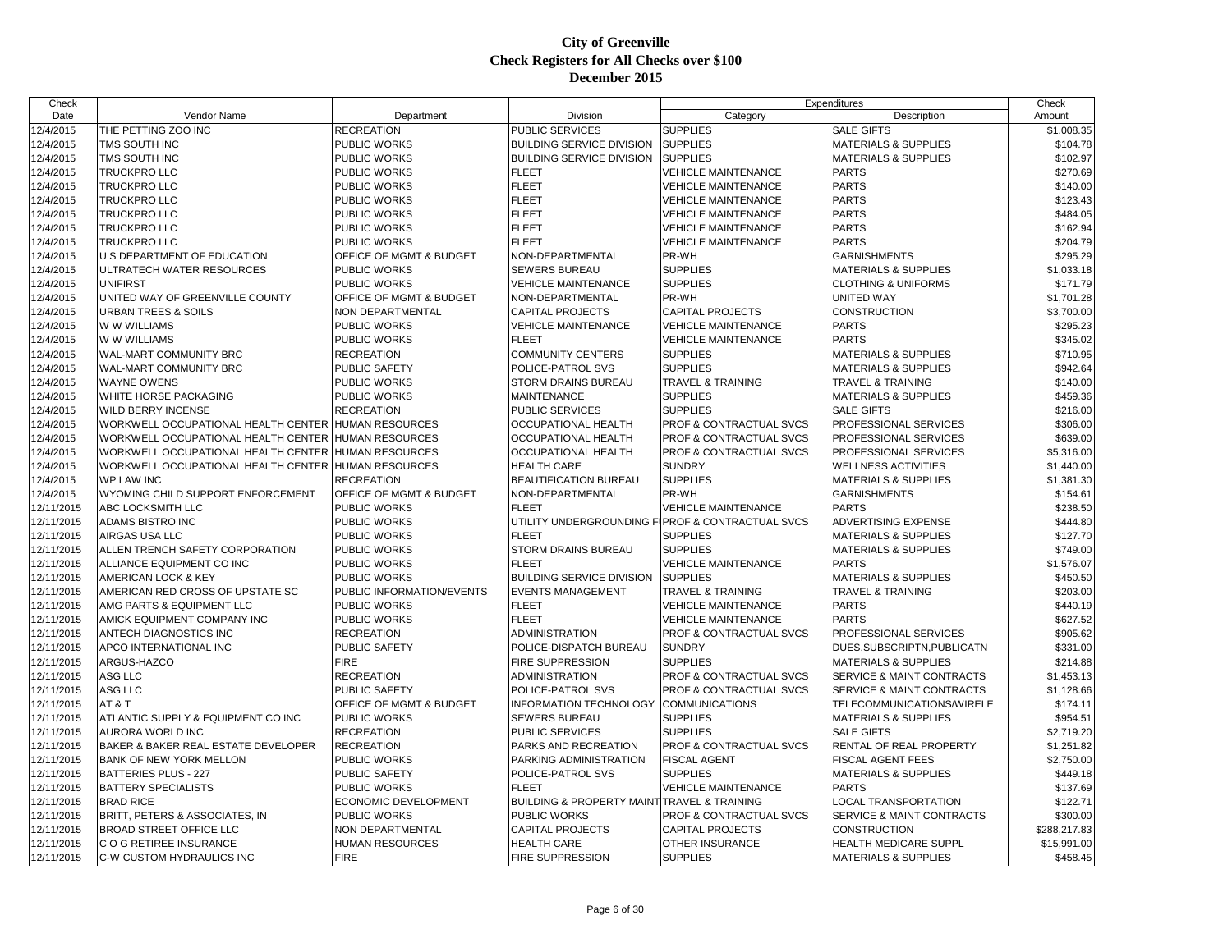| Check      |                                     |                           |                                                            |                              | Expenditures                         | Check        |
|------------|-------------------------------------|---------------------------|------------------------------------------------------------|------------------------------|--------------------------------------|--------------|
| Date       | Vendor Name                         | Department                | Division                                                   | Category                     | Description                          | Amount       |
| 12/4/2015  | THE PETTING ZOO INC                 | <b>RECREATION</b>         | <b>PUBLIC SERVICES</b>                                     | <b>SUPPLIES</b>              | <b>SALE GIFTS</b>                    | \$1,008.35   |
| 12/4/2015  | TMS SOUTH INC                       | PUBLIC WORKS              | <b>BUILDING SERVICE DIVISION</b>                           | <b>SUPPLIES</b>              | <b>MATERIALS &amp; SUPPLIES</b>      | \$104.78     |
| 12/4/2015  | TMS SOUTH INC                       | PUBLIC WORKS              | <b>BUILDING SERVICE DIVISION</b>                           | <b>SUPPLIES</b>              | <b>MATERIALS &amp; SUPPLIES</b>      | \$102.97     |
| 12/4/2015  | TRUCKPRO LLC                        | <b>PUBLIC WORKS</b>       | <b>FLEET</b>                                               | <b>VEHICLE MAINTENANCE</b>   | <b>PARTS</b>                         | \$270.69     |
| 12/4/2015  | <b>TRUCKPRO LLC</b>                 | <b>PUBLIC WORKS</b>       | <b>FLEET</b>                                               | <b>VEHICLE MAINTENANCE</b>   | <b>PARTS</b>                         | \$140.00     |
| 12/4/2015  | <b>TRUCKPRO LLC</b>                 | PUBLIC WORKS              | <b>FLEET</b>                                               | <b>VEHICLE MAINTENANCE</b>   | <b>PARTS</b>                         | \$123.43     |
| 12/4/2015  | TRUCKPRO LLC                        | PUBLIC WORKS              | <b>FLEET</b>                                               | <b>VEHICLE MAINTENANCE</b>   | <b>PARTS</b>                         | \$484.05     |
| 12/4/2015  | <b>TRUCKPRO LLC</b>                 | PUBLIC WORKS              | <b>FLEET</b>                                               | <b>VEHICLE MAINTENANCE</b>   | <b>PARTS</b>                         | \$162.94     |
| 12/4/2015  | <b>TRUCKPRO LLC</b>                 | PUBLIC WORKS              | <b>FLEET</b>                                               | <b>VEHICLE MAINTENANCE</b>   | <b>PARTS</b>                         | \$204.79     |
| 12/4/2015  | U S DEPARTMENT OF EDUCATION         | OFFICE OF MGMT & BUDGET   | NON-DEPARTMENTAL                                           | PR-WH                        | <b>GARNISHMENTS</b>                  | \$295.29     |
| 12/4/2015  | ULTRATECH WATER RESOURCES           | <b>PUBLIC WORKS</b>       | <b>SEWERS BUREAU</b>                                       | <b>SUPPLIES</b>              | <b>MATERIALS &amp; SUPPLIES</b>      | \$1,033.18   |
| 12/4/2015  | <b>UNIFIRST</b>                     | PUBLIC WORKS              | <b>VEHICLE MAINTENANCE</b>                                 | <b>SUPPLIES</b>              | <b>CLOTHING &amp; UNIFORMS</b>       | \$171.79     |
| 12/4/2015  | UNITED WAY OF GREENVILLE COUNTY     | OFFICE OF MGMT & BUDGET   | NON-DEPARTMENTAL                                           | PR-WH                        | UNITED WAY                           | \$1,701.28   |
| 12/4/2015  | <b>URBAN TREES &amp; SOILS</b>      | NON DEPARTMENTAL          | <b>CAPITAL PROJECTS</b>                                    | <b>CAPITAL PROJECTS</b>      | CONSTRUCTION                         | \$3,700.00   |
| 12/4/2015  | W W WILLIAMS                        | <b>PUBLIC WORKS</b>       | <b>VEHICLE MAINTENANCE</b>                                 | <b>VEHICLE MAINTENANCE</b>   | <b>PARTS</b>                         | \$295.23     |
| 12/4/2015  | W W WILLIAMS                        | <b>PUBLIC WORKS</b>       | <b>FLEET</b>                                               | <b>VEHICLE MAINTENANCE</b>   | <b>PARTS</b>                         | \$345.02     |
| 12/4/2015  | WAL-MART COMMUNITY BRC              | <b>RECREATION</b>         | <b>COMMUNITY CENTERS</b>                                   | <b>SUPPLIES</b>              | <b>MATERIALS &amp; SUPPLIES</b>      | \$710.95     |
| 12/4/2015  | WAL-MART COMMUNITY BRC              | PUBLIC SAFETY             | POLICE-PATROL SVS                                          | <b>SUPPLIES</b>              | MATERIALS & SUPPLIES                 | \$942.64     |
| 12/4/2015  | <b>WAYNE OWENS</b>                  | PUBLIC WORKS              | <b>STORM DRAINS BUREAU</b>                                 | <b>TRAVEL &amp; TRAINING</b> | <b>TRAVEL &amp; TRAINING</b>         | \$140.00     |
| 12/4/2015  | WHITE HORSE PACKAGING               | PUBLIC WORKS              | <b>MAINTENANCE</b>                                         | <b>SUPPLIES</b>              | <b>MATERIALS &amp; SUPPLIES</b>      | \$459.36     |
| 12/4/2015  | <b>WILD BERRY INCENSE</b>           | <b>RECREATION</b>         | <b>PUBLIC SERVICES</b>                                     | <b>SUPPLIES</b>              | <b>SALE GIFTS</b>                    | \$216.00     |
| 12/4/2015  | WORKWELL OCCUPATIONAL HEALTH CENTER | <b>HUMAN RESOURCES</b>    | <b>OCCUPATIONAL HEALTH</b>                                 | PROF & CONTRACTUAL SVCS      | PROFESSIONAL SERVICES                | \$306.00     |
| 12/4/2015  | WORKWELL OCCUPATIONAL HEALTH CENTER | <b>HUMAN RESOURCES</b>    | <b>OCCUPATIONAL HEALTH</b>                                 | PROF & CONTRACTUAL SVCS      | PROFESSIONAL SERVICES                | \$639.00     |
| 12/4/2015  | WORKWELL OCCUPATIONAL HEALTH CENTER | <b>HUMAN RESOURCES</b>    | <b>OCCUPATIONAL HEALTH</b>                                 | PROF & CONTRACTUAL SVCS      | PROFESSIONAL SERVICES                | \$5,316.00   |
| 12/4/2015  | WORKWELL OCCUPATIONAL HEALTH CENTER | <b>HUMAN RESOURCES</b>    | <b>HEALTH CARE</b>                                         | <b>SUNDRY</b>                | <b>WELLNESS ACTIVITIES</b>           | \$1,440.00   |
| 12/4/2015  | <b>WP LAW INC</b>                   | <b>RECREATION</b>         | <b>BEAUTIFICATION BUREAU</b>                               | <b>SUPPLIES</b>              | <b>MATERIALS &amp; SUPPLIES</b>      | \$1,381.30   |
| 12/4/2015  | WYOMING CHILD SUPPORT ENFORCEMENT   | OFFICE OF MGMT & BUDGET   | NON-DEPARTMENTAL                                           | PR-WH                        | <b>GARNISHMENTS</b>                  | \$154.61     |
| 12/11/2015 | ABC LOCKSMITH LLC                   | PUBLIC WORKS              | <b>FLEET</b>                                               | <b>VEHICLE MAINTENANCE</b>   | <b>PARTS</b>                         | \$238.50     |
| 12/11/2015 | ADAMS BISTRO INC                    | PUBLIC WORKS              | UTILITY UNDERGROUNDING FIPROF & CONTRACTUAL SVCS           |                              | ADVERTISING EXPENSE                  | \$444.80     |
| 12/11/2015 | AIRGAS USA LLC                      | <b>PUBLIC WORKS</b>       | <b>FLEET</b>                                               | <b>SUPPLIES</b>              | <b>MATERIALS &amp; SUPPLIES</b>      | \$127.70     |
| 12/11/2015 | ALLEN TRENCH SAFETY CORPORATION     | PUBLIC WORKS              | <b>STORM DRAINS BUREAU</b>                                 | <b>SUPPLIES</b>              | <b>MATERIALS &amp; SUPPLIES</b>      | \$749.00     |
| 12/11/2015 | ALLIANCE EQUIPMENT CO INC           | PUBLIC WORKS              | <b>FLEET</b>                                               | <b>VEHICLE MAINTENANCE</b>   | <b>PARTS</b>                         | \$1,576.07   |
| 12/11/2015 | AMERICAN LOCK & KEY                 | <b>PUBLIC WORKS</b>       | <b>BUILDING SERVICE DIVISION</b>                           | <b>SUPPLIES</b>              | <b>MATERIALS &amp; SUPPLIES</b>      | \$450.50     |
| 12/11/2015 | AMERICAN RED CROSS OF UPSTATE SC    | PUBLIC INFORMATION/EVENTS | <b>EVENTS MANAGEMENT</b>                                   | TRAVEL & TRAINING            | TRAVEL & TRAINING                    | \$203.00     |
| 12/11/2015 | AMG PARTS & EQUIPMENT LLC           | PUBLIC WORKS              | <b>FLEET</b>                                               | <b>VEHICLE MAINTENANCE</b>   | <b>PARTS</b>                         | \$440.19     |
| 12/11/2015 | AMICK EQUIPMENT COMPANY INC         | PUBLIC WORKS              | <b>FLEET</b>                                               | <b>VEHICLE MAINTENANCE</b>   | <b>PARTS</b>                         | \$627.52     |
| 12/11/2015 | ANTECH DIAGNOSTICS INC              | <b>RECREATION</b>         | <b>ADMINISTRATION</b>                                      | PROF & CONTRACTUAL SVCS      | PROFESSIONAL SERVICES                | \$905.62     |
| 12/11/2015 | APCO INTERNATIONAL INC              | PUBLIC SAFETY             | POLICE-DISPATCH BUREAU                                     | <b>SUNDRY</b>                | DUES, SUBSCRIPTN, PUBLICATN          | \$331.00     |
| 12/11/2015 | ARGUS-HAZCO                         | <b>FIRE</b>               | <b>FIRE SUPPRESSION</b>                                    | <b>SUPPLIES</b>              | <b>MATERIALS &amp; SUPPLIES</b>      | \$214.88     |
| 12/11/2015 | ASG LLC                             | <b>RECREATION</b>         | <b>ADMINISTRATION</b>                                      | PROF & CONTRACTUAL SVCS      | SERVICE & MAINT CONTRACTS            | \$1,453.13   |
| 12/11/2015 | ASG LLC                             | PUBLIC SAFETY             | POLICE-PATROL SVS                                          | PROF & CONTRACTUAL SVCS      | SERVICE & MAINT CONTRACTS            | \$1,128.66   |
| 12/11/2015 | AT&T                                | OFFICE OF MGMT & BUDGET   | INFORMATION TECHNOLOGY COMMUNICATIONS                      |                              | TELECOMMUNICATIONS/WIRELE            | \$174.11     |
| 12/11/2015 | ATLANTIC SUPPLY & EQUIPMENT CO INC  | PUBLIC WORKS              | <b>SEWERS BUREAU</b>                                       | <b>SUPPLIES</b>              | <b>MATERIALS &amp; SUPPLIES</b>      | \$954.51     |
|            | <b>AURORA WORLD INC</b>             |                           |                                                            | <b>SUPPLIES</b>              | <b>SALE GIFTS</b>                    |              |
| 12/11/2015 |                                     | <b>RECREATION</b>         | PUBLIC SERVICES                                            |                              |                                      | \$2,719.20   |
| 12/11/2015 | BAKER & BAKER REAL ESTATE DEVELOPER | <b>RECREATION</b>         | PARKS AND RECREATION                                       | PROF & CONTRACTUAL SVCS      | RENTAL OF REAL PROPERTY              | \$1,251.82   |
| 12/11/2015 | <b>BANK OF NEW YORK MELLON</b>      | <b>PUBLIC WORKS</b>       | <b>PARKING ADMINISTRATION</b>                              | <b>FISCAL AGENT</b>          | <b>FISCAL AGENT FEES</b>             | \$2,750.00   |
| 12/11/2015 | <b>BATTERIES PLUS - 227</b>         | PUBLIC SAFETY             | POLICE-PATROL SVS                                          | <b>SUPPLIES</b>              | <b>MATERIALS &amp; SUPPLIES</b>      | \$449.18     |
| 12/11/2015 | <b>BATTERY SPECIALISTS</b>          | <b>PUBLIC WORKS</b>       | <b>FLEET</b>                                               | <b>VEHICLE MAINTENANCE</b>   | <b>PARTS</b>                         | \$137.69     |
| 12/11/2015 | <b>BRAD RICE</b>                    | ECONOMIC DEVELOPMENT      | <b>BUILDING &amp; PROPERTY MAINT TRAVEL &amp; TRAINING</b> |                              | LOCAL TRANSPORTATION                 | \$122.71     |
| 12/11/2015 | BRITT, PETERS & ASSOCIATES, IN      | PUBLIC WORKS              | <b>PUBLIC WORKS</b>                                        | PROF & CONTRACTUAL SVCS      | <b>SERVICE &amp; MAINT CONTRACTS</b> | \$300.00     |
| 12/11/2015 | <b>BROAD STREET OFFICE LLC</b>      | NON DEPARTMENTAL          | <b>CAPITAL PROJECTS</b>                                    | <b>CAPITAL PROJECTS</b>      | <b>CONSTRUCTION</b>                  | \$288,217.83 |
| 12/11/2015 | C O G RETIREE INSURANCE             | <b>HUMAN RESOURCES</b>    | <b>HEALTH CARE</b>                                         | OTHER INSURANCE              | HEALTH MEDICARE SUPPL                | \$15,991.00  |
| 12/11/2015 | C-W CUSTOM HYDRAULICS INC           | <b>FIRE</b>               | <b>FIRE SUPPRESSION</b>                                    | <b>SUPPLIES</b>              | <b>MATERIALS &amp; SUPPLIES</b>      | \$458.45     |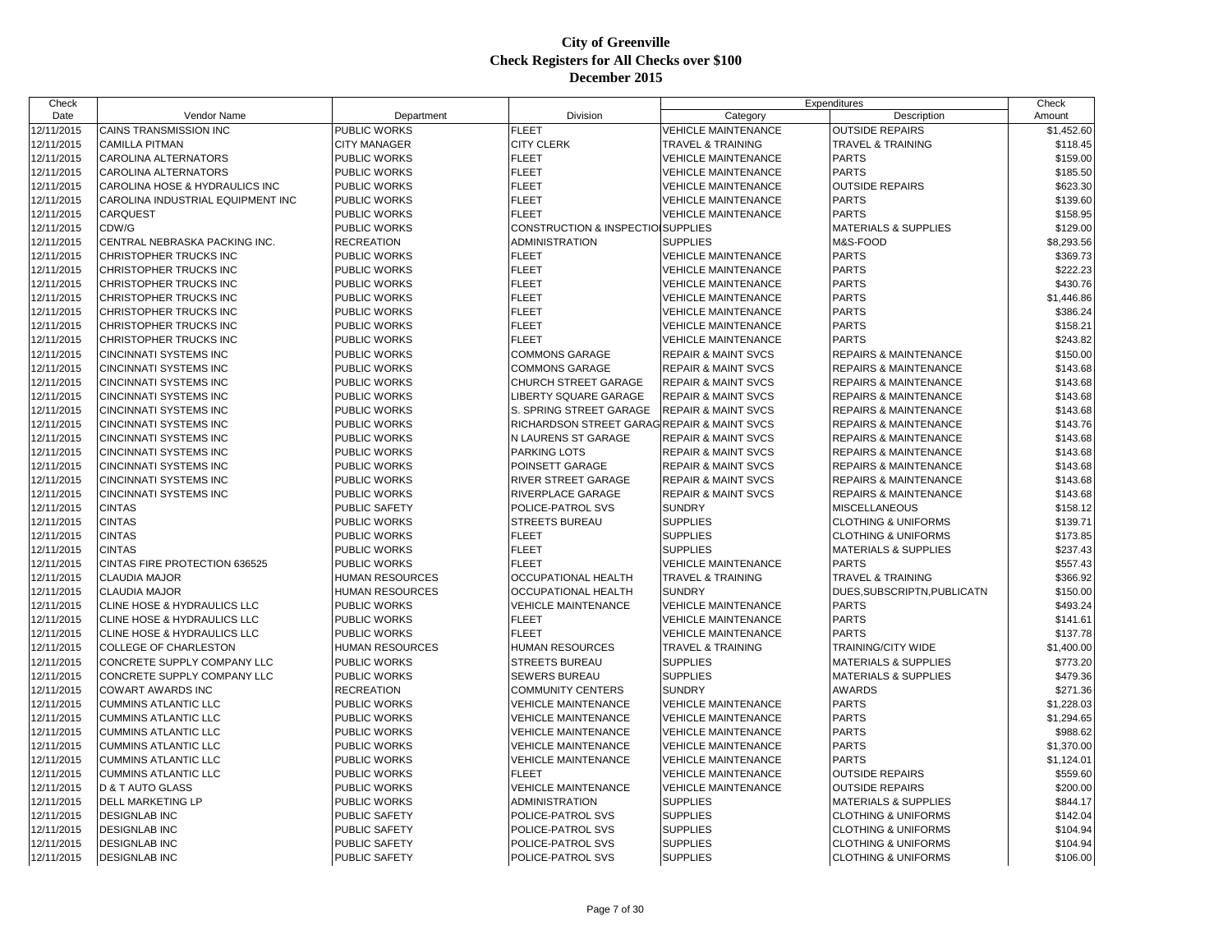| Check      |                                        |                        |                                               |                                | Expenditures                     | Check      |
|------------|----------------------------------------|------------------------|-----------------------------------------------|--------------------------------|----------------------------------|------------|
| Date       | Vendor Name                            | Department             | Division                                      | Category                       | Description                      | Amount     |
| 12/11/2015 | <b>CAINS TRANSMISSION INC</b>          | PUBLIC WORKS           | <b>FLEET</b>                                  | <b>VEHICLE MAINTENANCE</b>     | <b>OUTSIDE REPAIRS</b>           | \$1,452.60 |
| 12/11/2015 | <b>CAMILLA PITMAN</b>                  | <b>CITY MANAGER</b>    | <b>CITY CLERK</b>                             | <b>TRAVEL &amp; TRAINING</b>   | <b>TRAVEL &amp; TRAINING</b>     | \$118.45   |
| 12/11/2015 | CAROLINA ALTERNATORS                   | PUBLIC WORKS           | <b>FLEET</b>                                  | <b>VEHICLE MAINTENANCE</b>     | <b>PARTS</b>                     | \$159.00   |
| 12/11/2015 | CAROLINA ALTERNATORS                   | PUBLIC WORKS           | <b>FLEET</b>                                  | <b>VEHICLE MAINTENANCE</b>     | <b>PARTS</b>                     | \$185.50   |
| 12/11/2015 | CAROLINA HOSE & HYDRAULICS INC         | PUBLIC WORKS           | <b>FLEET</b>                                  | <b>VEHICLE MAINTENANCE</b>     | <b>OUTSIDE REPAIRS</b>           | \$623.30   |
| 12/11/2015 | CAROLINA INDUSTRIAL EQUIPMENT INC      | PUBLIC WORKS           | <b>FLEET</b>                                  | <b>VEHICLE MAINTENANCE</b>     | <b>PARTS</b>                     | \$139.60   |
| 12/11/2015 | <b>CARQUEST</b>                        | PUBLIC WORKS           | <b>FLEET</b>                                  | <b>VEHICLE MAINTENANCE</b>     | <b>PARTS</b>                     | \$158.95   |
| 12/11/2015 | CDW/G                                  | PUBLIC WORKS           | <b>CONSTRUCTION &amp; INSPECTIOI SUPPLIES</b> |                                | <b>MATERIALS &amp; SUPPLIES</b>  | \$129.00   |
| 12/11/2015 | CENTRAL NEBRASKA PACKING INC.          | <b>RECREATION</b>      | <b>ADMINISTRATION</b>                         | <b>SUPPLIES</b>                | M&S-FOOD                         | \$8,293.56 |
| 12/11/2015 | CHRISTOPHER TRUCKS INC                 | PUBLIC WORKS           | <b>FLEET</b>                                  | VEHICLE MAINTENANCE            | <b>PARTS</b>                     | \$369.73   |
| 12/11/2015 | CHRISTOPHER TRUCKS INC                 | <b>PUBLIC WORKS</b>    | <b>FLEET</b>                                  | <b>VEHICLE MAINTENANCE</b>     | <b>PARTS</b>                     | \$222.23   |
| 12/11/2015 | CHRISTOPHER TRUCKS INC                 | PUBLIC WORKS           | <b>FLEET</b>                                  | <b>VEHICLE MAINTENANCE</b>     | <b>PARTS</b>                     | \$430.76   |
| 12/11/2015 | CHRISTOPHER TRUCKS INC                 | PUBLIC WORKS           | <b>FLEET</b>                                  | <b>VEHICLE MAINTENANCE</b>     | <b>PARTS</b>                     | \$1,446.86 |
| 12/11/2015 | CHRISTOPHER TRUCKS INC                 | PUBLIC WORKS           | <b>FLEET</b>                                  | <b>VEHICLE MAINTENANCE</b>     | <b>PARTS</b>                     | \$386.24   |
| 12/11/2015 | CHRISTOPHER TRUCKS INC                 | <b>PUBLIC WORKS</b>    | <b>FLEET</b>                                  | <b>VEHICLE MAINTENANCE</b>     | <b>PARTS</b>                     | \$158.21   |
| 12/11/2015 | CHRISTOPHER TRUCKS INC                 | <b>PUBLIC WORKS</b>    | <b>FLEET</b>                                  | <b>VEHICLE MAINTENANCE</b>     | <b>PARTS</b>                     | \$243.82   |
| 12/11/2015 | CINCINNATI SYSTEMS INC                 | PUBLIC WORKS           | <b>COMMONS GARAGE</b>                         | <b>REPAIR &amp; MAINT SVCS</b> | <b>REPAIRS &amp; MAINTENANCE</b> | \$150.00   |
| 12/11/2015 | CINCINNATI SYSTEMS INC                 | PUBLIC WORKS           | <b>COMMONS GARAGE</b>                         | <b>REPAIR &amp; MAINT SVCS</b> | <b>REPAIRS &amp; MAINTENANCE</b> | \$143.68   |
| 12/11/2015 | CINCINNATI SYSTEMS INC                 | PUBLIC WORKS           | <b>CHURCH STREET GARAGE</b>                   | <b>REPAIR &amp; MAINT SVCS</b> | <b>REPAIRS &amp; MAINTENANCE</b> | \$143.68   |
| 12/11/2015 | CINCINNATI SYSTEMS INC                 | PUBLIC WORKS           | LIBERTY SQUARE GARAGE                         | <b>REPAIR &amp; MAINT SVCS</b> | REPAIRS & MAINTENANCE            | \$143.68   |
| 12/11/2015 | CINCINNATI SYSTEMS INC                 | PUBLIC WORKS           | S. SPRING STREET GARAGE                       | <b>REPAIR &amp; MAINT SVCS</b> | <b>REPAIRS &amp; MAINTENANCE</b> | \$143.68   |
| 12/11/2015 | CINCINNATI SYSTEMS INC                 | PUBLIC WORKS           | RICHARDSON STREET GARAG REPAIR & MAINT SVCS   |                                | <b>REPAIRS &amp; MAINTENANCE</b> | \$143.76   |
| 12/11/2015 | <b>CINCINNATI SYSTEMS INC</b>          | <b>PUBLIC WORKS</b>    | N LAURENS ST GARAGE                           | <b>REPAIR &amp; MAINT SVCS</b> | <b>REPAIRS &amp; MAINTENANCE</b> | \$143.68   |
| 12/11/2015 | <b>CINCINNATI SYSTEMS INC</b>          | PUBLIC WORKS           | <b>PARKING LOTS</b>                           | <b>REPAIR &amp; MAINT SVCS</b> | <b>REPAIRS &amp; MAINTENANCE</b> | \$143.68   |
| 12/11/2015 | CINCINNATI SYSTEMS INC                 | PUBLIC WORKS           | POINSETT GARAGE                               | <b>REPAIR &amp; MAINT SVCS</b> | <b>REPAIRS &amp; MAINTENANCE</b> | \$143.68   |
| 12/11/2015 | CINCINNATI SYSTEMS INC                 | PUBLIC WORKS           | <b>RIVER STREET GARAGE</b>                    | <b>REPAIR &amp; MAINT SVCS</b> | <b>REPAIRS &amp; MAINTENANCE</b> | \$143.68   |
| 12/11/2015 | CINCINNATI SYSTEMS INC                 | PUBLIC WORKS           | <b>RIVERPLACE GARAGE</b>                      | <b>REPAIR &amp; MAINT SVCS</b> | <b>REPAIRS &amp; MAINTENANCE</b> | \$143.68   |
| 12/11/2015 | <b>CINTAS</b>                          | PUBLIC SAFETY          | POLICE-PATROL SVS                             | <b>SUNDRY</b>                  | <b>MISCELLANEOUS</b>             | \$158.12   |
| 12/11/2015 | <b>CINTAS</b>                          | PUBLIC WORKS           | <b>STREETS BUREAU</b>                         | <b>SUPPLIES</b>                | <b>CLOTHING &amp; UNIFORMS</b>   | \$139.71   |
| 12/11/2015 | <b>CINTAS</b>                          | PUBLIC WORKS           | <b>FLEET</b>                                  | <b>SUPPLIES</b>                | <b>CLOTHING &amp; UNIFORMS</b>   | \$173.85   |
| 12/11/2015 | <b>CINTAS</b>                          | PUBLIC WORKS           | <b>FLEET</b>                                  | <b>SUPPLIES</b>                | <b>MATERIALS &amp; SUPPLIES</b>  | \$237.43   |
| 12/11/2015 | <b>CINTAS FIRE PROTECTION 636525</b>   | PUBLIC WORKS           | <b>FLEET</b>                                  | <b>VEHICLE MAINTENANCE</b>     | <b>PARTS</b>                     | \$557.43   |
| 12/11/2015 | <b>CLAUDIA MAJOR</b>                   | <b>HUMAN RESOURCES</b> | <b>OCCUPATIONAL HEALTH</b>                    | <b>TRAVEL &amp; TRAINING</b>   | <b>TRAVEL &amp; TRAINING</b>     | \$366.92   |
| 12/11/2015 | <b>CLAUDIA MAJOR</b>                   | <b>HUMAN RESOURCES</b> | <b>OCCUPATIONAL HEALTH</b>                    | <b>SUNDRY</b>                  | DUES, SUBSCRIPTN, PUBLICATN      | \$150.00   |
| 12/11/2015 | CLINE HOSE & HYDRAULICS LLC            | <b>PUBLIC WORKS</b>    | <b>VEHICLE MAINTENANCE</b>                    | <b>VEHICLE MAINTENANCE</b>     | <b>PARTS</b>                     | \$493.24   |
| 12/11/2015 | <b>CLINE HOSE &amp; HYDRAULICS LLC</b> | PUBLIC WORKS           | <b>FLEET</b>                                  | <b>VEHICLE MAINTENANCE</b>     | <b>PARTS</b>                     | \$141.61   |
| 12/11/2015 | CLINE HOSE & HYDRAULICS LLC            | PUBLIC WORKS           | <b>FLEET</b>                                  | <b>VEHICLE MAINTENANCE</b>     | <b>PARTS</b>                     | \$137.78   |
| 12/11/2015 | <b>COLLEGE OF CHARLESTON</b>           | <b>HUMAN RESOURCES</b> | <b>HUMAN RESOURCES</b>                        | <b>TRAVEL &amp; TRAINING</b>   | <b>TRAINING/CITY WIDE</b>        | \$1,400.00 |
| 12/11/2015 | CONCRETE SUPPLY COMPANY LLC            | PUBLIC WORKS           | <b>STREETS BUREAU</b>                         | <b>SUPPLIES</b>                | <b>MATERIALS &amp; SUPPLIES</b>  | \$773.20   |
| 12/11/2015 | CONCRETE SUPPLY COMPANY LLC            | PUBLIC WORKS           | <b>SEWERS BUREAU</b>                          | <b>SUPPLIES</b>                | <b>MATERIALS &amp; SUPPLIES</b>  | \$479.36   |
| 12/11/2015 | COWART AWARDS INC                      | RECREATION             | <b>COMMUNITY CENTERS</b>                      | <b>SUNDRY</b>                  | <b>AWARDS</b>                    | \$271.36   |
| 12/11/2015 | <b>CUMMINS ATLANTIC LLC</b>            | <b>PUBLIC WORKS</b>    | <b>VEHICLE MAINTENANCE</b>                    | <b>VEHICLE MAINTENANCE</b>     | <b>PARTS</b>                     | \$1,228.03 |
| 12/11/2015 | <b>CUMMINS ATLANTIC LLC</b>            | PUBLIC WORKS           | <b>VEHICLE MAINTENANCE</b>                    | <b>VEHICLE MAINTENANCE</b>     | <b>PARTS</b>                     | \$1,294.65 |
| 12/11/2015 | <b>CUMMINS ATLANTIC LLC</b>            | PUBLIC WORKS           | <b>VEHICLE MAINTENANCE</b>                    | <b>VEHICLE MAINTENANCE</b>     | <b>PARTS</b>                     | \$988.62   |
| 12/11/2015 | <b>CUMMINS ATLANTIC LLC</b>            | PUBLIC WORKS           | <b>VEHICLE MAINTENANCE</b>                    | <b>VEHICLE MAINTENANCE</b>     | <b>PARTS</b>                     | \$1,370.00 |
| 12/11/2015 | <b>CUMMINS ATLANTIC LLC</b>            | PUBLIC WORKS           | <b>VEHICLE MAINTENANCE</b>                    | <b>VEHICLE MAINTENANCE</b>     | <b>PARTS</b>                     | \$1,124.01 |
| 12/11/2015 | <b>CUMMINS ATLANTIC LLC</b>            | PUBLIC WORKS           | <b>FLEET</b>                                  | <b>VEHICLE MAINTENANCE</b>     | <b>OUTSIDE REPAIRS</b>           | \$559.60   |
| 12/11/2015 | <b>D &amp; T AUTO GLASS</b>            | PUBLIC WORKS           | <b>VEHICLE MAINTENANCE</b>                    | <b>VEHICLE MAINTENANCE</b>     | <b>OUTSIDE REPAIRS</b>           | \$200.00   |
| 12/11/2015 | DELL MARKETING LP                      | PUBLIC WORKS           | <b>ADMINISTRATION</b>                         | <b>SUPPLIES</b>                | <b>MATERIALS &amp; SUPPLIES</b>  | \$844.17   |
| 12/11/2015 | <b>DESIGNLAB INC</b>                   | PUBLIC SAFETY          | POLICE-PATROL SVS                             | <b>SUPPLIES</b>                | <b>CLOTHING &amp; UNIFORMS</b>   | \$142.04   |
| 12/11/2015 | <b>DESIGNLAB INC</b>                   | PUBLIC SAFETY          | POLICE-PATROL SVS                             | <b>SUPPLIES</b>                | <b>CLOTHING &amp; UNIFORMS</b>   | \$104.94   |
| 12/11/2015 | <b>DESIGNLAB INC</b>                   | PUBLIC SAFETY          | POLICE-PATROL SVS                             | <b>SUPPLIES</b>                | <b>CLOTHING &amp; UNIFORMS</b>   | \$104.94   |
| 12/11/2015 | <b>DESIGNLAB INC</b>                   | <b>PUBLIC SAFETY</b>   | POLICE-PATROL SVS                             | <b>SUPPLIES</b>                | <b>CLOTHING &amp; UNIFORMS</b>   | \$106.00   |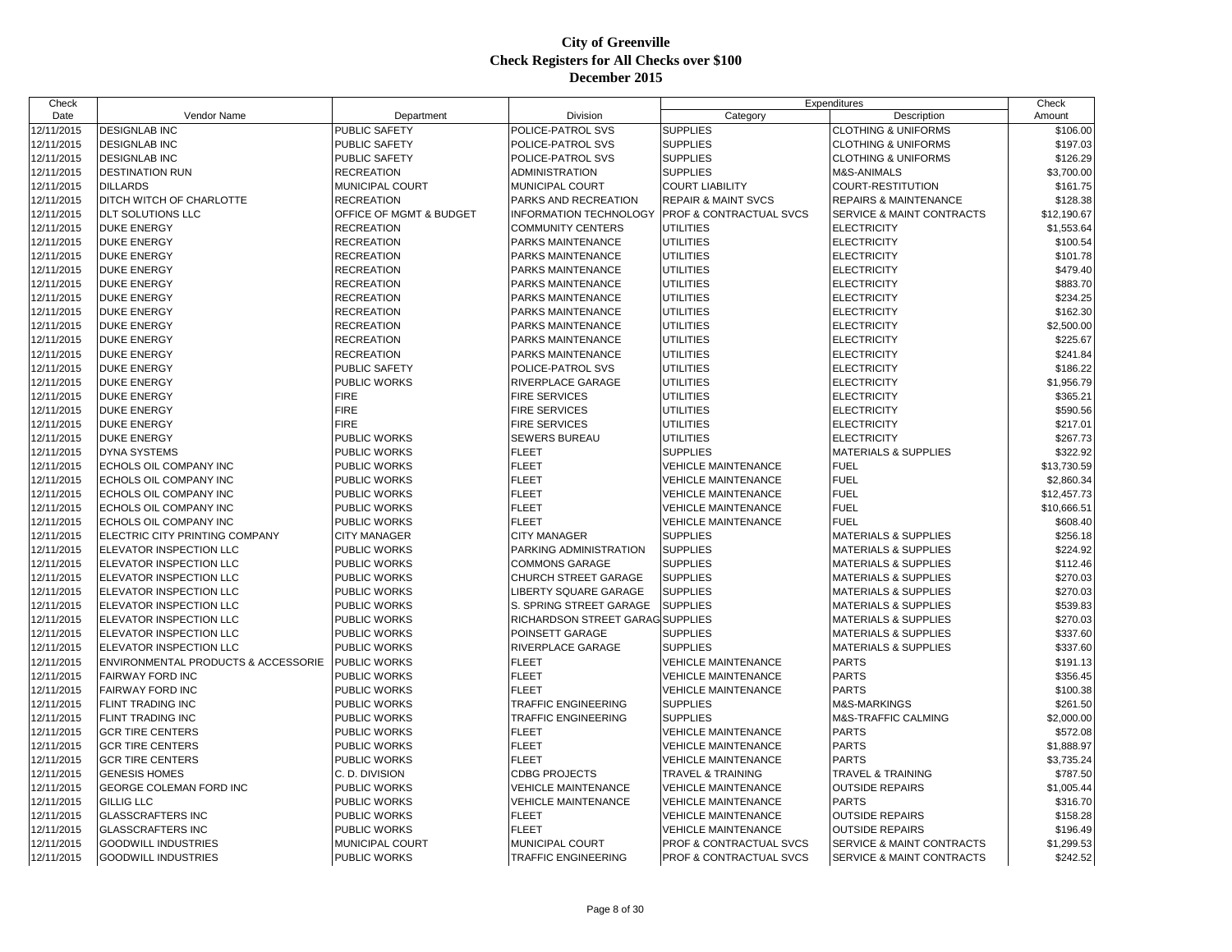| Check      |                                     |                         |                                     |                                    | Expenditures                     | Check                |
|------------|-------------------------------------|-------------------------|-------------------------------------|------------------------------------|----------------------------------|----------------------|
| Date       | Vendor Name                         | Department              | Division                            | Category                           | Description                      | Amount               |
| 12/11/2015 | <b>DESIGNLAB INC</b>                | <b>PUBLIC SAFETY</b>    | POLICE-PATROL SVS                   | <b>SUPPLIES</b>                    | <b>CLOTHING &amp; UNIFORMS</b>   | \$106.00             |
| 12/11/2015 | <b>DESIGNLAB INC</b>                | PUBLIC SAFETY           | POLICE-PATROL SVS                   | <b>SUPPLIES</b>                    | <b>CLOTHING &amp; UNIFORMS</b>   | \$197.03             |
| 12/11/2015 | <b>DESIGNLAB INC</b>                | PUBLIC SAFETY           | POLICE-PATROL SVS                   | <b>SUPPLIES</b>                    | <b>CLOTHING &amp; UNIFORMS</b>   | \$126.29             |
| 12/11/2015 | <b>DESTINATION RUN</b>              | <b>RECREATION</b>       | ADMINISTRATION                      | <b>SUPPLIES</b>                    | <b>M&amp;S-ANIMALS</b>           | \$3,700.00           |
| 12/11/2015 | <b>DILLARDS</b>                     | MUNICIPAL COURT         | MUNICIPAL COURT                     | <b>COURT LIABILITY</b>             | COURT-RESTITUTION                | \$161.75             |
| 12/11/2015 | DITCH WITCH OF CHARLOTTE            | <b>RECREATION</b>       | PARKS AND RECREATION                | <b>REPAIR &amp; MAINT SVCS</b>     | <b>REPAIRS &amp; MAINTENANCE</b> | \$128.38             |
| 12/11/2015 | DLT SOLUTIONS LLC                   | OFFICE OF MGMT & BUDGET | <b>INFORMATION TECHNOLOGY</b>       | <b>PROF &amp; CONTRACTUAL SVCS</b> | SERVICE & MAINT CONTRACTS        | \$12,190.67          |
| 12/11/2015 | <b>DUKE ENERGY</b>                  | <b>RECREATION</b>       | <b>COMMUNITY CENTERS</b>            | <b>UTILITIES</b>                   | <b>ELECTRICITY</b>               | \$1,553.64           |
| 12/11/2015 | <b>DUKE ENERGY</b>                  | <b>RECREATION</b>       | PARKS MAINTENANCE                   | <b>UTILITIES</b>                   | <b>ELECTRICITY</b>               | \$100.54             |
| 12/11/2015 | <b>DUKE ENERGY</b>                  | <b>RECREATION</b>       | PARKS MAINTENANCE                   | <b>UTILITIES</b>                   | <b>ELECTRICITY</b>               | \$101.78             |
| 12/11/2015 | <b>DUKE ENERGY</b>                  | <b>RECREATION</b>       | PARKS MAINTENANCE                   | <b>UTILITIES</b>                   | <b>ELECTRICITY</b>               | \$479.40             |
| 12/11/2015 | <b>DUKE ENERGY</b>                  | <b>RECREATION</b>       | PARKS MAINTENANCE                   | <b>UTILITIES</b>                   | <b>ELECTRICITY</b>               | \$883.70             |
| 12/11/2015 | <b>DUKE ENERGY</b>                  | <b>RECREATION</b>       | PARKS MAINTENANCE                   | <b>UTILITIES</b>                   | <b>ELECTRICITY</b>               | \$234.25             |
| 12/11/2015 | <b>DUKE ENERGY</b>                  | <b>RECREATION</b>       | PARKS MAINTENANCE                   | <b>UTILITIES</b>                   | <b>ELECTRICITY</b>               | \$162.30             |
| 12/11/2015 | <b>DUKE ENERGY</b>                  | <b>RECREATION</b>       | PARKS MAINTENANCE                   | <b>UTILITIES</b>                   | <b>ELECTRICITY</b>               | \$2,500.00           |
| 12/11/2015 | <b>DUKE ENERGY</b>                  | <b>RECREATION</b>       | PARKS MAINTENANCE                   | <b>UTILITIES</b>                   | <b>ELECTRICITY</b>               | \$225.67             |
| 12/11/2015 | <b>DUKE ENERGY</b>                  | <b>RECREATION</b>       | PARKS MAINTENANCE                   | <b>UTILITIES</b>                   | <b>ELECTRICITY</b>               | \$241.84             |
| 12/11/2015 | <b>DUKE ENERGY</b>                  | PUBLIC SAFETY           | POLICE-PATROL SVS                   | <b>UTILITIES</b>                   | <b>ELECTRICITY</b>               | \$186.22             |
| 12/11/2015 | <b>DUKE ENERGY</b>                  | <b>PUBLIC WORKS</b>     | RIVERPLACE GARAGE                   | <b>UTILITIES</b>                   | <b>ELECTRICITY</b>               | \$1,956.79           |
| 12/11/2015 | <b>DUKE ENERGY</b>                  | <b>FIRE</b>             | <b>FIRE SERVICES</b>                | <b>UTILITIES</b>                   | <b>ELECTRICITY</b>               | \$365.21             |
| 12/11/2015 | <b>DUKE ENERGY</b>                  | <b>FIRE</b>             | <b>FIRE SERVICES</b>                | <b>UTILITIES</b>                   | <b>ELECTRICITY</b>               | \$590.56             |
| 12/11/2015 | <b>DUKE ENERGY</b>                  | <b>FIRE</b>             | <b>FIRE SERVICES</b>                | <b>UTILITIES</b>                   | <b>ELECTRICITY</b>               | \$217.01             |
| 12/11/2015 | <b>DUKE ENERGY</b>                  | PUBLIC WORKS            | SEWERS BUREAU                       | <b>UTILITIES</b>                   | <b>ELECTRICITY</b>               | \$267.73             |
| 12/11/2015 | <b>DYNA SYSTEMS</b>                 | PUBLIC WORKS            | <b>FLEET</b>                        | <b>SUPPLIES</b>                    | <b>MATERIALS &amp; SUPPLIES</b>  | \$322.92             |
| 12/11/2015 | ECHOLS OIL COMPANY INC              | PUBLIC WORKS            | <b>FLEET</b>                        | <b>VEHICLE MAINTENANCE</b>         | <b>FUEL</b>                      | \$13,730.59          |
| 12/11/2015 | ECHOLS OIL COMPANY INC              | PUBLIC WORKS            | <b>FLEET</b>                        | <b>VEHICLE MAINTENANCE</b>         | <b>FUEL</b>                      | \$2,860.34           |
| 12/11/2015 | ECHOLS OIL COMPANY INC              | PUBLIC WORKS            | <b>FLEET</b>                        | <b>VEHICLE MAINTENANCE</b>         | <b>FUEL</b>                      | \$12,457.73          |
| 12/11/2015 | ECHOLS OIL COMPANY INC              | PUBLIC WORKS            | <b>FLEET</b>                        | <b>VEHICLE MAINTENANCE</b>         | <b>FUEL</b>                      | \$10,666.51          |
| 12/11/2015 | ECHOLS OIL COMPANY INC              | PUBLIC WORKS            | <b>FLEET</b>                        | <b>VEHICLE MAINTENANCE</b>         | <b>FUEL</b>                      | \$608.40             |
| 12/11/2015 | ELECTRIC CITY PRINTING COMPANY      | <b>CITY MANAGER</b>     | <b>CITY MANAGER</b>                 | <b>SUPPLIES</b>                    | <b>MATERIALS &amp; SUPPLIES</b>  | \$256.18             |
| 12/11/2015 | ELEVATOR INSPECTION LLC             | PUBLIC WORKS            | PARKING ADMINISTRATION              | <b>SUPPLIES</b>                    | <b>MATERIALS &amp; SUPPLIES</b>  | \$224.92             |
| 12/11/2015 | ELEVATOR INSPECTION LLC             | PUBLIC WORKS            | COMMONS GARAGE                      | <b>SUPPLIES</b>                    | <b>MATERIALS &amp; SUPPLIES</b>  | \$112.46             |
| 12/11/2015 | ELEVATOR INSPECTION LLC             | PUBLIC WORKS            | CHURCH STREET GARAGE                | <b>SUPPLIES</b>                    | <b>MATERIALS &amp; SUPPLIES</b>  | \$270.03             |
| 12/11/2015 | ELEVATOR INSPECTION LLC             | <b>PUBLIC WORKS</b>     | <b>LIBERTY SQUARE GARAGE</b>        | <b>SUPPLIES</b>                    | <b>MATERIALS &amp; SUPPLIES</b>  | \$270.03             |
| 12/11/2015 | ELEVATOR INSPECTION LLC             | PUBLIC WORKS            | S. SPRING STREET GARAGE             | <b>SUPPLIES</b>                    | <b>MATERIALS &amp; SUPPLIES</b>  | \$539.83             |
| 12/11/2015 | ELEVATOR INSPECTION LLC             | PUBLIC WORKS            | RICHARDSON STREET GARAG SUPPLIES    |                                    | <b>MATERIALS &amp; SUPPLIES</b>  | \$270.03             |
| 12/11/2015 | ELEVATOR INSPECTION LLC             | PUBLIC WORKS            | POINSETT GARAGE                     | <b>SUPPLIES</b>                    | <b>MATERIALS &amp; SUPPLIES</b>  | \$337.60             |
| 12/11/2015 | ELEVATOR INSPECTION LLC             | PUBLIC WORKS            | RIVERPLACE GARAGE                   | <b>SUPPLIES</b>                    | <b>MATERIALS &amp; SUPPLIES</b>  | \$337.60             |
| 12/11/2015 | ENVIRONMENTAL PRODUCTS & ACCESSORIE | <b>PUBLIC WORKS</b>     | <b>FLEET</b>                        | <b>VEHICLE MAINTENANCE</b>         | <b>PARTS</b>                     | \$191.13             |
| 12/11/2015 | FAIRWAY FORD INC                    | PUBLIC WORKS            | <b>FLEET</b>                        | <b>VEHICLE MAINTENANCE</b>         | <b>PARTS</b>                     |                      |
| 12/11/2015 | FAIRWAY FORD INC                    | <b>PUBLIC WORKS</b>     | <b>FLEET</b>                        | <b>VEHICLE MAINTENANCE</b>         | <b>PARTS</b>                     | \$356.45<br>\$100.38 |
|            |                                     |                         | TRAFFIC ENGINEERING                 |                                    |                                  |                      |
| 12/11/2015 | FLINT TRADING INC                   | PUBLIC WORKS            |                                     | <b>SUPPLIES</b>                    | M&S-MARKINGS                     | \$261.50             |
| 12/11/2015 | FLINT TRADING INC                   | PUBLIC WORKS            | TRAFFIC ENGINEERING<br><b>FLEET</b> | <b>SUPPLIES</b>                    | M&S-TRAFFIC CALMING              | \$2,000.00           |
| 12/11/2015 | <b>GCR TIRE CENTERS</b>             | PUBLIC WORKS            |                                     | <b>VEHICLE MAINTENANCE</b>         | <b>PARTS</b>                     | \$572.08             |
| 12/11/2015 | <b>GCR TIRE CENTERS</b>             | PUBLIC WORKS            | <b>FLEET</b>                        | <b>VEHICLE MAINTENANCE</b>         | <b>PARTS</b>                     | \$1,888.97           |
| 12/11/2015 | <b>GCR TIRE CENTERS</b>             | <b>PUBLIC WORKS</b>     | <b>FLEET</b>                        | <b>VEHICLE MAINTENANCE</b>         | <b>PARTS</b>                     | \$3,735.24           |
| 12/11/2015 | <b>GENESIS HOMES</b>                | C. D. DIVISION          | <b>CDBG PROJECTS</b>                | <b>TRAVEL &amp; TRAINING</b>       | <b>TRAVEL &amp; TRAINING</b>     | \$787.50             |
| 12/11/2015 | GEORGE COLEMAN FORD INC             | <b>PUBLIC WORKS</b>     | <b>VEHICLE MAINTENANCE</b>          | <b>VEHICLE MAINTENANCE</b>         | <b>OUTSIDE REPAIRS</b>           | \$1,005.44           |
| 12/11/2015 | <b>GILLIG LLC</b>                   | PUBLIC WORKS            | <b>VEHICLE MAINTENANCE</b>          | <b>VEHICLE MAINTENANCE</b>         | <b>PARTS</b>                     | \$316.70             |
| 12/11/2015 | <b>GLASSCRAFTERS INC</b>            | PUBLIC WORKS            | FLEET                               | <b>VEHICLE MAINTENANCE</b>         | <b>OUTSIDE REPAIRS</b>           | \$158.28             |
| 12/11/2015 | <b>GLASSCRAFTERS INC</b>            | PUBLIC WORKS            | <b>FLEET</b>                        | <b>VEHICLE MAINTENANCE</b>         | <b>OUTSIDE REPAIRS</b>           | \$196.49             |
| 12/11/2015 | <b>GOODWILL INDUSTRIES</b>          | MUNICIPAL COURT         | MUNICIPAL COURT                     | PROF & CONTRACTUAL SVCS            | SERVICE & MAINT CONTRACTS        | \$1,299.53           |
| 12/11/2015 | <b>GOODWILL INDUSTRIES</b>          | <b>PUBLIC WORKS</b>     | <b>TRAFFIC ENGINEERING</b>          | <b>PROF &amp; CONTRACTUAL SVCS</b> | SERVICE & MAINT CONTRACTS        | \$242.52             |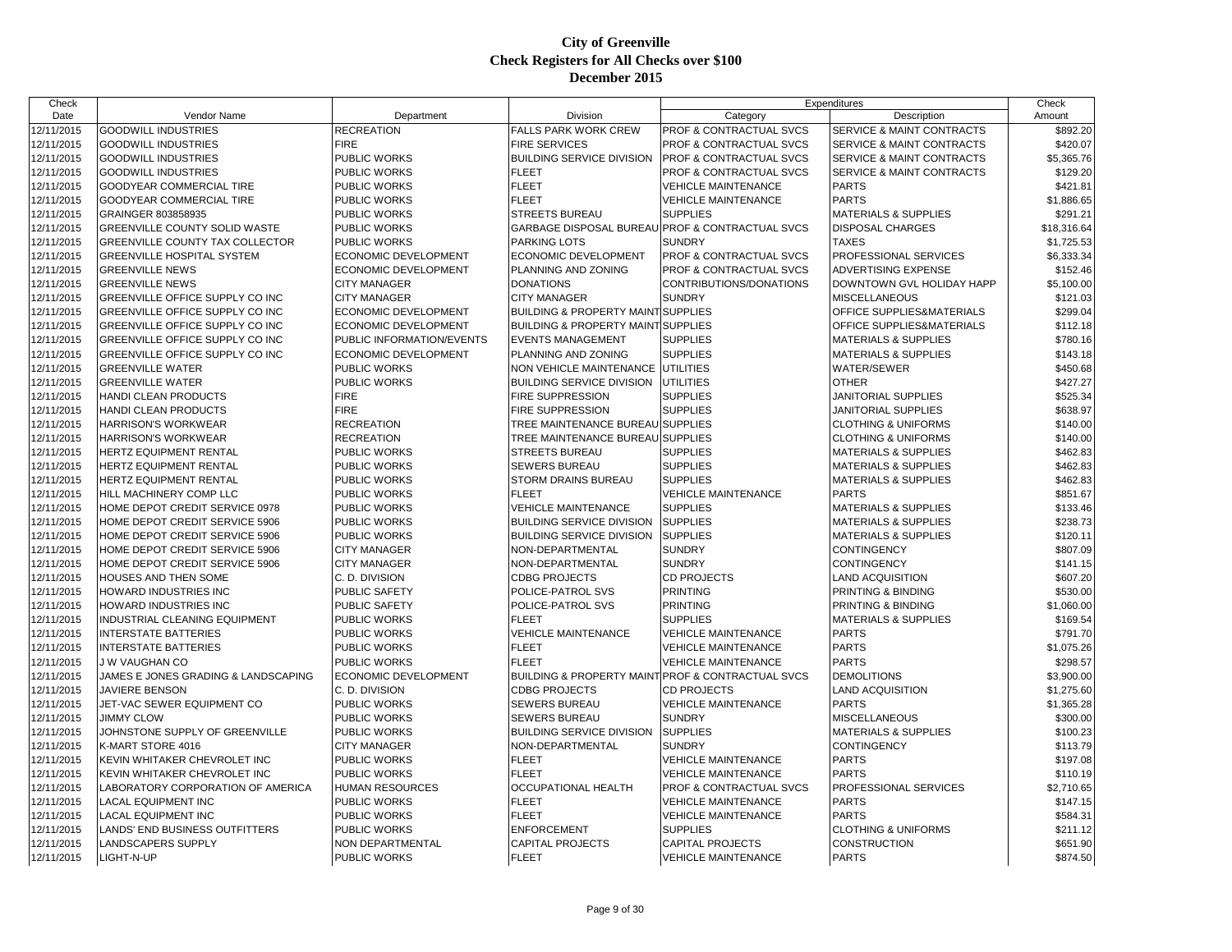| Check      |                                     |                             |                                                   | Expenditures                       |                                      | Check       |
|------------|-------------------------------------|-----------------------------|---------------------------------------------------|------------------------------------|--------------------------------------|-------------|
| Date       | Vendor Name                         | Department                  | Division                                          | Category                           | Description                          | Amount      |
| 12/11/2015 | <b>GOODWILL INDUSTRIES</b>          | <b>RECREATION</b>           | <b>FALLS PARK WORK CREW</b>                       | PROF & CONTRACTUAL SVCS            | SERVICE & MAINT CONTRACTS            | \$892.20    |
| 12/11/2015 | <b>GOODWILL INDUSTRIES</b>          | <b>FIRE</b>                 | <b>FIRE SERVICES</b>                              | PROF & CONTRACTUAL SVCS            | <b>SERVICE &amp; MAINT CONTRACTS</b> | \$420.07    |
| 12/11/2015 | <b>GOODWILL INDUSTRIES</b>          | PUBLIC WORKS                | <b>BUILDING SERVICE DIVISION</b>                  | <b>PROF &amp; CONTRACTUAL SVCS</b> | <b>SERVICE &amp; MAINT CONTRACTS</b> | \$5,365.76  |
| 12/11/2015 | <b>GOODWILL INDUSTRIES</b>          | PUBLIC WORKS                | <b>FLEET</b>                                      | PROF & CONTRACTUAL SVCS            | SERVICE & MAINT CONTRACTS            | \$129.20    |
| 12/11/2015 | GOODYEAR COMMERCIAL TIRE            | PUBLIC WORKS                | <b>FLEET</b>                                      | <b>VEHICLE MAINTENANCE</b>         | <b>PARTS</b>                         | \$421.81    |
| 12/11/2015 | GOODYEAR COMMERCIAL TIRE            | PUBLIC WORKS                | <b>FLEET</b>                                      | <b>VEHICLE MAINTENANCE</b>         | <b>PARTS</b>                         | \$1,886.65  |
| 12/11/2015 | GRAINGER 803858935                  | PUBLIC WORKS                | <b>STREETS BUREAU</b>                             | <b>SUPPLIES</b>                    | <b>MATERIALS &amp; SUPPLIES</b>      | \$291.21    |
| 12/11/2015 | GREENVILLE COUNTY SOLID WASTE       | PUBLIC WORKS                | GARBAGE DISPOSAL BUREAU PROF & CONTRACTUAL SVCS   |                                    | <b>DISPOSAL CHARGES</b>              | \$18,316.64 |
| 12/11/2015 | GREENVILLE COUNTY TAX COLLECTOR     | PUBLIC WORKS                | PARKING LOTS                                      | <b>SUNDRY</b>                      | <b>TAXES</b>                         | \$1,725.53  |
| 12/11/2015 | <b>GREENVILLE HOSPITAL SYSTEM</b>   | ECONOMIC DEVELOPMENT        | ECONOMIC DEVELOPMENT                              | <b>PROF &amp; CONTRACTUAL SVCS</b> | PROFESSIONAL SERVICES                | \$6,333.34  |
| 12/11/2015 | <b>GREENVILLE NEWS</b>              | ECONOMIC DEVELOPMENT        | PLANNING AND ZONING                               | PROF & CONTRACTUAL SVCS            | ADVERTISING EXPENSE                  | \$152.46    |
| 12/11/2015 | <b>GREENVILLE NEWS</b>              | <b>CITY MANAGER</b>         | <b>DONATIONS</b>                                  | CONTRIBUTIONS/DONATIONS            | DOWNTOWN GVL HOLIDAY HAPP            | \$5,100.00  |
| 12/11/2015 | GREENVILLE OFFICE SUPPLY CO INC     | <b>CITY MANAGER</b>         | <b>CITY MANAGER</b>                               | <b>SUNDRY</b>                      | <b>MISCELLANEOUS</b>                 | \$121.03    |
| 12/11/2015 | GREENVILLE OFFICE SUPPLY CO INC     | ECONOMIC DEVELOPMENT        | <b>BUILDING &amp; PROPERTY MAINT SUPPLIES</b>     |                                    | OFFICE SUPPLIES&MATERIALS            | \$299.04    |
| 12/11/2015 | GREENVILLE OFFICE SUPPLY CO INC     | <b>ECONOMIC DEVELOPMENT</b> | <b>BUILDING &amp; PROPERTY MAINT SUPPLIES</b>     |                                    | OFFICE SUPPLIES&MATERIALS            | \$112.18    |
| 12/11/2015 | GREENVILLE OFFICE SUPPLY CO INC     | PUBLIC INFORMATION/EVENTS   | <b>EVENTS MANAGEMENT</b>                          | <b>SUPPLIES</b>                    | <b>MATERIALS &amp; SUPPLIES</b>      | \$780.16    |
| 12/11/2015 | GREENVILLE OFFICE SUPPLY CO INC     | ECONOMIC DEVELOPMENT        | PLANNING AND ZONING                               | <b>SUPPLIES</b>                    | <b>MATERIALS &amp; SUPPLIES</b>      | \$143.18    |
| 12/11/2015 | <b>GREENVILLE WATER</b>             | <b>PUBLIC WORKS</b>         | NON VEHICLE MAINTENANCE UTILITIES                 |                                    | <b>WATER/SEWER</b>                   | \$450.68    |
| 12/11/2015 | <b>GREENVILLE WATER</b>             | PUBLIC WORKS                | <b>BUILDING SERVICE DIVISION UTILITIES</b>        |                                    | <b>OTHER</b>                         | \$427.27    |
| 12/11/2015 | HANDI CLEAN PRODUCTS                | <b>FIRE</b>                 | <b>FIRE SUPPRESSION</b>                           | <b>SUPPLIES</b>                    | JANITORIAL SUPPLIES                  | \$525.34    |
| 12/11/2015 | HANDI CLEAN PRODUCTS                | <b>FIRE</b>                 | FIRE SUPPRESSION                                  | <b>SUPPLIES</b>                    | JANITORIAL SUPPLIES                  | \$638.97    |
| 12/11/2015 | <b>HARRISON'S WORKWEAR</b>          | <b>RECREATION</b>           | TREE MAINTENANCE BUREAU SUPPLIES                  |                                    | <b>CLOTHING &amp; UNIFORMS</b>       | \$140.00    |
| 12/11/2015 | <b>HARRISON'S WORKWEAR</b>          | <b>RECREATION</b>           | TREE MAINTENANCE BUREAU SUPPLIES                  |                                    | <b>CLOTHING &amp; UNIFORMS</b>       | \$140.00    |
| 12/11/2015 | HERTZ EQUIPMENT RENTAL              | PUBLIC WORKS                | <b>STREETS BUREAU</b>                             | <b>SUPPLIES</b>                    | <b>MATERIALS &amp; SUPPLIES</b>      | \$462.83    |
| 12/11/2015 | <b>HERTZ EQUIPMENT RENTAL</b>       | <b>PUBLIC WORKS</b>         | <b>SEWERS BUREAU</b>                              | <b>SUPPLIES</b>                    | <b>MATERIALS &amp; SUPPLIES</b>      | \$462.83    |
| 12/11/2015 | HERTZ EQUIPMENT RENTAL              | PUBLIC WORKS                | <b>STORM DRAINS BUREAU</b>                        | <b>SUPPLIES</b>                    | <b>MATERIALS &amp; SUPPLIES</b>      | \$462.83    |
| 12/11/2015 | HILL MACHINERY COMP LLC             | PUBLIC WORKS                | <b>FLEET</b>                                      | <b>VEHICLE MAINTENANCE</b>         | <b>PARTS</b>                         | \$851.67    |
| 12/11/2015 | HOME DEPOT CREDIT SERVICE 0978      | PUBLIC WORKS                | <b>VEHICLE MAINTENANCE</b>                        | <b>SUPPLIES</b>                    | <b>MATERIALS &amp; SUPPLIES</b>      | \$133.46    |
| 12/11/2015 | HOME DEPOT CREDIT SERVICE 5906      | PUBLIC WORKS                | <b>BUILDING SERVICE DIVISION</b>                  | <b>SUPPLIES</b>                    | <b>MATERIALS &amp; SUPPLIES</b>      | \$238.73    |
| 12/11/2015 | HOME DEPOT CREDIT SERVICE 5906      | PUBLIC WORKS                | <b>BUILDING SERVICE DIVISION</b>                  | <b>SUPPLIES</b>                    | <b>MATERIALS &amp; SUPPLIES</b>      | \$120.11    |
| 12/11/2015 | HOME DEPOT CREDIT SERVICE 5906      | <b>CITY MANAGER</b>         | NON-DEPARTMENTAL                                  | <b>SUNDRY</b>                      | <b>CONTINGENCY</b>                   | \$807.09    |
| 12/11/2015 | HOME DEPOT CREDIT SERVICE 5906      | <b>CITY MANAGER</b>         | NON-DEPARTMENTAL                                  | <b>SUNDRY</b>                      | <b>CONTINGENCY</b>                   | \$141.15    |
| 12/11/2015 | HOUSES AND THEN SOME                | C. D. DIVISION              | <b>CDBG PROJECTS</b>                              | <b>CD PROJECTS</b>                 | <b>LAND ACQUISITION</b>              | \$607.20    |
| 12/11/2015 | HOWARD INDUSTRIES INC               | PUBLIC SAFETY               | POLICE-PATROL SVS                                 | <b>PRINTING</b>                    | PRINTING & BINDING                   | \$530.00    |
| 12/11/2015 | HOWARD INDUSTRIES INC               | <b>PUBLIC SAFETY</b>        | POLICE-PATROL SVS                                 | <b>PRINTING</b>                    | <b>PRINTING &amp; BINDING</b>        | \$1,060.00  |
| 12/11/2015 | INDUSTRIAL CLEANING EQUIPMENT       | PUBLIC WORKS                | <b>FLEET</b>                                      | <b>SUPPLIES</b>                    | <b>MATERIALS &amp; SUPPLIES</b>      | \$169.54    |
| 12/11/2015 | <b>INTERSTATE BATTERIES</b>         | PUBLIC WORKS                | <b>VEHICLE MAINTENANCE</b>                        | <b>VEHICLE MAINTENANCE</b>         | <b>PARTS</b>                         | \$791.70    |
| 12/11/2015 | <b>INTERSTATE BATTERIES</b>         | PUBLIC WORKS                | <b>FLEET</b>                                      | <b>VEHICLE MAINTENANCE</b>         | <b>PARTS</b>                         | \$1,075.26  |
| 12/11/2015 | J W VAUGHAN CO                      | PUBLIC WORKS                | <b>FLEET</b>                                      | <b>VEHICLE MAINTENANCE</b>         | <b>PARTS</b>                         | \$298.57    |
| 12/11/2015 | JAMES E JONES GRADING & LANDSCAPING | ECONOMIC DEVELOPMENT        | BUILDING & PROPERTY MAINT PROF & CONTRACTUAL SVCS |                                    | <b>DEMOLITIONS</b>                   | \$3,900.00  |
| 12/11/2015 | <b>JAVIERE BENSON</b>               | C. D. DIVISION              | <b>CDBG PROJECTS</b>                              | <b>CD PROJECTS</b>                 | <b>LAND ACQUISITION</b>              | \$1,275.60  |
| 12/11/2015 | JET-VAC SEWER EQUIPMENT CO          | PUBLIC WORKS                | SEWERS BUREAU                                     | <b>VEHICLE MAINTENANCE</b>         | <b>PARTS</b>                         | \$1,365.28  |
| 12/11/2015 | <b>JIMMY CLOW</b>                   | PUBLIC WORKS                | <b>SEWERS BUREAU</b>                              | <b>SUNDRY</b>                      | <b>MISCELLANEOUS</b>                 | \$300.00    |
| 12/11/2015 | JOHNSTONE SUPPLY OF GREENVILLE      | PUBLIC WORKS                | <b>BUILDING SERVICE DIVISION</b>                  | <b>SUPPLIES</b>                    | <b>MATERIALS &amp; SUPPLIES</b>      | \$100.23    |
| 12/11/2015 | K-MART STORE 4016                   | <b>CITY MANAGER</b>         | NON-DEPARTMENTAL                                  | <b>SUNDRY</b>                      | <b>CONTINGENCY</b>                   | \$113.79    |
| 12/11/2015 | KEVIN WHITAKER CHEVROLET INC        | PUBLIC WORKS                | <b>FLEET</b>                                      | <b>VEHICLE MAINTENANCE</b>         | <b>PARTS</b>                         | \$197.08    |
| 12/11/2015 | KEVIN WHITAKER CHEVROLET INC        | <b>PUBLIC WORKS</b>         | <b>FLEET</b>                                      | <b>VEHICLE MAINTENANCE</b>         | <b>PARTS</b>                         | \$110.19    |
| 12/11/2015 | LABORATORY CORPORATION OF AMERICA   | <b>HUMAN RESOURCES</b>      | <b>OCCUPATIONAL HEALTH</b>                        | <b>PROF &amp; CONTRACTUAL SVCS</b> | PROFESSIONAL SERVICES                | \$2,710.65  |
| 12/11/2015 | <b>LACAL EQUIPMENT INC</b>          | PUBLIC WORKS                | <b>FLEET</b>                                      | <b>VEHICLE MAINTENANCE</b>         | <b>PARTS</b>                         | \$147.15    |
| 12/11/2015 | <b>LACAL EQUIPMENT INC</b>          | PUBLIC WORKS                | <b>FLEET</b>                                      | <b>VEHICLE MAINTENANCE</b>         | <b>PARTS</b>                         | \$584.31    |
| 12/11/2015 | LANDS' END BUSINESS OUTFITTERS      | PUBLIC WORKS                | <b>ENFORCEMENT</b>                                | <b>SUPPLIES</b>                    | <b>CLOTHING &amp; UNIFORMS</b>       | \$211.12    |
| 12/11/2015 | LANDSCAPERS SUPPLY                  | NON DEPARTMENTAL            | <b>CAPITAL PROJECTS</b>                           | <b>CAPITAL PROJECTS</b>            | <b>CONSTRUCTION</b>                  | \$651.90    |
| 12/11/2015 | LIGHT-N-UP                          | <b>PUBLIC WORKS</b>         | <b>FLEET</b>                                      | <b>VEHICLE MAINTENANCE</b>         | <b>PARTS</b>                         | \$874.50    |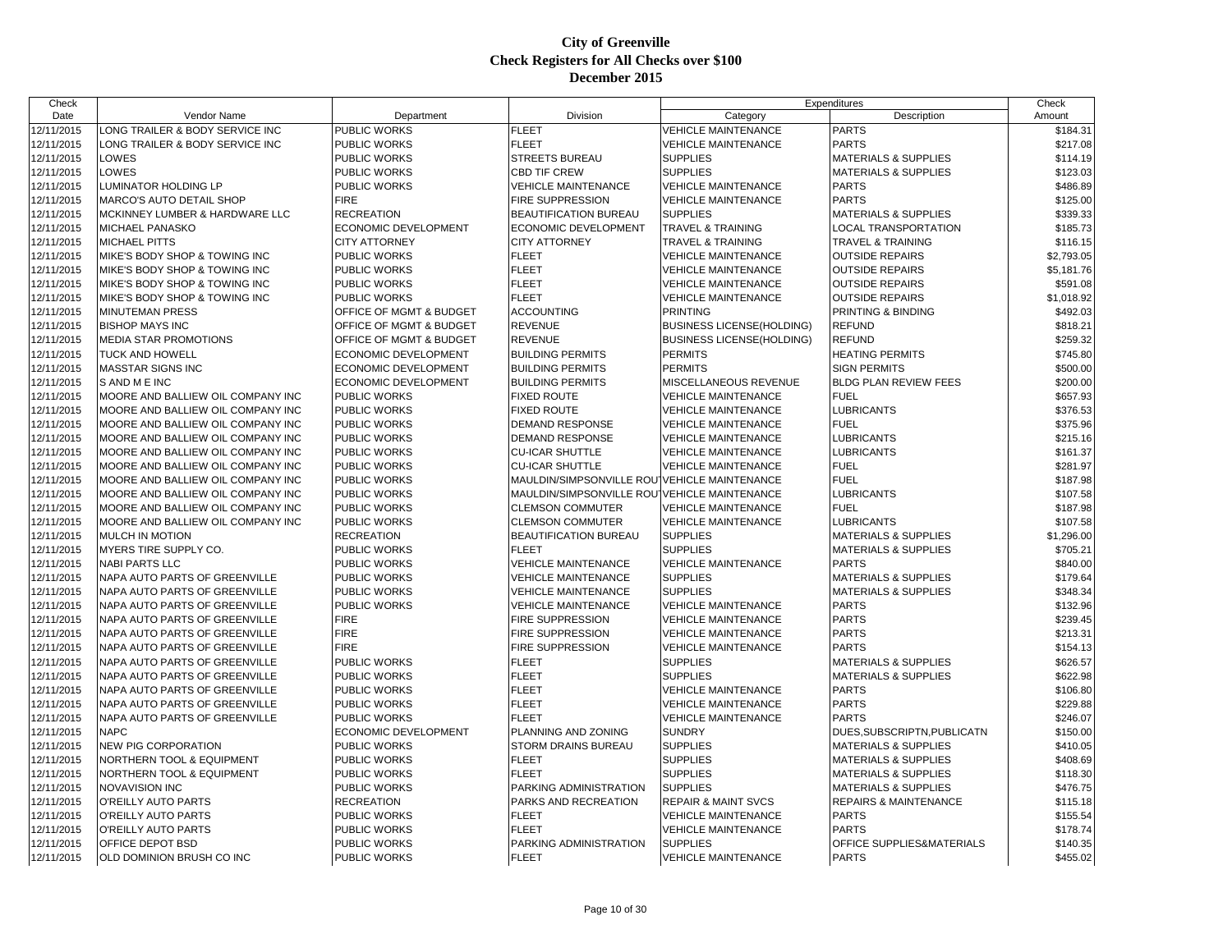| Check                    |                                             |                              |                                              | Expenditures                     |                                  | Check                |
|--------------------------|---------------------------------------------|------------------------------|----------------------------------------------|----------------------------------|----------------------------------|----------------------|
| Date                     | Vendor Name                                 | Department                   | Division                                     | Category                         | Description                      | Amount               |
| 12/11/2015               | ONG TRAILER & BODY SERVICE INC              | PUBLIC WORKS                 | <b>FLEET</b>                                 | <b>VEHICLE MAINTENANCE</b>       | <b>PARTS</b>                     | \$184.31             |
| 12/11/2015               | LONG TRAILER & BODY SERVICE INC             | PUBLIC WORKS                 | <b>FLEET</b>                                 | <b>VEHICLE MAINTENANCE</b>       | <b>PARTS</b>                     | \$217.08             |
| 12/11/2015               | LOWES                                       | PUBLIC WORKS                 | <b>STREETS BUREAU</b>                        | <b>SUPPLIES</b>                  | <b>MATERIALS &amp; SUPPLIES</b>  | \$114.19             |
| 12/11/2015               | LOWES                                       | <b>PUBLIC WORKS</b>          | <b>CBD TIF CREW</b>                          | <b>SUPPLIES</b>                  | <b>MATERIALS &amp; SUPPLIES</b>  | \$123.03             |
| 12/11/2015               | LUMINATOR HOLDING LP                        | <b>PUBLIC WORKS</b>          | <b>VEHICLE MAINTENANCE</b>                   | <b>VEHICLE MAINTENANCE</b>       | <b>PARTS</b>                     | \$486.89             |
| 12/11/2015               | <b>MARCO'S AUTO DETAIL SHOP</b>             | <b>FIRE</b>                  | <b>FIRE SUPPRESSION</b>                      | <b>VEHICLE MAINTENANCE</b>       | <b>PARTS</b>                     | \$125.00             |
| 12/11/2015               | MCKINNEY LUMBER & HARDWARE LLC              | <b>RECREATION</b>            | <b>BEAUTIFICATION BUREAU</b>                 | <b>SUPPLIES</b>                  | <b>MATERIALS &amp; SUPPLIES</b>  | \$339.33             |
| 12/11/2015               | MICHAEL PANASKO                             | ECONOMIC DEVELOPMENT         | ECONOMIC DEVELOPMENT                         | <b>TRAVEL &amp; TRAINING</b>     | <b>LOCAL TRANSPORTATION</b>      | \$185.73             |
| 12/11/2015               | <b>MICHAEL PITTS</b>                        | <b>CITY ATTORNEY</b>         | <b>CITY ATTORNEY</b>                         | <b>TRAVEL &amp; TRAINING</b>     | <b>TRAVEL &amp; TRAINING</b>     | \$116.15             |
| 12/11/2015               | MIKE'S BODY SHOP & TOWING INC               | <b>PUBLIC WORKS</b>          | <b>FLEET</b>                                 | <b>VEHICLE MAINTENANCE</b>       | <b>OUTSIDE REPAIRS</b>           | \$2,793.05           |
| 12/11/2015               | MIKE'S BODY SHOP & TOWING INC               | PUBLIC WORKS                 | <b>FLEET</b>                                 | <b>VEHICLE MAINTENANCE</b>       | <b>OUTSIDE REPAIRS</b>           | \$5,181.76           |
| 12/11/2015               | MIKE'S BODY SHOP & TOWING INC               | PUBLIC WORKS                 | <b>FLEET</b>                                 | <b>VEHICLE MAINTENANCE</b>       | <b>OUTSIDE REPAIRS</b>           | \$591.08             |
| 12/11/2015               | MIKE'S BODY SHOP & TOWING INC               | <b>PUBLIC WORKS</b>          | <b>FLEET</b>                                 | <b>VEHICLE MAINTENANCE</b>       | <b>OUTSIDE REPAIRS</b>           | \$1,018.92           |
| 12/11/2015               | <b>MINUTEMAN PRESS</b>                      | OFFICE OF MGMT & BUDGET      | <b>ACCOUNTING</b>                            | <b>PRINTING</b>                  | PRINTING & BINDING               | \$492.03             |
| 12/11/2015               | <b>BISHOP MAYS INC</b>                      | OFFICE OF MGMT & BUDGET      | <b>REVENUE</b>                               | <b>BUSINESS LICENSE(HOLDING)</b> | <b>REFUND</b>                    | \$818.21             |
| 12/11/2015               | <b>MEDIA STAR PROMOTIONS</b>                | OFFICE OF MGMT & BUDGET      | <b>REVENUE</b>                               | <b>BUSINESS LICENSE(HOLDING)</b> | <b>REFUND</b>                    | \$259.32             |
| 12/11/2015               | <b>TUCK AND HOWELL</b>                      | ECONOMIC DEVELOPMENT         | <b>BUILDING PERMITS</b>                      | <b>PERMITS</b>                   | <b>HEATING PERMITS</b>           | \$745.80             |
| 12/11/2015               | <b>MASSTAR SIGNS INC</b>                    | ECONOMIC DEVELOPMENT         | <b>BUILDING PERMITS</b>                      | <b>PERMITS</b>                   | <b>SIGN PERMITS</b>              | \$500.00             |
| 12/11/2015               | S AND ME INC                                | <b>ECONOMIC DEVELOPMENT</b>  | <b>BUILDING PERMITS</b>                      | MISCELLANEOUS REVENUE            | <b>BLDG PLAN REVIEW FEES</b>     | \$200.00             |
| 12/11/2015               | MOORE AND BALLIEW OIL COMPANY INC           | PUBLIC WORKS                 | <b>FIXED ROUTE</b>                           | <b>VEHICLE MAINTENANCE</b>       | <b>FUEL</b>                      | \$657.93             |
| 12/11/2015               | MOORE AND BALLIEW OIL COMPANY INC           | <b>PUBLIC WORKS</b>          | <b>FIXED ROUTE</b>                           | <b>VEHICLE MAINTENANCE</b>       | <b>LUBRICANTS</b>                | \$376.53             |
| 12/11/2015               | MOORE AND BALLIEW OIL COMPANY INC           | <b>PUBLIC WORKS</b>          | <b>DEMAND RESPONSE</b>                       | <b>VEHICLE MAINTENANCE</b>       | <b>FUEL</b>                      | \$375.96             |
| 12/11/2015               | MOORE AND BALLIEW OIL COMPANY INC           | <b>PUBLIC WORKS</b>          | <b>DEMAND RESPONSE</b>                       | <b>VEHICLE MAINTENANCE</b>       | <b>LUBRICANTS</b>                | \$215.16             |
| 12/11/2015               | MOORE AND BALLIEW OIL COMPANY INC           | <b>PUBLIC WORKS</b>          | <b>CU-ICAR SHUTTLE</b>                       | <b>VEHICLE MAINTENANCE</b>       | <b>LUBRICANTS</b>                | \$161.37             |
| 12/11/2015               | MOORE AND BALLIEW OIL COMPANY INC           | <b>PUBLIC WORKS</b>          | <b>CU-ICAR SHUTTLE</b>                       | <b>VEHICLE MAINTENANCE</b>       | <b>FUEL</b>                      | \$281.97             |
| 12/11/2015               | MOORE AND BALLIEW OIL COMPANY INC           | <b>PUBLIC WORKS</b>          | MAULDIN/SIMPSONVILLE ROU VEHICLE MAINTENANCE |                                  | <b>FUEL</b>                      | \$187.98             |
| 12/11/2015               | MOORE AND BALLIEW OIL COMPANY INC           | <b>PUBLIC WORKS</b>          | MAULDIN/SIMPSONVILLE ROUTVEHICLE MAINTENANCE |                                  | <b>LUBRICANTS</b>                | \$107.58             |
| 12/11/2015               | MOORE AND BALLIEW OIL COMPANY INC           | PUBLIC WORKS                 | <b>CLEMSON COMMUTER</b>                      | <b>VEHICLE MAINTENANCE</b>       | <b>FUEL</b>                      | \$187.98             |
| 12/11/2015               | MOORE AND BALLIEW OIL COMPANY INC           | <b>PUBLIC WORKS</b>          | <b>CLEMSON COMMUTER</b>                      | <b>VEHICLE MAINTENANCE</b>       | <b>LUBRICANTS</b>                | \$107.58             |
| 12/11/2015               | <b>MULCH IN MOTION</b>                      | <b>RECREATION</b>            | BEAUTIFICATION BUREAU                        | <b>SUPPLIES</b>                  | <b>MATERIALS &amp; SUPPLIES</b>  | \$1,296.00           |
| 12/11/2015               | MYERS TIRE SUPPLY CO.                       | PUBLIC WORKS                 | <b>FLEET</b>                                 | <b>SUPPLIES</b>                  | <b>MATERIALS &amp; SUPPLIES</b>  | \$705.21             |
| 12/11/2015               | <b>NABI PARTS LLC</b>                       | <b>PUBLIC WORKS</b>          | <b>VEHICLE MAINTENANCE</b>                   | <b>VEHICLE MAINTENANCE</b>       | <b>PARTS</b>                     | \$840.00             |
| 12/11/2015               | NAPA AUTO PARTS OF GREENVILLE               | PUBLIC WORKS                 | <b>VEHICLE MAINTENANCE</b>                   | <b>SUPPLIES</b>                  | <b>MATERIALS &amp; SUPPLIES</b>  | \$179.64             |
| 12/11/2015               | NAPA AUTO PARTS OF GREENVILLE               | <b>PUBLIC WORKS</b>          | <b>VEHICLE MAINTENANCE</b>                   | <b>SUPPLIES</b>                  | <b>MATERIALS &amp; SUPPLIES</b>  | \$348.34             |
| 12/11/2015               | NAPA AUTO PARTS OF GREENVILLE               | <b>PUBLIC WORKS</b>          | <b>VEHICLE MAINTENANCE</b>                   | <b>VEHICLE MAINTENANCE</b>       | <b>PARTS</b>                     | \$132.96             |
| 12/11/2015               | NAPA AUTO PARTS OF GREENVILLE               | <b>FIRE</b>                  | <b>FIRE SUPPRESSION</b>                      | <b>VEHICLE MAINTENANCE</b>       | <b>PARTS</b>                     | \$239.45             |
| 12/11/2015               | NAPA AUTO PARTS OF GREENVILLE               | <b>FIRE</b>                  | <b>FIRE SUPPRESSION</b>                      | <b>VEHICLE MAINTENANCE</b>       | <b>PARTS</b>                     | \$213.31             |
| 12/11/2015               | NAPA AUTO PARTS OF GREENVILLE               | <b>FIRE</b>                  | <b>FIRE SUPPRESSION</b>                      | <b>VEHICLE MAINTENANCE</b>       | <b>PARTS</b>                     | \$154.13             |
| 12/11/2015               | NAPA AUTO PARTS OF GREENVILLE               | <b>PUBLIC WORKS</b>          | <b>FLEET</b>                                 | <b>SUPPLIES</b>                  | <b>MATERIALS &amp; SUPPLIES</b>  | \$626.57             |
| 12/11/2015               | NAPA AUTO PARTS OF GREENVILLE               | <b>PUBLIC WORKS</b>          | <b>FLEET</b>                                 | <b>SUPPLIES</b>                  | <b>MATERIALS &amp; SUPPLIES</b>  | \$622.98             |
| 12/11/2015               | NAPA AUTO PARTS OF GREENVILLE               | PUBLIC WORKS                 | <b>FLEET</b>                                 | <b>VEHICLE MAINTENANCE</b>       | <b>PARTS</b>                     | \$106.80             |
| 12/11/2015               | NAPA AUTO PARTS OF GREENVILLE               | <b>PUBLIC WORKS</b>          | <b>FLEET</b>                                 | <b>VEHICLE MAINTENANCE</b>       | <b>PARTS</b>                     | \$229.88             |
| 12/11/2015               | NAPA AUTO PARTS OF GREENVILLE               | <b>PUBLIC WORKS</b>          | <b>FLEET</b>                                 | <b>VEHICLE MAINTENANCE</b>       | <b>PARTS</b>                     | \$246.07             |
| 12/11/2015               | <b>NAPC</b>                                 | ECONOMIC DEVELOPMENT         | PLANNING AND ZONING                          | <b>SUNDRY</b>                    | DUES, SUBSCRIPTN, PUBLICATN      | \$150.00             |
| 12/11/2015               | <b>NEW PIG CORPORATION</b>                  | PUBLIC WORKS                 | STORM DRAINS BUREAU                          | <b>SUPPLIES</b>                  | <b>MATERIALS &amp; SUPPLIES</b>  | \$410.05             |
| 12/11/2015               | NORTHERN TOOL & EQUIPMENT                   | <b>PUBLIC WORKS</b>          | <b>FLEET</b>                                 | <b>SUPPLIES</b>                  | <b>MATERIALS &amp; SUPPLIES</b>  | \$408.69             |
|                          |                                             |                              | <b>FLEET</b>                                 | <b>SUPPLIES</b>                  | <b>MATERIALS &amp; SUPPLIES</b>  |                      |
| 12/11/2015<br>12/11/2015 | NORTHERN TOOL & EQUIPMENT<br>NOVAVISION INC | PUBLIC WORKS<br>PUBLIC WORKS | PARKING ADMINISTRATION                       | <b>SUPPLIES</b>                  | <b>MATERIALS &amp; SUPPLIES</b>  | \$118.30<br>\$476.75 |
| 12/11/2015               | O'REILLY AUTO PARTS                         | <b>RECREATION</b>            | PARKS AND RECREATION                         | <b>REPAIR &amp; MAINT SVCS</b>   | <b>REPAIRS &amp; MAINTENANCE</b> | \$115.18             |
|                          | O'REILLY AUTO PARTS                         | <b>PUBLIC WORKS</b>          | <b>FLEET</b>                                 | <b>VEHICLE MAINTENANCE</b>       | <b>PARTS</b>                     |                      |
| 12/11/2015<br>12/11/2015 | O'REILLY AUTO PARTS                         | PUBLIC WORKS                 | <b>FLEET</b>                                 | <b>VEHICLE MAINTENANCE</b>       | <b>PARTS</b>                     | \$155.54<br>\$178.74 |
| 12/11/2015               | OFFICE DEPOT BSD                            | PUBLIC WORKS                 | PARKING ADMINISTRATION                       | <b>SUPPLIES</b>                  | OFFICE SUPPLIES&MATERIALS        | \$140.35             |
| 12/11/2015               | OLD DOMINION BRUSH CO INC                   | PUBLIC WORKS                 | <b>FLEET</b>                                 | <b>VEHICLE MAINTENANCE</b>       | <b>PARTS</b>                     | \$455.02             |
|                          |                                             |                              |                                              |                                  |                                  |                      |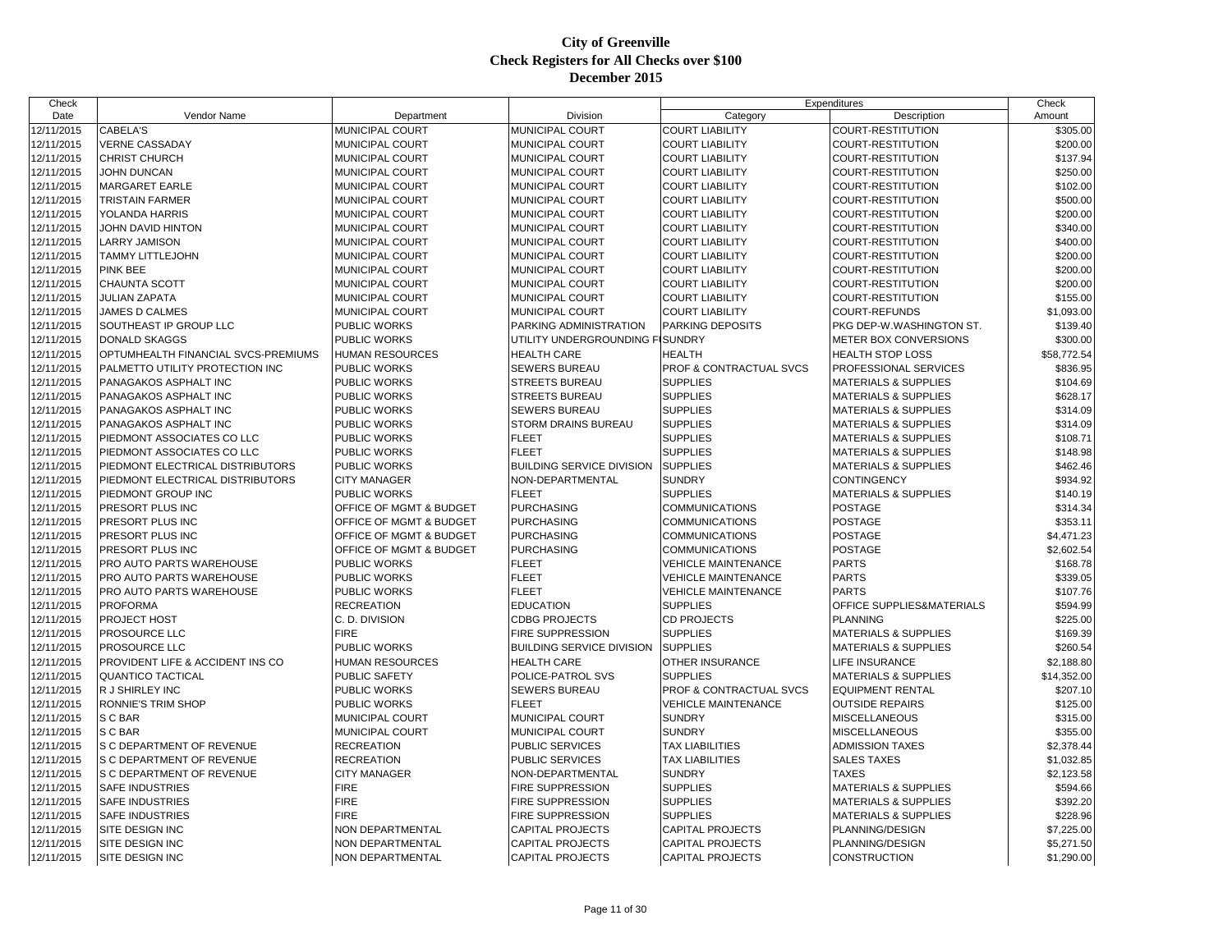| Check      |                                     |                         |                                  |                            | Expenditures                    | Check       |
|------------|-------------------------------------|-------------------------|----------------------------------|----------------------------|---------------------------------|-------------|
| Date       | Vendor Name                         | Department              | Division                         | Category                   | Description                     | Amount      |
| 12/11/2015 | CABELA'S                            | MUNICIPAL COURT         | MUNICIPAL COURT                  | <b>COURT LIABILITY</b>     | COURT-RESTITUTION               | \$305.00    |
| 12/11/2015 | <b>VERNE CASSADAY</b>               | MUNICIPAL COURT         | MUNICIPAL COURT                  | <b>COURT LIABILITY</b>     | COURT-RESTITUTION               | \$200.00    |
| 12/11/2015 | <b>CHRIST CHURCH</b>                | MUNICIPAL COURT         | MUNICIPAL COURT                  | <b>COURT LIABILITY</b>     | COURT-RESTITUTION               | \$137.94    |
| 12/11/2015 | <b>JOHN DUNCAN</b>                  | MUNICIPAL COURT         | MUNICIPAL COURT                  | <b>COURT LIABILITY</b>     | <b>COURT-RESTITUTION</b>        | \$250.00    |
| 12/11/2015 | <b>MARGARET EARLE</b>               | MUNICIPAL COURT         | MUNICIPAL COURT                  | <b>COURT LIABILITY</b>     | COURT-RESTITUTION               | \$102.00    |
| 12/11/2015 | <b>TRISTAIN FARMER</b>              | <b>MUNICIPAL COURT</b>  | MUNICIPAL COURT                  | <b>COURT LIABILITY</b>     | COURT-RESTITUTION               | \$500.00    |
| 12/11/2015 | YOLANDA HARRIS                      | MUNICIPAL COURT         | MUNICIPAL COURT                  | <b>COURT LIABILITY</b>     | COURT-RESTITUTION               | \$200.00    |
| 12/11/2015 | JOHN DAVID HINTON                   | <b>MUNICIPAL COURT</b>  | MUNICIPAL COURT                  | <b>COURT LIABILITY</b>     | COURT-RESTITUTION               | \$340.00    |
| 12/11/2015 | <b>LARRY JAMISON</b>                | MUNICIPAL COURT         | MUNICIPAL COURT                  | <b>COURT LIABILITY</b>     | COURT-RESTITUTION               | \$400.00    |
| 12/11/2015 | <b>TAMMY LITTLEJOHN</b>             | MUNICIPAL COURT         | MUNICIPAL COURT                  | <b>COURT LIABILITY</b>     | COURT-RESTITUTION               | \$200.00    |
| 12/11/2015 | <b>PINK BEE</b>                     | MUNICIPAL COURT         | MUNICIPAL COURT                  | <b>COURT LIABILITY</b>     | COURT-RESTITUTION               | \$200.00    |
| 12/11/2015 | CHAUNTA SCOTT                       | MUNICIPAL COURT         | MUNICIPAL COURT                  | <b>COURT LIABILITY</b>     | COURT-RESTITUTION               | \$200.00    |
| 12/11/2015 | <b>JULIAN ZAPATA</b>                | MUNICIPAL COURT         | MUNICIPAL COURT                  | <b>COURT LIABILITY</b>     | <b>COURT-RESTITUTION</b>        | \$155.00    |
| 12/11/2015 | <b>JAMES D CALMES</b>               | MUNICIPAL COURT         | MUNICIPAL COURT                  | <b>COURT LIABILITY</b>     | <b>COURT-REFUNDS</b>            | \$1,093.00  |
| 12/11/2015 | SOUTHEAST IP GROUP LLC              | <b>PUBLIC WORKS</b>     | PARKING ADMINISTRATION           | PARKING DEPOSITS           | PKG DEP-W.WASHINGTON ST.        | \$139.40    |
| 12/11/2015 | <b>DONALD SKAGGS</b>                | <b>PUBLIC WORKS</b>     | UTILITY UNDERGROUNDING FISUNDRY  |                            | METER BOX CONVERSIONS           | \$300.00    |
| 12/11/2015 | OPTUMHEALTH FINANCIAL SVCS-PREMIUMS | <b>HUMAN RESOURCES</b>  | <b>HEALTH CARE</b>               | <b>HEALTH</b>              | <b>HEALTH STOP LOSS</b>         | \$58,772.54 |
| 12/11/2015 | PALMETTO UTILITY PROTECTION INC     | <b>PUBLIC WORKS</b>     | SEWERS BUREAU                    | PROF & CONTRACTUAL SVCS    | PROFESSIONAL SERVICES           | \$836.95    |
| 12/11/2015 | PANAGAKOS ASPHALT INC               | <b>PUBLIC WORKS</b>     | STREETS BUREAU                   | <b>SUPPLIES</b>            | <b>MATERIALS &amp; SUPPLIES</b> | \$104.69    |
| 12/11/2015 | PANAGAKOS ASPHALT INC               | PUBLIC WORKS            | <b>STREETS BUREAU</b>            | <b>SUPPLIES</b>            | <b>MATERIALS &amp; SUPPLIES</b> | \$628.17    |
| 12/11/2015 | PANAGAKOS ASPHALT INC               | PUBLIC WORKS            | SEWERS BUREAU                    | <b>SUPPLIES</b>            | <b>MATERIALS &amp; SUPPLIES</b> | \$314.09    |
| 12/11/2015 | PANAGAKOS ASPHALT INC               | <b>PUBLIC WORKS</b>     | <b>STORM DRAINS BUREAU</b>       | <b>SUPPLIES</b>            | <b>MATERIALS &amp; SUPPLIES</b> | \$314.09    |
| 12/11/2015 | PIEDMONT ASSOCIATES CO LLC          | PUBLIC WORKS            | <b>FLEET</b>                     | <b>SUPPLIES</b>            | MATERIALS & SUPPLIES            | \$108.71    |
| 12/11/2015 | PIEDMONT ASSOCIATES CO LLC          | PUBLIC WORKS            | <b>FLEET</b>                     | <b>SUPPLIES</b>            | <b>MATERIALS &amp; SUPPLIES</b> | \$148.98    |
| 12/11/2015 | PIEDMONT ELECTRICAL DISTRIBUTORS    | PUBLIC WORKS            | <b>BUILDING SERVICE DIVISION</b> | <b>SUPPLIES</b>            | <b>MATERIALS &amp; SUPPLIES</b> | \$462.46    |
| 12/11/2015 | PIEDMONT ELECTRICAL DISTRIBUTORS    | <b>CITY MANAGER</b>     | NON-DEPARTMENTAL                 | <b>SUNDRY</b>              | <b>CONTINGENCY</b>              | \$934.92    |
| 12/11/2015 | PIEDMONT GROUP INC                  | <b>PUBLIC WORKS</b>     | <b>FLEET</b>                     | <b>SUPPLIES</b>            | <b>MATERIALS &amp; SUPPLIES</b> | \$140.19    |
| 12/11/2015 | PRESORT PLUS INC                    | OFFICE OF MGMT & BUDGET | <b>PURCHASING</b>                | <b>COMMUNICATIONS</b>      | <b>POSTAGE</b>                  | \$314.34    |
| 12/11/2015 | PRESORT PLUS INC                    | OFFICE OF MGMT & BUDGET | <b>PURCHASING</b>                | <b>COMMUNICATIONS</b>      | <b>POSTAGE</b>                  | \$353.11    |
| 12/11/2015 | PRESORT PLUS INC                    | OFFICE OF MGMT & BUDGET | <b>PURCHASING</b>                | <b>COMMUNICATIONS</b>      | <b>POSTAGE</b>                  | \$4,471.23  |
| 12/11/2015 | PRESORT PLUS INC                    | OFFICE OF MGMT & BUDGET | <b>PURCHASING</b>                | <b>COMMUNICATIONS</b>      | <b>POSTAGE</b>                  | \$2,602.54  |
|            |                                     | <b>PUBLIC WORKS</b>     | <b>FLEET</b>                     |                            |                                 |             |
| 12/11/2015 | PRO AUTO PARTS WAREHOUSE            |                         |                                  | <b>VEHICLE MAINTENANCE</b> | <b>PARTS</b><br><b>PARTS</b>    | \$168.78    |
| 12/11/2015 | PRO AUTO PARTS WAREHOUSE            | <b>PUBLIC WORKS</b>     | <b>FLEET</b>                     | <b>VEHICLE MAINTENANCE</b> |                                 | \$339.05    |
| 12/11/2015 | PRO AUTO PARTS WAREHOUSE            | PUBLIC WORKS            | <b>FLEET</b>                     | <b>VEHICLE MAINTENANCE</b> | <b>PARTS</b>                    | \$107.76    |
| 12/11/2015 | <b>PROFORMA</b>                     | <b>RECREATION</b>       | <b>EDUCATION</b>                 | <b>SUPPLIES</b>            | OFFICE SUPPLIES&MATERIALS       | \$594.99    |
| 12/11/2015 | PROJECT HOST                        | C. D. DIVISION          | <b>CDBG PROJECTS</b>             | <b>CD PROJECTS</b>         | <b>PLANNING</b>                 | \$225.00    |
| 12/11/2015 | PROSOURCE LLC                       | <b>FIRE</b>             | FIRE SUPPRESSION                 | <b>SUPPLIES</b>            | MATERIALS & SUPPLIES            | \$169.39    |
| 12/11/2015 | PROSOURCE LLC                       | PUBLIC WORKS            | <b>BUILDING SERVICE DIVISION</b> | <b>SUPPLIES</b>            | <b>MATERIALS &amp; SUPPLIES</b> | \$260.54    |
| 12/11/2015 | PROVIDENT LIFE & ACCIDENT INS CO    | <b>HUMAN RESOURCES</b>  | <b>HEALTH CARE</b>               | OTHER INSURANCE            | <b>LIFE INSURANCE</b>           | \$2,188.80  |
| 12/11/2015 | <b>QUANTICO TACTICAL</b>            | PUBLIC SAFETY           | POLICE-PATROL SVS                | <b>SUPPLIES</b>            | <b>MATERIALS &amp; SUPPLIES</b> | \$14,352.00 |
| 12/11/2015 | R J SHIRLEY INC                     | <b>PUBLIC WORKS</b>     | SEWERS BUREAU                    | PROF & CONTRACTUAL SVCS    | <b>EQUIPMENT RENTAL</b>         | \$207.10    |
| 12/11/2015 | <b>RONNIE'S TRIM SHOP</b>           | PUBLIC WORKS            | <b>FLEET</b>                     | <b>VEHICLE MAINTENANCE</b> | <b>OUTSIDE REPAIRS</b>          | \$125.00    |
| 12/11/2015 | S C BAR                             | MUNICIPAL COURT         | MUNICIPAL COURT                  | <b>SUNDRY</b>              | <b>MISCELLANEOUS</b>            | \$315.00    |
| 12/11/2015 | S C BAR                             | MUNICIPAL COURT         | MUNICIPAL COURT                  | <b>SUNDRY</b>              | <b>MISCELLANEOUS</b>            | \$355.00    |
| 12/11/2015 | S C DEPARTMENT OF REVENUE           | <b>RECREATION</b>       | <b>PUBLIC SERVICES</b>           | <b>TAX LIABILITIES</b>     | <b>ADMISSION TAXES</b>          | \$2,378.44  |
| 12/11/2015 | S C DEPARTMENT OF REVENUE           | <b>RECREATION</b>       | <b>PUBLIC SERVICES</b>           | <b>TAX LIABILITIES</b>     | <b>SALES TAXES</b>              | \$1,032.85  |
| 12/11/2015 | S C DEPARTMENT OF REVENUE           | <b>CITY MANAGER</b>     | NON-DEPARTMENTAL                 | <b>SUNDRY</b>              | <b>TAXES</b>                    | \$2,123.58  |
| 12/11/2015 | SAFE INDUSTRIES                     | <b>FIRE</b>             | FIRE SUPPRESSION                 | <b>SUPPLIES</b>            | <b>MATERIALS &amp; SUPPLIES</b> | \$594.66    |
| 12/11/2015 | <b>SAFE INDUSTRIES</b>              | <b>FIRE</b>             | <b>FIRE SUPPRESSION</b>          | <b>SUPPLIES</b>            | <b>MATERIALS &amp; SUPPLIES</b> | \$392.20    |
| 12/11/2015 | <b>SAFE INDUSTRIES</b>              | <b>FIRE</b>             | FIRE SUPPRESSION                 | <b>SUPPLIES</b>            | <b>MATERIALS &amp; SUPPLIES</b> | \$228.96    |
| 12/11/2015 | SITE DESIGN INC                     | NON DEPARTMENTAL        | CAPITAL PROJECTS                 | <b>CAPITAL PROJECTS</b>    | PLANNING/DESIGN                 | \$7,225.00  |
| 12/11/2015 | SITE DESIGN INC                     | NON DEPARTMENTAL        | <b>CAPITAL PROJECTS</b>          | <b>CAPITAL PROJECTS</b>    | PLANNING/DESIGN                 | \$5,271.50  |
| 12/11/2015 | SITE DESIGN INC                     | NON DEPARTMENTAL        | <b>CAPITAL PROJECTS</b>          | <b>CAPITAL PROJECTS</b>    | <b>CONSTRUCTION</b>             | \$1,290.00  |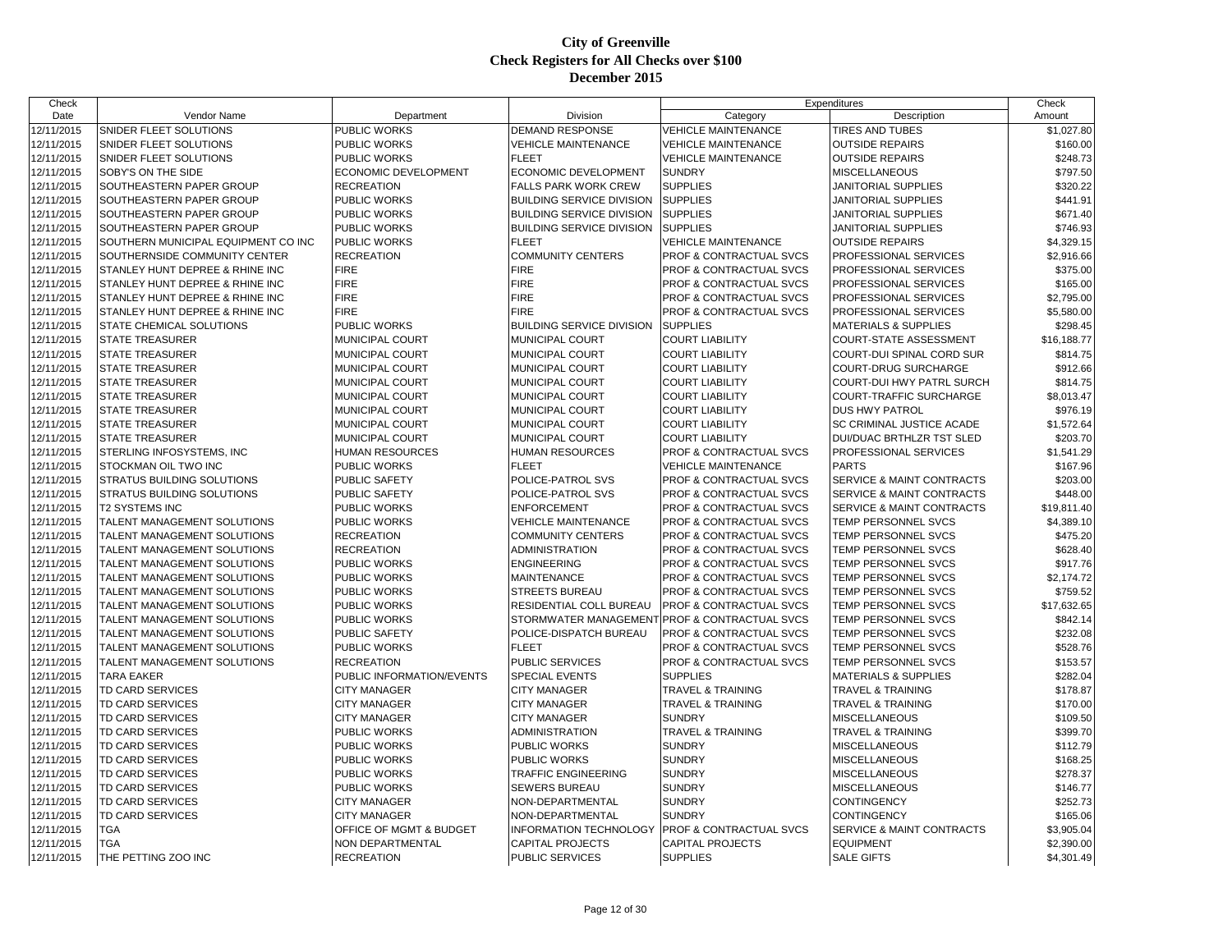| Check      |                                     |                           |                                  | Expenditures                                  |                                 | Check       |
|------------|-------------------------------------|---------------------------|----------------------------------|-----------------------------------------------|---------------------------------|-------------|
| Date       | <b>Vendor Name</b>                  | Department                | Division                         | Category                                      | Description                     | Amount      |
| 12/11/2015 | SNIDER FLEET SOLUTIONS              | PUBLIC WORKS              | <b>DEMAND RESPONSE</b>           | <b>VEHICLE MAINTENANCE</b>                    | <b>TIRES AND TUBES</b>          | \$1,027.80  |
| 12/11/2015 | SNIDER FLEET SOLUTIONS              | PUBLIC WORKS              | <b>VEHICLE MAINTENANCE</b>       | <b>VEHICLE MAINTENANCE</b>                    | <b>OUTSIDE REPAIRS</b>          | \$160.00    |
| 12/11/2015 | SNIDER FLEET SOLUTIONS              | PUBLIC WORKS              | <b>FLEET</b>                     | <b>VEHICLE MAINTENANCE</b>                    | <b>OUTSIDE REPAIRS</b>          | \$248.73    |
| 12/11/2015 | SOBY'S ON THE SIDE                  | ECONOMIC DEVELOPMENT      | <b>ECONOMIC DEVELOPMENT</b>      | <b>SUNDRY</b>                                 | <b>MISCELLANEOUS</b>            | \$797.50    |
| 12/11/2015 | SOUTHEASTERN PAPER GROUP            | <b>RECREATION</b>         | <b>FALLS PARK WORK CREW</b>      | <b>SUPPLIES</b>                               | JANITORIAL SUPPLIES             | \$320.22    |
| 12/11/2015 | SOUTHEASTERN PAPER GROUP            | PUBLIC WORKS              | <b>BUILDING SERVICE DIVISION</b> | <b>SUPPLIES</b>                               | JANITORIAL SUPPLIES             | \$441.91    |
| 12/11/2015 | SOUTHEASTERN PAPER GROUP            | PUBLIC WORKS              | <b>BUILDING SERVICE DIVISION</b> | <b>SUPPLIES</b>                               | <b>JANITORIAL SUPPLIES</b>      | \$671.40    |
| 12/11/2015 | SOUTHEASTERN PAPER GROUP            | PUBLIC WORKS              | <b>BUILDING SERVICE DIVISION</b> | <b>SUPPLIES</b>                               | JANITORIAL SUPPLIES             | \$746.93    |
| 12/11/2015 | SOUTHERN MUNICIPAL EQUIPMENT CO INC | PUBLIC WORKS              | <b>FLEET</b>                     | <b>VEHICLE MAINTENANCE</b>                    | <b>OUTSIDE REPAIRS</b>          | \$4,329.15  |
| 12/11/2015 | SOUTHERNSIDE COMMUNITY CENTER       | <b>RECREATION</b>         | <b>COMMUNITY CENTERS</b>         | PROF & CONTRACTUAL SVCS                       | PROFESSIONAL SERVICES           | \$2,916.66  |
| 12/11/2015 | STANLEY HUNT DEPREE & RHINE INC     | <b>FIRE</b>               | <b>FIRE</b>                      | PROF & CONTRACTUAL SVCS                       | PROFESSIONAL SERVICES           | \$375.00    |
| 12/11/2015 | STANLEY HUNT DEPREE & RHINE INC     | <b>FIRE</b>               | <b>FIRE</b>                      | PROF & CONTRACTUAL SVCS                       | PROFESSIONAL SERVICES           | \$165.00    |
| 12/11/2015 | STANLEY HUNT DEPREE & RHINE INC     | <b>FIRE</b>               | <b>FIRE</b>                      | <b>PROF &amp; CONTRACTUAL SVCS</b>            | PROFESSIONAL SERVICES           | \$2,795.00  |
| 12/11/2015 | STANLEY HUNT DEPREE & RHINE INC     | <b>FIRE</b>               | <b>FIRE</b>                      | PROF & CONTRACTUAL SVCS                       | PROFESSIONAL SERVICES           | \$5,580.00  |
| 12/11/2015 | STATE CHEMICAL SOLUTIONS            | PUBLIC WORKS              | <b>BUILDING SERVICE DIVISION</b> | <b>SUPPLIES</b>                               | <b>MATERIALS &amp; SUPPLIES</b> | \$298.45    |
| 12/11/2015 | <b>STATE TREASURER</b>              | <b>MUNICIPAL COURT</b>    | MUNICIPAL COURT                  | <b>COURT LIABILITY</b>                        | <b>COURT-STATE ASSESSMENT</b>   | \$16,188.77 |
| 12/11/2015 | <b>STATE TREASURER</b>              | MUNICIPAL COURT           | MUNICIPAL COURT                  | <b>COURT LIABILITY</b>                        | COURT-DUI SPINAL CORD SUR       | \$814.75    |
| 12/11/2015 | <b>STATE TREASURER</b>              | MUNICIPAL COURT           | MUNICIPAL COURT                  | <b>COURT LIABILITY</b>                        | COURT-DRUG SURCHARGE            | \$912.66    |
| 12/11/2015 | STATE TREASURER                     | MUNICIPAL COURT           | MUNICIPAL COURT                  | <b>COURT LIABILITY</b>                        | COURT-DUI HWY PATRL SURCH       | \$814.75    |
| 12/11/2015 | <b>STATE TREASURER</b>              | MUNICIPAL COURT           | MUNICIPAL COURT                  | <b>COURT LIABILITY</b>                        | COURT-TRAFFIC SURCHARGE         | \$8,013.47  |
| 12/11/2015 | <b>STATE TREASURER</b>              | MUNICIPAL COURT           | MUNICIPAL COURT                  | <b>COURT LIABILITY</b>                        | <b>DUS HWY PATROL</b>           | \$976.19    |
| 12/11/2015 | <b>STATE TREASURER</b>              | MUNICIPAL COURT           | MUNICIPAL COURT                  | <b>COURT LIABILITY</b>                        | SC CRIMINAL JUSTICE ACADE       | \$1,572.64  |
| 12/11/2015 | STATE TREASURER                     | MUNICIPAL COURT           | MUNICIPAL COURT                  | <b>COURT LIABILITY</b>                        | DUI/DUAC BRTHLZR TST SLED       | \$203.70    |
| 12/11/2015 | STERLING INFOSYSTEMS, INC.          | <b>HUMAN RESOURCES</b>    | <b>HUMAN RESOURCES</b>           | <b>PROF &amp; CONTRACTUAL SVCS</b>            | PROFESSIONAL SERVICES           | \$1,541.29  |
| 12/11/2015 | STOCKMAN OIL TWO INC                | PUBLIC WORKS              | <b>FLEET</b>                     | <b>VEHICLE MAINTENANCE</b>                    | <b>PARTS</b>                    | \$167.96    |
| 12/11/2015 | STRATUS BUILDING SOLUTIONS          | PUBLIC SAFETY             | POLICE-PATROL SVS                | PROF & CONTRACTUAL SVCS                       | SERVICE & MAINT CONTRACTS       | \$203.00    |
| 12/11/2015 | <b>STRATUS BUILDING SOLUTIONS</b>   | <b>PUBLIC SAFETY</b>      | POLICE-PATROL SVS                | <b>PROF &amp; CONTRACTUAL SVCS</b>            | SERVICE & MAINT CONTRACTS       | \$448.00    |
| 12/11/2015 | <b>T2 SYSTEMS INC</b>               | PUBLIC WORKS              | <b>ENFORCEMENT</b>               | PROF & CONTRACTUAL SVCS                       | SERVICE & MAINT CONTRACTS       | \$19,811.40 |
| 12/11/2015 | TALENT MANAGEMENT SOLUTIONS         | PUBLIC WORKS              | <b>VEHICLE MAINTENANCE</b>       | PROF & CONTRACTUAL SVCS                       | TEMP PERSONNEL SVCS             | \$4,389.10  |
| 12/11/2015 | TALENT MANAGEMENT SOLUTIONS         | <b>RECREATION</b>         | <b>COMMUNITY CENTERS</b>         | <b>PROF &amp; CONTRACTUAL SVCS</b>            | TEMP PERSONNEL SVCS             | \$475.20    |
| 12/11/2015 | TALENT MANAGEMENT SOLUTIONS         | <b>RECREATION</b>         | <b>ADMINISTRATION</b>            | PROF & CONTRACTUAL SVCS                       | TEMP PERSONNEL SVCS             | \$628.40    |
| 12/11/2015 | TALENT MANAGEMENT SOLUTIONS         | PUBLIC WORKS              | <b>ENGINEERING</b>               | PROF & CONTRACTUAL SVCS                       | TEMP PERSONNEL SVCS             | \$917.76    |
| 12/11/2015 | TALENT MANAGEMENT SOLUTIONS         | <b>PUBLIC WORKS</b>       | <b>MAINTENANCE</b>               | PROF & CONTRACTUAL SVCS                       | TEMP PERSONNEL SVCS             | \$2,174.72  |
| 12/11/2015 | TALENT MANAGEMENT SOLUTIONS         | <b>PUBLIC WORKS</b>       | <b>STREETS BUREAU</b>            | PROF & CONTRACTUAL SVCS                       | TEMP PERSONNEL SVCS             | \$759.52    |
| 12/11/2015 | TALENT MANAGEMENT SOLUTIONS         | <b>PUBLIC WORKS</b>       | RESIDENTIAL COLL BUREAU          | PROF & CONTRACTUAL SVCS                       | <b>TEMP PERSONNEL SVCS</b>      | \$17,632.65 |
| 12/11/2015 | TALENT MANAGEMENT SOLUTIONS         | PUBLIC WORKS              |                                  | STORMWATER MANAGEMENT PROF & CONTRACTUAL SVCS | TEMP PERSONNEL SVCS             | \$842.14    |
| 12/11/2015 | TALENT MANAGEMENT SOLUTIONS         | PUBLIC SAFETY             | POLICE-DISPATCH BUREAU           | PROF & CONTRACTUAL SVCS                       | TEMP PERSONNEL SVCS             | \$232.08    |
| 12/11/2015 | TALENT MANAGEMENT SOLUTIONS         | <b>PUBLIC WORKS</b>       | <b>FLEET</b>                     | PROF & CONTRACTUAL SVCS                       | TEMP PERSONNEL SVCS             | \$528.76    |
| 12/11/2015 | TALENT MANAGEMENT SOLUTIONS         | <b>RECREATION</b>         | PUBLIC SERVICES                  | PROF & CONTRACTUAL SVCS                       | TEMP PERSONNEL SVCS             | \$153.57    |
| 12/11/2015 | <b>TARA EAKER</b>                   | PUBLIC INFORMATION/EVENTS | <b>SPECIAL EVENTS</b>            | <b>SUPPLIES</b>                               | <b>MATERIALS &amp; SUPPLIES</b> | \$282.04    |
| 12/11/2015 | <b>TD CARD SERVICES</b>             | <b>CITY MANAGER</b>       | <b>CITY MANAGER</b>              | <b>TRAVEL &amp; TRAINING</b>                  | <b>TRAVEL &amp; TRAINING</b>    | \$178.87    |
| 12/11/2015 | <b>TD CARD SERVICES</b>             | <b>CITY MANAGER</b>       | <b>CITY MANAGER</b>              | TRAVEL & TRAINING                             | <b>TRAVEL &amp; TRAINING</b>    | \$170.00    |
| 12/11/2015 | TD CARD SERVICES                    | <b>CITY MANAGER</b>       | <b>CITY MANAGER</b>              | <b>SUNDRY</b>                                 | <b>MISCELLANEOUS</b>            | \$109.50    |
| 12/11/2015 | TD CARD SERVICES                    | <b>PUBLIC WORKS</b>       | <b>ADMINISTRATION</b>            | <b>TRAVEL &amp; TRAINING</b>                  | <b>TRAVEL &amp; TRAINING</b>    | \$399.70    |
| 12/11/2015 | <b>TD CARD SERVICES</b>             | <b>PUBLIC WORKS</b>       | PUBLIC WORKS                     | <b>SUNDRY</b>                                 | <b>MISCELLANEOUS</b>            | \$112.79    |
| 12/11/2015 | TD CARD SERVICES                    | <b>PUBLIC WORKS</b>       | <b>PUBLIC WORKS</b>              | <b>SUNDRY</b>                                 | <b>MISCELLANEOUS</b>            | \$168.25    |
| 12/11/2015 | TD CARD SERVICES                    | PUBLIC WORKS              | <b>TRAFFIC ENGINEERING</b>       | <b>SUNDRY</b>                                 | MISCELLANEOUS                   | \$278.37    |
| 12/11/2015 | <b>TD CARD SERVICES</b>             | PUBLIC WORKS              | <b>SEWERS BUREAU</b>             | <b>SUNDRY</b>                                 | <b>MISCELLANEOUS</b>            | \$146.77    |
| 12/11/2015 | TD CARD SERVICES                    | <b>CITY MANAGER</b>       | NON-DEPARTMENTAL                 | <b>SUNDRY</b>                                 | CONTINGENCY                     | \$252.73    |
| 12/11/2015 | TD CARD SERVICES                    | <b>CITY MANAGER</b>       | NON-DEPARTMENTAL                 | <b>SUNDRY</b>                                 | CONTINGENCY                     | \$165.06    |
| 12/11/2015 | <b>TGA</b>                          | OFFICE OF MGMT & BUDGET   | <b>INFORMATION TECHNOLOGY</b>    | PROF & CONTRACTUAL SVCS                       | SERVICE & MAINT CONTRACTS       | \$3,905.04  |
| 12/11/2015 | <b>TGA</b>                          | NON DEPARTMENTAL          | <b>CAPITAL PROJECTS</b>          | <b>CAPITAL PROJECTS</b>                       | <b>EQUIPMENT</b>                | \$2,390.00  |
| 12/11/2015 | THE PETTING ZOO INC                 | <b>RECREATION</b>         | <b>PUBLIC SERVICES</b>           | <b>SUPPLIES</b>                               | <b>SALE GIFTS</b>               | \$4,301.49  |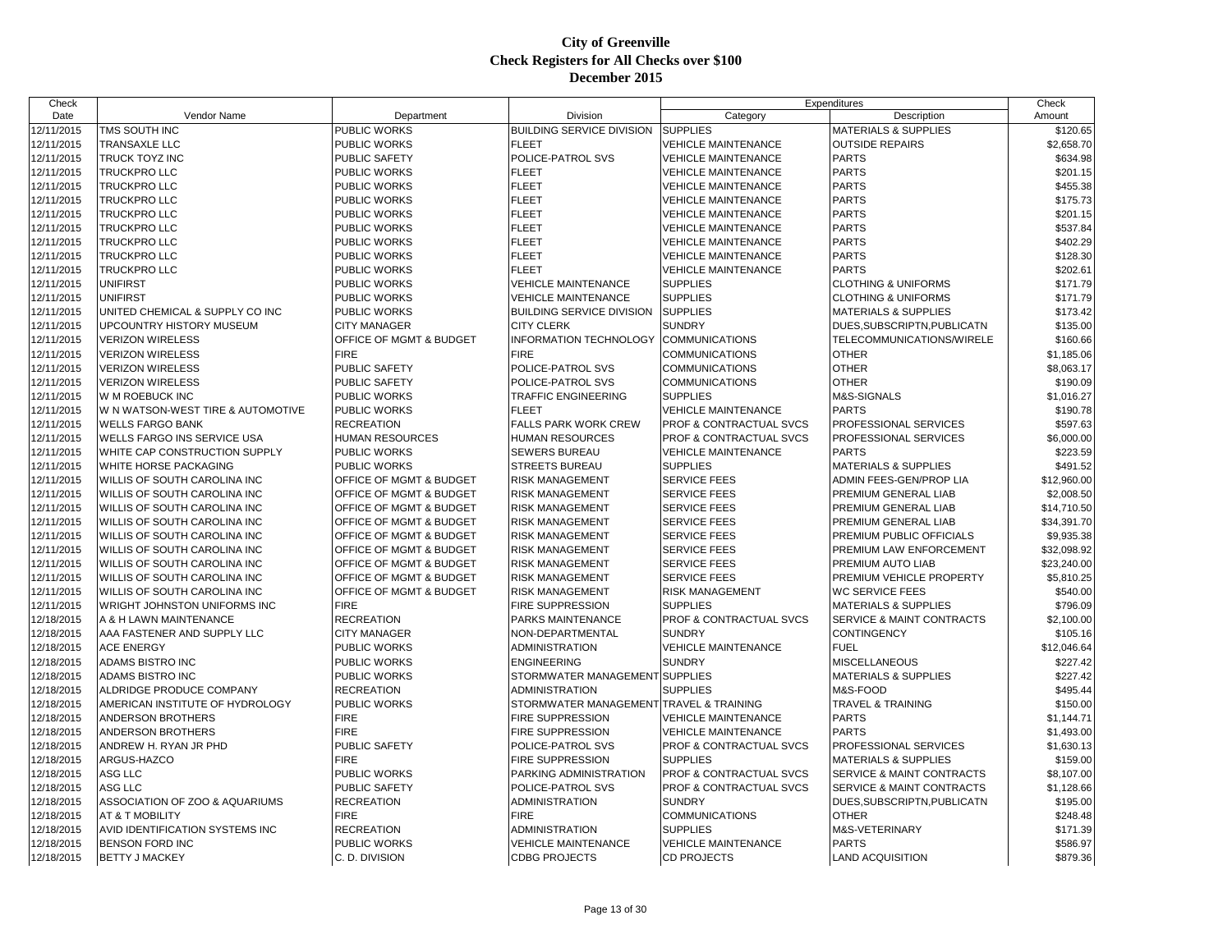| Check      |                                                              |                         |                                         | Expenditures                       |                                 | Check       |
|------------|--------------------------------------------------------------|-------------------------|-----------------------------------------|------------------------------------|---------------------------------|-------------|
| Date       | Vendor Name                                                  | Department              | Division                                | Category                           | Description                     | Amount      |
| 12/11/2015 | TMS SOUTH INC                                                | PUBLIC WORKS            | <b>BUILDING SERVICE DIVISION</b>        | <b>SUPPLIES</b>                    | <b>MATERIALS &amp; SUPPLIES</b> | \$120.65    |
| 12/11/2015 | <b>TRANSAXLE LLC</b>                                         | PUBLIC WORKS            | <b>FLEET</b>                            | <b>VEHICLE MAINTENANCE</b>         | <b>OUTSIDE REPAIRS</b>          | \$2,658.70  |
| 12/11/2015 | <b>TRUCK TOYZ INC</b>                                        | PUBLIC SAFETY           | POLICE-PATROL SVS                       | <b>VEHICLE MAINTENANCE</b>         | <b>PARTS</b>                    | \$634.98    |
| 12/11/2015 | TRUCKPRO LLC                                                 | PUBLIC WORKS            | <b>FLEET</b>                            | <b>VEHICLE MAINTENANCE</b>         | <b>PARTS</b>                    | \$201.15    |
| 12/11/2015 | <b>TRUCKPRO LLC</b>                                          | <b>PUBLIC WORKS</b>     | <b>FLEET</b>                            | <b>VEHICLE MAINTENANCE</b>         | <b>PARTS</b>                    | \$455.38    |
| 12/11/2015 | <b>TRUCKPRO LLC</b>                                          | PUBLIC WORKS            | <b>FLEET</b>                            | <b>VEHICLE MAINTENANCE</b>         | <b>PARTS</b>                    | \$175.73    |
| 12/11/2015 | <b>TRUCKPRO LLC</b>                                          | PUBLIC WORKS            | <b>FLEET</b>                            | VEHICLE MAINTENANCE                | <b>PARTS</b>                    | \$201.15    |
| 12/11/2015 | <b>TRUCKPRO LLC</b>                                          | <b>PUBLIC WORKS</b>     | <b>FLEET</b>                            | <b>VEHICLE MAINTENANCE</b>         | <b>PARTS</b>                    | \$537.84    |
| 12/11/2015 | <b>TRUCKPRO LLC</b>                                          | PUBLIC WORKS            | <b>FLEET</b>                            | <b>VEHICLE MAINTENANCE</b>         | <b>PARTS</b>                    | \$402.29    |
| 12/11/2015 | <b>TRUCKPRO LLC</b>                                          | PUBLIC WORKS            | <b>FLEET</b>                            | <b>VEHICLE MAINTENANCE</b>         | <b>PARTS</b>                    | \$128.30    |
| 12/11/2015 | TRUCKPRO LLC                                                 | PUBLIC WORKS            | <b>FLEET</b>                            | <b>VEHICLE MAINTENANCE</b>         | <b>PARTS</b>                    | \$202.61    |
| 12/11/2015 | <b>UNIFIRST</b>                                              | PUBLIC WORKS            | <b>VEHICLE MAINTENANCE</b>              | <b>SUPPLIES</b>                    | <b>CLOTHING &amp; UNIFORMS</b>  | \$171.79    |
| 12/11/2015 | <b>UNIFIRST</b>                                              | <b>PUBLIC WORKS</b>     | <b>VEHICLE MAINTENANCE</b>              | <b>SUPPLIES</b>                    | <b>CLOTHING &amp; UNIFORMS</b>  | \$171.79    |
| 12/11/2015 | UNITED CHEMICAL & SUPPLY CO INC                              | PUBLIC WORKS            | <b>BUILDING SERVICE DIVISION</b>        | <b>SUPPLIES</b>                    | <b>MATERIALS &amp; SUPPLIES</b> | \$173.42    |
| 12/11/2015 | UPCOUNTRY HISTORY MUSEUM                                     | <b>CITY MANAGER</b>     | <b>CITY CLERK</b>                       | <b>SUNDRY</b>                      | DUES, SUBSCRIPTN, PUBLICATN     | \$135.00    |
| 12/11/2015 | <b>VERIZON WIRELESS</b>                                      | OFFICE OF MGMT & BUDGET | <b>INFORMATION TECHNOLOGY</b>           | <b>COMMUNICATIONS</b>              | TELECOMMUNICATIONS/WIRELE       | \$160.66    |
| 12/11/2015 | <b>VERIZON WIRELESS</b>                                      | <b>FIRE</b>             | <b>FIRE</b>                             | <b>COMMUNICATIONS</b>              | <b>OTHER</b>                    | \$1,185.06  |
| 12/11/2015 | <b>VERIZON WIRELESS</b>                                      | PUBLIC SAFETY           | POLICE-PATROL SVS                       | <b>COMMUNICATIONS</b>              | <b>OTHER</b>                    | \$8,063.17  |
| 12/11/2015 | <b>VERIZON WIRELESS</b>                                      | <b>PUBLIC SAFETY</b>    | POLICE-PATROL SVS                       | <b>COMMUNICATIONS</b>              | <b>OTHER</b>                    | \$190.09    |
| 12/11/2015 | W M ROEBUCK INC                                              | PUBLIC WORKS            | TRAFFIC ENGINEERING                     | <b>SUPPLIES</b>                    | M&S-SIGNALS                     | \$1,016.27  |
| 12/11/2015 | W N WATSON-WEST TIRE & AUTOMOTIVE                            | PUBLIC WORKS            | <b>FLEET</b>                            | <b>VEHICLE MAINTENANCE</b>         | <b>PARTS</b>                    | \$190.78    |
| 12/11/2015 | <b>WELLS FARGO BANK</b>                                      | <b>RECREATION</b>       | <b>FALLS PARK WORK CREW</b>             | <b>PROF &amp; CONTRACTUAL SVCS</b> | PROFESSIONAL SERVICES           | \$597.63    |
| 12/11/2015 | WELLS FARGO INS SERVICE USA                                  | <b>HUMAN RESOURCES</b>  | HUMAN RESOURCES                         | PROF & CONTRACTUAL SVCS            | PROFESSIONAL SERVICES           | \$6,000.00  |
| 12/11/2015 | WHITE CAP CONSTRUCTION SUPPLY                                | PUBLIC WORKS            | SEWERS BUREAU                           | <b>VEHICLE MAINTENANCE</b>         | <b>PARTS</b>                    | \$223.59    |
| 12/11/2015 | WHITE HORSE PACKAGING                                        | PUBLIC WORKS            | <b>STREETS BUREAU</b>                   | <b>SUPPLIES</b>                    | <b>MATERIALS &amp; SUPPLIES</b> | \$491.52    |
| 12/11/2015 | WILLIS OF SOUTH CAROLINA INC                                 | OFFICE OF MGMT & BUDGET | RISK MANAGEMENT                         | <b>SERVICE FEES</b>                | ADMIN FEES-GEN/PROP LIA         | \$12,960.00 |
| 12/11/2015 |                                                              |                         |                                         |                                    |                                 | \$2,008.50  |
|            | WILLIS OF SOUTH CAROLINA INC<br>WILLIS OF SOUTH CAROLINA INC | OFFICE OF MGMT & BUDGET | <b>RISK MANAGEMENT</b>                  | <b>SERVICE FEES</b>                | PREMIUM GENERAL LIAB            |             |
| 12/11/2015 |                                                              | OFFICE OF MGMT & BUDGET | <b>RISK MANAGEMENT</b>                  | <b>SERVICE FEES</b>                | PREMIUM GENERAL LIAB            | \$14,710.50 |
| 12/11/2015 | WILLIS OF SOUTH CAROLINA INC                                 | OFFICE OF MGMT & BUDGET | RISK MANAGEMENT                         | SERVICE FEES                       | PREMIUM GENERAL LIAB            | \$34,391.70 |
| 12/11/2015 | WILLIS OF SOUTH CAROLINA INC                                 | OFFICE OF MGMT & BUDGET | <b>RISK MANAGEMENT</b>                  | <b>SERVICE FEES</b>                | PREMIUM PUBLIC OFFICIALS        | \$9,935.38  |
| 12/11/2015 | WILLIS OF SOUTH CAROLINA INC                                 | OFFICE OF MGMT & BUDGET | <b>RISK MANAGEMENT</b>                  | <b>SERVICE FEES</b>                | PREMIUM LAW ENFORCEMENT         | \$32,098.92 |
| 12/11/2015 | WILLIS OF SOUTH CAROLINA INC                                 | OFFICE OF MGMT & BUDGET | <b>RISK MANAGEMENT</b>                  | <b>SERVICE FEES</b>                | PREMIUM AUTO LIAB               | \$23,240.00 |
| 12/11/2015 | WILLIS OF SOUTH CAROLINA INC                                 | OFFICE OF MGMT & BUDGET | <b>RISK MANAGEMENT</b>                  | <b>SERVICE FEES</b>                | PREMIUM VEHICLE PROPERTY        | \$5,810.25  |
| 12/11/2015 | WILLIS OF SOUTH CAROLINA INC                                 | OFFICE OF MGMT & BUDGET | RISK MANAGEMENT                         | <b>RISK MANAGEMENT</b>             | <b>WC SERVICE FEES</b>          | \$540.00    |
| 12/11/2015 | WRIGHT JOHNSTON UNIFORMS INC                                 | <b>FIRE</b>             | <b>FIRE SUPPRESSION</b>                 | <b>SUPPLIES</b>                    | <b>MATERIALS &amp; SUPPLIES</b> | \$796.09    |
| 12/18/2015 | A & H LAWN MAINTENANCE                                       | <b>RECREATION</b>       | PARKS MAINTENANCE                       | PROF & CONTRACTUAL SVCS            | SERVICE & MAINT CONTRACTS       | \$2,100.00  |
| 12/18/2015 | AAA FASTENER AND SUPPLY LLC                                  | <b>CITY MANAGER</b>     | NON-DEPARTMENTAL                        | <b>SUNDRY</b>                      | <b>CONTINGENCY</b>              | \$105.16    |
| 12/18/2015 | <b>ACE ENERGY</b>                                            | <b>PUBLIC WORKS</b>     | <b>ADMINISTRATION</b>                   | <b>VEHICLE MAINTENANCE</b>         | <b>FUEL</b>                     | \$12,046.64 |
| 12/18/2015 | ADAMS BISTRO INC                                             | PUBLIC WORKS            | <b>ENGINEERING</b>                      | <b>SUNDRY</b>                      | MISCELLANEOUS                   | \$227.42    |
| 12/18/2015 | ADAMS BISTRO INC                                             | PUBLIC WORKS            | STORMWATER MANAGEMENT SUPPLIES          |                                    | <b>MATERIALS &amp; SUPPLIES</b> | \$227.42    |
| 12/18/2015 | ALDRIDGE PRODUCE COMPANY                                     | <b>RECREATION</b>       | <b>ADMINISTRATION</b>                   | <b>SUPPLIES</b>                    | M&S-FOOD                        | \$495.44    |
| 12/18/2015 | AMERICAN INSTITUTE OF HYDROLOGY                              | <b>PUBLIC WORKS</b>     | STORMWATER MANAGEMENT TRAVEL & TRAINING |                                    | <b>TRAVEL &amp; TRAINING</b>    | \$150.00    |
| 12/18/2015 | ANDERSON BROTHERS                                            | <b>FIRE</b>             | <b>FIRE SUPPRESSION</b>                 | <b>VEHICLE MAINTENANCE</b>         | <b>PARTS</b>                    | \$1,144.71  |
| 12/18/2015 | <b>ANDERSON BROTHERS</b>                                     | <b>FIRE</b>             | <b>FIRE SUPPRESSION</b>                 | <b>VEHICLE MAINTENANCE</b>         | <b>PARTS</b>                    | \$1,493.00  |
| 12/18/2015 | ANDREW H. RYAN JR PHD                                        | PUBLIC SAFETY           | POLICE-PATROL SVS                       | PROF & CONTRACTUAL SVCS            | PROFESSIONAL SERVICES           | \$1,630.13  |
| 12/18/2015 | ARGUS-HAZCO                                                  | <b>FIRE</b>             | <b>FIRE SUPPRESSION</b>                 | <b>SUPPLIES</b>                    | <b>MATERIALS &amp; SUPPLIES</b> | \$159.00    |
| 12/18/2015 | ASG LLC                                                      | PUBLIC WORKS            | PARKING ADMINISTRATION                  | PROF & CONTRACTUAL SVCS            | SERVICE & MAINT CONTRACTS       | \$8,107.00  |
| 12/18/2015 | ASG LLC                                                      | PUBLIC SAFETY           | POLICE-PATROL SVS                       | <b>PROF &amp; CONTRACTUAL SVCS</b> | SERVICE & MAINT CONTRACTS       | \$1,128.66  |
| 12/18/2015 | ASSOCIATION OF ZOO & AQUARIUMS                               | <b>RECREATION</b>       | <b>ADMINISTRATION</b>                   | <b>SUNDRY</b>                      | DUES, SUBSCRIPTN, PUBLICATN     | \$195.00    |
| 12/18/2015 | <b>AT &amp; T MOBILITY</b>                                   | <b>FIRE</b>             | <b>FIRE</b>                             | <b>COMMUNICATIONS</b>              | <b>OTHER</b>                    | \$248.48    |
| 12/18/2015 | AVID IDENTIFICATION SYSTEMS INC                              | <b>RECREATION</b>       | ADMINISTRATION                          | <b>SUPPLIES</b>                    | M&S-VETERINARY                  | \$171.39    |
| 12/18/2015 | <b>BENSON FORD INC</b>                                       | <b>PUBLIC WORKS</b>     | <b>VEHICLE MAINTENANCE</b>              | <b>VEHICLE MAINTENANCE</b>         | <b>PARTS</b>                    | \$586.97    |
| 12/18/2015 | <b>BETTY J MACKEY</b>                                        | C. D. DIVISION          | <b>CDBG PROJECTS</b>                    | <b>CD PROJECTS</b>                 | <b>LAND ACQUISITION</b>         | \$879.36    |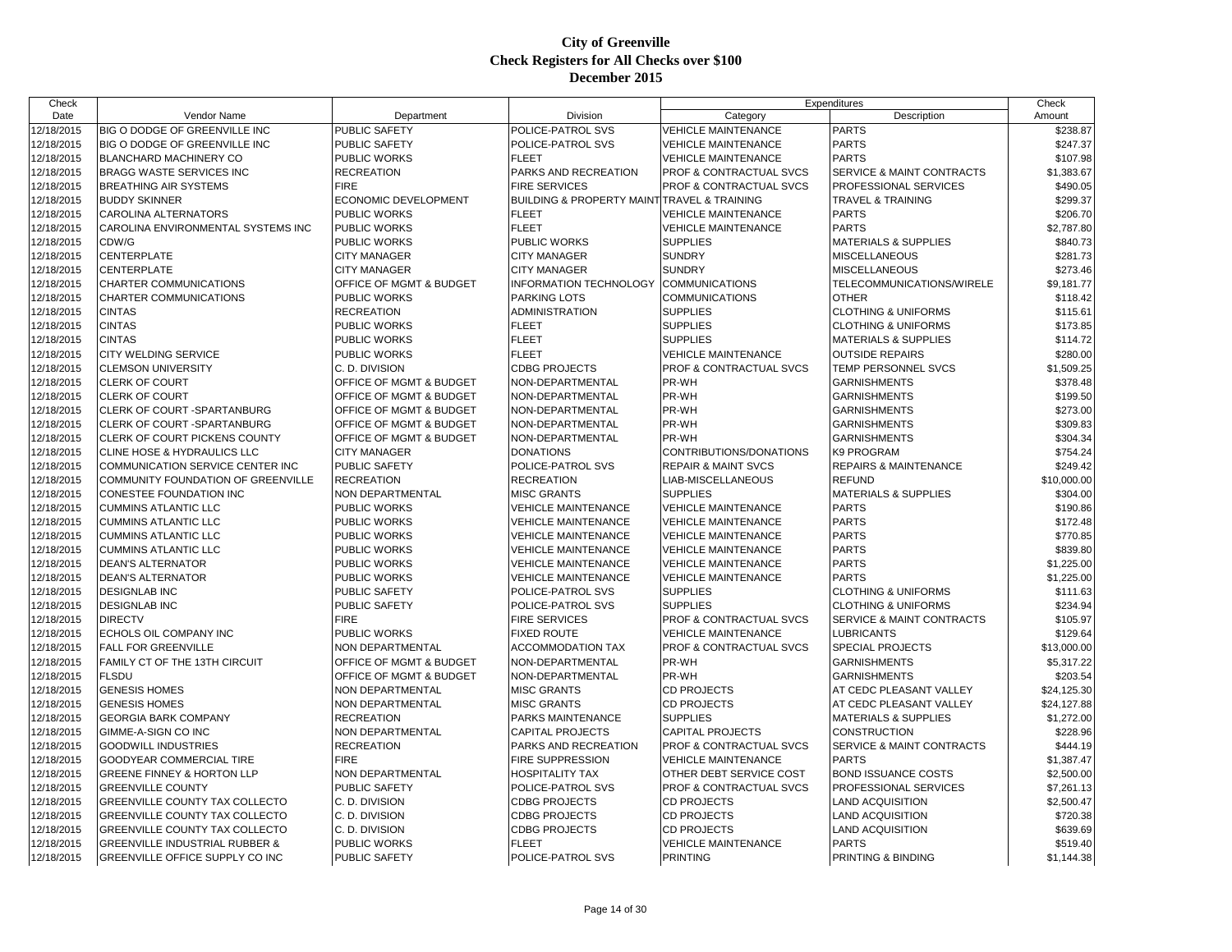| Check      |                                           |                             |                                                            | Expenditures                   |                                  | Check       |
|------------|-------------------------------------------|-----------------------------|------------------------------------------------------------|--------------------------------|----------------------------------|-------------|
| Date       | <b>Vendor Name</b>                        | Department                  | Division                                                   | Category                       | Description                      | Amount      |
| 12/18/2015 | BIG O DODGE OF GREENVILLE INC             | <b>PUBLIC SAFETY</b>        | POLICE-PATROL SVS                                          | <b>VEHICLE MAINTENANCE</b>     | <b>PARTS</b>                     | \$238.87    |
| 12/18/2015 | BIG O DODGE OF GREENVILLE INC             | PUBLIC SAFETY               | POLICE-PATROL SVS                                          | <b>VEHICLE MAINTENANCE</b>     | <b>PARTS</b>                     | \$247.37    |
| 12/18/2015 | <b>BLANCHARD MACHINERY CO</b>             | PUBLIC WORKS                | <b>FLEET</b>                                               | <b>VEHICLE MAINTENANCE</b>     | <b>PARTS</b>                     | \$107.98    |
| 12/18/2015 | <b>BRAGG WASTE SERVICES INC</b>           | <b>RECREATION</b>           | PARKS AND RECREATION                                       | PROF & CONTRACTUAL SVCS        | SERVICE & MAINT CONTRACTS        | \$1,383.67  |
| 12/18/2015 | <b>BREATHING AIR SYSTEMS</b>              | <b>FIRE</b>                 | <b>FIRE SERVICES</b>                                       | PROF & CONTRACTUAL SVCS        | PROFESSIONAL SERVICES            | \$490.05    |
| 12/18/2015 | <b>BUDDY SKINNER</b>                      | <b>ECONOMIC DEVELOPMENT</b> | <b>BUILDING &amp; PROPERTY MAINT TRAVEL &amp; TRAINING</b> |                                | <b>TRAVEL &amp; TRAINING</b>     | \$299.37    |
| 12/18/2015 | <b>CAROLINA ALTERNATORS</b>               | PUBLIC WORKS                | <b>FLEET</b>                                               | <b>VEHICLE MAINTENANCE</b>     | <b>PARTS</b>                     | \$206.70    |
| 12/18/2015 | CAROLINA ENVIRONMENTAL SYSTEMS INC        | <b>PUBLIC WORKS</b>         | <b>FLEET</b>                                               | <b>VEHICLE MAINTENANCE</b>     | <b>PARTS</b>                     | \$2,787.80  |
| 12/18/2015 | CDW/G                                     | <b>PUBLIC WORKS</b>         | <b>PUBLIC WORKS</b>                                        | <b>SUPPLIES</b>                | <b>MATERIALS &amp; SUPPLIES</b>  | \$840.73    |
| 12/18/2015 | <b>CENTERPLATE</b>                        | <b>CITY MANAGER</b>         | <b>CITY MANAGER</b>                                        | <b>SUNDRY</b>                  | <b>MISCELLANEOUS</b>             | \$281.73    |
| 12/18/2015 | <b>CENTERPLATE</b>                        | <b>CITY MANAGER</b>         | <b>CITY MANAGER</b>                                        | <b>SUNDRY</b>                  | <b>MISCELLANEOUS</b>             | \$273.46    |
| 12/18/2015 | CHARTER COMMUNICATIONS                    | OFFICE OF MGMT & BUDGET     | <b>INFORMATION TECHNOLOGY</b>                              | <b>COMMUNICATIONS</b>          | TELECOMMUNICATIONS/WIRELE        | \$9,181.77  |
| 12/18/2015 | CHARTER COMMUNICATIONS                    | PUBLIC WORKS                | PARKING LOTS                                               | <b>COMMUNICATIONS</b>          | <b>OTHER</b>                     | \$118.42    |
| 12/18/2015 | <b>CINTAS</b>                             | <b>RECREATION</b>           | <b>ADMINISTRATION</b>                                      | <b>SUPPLIES</b>                | <b>CLOTHING &amp; UNIFORMS</b>   | \$115.61    |
| 12/18/2015 | <b>CINTAS</b>                             | PUBLIC WORKS                | <b>FLEET</b>                                               | <b>SUPPLIES</b>                | <b>CLOTHING &amp; UNIFORMS</b>   | \$173.85    |
| 12/18/2015 | <b>CINTAS</b>                             | <b>PUBLIC WORKS</b>         | <b>FLEET</b>                                               | <b>SUPPLIES</b>                | <b>MATERIALS &amp; SUPPLIES</b>  | \$114.72    |
| 12/18/2015 | CITY WELDING SERVICE                      | PUBLIC WORKS                | <b>FLEET</b>                                               | <b>VEHICLE MAINTENANCE</b>     | <b>OUTSIDE REPAIRS</b>           | \$280.00    |
| 12/18/2015 | <b>CLEMSON UNIVERSITY</b>                 | C. D. DIVISION              | <b>CDBG PROJECTS</b>                                       | PROF & CONTRACTUAL SVCS        | TEMP PERSONNEL SVCS              | \$1,509.25  |
| 12/18/2015 | <b>CLERK OF COURT</b>                     | OFFICE OF MGMT & BUDGET     | NON-DEPARTMENTAL                                           | PR-WH                          | <b>GARNISHMENTS</b>              | \$378.48    |
| 12/18/2015 | CLERK OF COURT                            | OFFICE OF MGMT & BUDGET     | NON-DEPARTMENTAL                                           | PR-WH                          | <b>GARNISHMENTS</b>              | \$199.50    |
| 12/18/2015 | CLERK OF COURT -SPARTANBURG               | OFFICE OF MGMT & BUDGET     | NON-DEPARTMENTAL                                           | PR-WH                          | <b>GARNISHMENTS</b>              | \$273.00    |
| 12/18/2015 | CLERK OF COURT - SPARTANBURG              | OFFICE OF MGMT & BUDGET     | NON-DEPARTMENTAL                                           | PR-WH                          | <b>GARNISHMENTS</b>              | \$309.83    |
| 12/18/2015 | CLERK OF COURT PICKENS COUNTY             | OFFICE OF MGMT & BUDGET     | NON-DEPARTMENTAL                                           | PR-WH                          | <b>GARNISHMENTS</b>              | \$304.34    |
| 12/18/2015 | CLINE HOSE & HYDRAULICS LLC               | <b>CITY MANAGER</b>         | <b>DONATIONS</b>                                           | CONTRIBUTIONS/DONATIONS        | K9 PROGRAM                       | \$754.24    |
| 12/18/2015 | COMMUNICATION SERVICE CENTER INC          | PUBLIC SAFETY               | POLICE-PATROL SVS                                          | <b>REPAIR &amp; MAINT SVCS</b> | <b>REPAIRS &amp; MAINTENANCE</b> | \$249.42    |
| 12/18/2015 | COMMUNITY FOUNDATION OF GREENVILLE        | <b>RECREATION</b>           | <b>RECREATION</b>                                          | LIAB-MISCELLANEOUS             | <b>REFUND</b>                    | \$10,000.00 |
| 12/18/2015 | CONESTEE FOUNDATION INC                   | NON DEPARTMENTAL            | <b>MISC GRANTS</b>                                         | <b>SUPPLIES</b>                | <b>MATERIALS &amp; SUPPLIES</b>  | \$304.00    |
| 12/18/2015 | <b>CUMMINS ATLANTIC LLC</b>               | PUBLIC WORKS                | <b>VEHICLE MAINTENANCE</b>                                 | <b>VEHICLE MAINTENANCE</b>     | <b>PARTS</b>                     | \$190.86    |
| 12/18/2015 | <b>CUMMINS ATLANTIC LLC</b>               | PUBLIC WORKS                | <b>VEHICLE MAINTENANCE</b>                                 | <b>VEHICLE MAINTENANCE</b>     | <b>PARTS</b>                     | \$172.48    |
| 12/18/2015 | <b>CUMMINS ATLANTIC LLC</b>               | PUBLIC WORKS                | <b>VEHICLE MAINTENANCE</b>                                 | <b>VEHICLE MAINTENANCE</b>     | <b>PARTS</b>                     | \$770.85    |
| 12/18/2015 | <b>CUMMINS ATLANTIC LLC</b>               | <b>PUBLIC WORKS</b>         | <b>VEHICLE MAINTENANCE</b>                                 | <b>VEHICLE MAINTENANCE</b>     | <b>PARTS</b>                     | \$839.80    |
| 12/18/2015 | <b>DEAN'S ALTERNATOR</b>                  | PUBLIC WORKS                | <b>VEHICLE MAINTENANCE</b>                                 | <b>VEHICLE MAINTENANCE</b>     | <b>PARTS</b>                     | \$1,225.00  |
| 12/18/2015 | <b>DEAN'S ALTERNATOR</b>                  | PUBLIC WORKS                | <b>VEHICLE MAINTENANCE</b>                                 | <b>VEHICLE MAINTENANCE</b>     | <b>PARTS</b>                     | \$1,225.00  |
| 12/18/2015 | <b>DESIGNLAB INC</b>                      | PUBLIC SAFETY               | POLICE-PATROL SVS                                          | <b>SUPPLIES</b>                | <b>CLOTHING &amp; UNIFORMS</b>   | \$111.63    |
| 12/18/2015 | <b>DESIGNLAB INC</b>                      | PUBLIC SAFETY               | POLICE-PATROL SVS                                          | <b>SUPPLIES</b>                | <b>CLOTHING &amp; UNIFORMS</b>   | \$234.94    |
| 12/18/2015 | <b>DIRECTV</b>                            | <b>FIRE</b>                 | <b>FIRE SERVICES</b>                                       | PROF & CONTRACTUAL SVCS        | SERVICE & MAINT CONTRACTS        | \$105.97    |
| 12/18/2015 | ECHOLS OIL COMPANY INC                    | PUBLIC WORKS                | <b>FIXED ROUTE</b>                                         | <b>VEHICLE MAINTENANCE</b>     | <b>LUBRICANTS</b>                | \$129.64    |
| 12/18/2015 | <b>FALL FOR GREENVILLE</b>                | <b>NON DEPARTMENTAL</b>     | <b>ACCOMMODATION TAX</b>                                   | PROF & CONTRACTUAL SVCS        | SPECIAL PROJECTS                 | \$13,000.00 |
| 12/18/2015 | FAMILY CT OF THE 13TH CIRCUIT             | OFFICE OF MGMT & BUDGET     | NON-DEPARTMENTAL                                           | PR-WH                          | <b>GARNISHMENTS</b>              | \$5,317.22  |
| 12/18/2015 | <b>FLSDU</b>                              | OFFICE OF MGMT & BUDGET     | NON-DEPARTMENTAL                                           | PR-WH                          | <b>GARNISHMENTS</b>              | \$203.54    |
| 12/18/2015 | <b>GENESIS HOMES</b>                      | NON DEPARTMENTAL            | <b>MISC GRANTS</b>                                         | <b>CD PROJECTS</b>             | AT CEDC PLEASANT VALLEY          | \$24,125.30 |
| 12/18/2015 | <b>GENESIS HOMES</b>                      | NON DEPARTMENTAL            | <b>MISC GRANTS</b>                                         | <b>CD PROJECTS</b>             | AT CEDC PLEASANT VALLEY          | \$24,127.88 |
| 12/18/2015 | <b>GEORGIA BARK COMPANY</b>               | <b>RECREATION</b>           | PARKS MAINTENANCE                                          | <b>SUPPLIES</b>                | <b>MATERIALS &amp; SUPPLIES</b>  | \$1,272.00  |
| 12/18/2015 | GIMME-A-SIGN CO INC                       | NON DEPARTMENTAL            | <b>CAPITAL PROJECTS</b>                                    | <b>CAPITAL PROJECTS</b>        | <b>CONSTRUCTION</b>              | \$228.96    |
| 12/18/2015 | <b>GOODWILL INDUSTRIES</b>                | <b>RECREATION</b>           | PARKS AND RECREATION                                       | PROF & CONTRACTUAL SVCS        | SERVICE & MAINT CONTRACTS        | \$444.19    |
| 12/18/2015 | <b>GOODYEAR COMMERCIAL TIRE</b>           | <b>FIRE</b>                 | FIRE SUPPRESSION                                           | <b>VEHICLE MAINTENANCE</b>     | <b>PARTS</b>                     | \$1,387.47  |
| 12/18/2015 | GREENE FINNEY & HORTON LLP                | <b>NON DEPARTMENTAL</b>     | HOSPITALITY TAX                                            | OTHER DEBT SERVICE COST        | <b>BOND ISSUANCE COSTS</b>       | \$2,500.00  |
| 12/18/2015 | <b>GREENVILLE COUNTY</b>                  | PUBLIC SAFETY               | POLICE-PATROL SVS                                          | PROF & CONTRACTUAL SVCS        | PROFESSIONAL SERVICES            | \$7,261.13  |
| 12/18/2015 | GREENVILLE COUNTY TAX COLLECTO            | C. D. DIVISION              | <b>CDBG PROJECTS</b>                                       | <b>CD PROJECTS</b>             | <b>LAND ACQUISITION</b>          | \$2,500.47  |
| 12/18/2015 | <b>GREENVILLE COUNTY TAX COLLECTO</b>     | C. D. DIVISION              | <b>CDBG PROJECTS</b>                                       | <b>CD PROJECTS</b>             | <b>LAND ACQUISITION</b>          | \$720.38    |
| 12/18/2015 | GREENVILLE COUNTY TAX COLLECTO            | C. D. DIVISION              | <b>CDBG PROJECTS</b>                                       | <b>CD PROJECTS</b>             | <b>LAND ACQUISITION</b>          | \$639.69    |
| 12/18/2015 | <b>GREENVILLE INDUSTRIAL RUBBER &amp;</b> | <b>PUBLIC WORKS</b>         | <b>FLEET</b>                                               | <b>VEHICLE MAINTENANCE</b>     | <b>PARTS</b>                     | \$519.40    |
| 12/18/2015 | GREENVILLE OFFICE SUPPLY CO INC           | PUBLIC SAFETY               | POLICE-PATROL SVS                                          | <b>PRINTING</b>                | PRINTING & BINDING               | \$1,144.38  |
|            |                                           |                             |                                                            |                                |                                  |             |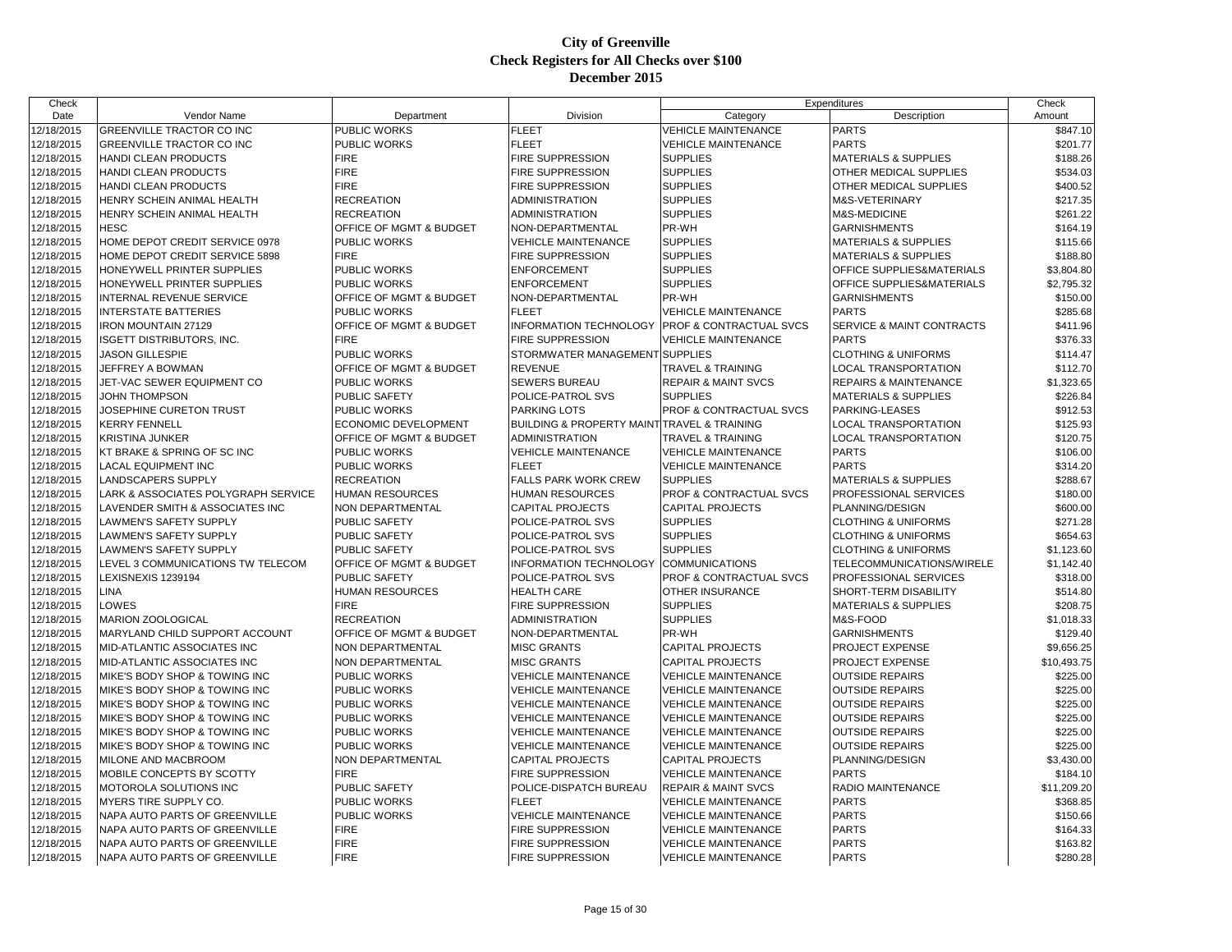| Check                    |                                                           |                                    |                                                |                                | Expenditures                                             | Check       |
|--------------------------|-----------------------------------------------------------|------------------------------------|------------------------------------------------|--------------------------------|----------------------------------------------------------|-------------|
| Date                     | Vendor Name                                               | Department                         | Division                                       | Category                       | Description                                              | Amount      |
| 12/18/2015               | GREENVILLE TRACTOR CO INC                                 | PUBLIC WORKS                       | <b>FLEET</b>                                   | <b>VEHICLE MAINTENANCE</b>     | <b>PARTS</b>                                             | \$847.10    |
| 12/18/2015               | GREENVILLE TRACTOR CO INC                                 | PUBLIC WORKS                       | <b>FLEET</b>                                   | <b>VEHICLE MAINTENANCE</b>     | <b>PARTS</b>                                             | \$201.77    |
| 12/18/2015               | HANDI CLEAN PRODUCTS                                      | <b>FIRE</b>                        | FIRE SUPPRESSION                               | <b>SUPPLIES</b>                | <b>MATERIALS &amp; SUPPLIES</b>                          | \$188.26    |
| 12/18/2015               | HANDI CLEAN PRODUCTS                                      | <b>FIRE</b>                        | FIRE SUPPRESSION                               | <b>SUPPLIES</b>                | OTHER MEDICAL SUPPLIES                                   | \$534.03    |
| 12/18/2015               | HANDI CLEAN PRODUCTS                                      | <b>FIRE</b>                        | <b>FIRE SUPPRESSION</b>                        | <b>SUPPLIES</b>                | OTHER MEDICAL SUPPLIES                                   | \$400.52    |
| 12/18/2015               | HENRY SCHEIN ANIMAL HEALTH                                | <b>RECREATION</b>                  | ADMINISTRATION                                 | <b>SUPPLIES</b>                | M&S-VETERINARY                                           | \$217.35    |
| 12/18/2015               | HENRY SCHEIN ANIMAL HEALTH                                | <b>RECREATION</b>                  | ADMINISTRATION                                 | <b>SUPPLIES</b>                | <b>M&amp;S-MEDICINE</b>                                  | \$261.22    |
| 12/18/2015               | <b>HESC</b>                                               | OFFICE OF MGMT & BUDGET            | NON-DEPARTMENTAL                               | PR-WH                          | <b>GARNISHMENTS</b>                                      | \$164.19    |
| 12/18/2015               | HOME DEPOT CREDIT SERVICE 0978                            | <b>PUBLIC WORKS</b>                | <b>VEHICLE MAINTENANCE</b>                     | <b>SUPPLIES</b>                | <b>MATERIALS &amp; SUPPLIES</b>                          | \$115.66    |
| 12/18/2015               | HOME DEPOT CREDIT SERVICE 5898                            | <b>FIRE</b>                        | <b>FIRE SUPPRESSION</b>                        | <b>SUPPLIES</b>                | <b>MATERIALS &amp; SUPPLIES</b>                          | \$188.80    |
| 12/18/2015               | HONEYWELL PRINTER SUPPLIES                                | PUBLIC WORKS                       | <b>ENFORCEMENT</b>                             | <b>SUPPLIES</b>                | OFFICE SUPPLIES&MATERIALS                                | \$3,804.80  |
| 12/18/2015               | HONEYWELL PRINTER SUPPLIES                                | <b>PUBLIC WORKS</b>                | <b>ENFORCEMENT</b>                             | <b>SUPPLIES</b>                | OFFICE SUPPLIES&MATERIALS                                | \$2,795.32  |
| 12/18/2015               | INTERNAL REVENUE SERVICE                                  | OFFICE OF MGMT & BUDGET            | NON-DEPARTMENTAL                               | PR-WH                          | <b>GARNISHMENTS</b>                                      | \$150.00    |
| 12/18/2015               | <b>INTERSTATE BATTERIES</b>                               | PUBLIC WORKS                       | <b>FLEET</b>                                   | <b>VEHICLE MAINTENANCE</b>     | <b>PARTS</b>                                             | \$285.68    |
| 12/18/2015               | IRON MOUNTAIN 27129                                       | OFFICE OF MGMT & BUDGET            | <b>INFORMATION TECHNOLOGY</b>                  | PROF & CONTRACTUAL SVCS        | SERVICE & MAINT CONTRACTS                                | \$411.96    |
| 12/18/2015               | <b>ISGETT DISTRIBUTORS, INC.</b>                          | <b>FIRE</b>                        | <b>FIRE SUPPRESSION</b>                        | <b>VEHICLE MAINTENANCE</b>     | <b>PARTS</b>                                             | \$376.33    |
| 12/18/2015               | <b>JASON GILLESPIE</b>                                    | PUBLIC WORKS                       | STORMWATER MANAGEMENT SUPPLIES                 |                                | <b>CLOTHING &amp; UNIFORMS</b>                           | \$114.47    |
| 12/18/2015               | JEFFREY A BOWMAN                                          | OFFICE OF MGMT & BUDGET            | <b>REVENUE</b>                                 | TRAVEL & TRAINING              | <b>LOCAL TRANSPORTATION</b>                              | \$112.70    |
| 12/18/2015               | JET-VAC SEWER EQUIPMENT CO                                | <b>PUBLIC WORKS</b>                | <b>SEWERS BUREAU</b>                           | <b>REPAIR &amp; MAINT SVCS</b> | <b>REPAIRS &amp; MAINTENANCE</b>                         | \$1,323.65  |
| 12/18/2015               | <b>JOHN THOMPSON</b>                                      | PUBLIC SAFETY                      | POLICE-PATROL SVS                              | <b>SUPPLIES</b>                | MATERIALS & SUPPLIES                                     | \$226.84    |
| 12/18/2015               | JOSEPHINE CURETON TRUST                                   | PUBLIC WORKS                       | <b>PARKING LOTS</b>                            | PROF & CONTRACTUAL SVCS        | PARKING-LEASES                                           | \$912.53    |
| 12/18/2015               | <b>KERRY FENNELL</b>                                      | ECONOMIC DEVELOPMENT               | BUILDING & PROPERTY MAINT TRAVEL & TRAINING    |                                | LOCAL TRANSPORTATION                                     | \$125.93    |
|                          | KRISTINA JUNKER                                           | OFFICE OF MGMT & BUDGET            | ADMINISTRATION                                 | TRAVEL & TRAINING              | <b>LOCAL TRANSPORTATION</b>                              |             |
| 12/18/2015<br>12/18/2015 |                                                           | PUBLIC WORKS                       | <b>VEHICLE MAINTENANCE</b>                     | <b>VEHICLE MAINTENANCE</b>     | <b>PARTS</b>                                             | \$120.75    |
|                          | KT BRAKE & SPRING OF SC INC<br><b>LACAL EQUIPMENT INC</b> |                                    | FLEET                                          |                                | <b>PARTS</b>                                             | \$106.00    |
| 12/18/2015               |                                                           | PUBLIC WORKS                       |                                                | <b>VEHICLE MAINTENANCE</b>     |                                                          | \$314.20    |
| 12/18/2015               | LANDSCAPERS SUPPLY                                        | <b>RECREATION</b>                  | FALLS PARK WORK CREW<br><b>HUMAN RESOURCES</b> | <b>SUPPLIES</b>                | <b>MATERIALS &amp; SUPPLIES</b><br>PROFESSIONAL SERVICES | \$288.67    |
| 12/18/2015               | LARK & ASSOCIATES POLYGRAPH SERVICE                       | HUMAN RESOURCES                    |                                                | PROF & CONTRACTUAL SVCS        |                                                          | \$180.00    |
| 12/18/2015               | LAVENDER SMITH & ASSOCIATES INC                           | NON DEPARTMENTAL                   | <b>CAPITAL PROJECTS</b>                        | <b>CAPITAL PROJECTS</b>        | PLANNING/DESIGN                                          | \$600.00    |
| 12/18/2015               | LAWMEN'S SAFETY SUPPLY                                    | PUBLIC SAFETY                      | POLICE-PATROL SVS                              | <b>SUPPLIES</b>                | <b>CLOTHING &amp; UNIFORMS</b>                           | \$271.28    |
| 12/18/2015               | LAWMEN'S SAFETY SUPPLY                                    | PUBLIC SAFETY                      | POLICE-PATROL SVS                              | <b>SUPPLIES</b>                | <b>CLOTHING &amp; UNIFORMS</b>                           | \$654.63    |
| 12/18/2015               | <b>LAWMEN'S SAFETY SUPPLY</b>                             | PUBLIC SAFETY                      | POLICE-PATROL SVS                              | <b>SUPPLIES</b>                | <b>CLOTHING &amp; UNIFORMS</b>                           | \$1,123.60  |
| 12/18/2015               | LEVEL 3 COMMUNICATIONS TW TELECOM                         | <b>OFFICE OF MGMT &amp; BUDGET</b> | <b>INFORMATION TECHNOLOGY</b>                  | <b>COMMUNICATIONS</b>          | TELECOMMUNICATIONS/WIRELE                                | \$1,142.40  |
| 12/18/2015               | LEXISNEXIS 1239194                                        | <b>PUBLIC SAFETY</b>               | POLICE-PATROL SVS                              | PROF & CONTRACTUAL SVCS        | PROFESSIONAL SERVICES                                    | \$318.00    |
| 12/18/2015               | LINA                                                      | <b>HUMAN RESOURCES</b>             | <b>HEALTH CARE</b>                             | <b>OTHER INSURANCE</b>         | <b>SHORT-TERM DISABILITY</b>                             | \$514.80    |
| 12/18/2015               | LOWES                                                     | <b>FIRE</b>                        | FIRE SUPPRESSION                               | <b>SUPPLIES</b>                | <b>MATERIALS &amp; SUPPLIES</b>                          | \$208.75    |
| 12/18/2015               | <b>MARION ZOOLOGICAL</b>                                  | <b>RECREATION</b>                  | ADMINISTRATION                                 | <b>SUPPLIES</b>                | M&S-FOOD                                                 | \$1,018.33  |
| 12/18/2015               | MARYLAND CHILD SUPPORT ACCOUNT                            | OFFICE OF MGMT & BUDGET            | NON-DEPARTMENTAL                               | PR-WH                          | <b>GARNISHMENTS</b>                                      | \$129.40    |
| 12/18/2015               | MID-ATLANTIC ASSOCIATES INC                               | NON DEPARTMENTAL                   | <b>MISC GRANTS</b>                             | <b>CAPITAL PROJECTS</b>        | PROJECT EXPENSE                                          | \$9,656.25  |
| 12/18/2015               | MID-ATLANTIC ASSOCIATES INC                               | NON DEPARTMENTAL                   | <b>MISC GRANTS</b>                             | <b>CAPITAL PROJECTS</b>        | <b>PROJECT EXPENSE</b>                                   | \$10,493.75 |
| 12/18/2015               | MIKE'S BODY SHOP & TOWING INC                             | <b>PUBLIC WORKS</b>                | <b>VEHICLE MAINTENANCE</b>                     | <b>VEHICLE MAINTENANCE</b>     | <b>OUTSIDE REPAIRS</b>                                   | \$225.00    |
| 12/18/2015               | MIKE'S BODY SHOP & TOWING INC                             | PUBLIC WORKS                       | <b>VEHICLE MAINTENANCE</b>                     | <b>VEHICLE MAINTENANCE</b>     | <b>OUTSIDE REPAIRS</b>                                   | \$225.00    |
| 12/18/2015               | MIKE'S BODY SHOP & TOWING INC                             | <b>PUBLIC WORKS</b>                | <b>VEHICLE MAINTENANCE</b>                     | <b>VEHICLE MAINTENANCE</b>     | <b>OUTSIDE REPAIRS</b>                                   | \$225.00    |
| 12/18/2015               | MIKE'S BODY SHOP & TOWING INC                             | <b>PUBLIC WORKS</b>                | <b>VEHICLE MAINTENANCE</b>                     | <b>VEHICLE MAINTENANCE</b>     | <b>OUTSIDE REPAIRS</b>                                   | \$225.00    |
| 12/18/2015               | MIKE'S BODY SHOP & TOWING INC                             | PUBLIC WORKS                       | <b>VEHICLE MAINTENANCE</b>                     | <b>VEHICLE MAINTENANCE</b>     | <b>OUTSIDE REPAIRS</b>                                   | \$225.00    |
| 12/18/2015               | MIKE'S BODY SHOP & TOWING INC                             | PUBLIC WORKS                       | <b>VEHICLE MAINTENANCE</b>                     | <b>VEHICLE MAINTENANCE</b>     | <b>OUTSIDE REPAIRS</b>                                   | \$225.00    |
| 12/18/2015               | MILONE AND MACBROOM                                       | NON DEPARTMENTAL                   | <b>CAPITAL PROJECTS</b>                        | <b>CAPITAL PROJECTS</b>        | PLANNING/DESIGN                                          | \$3,430.00  |
| 12/18/2015               | MOBILE CONCEPTS BY SCOTTY                                 | <b>FIRE</b>                        | <b>FIRE SUPPRESSION</b>                        | <b>VEHICLE MAINTENANCE</b>     | <b>PARTS</b>                                             | \$184.10    |
| 12/18/2015               | MOTOROLA SOLUTIONS INC                                    | PUBLIC SAFETY                      | POLICE-DISPATCH BUREAU                         | <b>REPAIR &amp; MAINT SVCS</b> | RADIO MAINTENANCE                                        | \$11,209.20 |
| 12/18/2015               | MYERS TIRE SUPPLY CO.                                     | PUBLIC WORKS                       | <b>FLEET</b>                                   | <b>VEHICLE MAINTENANCE</b>     | <b>PARTS</b>                                             | \$368.85    |
| 12/18/2015               | NAPA AUTO PARTS OF GREENVILLE                             | <b>PUBLIC WORKS</b>                | <b>VEHICLE MAINTENANCE</b>                     | <b>VEHICLE MAINTENANCE</b>     | <b>PARTS</b>                                             | \$150.66    |
| 12/18/2015               | NAPA AUTO PARTS OF GREENVILLE                             | <b>FIRE</b>                        | <b>FIRE SUPPRESSION</b>                        | <b>VEHICLE MAINTENANCE</b>     | <b>PARTS</b>                                             | \$164.33    |
| 12/18/2015               | NAPA AUTO PARTS OF GREENVILLE                             | <b>FIRE</b>                        | FIRE SUPPRESSION                               | <b>VEHICLE MAINTENANCE</b>     | <b>PARTS</b>                                             | \$163.82    |
| 12/18/2015               | NAPA AUTO PARTS OF GREENVILLE                             | <b>FIRE</b>                        | FIRE SUPPRESSION                               | <b>VEHICLE MAINTENANCE</b>     | <b>PARTS</b>                                             | \$280.28    |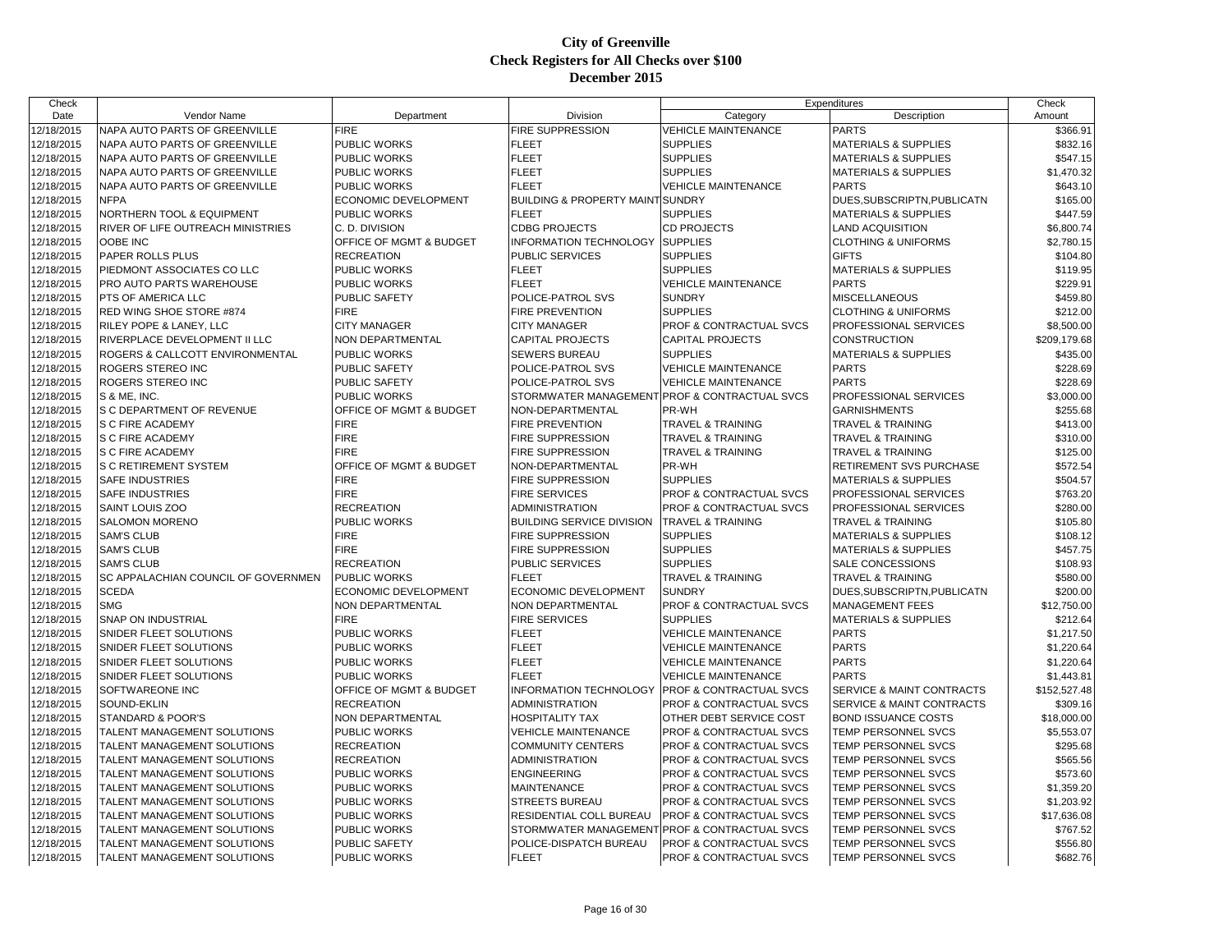| Check                    |                                                     |                         |                                               | Expenditures                       |                                 | Check        |
|--------------------------|-----------------------------------------------------|-------------------------|-----------------------------------------------|------------------------------------|---------------------------------|--------------|
| Date                     | Vendor Name                                         | Department              | Division                                      | Category                           | Description                     | Amount       |
| 12/18/2015               | NAPA AUTO PARTS OF GREENVILLE                       | <b>FIRE</b>             | <b>FIRE SUPPRESSION</b>                       | <b>VEHICLE MAINTENANCE</b>         | <b>PARTS</b>                    | \$366.91     |
| 12/18/2015               | NAPA AUTO PARTS OF GREENVILLE                       | PUBLIC WORKS            | <b>FLEET</b>                                  | <b>SUPPLIES</b>                    | <b>MATERIALS &amp; SUPPLIES</b> | \$832.16     |
| 12/18/2015               | NAPA AUTO PARTS OF GREENVILLE                       | PUBLIC WORKS            | <b>FLEET</b>                                  | <b>SUPPLIES</b>                    | <b>MATERIALS &amp; SUPPLIES</b> | \$547.15     |
| 12/18/2015               | NAPA AUTO PARTS OF GREENVILLE                       | PUBLIC WORKS            | <b>FLEET</b>                                  | <b>SUPPLIES</b>                    | <b>MATERIALS &amp; SUPPLIES</b> | \$1,470.32   |
| 12/18/2015               | NAPA AUTO PARTS OF GREENVILLE                       | PUBLIC WORKS            | <b>FLEET</b>                                  | <b>VEHICLE MAINTENANCE</b>         | <b>PARTS</b>                    | \$643.10     |
| 12/18/2015               | <b>NFPA</b>                                         | ECONOMIC DEVELOPMENT    | <b>BUILDING &amp; PROPERTY MAINT SUNDRY</b>   |                                    | DUES, SUBSCRIPTN, PUBLICATN     | \$165.00     |
| 12/18/2015               | NORTHERN TOOL & EQUIPMENT                           | PUBLIC WORKS            | <b>FLEET</b>                                  | <b>SUPPLIES</b>                    | <b>MATERIALS &amp; SUPPLIES</b> | \$447.59     |
| 12/18/2015               | RIVER OF LIFE OUTREACH MINISTRIES                   | C. D. DIVISION          | <b>CDBG PROJECTS</b>                          | <b>CD PROJECTS</b>                 | <b>LAND ACQUISITION</b>         | \$6,800.74   |
| 12/18/2015               | OOBE INC                                            | OFFICE OF MGMT & BUDGET | INFORMATION TECHNOLOGY SUPPLIES               |                                    | <b>CLOTHING &amp; UNIFORMS</b>  | \$2,780.15   |
| 12/18/2015               | PAPER ROLLS PLUS                                    | <b>RECREATION</b>       | <b>PUBLIC SERVICES</b>                        | <b>SUPPLIES</b>                    | <b>GIFTS</b>                    | \$104.80     |
| 12/18/2015               | PIEDMONT ASSOCIATES CO LLC                          | PUBLIC WORKS            | <b>FLEET</b>                                  | <b>SUPPLIES</b>                    | MATERIALS & SUPPLIES            | \$119.95     |
| 12/18/2015               | PRO AUTO PARTS WAREHOUSE                            | PUBLIC WORKS            | <b>FLEET</b>                                  | <b>VEHICLE MAINTENANCE</b>         | <b>PARTS</b>                    | \$229.91     |
| 12/18/2015               | PTS OF AMERICA LLC                                  | PUBLIC SAFETY           | POLICE-PATROL SVS                             | <b>SUNDRY</b>                      | <b>MISCELLANEOUS</b>            | \$459.80     |
| 12/18/2015               | RED WING SHOE STORE #874                            | <b>FIRE</b>             | <b>FIRE PREVENTION</b>                        | <b>SUPPLIES</b>                    | <b>CLOTHING &amp; UNIFORMS</b>  | \$212.00     |
| 12/18/2015               | RILEY POPE & LANEY, LLC                             | <b>CITY MANAGER</b>     | <b>CITY MANAGER</b>                           | PROF & CONTRACTUAL SVCS            | PROFESSIONAL SERVICES           | \$8,500.00   |
| 12/18/2015               | RIVERPLACE DEVELOPMENT II LLC                       | NON DEPARTMENTAL        | <b>CAPITAL PROJECTS</b>                       | <b>CAPITAL PROJECTS</b>            | CONSTRUCTION                    | \$209,179.68 |
| 12/18/2015               | ROGERS & CALLCOTT ENVIRONMENTAL                     | PUBLIC WORKS            | <b>SEWERS BUREAU</b>                          | <b>SUPPLIES</b>                    | <b>MATERIALS &amp; SUPPLIES</b> | \$435.00     |
| 12/18/2015               | ROGERS STEREO INC                                   | <b>PUBLIC SAFETY</b>    | POLICE-PATROL SVS                             | <b>VEHICLE MAINTENANCE</b>         | <b>PARTS</b>                    | \$228.69     |
| 12/18/2015               | ROGERS STEREO INC                                   | PUBLIC SAFETY           | POLICE-PATROL SVS                             | <b>VEHICLE MAINTENANCE</b>         | <b>PARTS</b>                    | \$228.69     |
| 12/18/2015               | S & ME, INC.                                        | PUBLIC WORKS            | STORMWATER MANAGEMENT PROF & CONTRACTUAL SVCS |                                    | PROFESSIONAL SERVICES           | \$3,000.00   |
| 12/18/2015               | S C DEPARTMENT OF REVENUE                           | OFFICE OF MGMT & BUDGET | NON-DEPARTMENTAL                              | PR-WH                              | <b>GARNISHMENTS</b>             | \$255.68     |
| 12/18/2015               | S C FIRE ACADEMY                                    | <b>FIRE</b>             | <b>FIRE PREVENTION</b>                        | TRAVEL & TRAINING                  | TRAVEL & TRAINING               | \$413.00     |
| 12/18/2015               | S C FIRE ACADEMY                                    | <b>FIRE</b>             | <b>FIRE SUPPRESSION</b>                       | <b>TRAVEL &amp; TRAINING</b>       | TRAVEL & TRAINING               | \$310.00     |
| 12/18/2015               | S C FIRE ACADEMY                                    | <b>FIRE</b>             | <b>FIRE SUPPRESSION</b>                       | <b>TRAVEL &amp; TRAINING</b>       | <b>TRAVEL &amp; TRAINING</b>    | \$125.00     |
| 12/18/2015               | <b>S C RETIREMENT SYSTEM</b>                        | OFFICE OF MGMT & BUDGET | NON-DEPARTMENTAL                              | PR-WH                              | RETIREMENT SVS PURCHASE         | \$572.54     |
| 12/18/2015               | <b>SAFE INDUSTRIES</b>                              | <b>FIRE</b>             | <b>FIRE SUPPRESSION</b>                       | <b>SUPPLIES</b>                    | <b>MATERIALS &amp; SUPPLIES</b> | \$504.57     |
| 12/18/2015               | <b>SAFE INDUSTRIES</b>                              | <b>FIRE</b>             | <b>FIRE SERVICES</b>                          | PROF & CONTRACTUAL SVCS            | PROFESSIONAL SERVICES           | \$763.20     |
| 12/18/2015               | SAINT LOUIS ZOO                                     | <b>RECREATION</b>       | <b>ADMINISTRATION</b>                         | PROF & CONTRACTUAL SVCS            | PROFESSIONAL SERVICES           | \$280.00     |
| 12/18/2015               | <b>SALOMON MORENO</b>                               | PUBLIC WORKS            | <b>BUILDING SERVICE DIVISION</b>              | <b>TRAVEL &amp; TRAINING</b>       | <b>TRAVEL &amp; TRAINING</b>    | \$105.80     |
|                          | <b>SAM'S CLUB</b>                                   | <b>FIRE</b>             | <b>FIRE SUPPRESSION</b>                       | <b>SUPPLIES</b>                    | <b>MATERIALS &amp; SUPPLIES</b> |              |
| 12/18/2015<br>12/18/2015 | <b>SAM'S CLUB</b>                                   | <b>FIRE</b>             | <b>FIRE SUPPRESSION</b>                       | <b>SUPPLIES</b>                    | <b>MATERIALS &amp; SUPPLIES</b> | \$108.12     |
| 12/18/2015               | <b>SAM'S CLUB</b>                                   | <b>RECREATION</b>       | <b>PUBLIC SERVICES</b>                        | <b>SUPPLIES</b>                    | <b>SALE CONCESSIONS</b>         | \$457.75     |
|                          |                                                     |                         | <b>FLEET</b>                                  |                                    |                                 | \$108.93     |
| 12/18/2015               | SC APPALACHIAN COUNCIL OF GOVERNMEN<br><b>SCEDA</b> | PUBLIC WORKS            |                                               | TRAVEL & TRAINING                  | TRAVEL & TRAINING               | \$580.00     |
| 12/18/2015               |                                                     | ECONOMIC DEVELOPMENT    | ECONOMIC DEVELOPMENT                          | <b>SUNDRY</b>                      | DUES, SUBSCRIPTN, PUBLICATN     | \$200.00     |
| 12/18/2015               | <b>SMG</b>                                          | NON DEPARTMENTAL        | <b>NON DEPARTMENTAL</b>                       | PROF & CONTRACTUAL SVCS            | <b>MANAGEMENT FEES</b>          | \$12,750.00  |
| 12/18/2015               | <b>SNAP ON INDUSTRIAL</b>                           | <b>FIRE</b>             | <b>FIRE SERVICES</b>                          | <b>SUPPLIES</b>                    | <b>MATERIALS &amp; SUPPLIES</b> | \$212.64     |
| 12/18/2015               | SNIDER FLEET SOLUTIONS                              | PUBLIC WORKS            | <b>FLEET</b>                                  | <b>VEHICLE MAINTENANCE</b>         | <b>PARTS</b>                    | \$1,217.50   |
| 12/18/2015               | SNIDER FLEET SOLUTIONS                              | PUBLIC WORKS            | <b>FLEET</b>                                  | VEHICLE MAINTENANCE                | <b>PARTS</b>                    | \$1,220.64   |
| 12/18/2015               | SNIDER FLEET SOLUTIONS                              | PUBLIC WORKS            | <b>FLEET</b>                                  | <b>VEHICLE MAINTENANCE</b>         | <b>PARTS</b>                    | \$1,220.64   |
| 12/18/2015               | SNIDER FLEET SOLUTIONS                              | PUBLIC WORKS            | <b>FLEET</b>                                  | <b>VEHICLE MAINTENANCE</b>         | <b>PARTS</b>                    | \$1,443.81   |
| 12/18/2015               | SOFTWAREONE INC                                     | OFFICE OF MGMT & BUDGET | INFORMATION TECHNOLOGY                        | <b>PROF &amp; CONTRACTUAL SVCS</b> | SERVICE & MAINT CONTRACTS       | \$152,527.48 |
| 12/18/2015               | SOUND-EKLIN                                         | <b>RECREATION</b>       | <b>ADMINISTRATION</b>                         | PROF & CONTRACTUAL SVCS            | SERVICE & MAINT CONTRACTS       | \$309.16     |
| 12/18/2015               | STANDARD & POOR'S                                   | <b>NON DEPARTMENTAL</b> | <b>HOSPITALITY TAX</b>                        | OTHER DEBT SERVICE COST            | <b>BOND ISSUANCE COSTS</b>      | \$18,000.00  |
| 12/18/2015               | TALENT MANAGEMENT SOLUTIONS                         | PUBLIC WORKS            | <b>VEHICLE MAINTENANCE</b>                    | PROF & CONTRACTUAL SVCS            | TEMP PERSONNEL SVCS             | \$5,553.07   |
| 12/18/2015               | TALENT MANAGEMENT SOLUTIONS                         | <b>RECREATION</b>       | <b>COMMUNITY CENTERS</b>                      | <b>PROF &amp; CONTRACTUAL SVCS</b> | TEMP PERSONNEL SVCS             | \$295.68     |
| 12/18/2015               | TALENT MANAGEMENT SOLUTIONS                         | <b>RECREATION</b>       | <b>ADMINISTRATION</b>                         | PROF & CONTRACTUAL SVCS            | TEMP PERSONNEL SVCS             | \$565.56     |
| 12/18/2015               | TALENT MANAGEMENT SOLUTIONS                         | PUBLIC WORKS            | <b>ENGINEERING</b>                            | PROF & CONTRACTUAL SVCS            | TEMP PERSONNEL SVCS             | \$573.60     |
| 12/18/2015               | TALENT MANAGEMENT SOLUTIONS                         | PUBLIC WORKS            | <b>MAINTENANCE</b>                            | PROF & CONTRACTUAL SVCS            | TEMP PERSONNEL SVCS             | \$1,359.20   |
| 12/18/2015               | TALENT MANAGEMENT SOLUTIONS                         | PUBLIC WORKS            | <b>STREETS BUREAU</b>                         | PROF & CONTRACTUAL SVCS            | TEMP PERSONNEL SVCS             | \$1,203.92   |
| 12/18/2015               | TALENT MANAGEMENT SOLUTIONS                         | PUBLIC WORKS            | RESIDENTIAL COLL BUREAU                       | PROF & CONTRACTUAL SVCS            | TEMP PERSONNEL SVCS             | \$17,636.08  |
| 12/18/2015               | TALENT MANAGEMENT SOLUTIONS                         | PUBLIC WORKS            | STORMWATER MANAGEMENT PROF & CONTRACTUAL SVCS |                                    | TEMP PERSONNEL SVCS             | \$767.52     |
| 12/18/2015               | TALENT MANAGEMENT SOLUTIONS                         | PUBLIC SAFETY           | POLICE-DISPATCH BUREAU                        | <b>PROF &amp; CONTRACTUAL SVCS</b> | TEMP PERSONNEL SVCS             | \$556.80     |
| 12/18/2015               | TALENT MANAGEMENT SOLUTIONS                         | PUBLIC WORKS            | <b>FLEET</b>                                  | <b>PROF &amp; CONTRACTUAL SVCS</b> | TEMP PERSONNEL SVCS             | \$682.76     |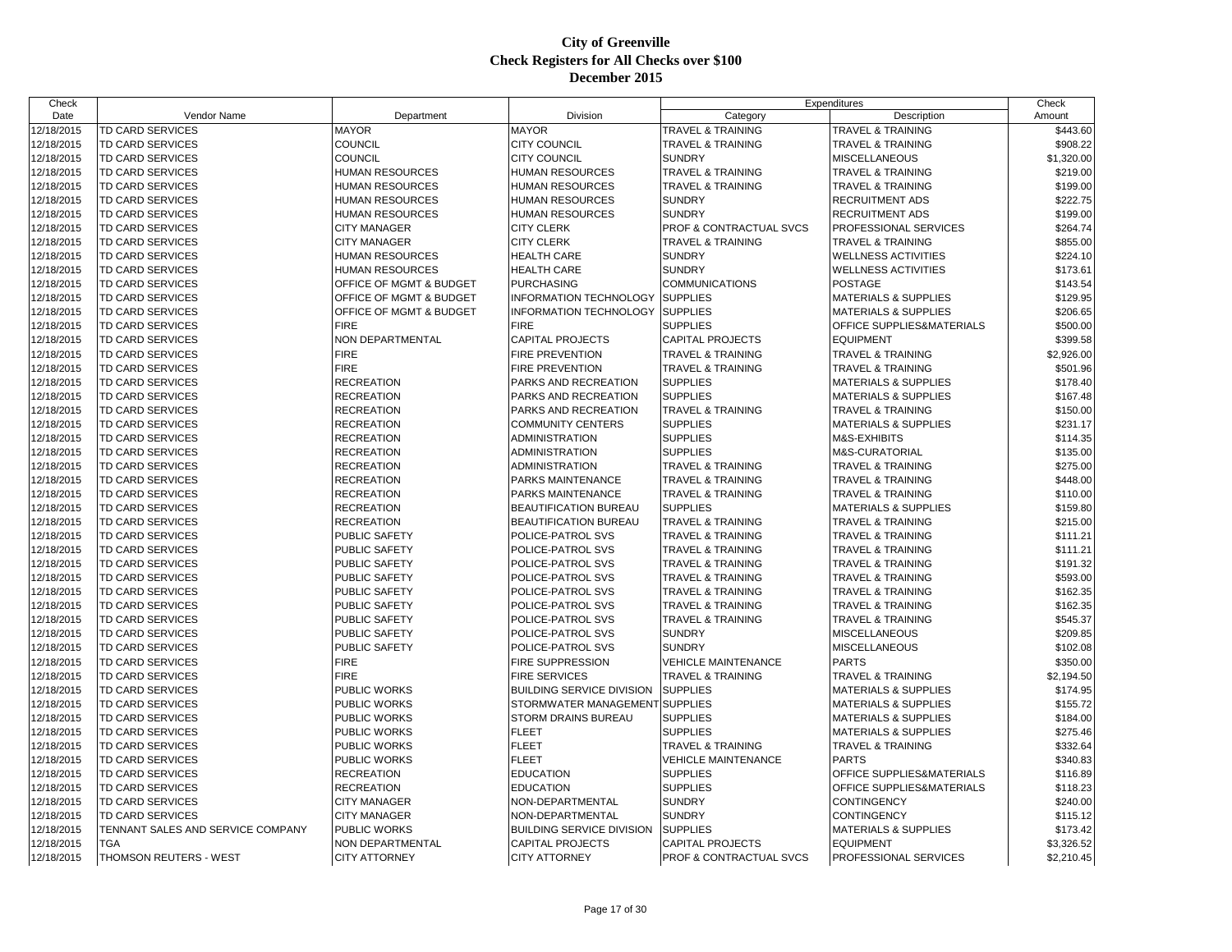| Check                    |                                   |                                     |                                  |                                    | Expenditures                         | Check      |
|--------------------------|-----------------------------------|-------------------------------------|----------------------------------|------------------------------------|--------------------------------------|------------|
| Date                     | Vendor Name                       | Department                          | Division                         | Category                           | Description                          | Amount     |
| 12/18/2015               | <b>TD CARD SERVICES</b>           | <b>MAYOR</b>                        | <b>MAYOR</b>                     | <b>TRAVEL &amp; TRAINING</b>       | <b>TRAVEL &amp; TRAINING</b>         | \$443.60   |
| 12/18/2015               | <b>TD CARD SERVICES</b>           | COUNCIL                             | CITY COUNCIL                     | <b>TRAVEL &amp; TRAINING</b>       | <b>TRAVEL &amp; TRAINING</b>         | \$908.22   |
| 12/18/2015               | <b>TD CARD SERVICES</b>           | COUNCIL                             | CITY COUNCIL                     | <b>SUNDRY</b>                      | <b>MISCELLANEOUS</b>                 | \$1,320.00 |
| 12/18/2015               | <b>TD CARD SERVICES</b>           | <b>HUMAN RESOURCES</b>              | <b>HUMAN RESOURCES</b>           | <b>TRAVEL &amp; TRAINING</b>       | <b>TRAVEL &amp; TRAINING</b>         | \$219.00   |
| 12/18/2015               | <b>TD CARD SERVICES</b>           | <b>HUMAN RESOURCES</b>              | <b>HUMAN RESOURCES</b>           | <b>TRAVEL &amp; TRAINING</b>       | <b>TRAVEL &amp; TRAINING</b>         | \$199.00   |
| 12/18/2015               | <b>TD CARD SERVICES</b>           | <b>HUMAN RESOURCES</b>              | <b>HUMAN RESOURCES</b>           | <b>SUNDRY</b>                      | <b>RECRUITMENT ADS</b>               | \$222.75   |
| 12/18/2015               | TD CARD SERVICES                  | <b>HUMAN RESOURCES</b>              | <b>HUMAN RESOURCES</b>           | <b>SUNDRY</b>                      | <b>RECRUITMENT ADS</b>               | \$199.00   |
| 12/18/2015               | TD CARD SERVICES                  | <b>CITY MANAGER</b>                 | <b>CITY CLERK</b>                | PROF & CONTRACTUAL SVCS            | PROFESSIONAL SERVICES                | \$264.74   |
| 12/18/2015               | <b>TD CARD SERVICES</b>           | <b>CITY MANAGER</b>                 | <b>CITY CLERK</b>                | <b>TRAVEL &amp; TRAINING</b>       | <b>TRAVEL &amp; TRAINING</b>         | \$855.00   |
| 12/18/2015               | TD CARD SERVICES                  | <b>HUMAN RESOURCES</b>              | <b>HEALTH CARE</b>               | <b>SUNDRY</b>                      | <b>WELLNESS ACTIVITIES</b>           | \$224.10   |
| 12/18/2015               | TD CARD SERVICES                  | <b>HUMAN RESOURCES</b>              | <b>HEALTH CARE</b>               | <b>SUNDRY</b>                      | <b>WELLNESS ACTIVITIES</b>           | \$173.61   |
| 12/18/2015               | <b>TD CARD SERVICES</b>           | OFFICE OF MGMT & BUDGET             | <b>PURCHASING</b>                | <b>COMMUNICATIONS</b>              | <b>POSTAGE</b>                       | \$143.54   |
| 12/18/2015               | <b>TD CARD SERVICES</b>           | OFFICE OF MGMT & BUDGET             | <b>INFORMATION TECHNOLOGY</b>    | <b>SUPPLIES</b>                    | <b>MATERIALS &amp; SUPPLIES</b>      | \$129.95   |
| 12/18/2015               | <b>TD CARD SERVICES</b>           | OFFICE OF MGMT & BUDGET             | <b>INFORMATION TECHNOLOGY</b>    | <b>SUPPLIES</b>                    | <b>MATERIALS &amp; SUPPLIES</b>      | \$206.65   |
| 12/18/2015               | TD CARD SERVICES                  | <b>FIRE</b>                         | <b>FIRE</b>                      | <b>SUPPLIES</b>                    | OFFICE SUPPLIES&MATERIALS            | \$500.00   |
| 12/18/2015               | TD CARD SERVICES                  | NON DEPARTMENTAL                    | CAPITAL PROJECTS                 | <b>CAPITAL PROJECTS</b>            | <b>EQUIPMENT</b>                     | \$399.58   |
| 12/18/2015               | TD CARD SERVICES                  | <b>FIRE</b>                         | FIRE PREVENTION                  | <b>TRAVEL &amp; TRAINING</b>       | <b>TRAVEL &amp; TRAINING</b>         | \$2,926.00 |
| 12/18/2015               | <b>TD CARD SERVICES</b>           | <b>FIRE</b>                         | <b>FIRE PREVENTION</b>           | <b>TRAVEL &amp; TRAINING</b>       | <b>TRAVEL &amp; TRAINING</b>         | \$501.96   |
| 12/18/2015               | TD CARD SERVICES                  | <b>RECREATION</b>                   | PARKS AND RECREATION             | <b>SUPPLIES</b>                    | <b>MATERIALS &amp; SUPPLIES</b>      | \$178.40   |
| 12/18/2015               | <b>TD CARD SERVICES</b>           | <b>RECREATION</b>                   | PARKS AND RECREATION             | <b>SUPPLIES</b>                    | <b>MATERIALS &amp; SUPPLIES</b>      | \$167.48   |
| 12/18/2015               | <b>TD CARD SERVICES</b>           | <b>RECREATION</b>                   | PARKS AND RECREATION             | <b>TRAVEL &amp; TRAINING</b>       | TRAVEL & TRAINING                    | \$150.00   |
| 12/18/2015               | TD CARD SERVICES                  | <b>RECREATION</b>                   | <b>COMMUNITY CENTERS</b>         | <b>SUPPLIES</b>                    | MATERIALS & SUPPLIES                 | \$231.17   |
| 12/18/2015               | TD CARD SERVICES                  | <b>RECREATION</b>                   | <b>ADMINISTRATION</b>            | <b>SUPPLIES</b>                    | M&S-EXHIBITS                         | \$114.35   |
| 12/18/2015               | TD CARD SERVICES                  | <b>RECREATION</b>                   | ADMINISTRATION                   | <b>SUPPLIES</b>                    | M&S-CURATORIAL                       | \$135.00   |
| 12/18/2015               | <b>TD CARD SERVICES</b>           | <b>RECREATION</b>                   | <b>ADMINISTRATION</b>            | <b>TRAVEL &amp; TRAINING</b>       | <b>TRAVEL &amp; TRAINING</b>         | \$275.00   |
| 12/18/2015               | <b>TD CARD SERVICES</b>           | <b>RECREATION</b>                   | PARKS MAINTENANCE                | <b>TRAVEL &amp; TRAINING</b>       | <b>TRAVEL &amp; TRAINING</b>         | \$448.00   |
| 12/18/2015               | <b>TD CARD SERVICES</b>           | <b>RECREATION</b>                   | PARKS MAINTENANCE                | <b>TRAVEL &amp; TRAINING</b>       | <b>TRAVEL &amp; TRAINING</b>         | \$110.00   |
| 12/18/2015               | TD CARD SERVICES                  | <b>RECREATION</b>                   | BEAUTIFICATION BUREAU            | <b>SUPPLIES</b>                    | <b>MATERIALS &amp; SUPPLIES</b>      | \$159.80   |
| 12/18/2015               | TD CARD SERVICES                  | <b>RECREATION</b>                   | BEAUTIFICATION BUREAU            | TRAVEL & TRAINING                  | <b>TRAVEL &amp; TRAINING</b>         | \$215.00   |
| 12/18/2015               | TD CARD SERVICES                  | PUBLIC SAFETY                       | POLICE-PATROL SVS                | <b>TRAVEL &amp; TRAINING</b>       | <b>TRAVEL &amp; TRAINING</b>         | \$111.21   |
| 12/18/2015               | <b>TD CARD SERVICES</b>           | PUBLIC SAFETY                       | POLICE-PATROL SVS                | <b>TRAVEL &amp; TRAINING</b>       | TRAVEL & TRAINING                    | \$111.21   |
| 12/18/2015               | <b>TD CARD SERVICES</b>           | PUBLIC SAFETY                       | POLICE-PATROL SVS                | <b>TRAVEL &amp; TRAINING</b>       | <b>TRAVEL &amp; TRAINING</b>         | \$191.32   |
| 12/18/2015               | <b>TD CARD SERVICES</b>           | <b>PUBLIC SAFETY</b>                | POLICE-PATROL SVS                | <b>TRAVEL &amp; TRAINING</b>       | <b>TRAVEL &amp; TRAINING</b>         | \$593.00   |
| 12/18/2015               | <b>TD CARD SERVICES</b>           | PUBLIC SAFETY                       | POLICE-PATROL SVS                | <b>TRAVEL &amp; TRAINING</b>       | <b>TRAVEL &amp; TRAINING</b>         | \$162.35   |
| 12/18/2015               | TD CARD SERVICES                  | PUBLIC SAFETY                       | POLICE-PATROL SVS                | <b>TRAVEL &amp; TRAINING</b>       | TRAVEL & TRAINING                    | \$162.35   |
| 12/18/2015               |                                   | PUBLIC SAFETY                       | POLICE-PATROL SVS                |                                    | <b>TRAVEL &amp; TRAINING</b>         | \$545.37   |
|                          | TD CARD SERVICES                  | PUBLIC SAFETY                       |                                  | TRAVEL & TRAINING<br><b>SUNDRY</b> | <b>MISCELLANEOUS</b>                 | \$209.85   |
| 12/18/2015<br>12/18/2015 | TD CARD SERVICES                  |                                     | POLICE-PATROL SVS                | <b>SUNDRY</b>                      |                                      | \$102.08   |
|                          | TD CARD SERVICES                  | <b>PUBLIC SAFETY</b><br><b>FIRE</b> | POLICE-PATROL SVS                |                                    | <b>MISCELLANEOUS</b><br><b>PARTS</b> |            |
| 12/18/2015               | <b>TD CARD SERVICES</b>           | <b>FIRE</b>                         | <b>FIRE SUPPRESSION</b>          | <b>VEHICLE MAINTENANCE</b>         |                                      | \$350.00   |
| 12/18/2015               | <b>TD CARD SERVICES</b>           |                                     | <b>FIRE SERVICES</b>             | <b>TRAVEL &amp; TRAINING</b>       | <b>TRAVEL &amp; TRAINING</b>         | \$2,194.50 |
| 12/18/2015               | TD CARD SERVICES                  | <b>PUBLIC WORKS</b>                 | <b>BUILDING SERVICE DIVISION</b> | <b>SUPPLIES</b>                    | <b>MATERIALS &amp; SUPPLIES</b>      | \$174.95   |
| 12/18/2015               | TD CARD SERVICES                  | PUBLIC WORKS                        | STORMWATER MANAGEMENT SUPPLIES   |                                    | <b>MATERIALS &amp; SUPPLIES</b>      | \$155.72   |
| 12/18/2015               | TD CARD SERVICES                  | PUBLIC WORKS                        | <b>STORM DRAINS BUREAU</b>       | <b>SUPPLIES</b>                    | <b>MATERIALS &amp; SUPPLIES</b>      | \$184.00   |
| 12/18/2015               | <b>TD CARD SERVICES</b>           | PUBLIC WORKS                        | <b>FLEET</b>                     | <b>SUPPLIES</b>                    | <b>MATERIALS &amp; SUPPLIES</b>      | \$275.46   |
| 12/18/2015               | TD CARD SERVICES                  | PUBLIC WORKS                        | <b>FLEET</b>                     | <b>TRAVEL &amp; TRAINING</b>       | <b>TRAVEL &amp; TRAINING</b>         | \$332.64   |
| 12/18/2015               | <b>TD CARD SERVICES</b>           | PUBLIC WORKS                        | <b>FLEET</b>                     | <b>VEHICLE MAINTENANCE</b>         | <b>PARTS</b>                         | \$340.83   |
| 12/18/2015               | <b>TD CARD SERVICES</b>           | <b>RECREATION</b>                   | <b>EDUCATION</b>                 | <b>SUPPLIES</b>                    | OFFICE SUPPLIES&MATERIALS            | \$116.89   |
| 12/18/2015               | TD CARD SERVICES                  | <b>RECREATION</b>                   | <b>EDUCATION</b>                 | <b>SUPPLIES</b>                    | OFFICE SUPPLIES&MATERIALS            | \$118.23   |
| 12/18/2015               | TD CARD SERVICES                  | <b>CITY MANAGER</b>                 | NON-DEPARTMENTAL                 | <b>SUNDRY</b>                      | <b>CONTINGENCY</b>                   | \$240.00   |
| 12/18/2015               | TD CARD SERVICES                  | <b>CITY MANAGER</b>                 | NON-DEPARTMENTAL                 | <b>SUNDRY</b>                      | <b>CONTINGENCY</b>                   | \$115.12   |
| 12/18/2015               | TENNANT SALES AND SERVICE COMPANY | PUBLIC WORKS                        | <b>BUILDING SERVICE DIVISION</b> | <b>SUPPLIES</b>                    | <b>MATERIALS &amp; SUPPLIES</b>      | \$173.42   |
| 12/18/2015               | <b>TGA</b>                        | NON DEPARTMENTAL                    | <b>CAPITAL PROJECTS</b>          | <b>CAPITAL PROJECTS</b>            | <b>EQUIPMENT</b>                     | \$3,326.52 |
| 12/18/2015               | THOMSON REUTERS - WEST            | <b>CITY ATTORNEY</b>                | <b>CITY ATTORNEY</b>             | PROF & CONTRACTUAL SVCS            | <b>PROFESSIONAL SERVICES</b>         | \$2,210.45 |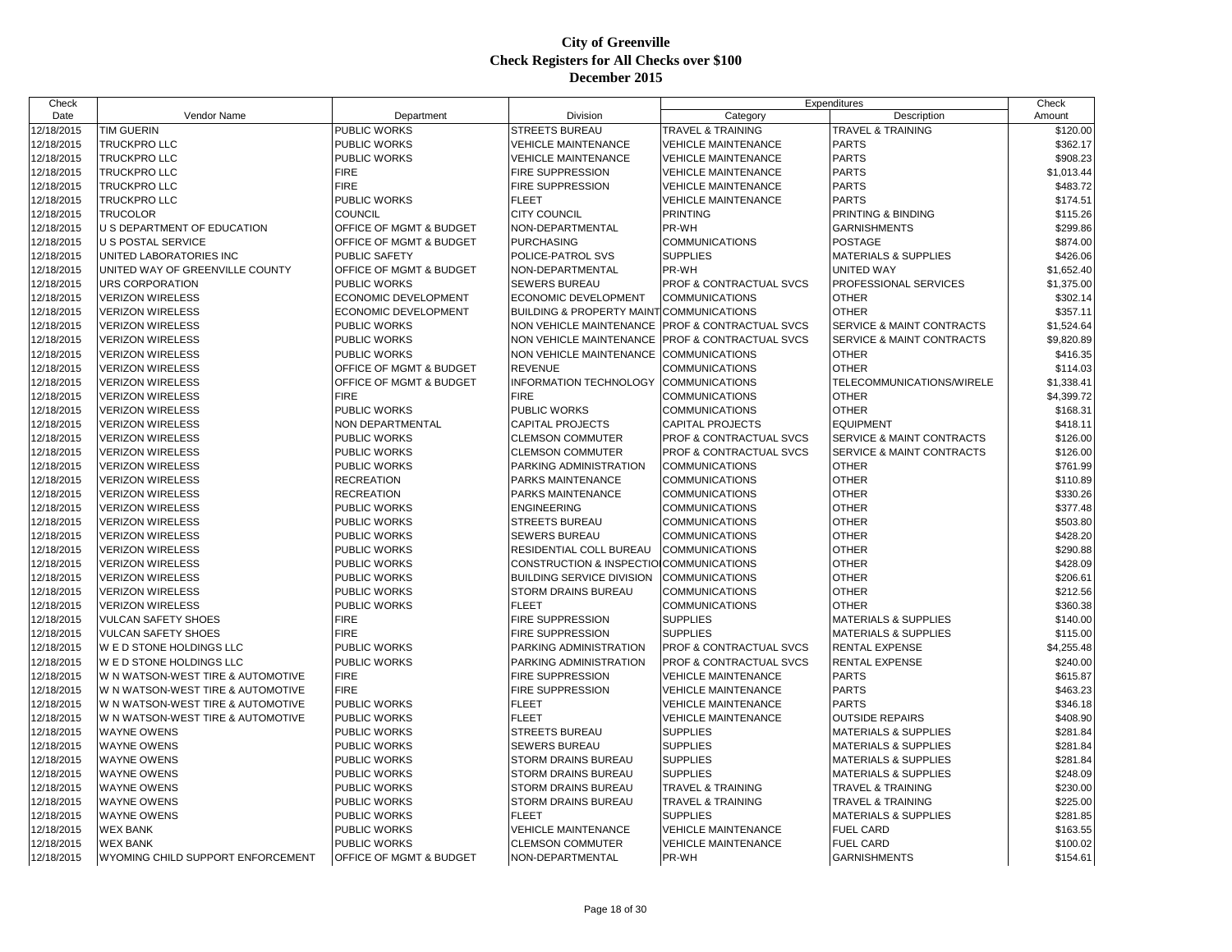| Check      |                                   |                             |                                          |                                    | Expenditures                         | Check                  |
|------------|-----------------------------------|-----------------------------|------------------------------------------|------------------------------------|--------------------------------------|------------------------|
| Date       | Vendor Name                       | Department                  | Division                                 | Category                           | Description                          | Amount                 |
| 12/18/2015 | <b>TIM GUERIN</b>                 | PUBLIC WORKS                | <b>STREETS BUREAU</b>                    | <b>TRAVEL &amp; TRAINING</b>       | <b>TRAVEL &amp; TRAINING</b>         | \$120.00               |
| 12/18/2015 | <b>TRUCKPRO LLC</b>               | PUBLIC WORKS                | <b>VEHICLE MAINTENANCE</b>               | VEHICLE MAINTENANCE                | <b>PARTS</b>                         | \$362.17               |
| 12/18/2015 | <b>TRUCKPRO LLC</b>               | PUBLIC WORKS                | <b>VEHICLE MAINTENANCE</b>               | <b>VEHICLE MAINTENANCE</b>         | <b>PARTS</b>                         | \$908.23               |
| 12/18/2015 | <b>TRUCKPRO LLC</b>               | <b>FIRE</b>                 | <b>FIRE SUPPRESSION</b>                  | <b>VEHICLE MAINTENANCE</b>         | <b>PARTS</b>                         | \$1,013.44             |
| 12/18/2015 | <b>TRUCKPRO LLC</b>               | <b>FIRE</b>                 | FIRE SUPPRESSION                         | <b>VEHICLE MAINTENANCE</b>         | <b>PARTS</b>                         | \$483.72               |
| 12/18/2015 | <b>TRUCKPRO LLC</b>               | PUBLIC WORKS                | <b>FLEET</b>                             | <b>VEHICLE MAINTENANCE</b>         | <b>PARTS</b>                         | \$174.51               |
| 12/18/2015 | <b>TRUCOLOR</b>                   | COUNCIL                     | <b>CITY COUNCIL</b>                      | <b>PRINTING</b>                    | PRINTING & BINDING                   | \$115.26               |
| 12/18/2015 | U S DEPARTMENT OF EDUCATION       | OFFICE OF MGMT & BUDGET     | NON-DEPARTMENTAL                         | PR-WH                              | <b>GARNISHMENTS</b>                  | \$299.86               |
| 12/18/2015 | <b>U S POSTAL SERVICE</b>         | OFFICE OF MGMT & BUDGET     | <b>PURCHASING</b>                        | <b>COMMUNICATIONS</b>              | <b>POSTAGE</b>                       | \$874.00               |
| 12/18/2015 | UNITED LABORATORIES INC           | <b>PUBLIC SAFETY</b>        | POLICE-PATROL SVS                        | <b>SUPPLIES</b>                    | <b>MATERIALS &amp; SUPPLIES</b>      | \$426.06               |
| 12/18/2015 | UNITED WAY OF GREENVILLE COUNTY   | OFFICE OF MGMT & BUDGET     | NON-DEPARTMENTAL                         | PR-WH                              | <b>UNITED WAY</b>                    | \$1,652.40             |
| 12/18/2015 | URS CORPORATION                   | <b>PUBLIC WORKS</b>         | <b>SEWERS BUREAU</b>                     | PROF & CONTRACTUAL SVCS            | PROFESSIONAL SERVICES                | \$1,375.00             |
| 12/18/2015 | <b>VERIZON WIRELESS</b>           | ECONOMIC DEVELOPMENT        | ECONOMIC DEVELOPMENT                     | <b>COMMUNICATIONS</b>              | <b>OTHER</b>                         | \$302.14               |
| 12/18/2015 | <b>VERIZON WIRELESS</b>           | <b>ECONOMIC DEVELOPMENT</b> | BUILDING & PROPERTY MAINT COMMUNICATIONS |                                    | <b>OTHER</b>                         | \$357.11               |
| 12/18/2015 | <b>VERIZON WIRELESS</b>           | <b>PUBLIC WORKS</b>         | <b>NON VEHICLE MAINTENANCE</b>           | <b>PROF &amp; CONTRACTUAL SVCS</b> | <b>SERVICE &amp; MAINT CONTRACTS</b> | \$1,524.64             |
| 12/18/2015 | <b>VERIZON WIRELESS</b>           | PUBLIC WORKS                | NON VEHICLE MAINTENANCE                  | PROF & CONTRACTUAL SVCS            | SERVICE & MAINT CONTRACTS            | \$9,820.89             |
| 12/18/2015 | <b>VERIZON WIRELESS</b>           | PUBLIC WORKS                | NON VEHICLE MAINTENANCE                  | <b>COMMUNICATIONS</b>              | <b>OTHER</b>                         | \$416.35               |
| 12/18/2015 | <b>VERIZON WIRELESS</b>           | OFFICE OF MGMT & BUDGET     | <b>REVENUE</b>                           | COMMUNICATIONS                     | <b>OTHER</b>                         | \$114.03               |
| 12/18/2015 | <b>VERIZON WIRELESS</b>           | OFFICE OF MGMT & BUDGET     | INFORMATION TECHNOLOGY                   | <b>COMMUNICATIONS</b>              | TELECOMMUNICATIONS/WIRELE            | \$1,338.41             |
| 12/18/2015 | <b>VERIZON WIRELESS</b>           | <b>FIRE</b>                 | <b>FIRE</b>                              | <b>COMMUNICATIONS</b>              | <b>OTHER</b>                         | \$4,399.72             |
| 12/18/2015 | <b>VERIZON WIRELESS</b>           | PUBLIC WORKS                | PUBLIC WORKS                             | <b>COMMUNICATIONS</b>              | <b>OTHER</b>                         | \$168.31               |
| 12/18/2015 | <b>VERIZON WIRELESS</b>           | NON DEPARTMENTAL            | <b>CAPITAL PROJECTS</b>                  | CAPITAL PROJECTS                   | <b>EQUIPMENT</b>                     | \$418.11               |
| 12/18/2015 | <b>VERIZON WIRELESS</b>           | PUBLIC WORKS                | <b>CLEMSON COMMUTER</b>                  | PROF & CONTRACTUAL SVCS            | SERVICE & MAINT CONTRACTS            | \$126.00               |
| 12/18/2015 | <b>VERIZON WIRELESS</b>           | <b>PUBLIC WORKS</b>         | <b>CLEMSON COMMUTER</b>                  | <b>PROF &amp; CONTRACTUAL SVCS</b> | <b>SERVICE &amp; MAINT CONTRACTS</b> | \$126.00               |
| 12/18/2015 | <b>VERIZON WIRELESS</b>           | PUBLIC WORKS                | PARKING ADMINISTRATION                   | <b>COMMUNICATIONS</b>              | <b>OTHER</b>                         | \$761.99               |
| 12/18/2015 | <b>VERIZON WIRELESS</b>           | <b>RECREATION</b>           | PARKS MAINTENANCE                        | <b>COMMUNICATIONS</b>              | <b>OTHER</b>                         | \$110.89               |
| 12/18/2015 | <b>VERIZON WIRELESS</b>           | <b>RECREATION</b>           | PARKS MAINTENANCE                        | <b>COMMUNICATIONS</b>              | <b>OTHER</b>                         | \$330.26               |
| 12/18/2015 | <b>VERIZON WIRELESS</b>           | PUBLIC WORKS                | <b>ENGINEERING</b>                       | <b>COMMUNICATIONS</b>              | <b>OTHER</b>                         | \$377.48               |
| 12/18/2015 | <b>VERIZON WIRELESS</b>           | PUBLIC WORKS                | <b>STREETS BUREAU</b>                    | <b>COMMUNICATIONS</b>              | <b>OTHER</b>                         | \$503.80               |
| 12/18/2015 | <b>VERIZON WIRELESS</b>           | <b>PUBLIC WORKS</b>         | SEWERS BUREAU                            | <b>COMMUNICATIONS</b>              | <b>OTHER</b>                         | \$428.20               |
| 12/18/2015 | <b>VERIZON WIRELESS</b>           | PUBLIC WORKS                | RESIDENTIAL COLL BUREAU                  | <b>COMMUNICATIONS</b>              | <b>OTHER</b>                         | \$290.88               |
| 12/18/2015 | <b>VERIZON WIRELESS</b>           | PUBLIC WORKS                | CONSTRUCTION & INSPECTIO COMMUNICATIONS  |                                    | <b>OTHER</b>                         | \$428.09               |
| 12/18/2015 | <b>VERIZON WIRELESS</b>           | PUBLIC WORKS                | <b>BUILDING SERVICE DIVISION</b>         | <b>COMMUNICATIONS</b>              | <b>OTHER</b>                         | \$206.61               |
| 12/18/2015 | <b>VERIZON WIRELESS</b>           | PUBLIC WORKS                | STORM DRAINS BUREAU                      | <b>COMMUNICATIONS</b>              | <b>OTHER</b>                         | \$212.56               |
| 12/18/2015 | <b>VERIZON WIRELESS</b>           | <b>PUBLIC WORKS</b>         | <b>FLEET</b>                             | <b>COMMUNICATIONS</b>              | <b>OTHER</b>                         | \$360.38               |
| 12/18/2015 | <b>VULCAN SAFETY SHOES</b>        | <b>FIRE</b>                 | FIRE SUPPRESSION                         | <b>SUPPLIES</b>                    | <b>MATERIALS &amp; SUPPLIES</b>      | \$140.00               |
| 12/18/2015 | <b>VULCAN SAFETY SHOES</b>        | <b>FIRE</b>                 | FIRE SUPPRESSION                         | <b>SUPPLIES</b>                    | <b>MATERIALS &amp; SUPPLIES</b>      | \$115.00               |
| 12/18/2015 | W E D STONE HOLDINGS LLC          | <b>PUBLIC WORKS</b>         | PARKING ADMINISTRATION                   | PROF & CONTRACTUAL SVCS            | <b>RENTAL EXPENSE</b>                |                        |
| 12/18/2015 | W E D STONE HOLDINGS LLC          | PUBLIC WORKS                | PARKING ADMINISTRATION                   | PROF & CONTRACTUAL SVCS            | <b>RENTAL EXPENSE</b>                | \$4,255.48<br>\$240.00 |
|            |                                   | <b>FIRE</b>                 | <b>FIRE SUPPRESSION</b>                  | <b>VEHICLE MAINTENANCE</b>         |                                      |                        |
| 12/18/2015 | W N WATSON-WEST TIRE & AUTOMOTIVE |                             |                                          |                                    | <b>PARTS</b>                         | \$615.87               |
| 12/18/2015 | W N WATSON-WEST TIRE & AUTOMOTIVE | <b>FIRE</b>                 | FIRE SUPPRESSION                         | VEHICLE MAINTENANCE                | <b>PARTS</b>                         | \$463.23               |
| 12/18/2015 | W N WATSON-WEST TIRE & AUTOMOTIVE | PUBLIC WORKS                | <b>FLEET</b>                             | <b>VEHICLE MAINTENANCE</b>         | <b>PARTS</b>                         | \$346.18               |
| 12/18/2015 | W N WATSON-WEST TIRE & AUTOMOTIVE | PUBLIC WORKS                | <b>FLEET</b>                             | <b>VEHICLE MAINTENANCE</b>         | <b>OUTSIDE REPAIRS</b>               | \$408.90               |
| 12/18/2015 | <b>WAYNE OWENS</b>                | PUBLIC WORKS                | <b>STREETS BUREAU</b>                    | <b>SUPPLIES</b>                    | <b>MATERIALS &amp; SUPPLIES</b>      | \$281.84               |
| 12/18/2015 | <b>WAYNE OWENS</b>                | PUBLIC WORKS                | <b>SEWERS BUREAU</b>                     | <b>SUPPLIES</b>                    | <b>MATERIALS &amp; SUPPLIES</b>      | \$281.84               |
| 12/18/2015 | <b>WAYNE OWENS</b>                | PUBLIC WORKS                | <b>STORM DRAINS BUREAU</b>               | <b>SUPPLIES</b>                    | <b>MATERIALS &amp; SUPPLIES</b>      | \$281.84               |
| 12/18/2015 | <b>WAYNE OWENS</b>                | PUBLIC WORKS                | STORM DRAINS BUREAU                      | <b>SUPPLIES</b>                    | <b>MATERIALS &amp; SUPPLIES</b>      | \$248.09               |
| 12/18/2015 | <b>WAYNE OWENS</b>                | PUBLIC WORKS                | <b>STORM DRAINS BUREAU</b>               | <b>TRAVEL &amp; TRAINING</b>       | <b>TRAVEL &amp; TRAINING</b>         | \$230.00               |
| 12/18/2015 | <b>WAYNE OWENS</b>                | PUBLIC WORKS                | <b>STORM DRAINS BUREAU</b>               | <b>TRAVEL &amp; TRAINING</b>       | <b>TRAVEL &amp; TRAINING</b>         | \$225.00               |
| 12/18/2015 | <b>WAYNE OWENS</b>                | PUBLIC WORKS                | <b>FLEET</b>                             | <b>SUPPLIES</b>                    | <b>MATERIALS &amp; SUPPLIES</b>      | \$281.85               |
| 12/18/2015 | <b>WEX BANK</b>                   | PUBLIC WORKS                | <b>VEHICLE MAINTENANCE</b>               | <b>VEHICLE MAINTENANCE</b>         | <b>FUEL CARD</b>                     | \$163.55               |
| 12/18/2015 | <b>WEX BANK</b>                   | PUBLIC WORKS                | <b>CLEMSON COMMUTER</b>                  | <b>VEHICLE MAINTENANCE</b>         | <b>FUEL CARD</b>                     | \$100.02               |
| 12/18/2015 | WYOMING CHILD SUPPORT ENFORCEMENT | OFFICE OF MGMT & BUDGET     | NON-DEPARTMENTAL                         | PR-WH                              | <b>GARNISHMENTS</b>                  | \$154.61               |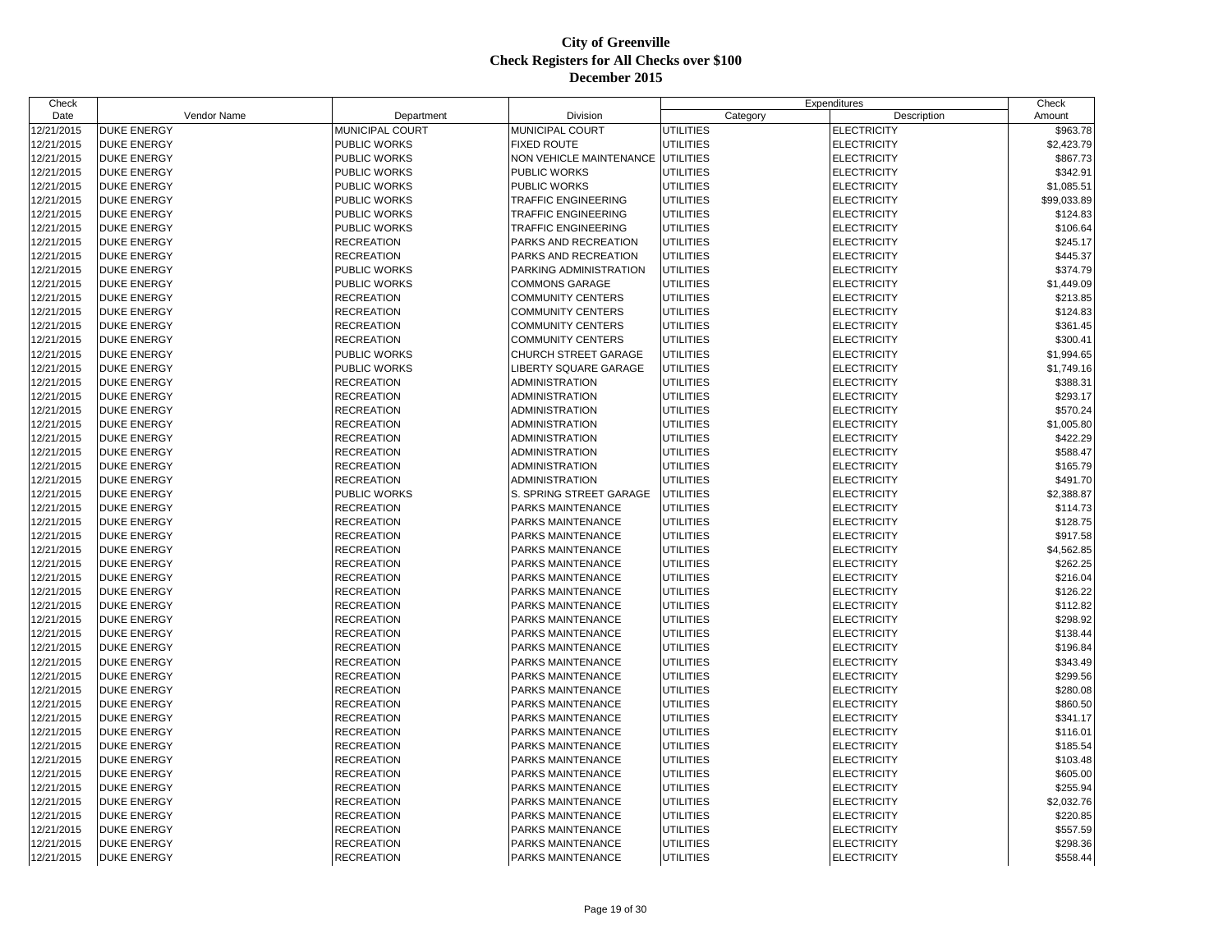| Check      |                    |                     |                            |                  | Expenditures       | Check       |
|------------|--------------------|---------------------|----------------------------|------------------|--------------------|-------------|
| Date       | Vendor Name        | Department          | Division                   | Category         | Description        | Amount      |
| 12/21/2015 | <b>DUKE ENERGY</b> | MUNICIPAL COURT     | MUNICIPAL COURT            | <b>UTILITIES</b> | <b>ELECTRICITY</b> | \$963.78    |
| 12/21/2015 | <b>DUKE ENERGY</b> | PUBLIC WORKS        | <b>FIXED ROUTE</b>         | <b>UTILITIES</b> | <b>ELECTRICITY</b> | \$2,423.79  |
| 12/21/2015 | <b>DUKE ENERGY</b> | PUBLIC WORKS        | NON VEHICLE MAINTENANCE    | <b>UTILITIES</b> | <b>ELECTRICITY</b> | \$867.73    |
| 12/21/2015 | <b>DUKE ENERGY</b> | <b>PUBLIC WORKS</b> | PUBLIC WORKS               | <b>UTILITIES</b> | <b>ELECTRICITY</b> | \$342.91    |
| 12/21/2015 | <b>DUKE ENERGY</b> | <b>PUBLIC WORKS</b> | <b>PUBLIC WORKS</b>        | <b>UTILITIES</b> | <b>ELECTRICITY</b> | \$1,085.51  |
| 12/21/2015 | <b>DUKE ENERGY</b> | PUBLIC WORKS        | TRAFFIC ENGINEERING        | <b>UTILITIES</b> | <b>ELECTRICITY</b> | \$99,033.89 |
| 12/21/2015 | <b>DUKE ENERGY</b> | PUBLIC WORKS        | TRAFFIC ENGINEERING        | <b>UTILITIES</b> | <b>ELECTRICITY</b> | \$124.83    |
| 12/21/2015 | <b>DUKE ENERGY</b> | <b>PUBLIC WORKS</b> | <b>TRAFFIC ENGINEERING</b> | <b>UTILITIES</b> | <b>ELECTRICITY</b> | \$106.64    |
| 12/21/2015 | <b>DUKE ENERGY</b> | <b>RECREATION</b>   | PARKS AND RECREATION       | <b>UTILITIES</b> | <b>ELECTRICITY</b> | \$245.17    |
| 12/21/2015 | <b>DUKE ENERGY</b> | <b>RECREATION</b>   | PARKS AND RECREATION       | <b>UTILITIES</b> | <b>ELECTRICITY</b> | \$445.37    |
| 12/21/2015 | <b>DUKE ENERGY</b> | PUBLIC WORKS        | PARKING ADMINISTRATION     | <b>UTILITIES</b> | <b>ELECTRICITY</b> | \$374.79    |
| 12/21/2015 | <b>DUKE ENERGY</b> | <b>PUBLIC WORKS</b> | <b>COMMONS GARAGE</b>      | <b>UTILITIES</b> | <b>ELECTRICITY</b> | \$1,449.09  |
| 12/21/2015 | <b>DUKE ENERGY</b> | <b>RECREATION</b>   | COMMUNITY CENTERS          | <b>UTILITIES</b> | <b>ELECTRICITY</b> | \$213.85    |
| 12/21/2015 | <b>DUKE ENERGY</b> | <b>RECREATION</b>   | COMMUNITY CENTERS          | UTILITIES        | <b>ELECTRICITY</b> | \$124.83    |
| 12/21/2015 | <b>DUKE ENERGY</b> | <b>RECREATION</b>   | <b>COMMUNITY CENTERS</b>   | <b>UTILITIES</b> | <b>ELECTRICITY</b> | \$361.45    |
| 12/21/2015 | <b>DUKE ENERGY</b> | <b>RECREATION</b>   | <b>COMMUNITY CENTERS</b>   | <b>UTILITIES</b> | <b>ELECTRICITY</b> | \$300.41    |
| 12/21/2015 | <b>DUKE ENERGY</b> | PUBLIC WORKS        | CHURCH STREET GARAGE       | <b>UTILITIES</b> | <b>ELECTRICITY</b> | \$1,994.65  |
| 12/21/2015 | <b>DUKE ENERGY</b> | PUBLIC WORKS        | LIBERTY SQUARE GARAGE      | <b>UTILITIES</b> | <b>ELECTRICITY</b> | \$1,749.16  |
| 12/21/2015 | <b>DUKE ENERGY</b> | <b>RECREATION</b>   | ADMINISTRATION             | <b>UTILITIES</b> | <b>ELECTRICITY</b> | \$388.31    |
| 12/21/2015 | <b>DUKE ENERGY</b> | <b>RECREATION</b>   | ADMINISTRATION             | <b>UTILITIES</b> | <b>ELECTRICITY</b> | \$293.17    |
| 12/21/2015 | <b>DUKE ENERGY</b> | <b>RECREATION</b>   | ADMINISTRATION             | <b>UTILITIES</b> | <b>ELECTRICITY</b> | \$570.24    |
| 12/21/2015 | <b>DUKE ENERGY</b> | <b>RECREATION</b>   | <b>ADMINISTRATION</b>      | UTILITIES        | <b>ELECTRICITY</b> | \$1,005.80  |
| 12/21/2015 | <b>DUKE ENERGY</b> | <b>RECREATION</b>   | ADMINISTRATION             | <b>UTILITIES</b> | <b>ELECTRICITY</b> | \$422.29    |
| 12/21/2015 | <b>DUKE ENERGY</b> | <b>RECREATION</b>   | ADMINISTRATION             | <b>UTILITIES</b> | <b>ELECTRICITY</b> | \$588.47    |
| 12/21/2015 | <b>DUKE ENERGY</b> | <b>RECREATION</b>   | ADMINISTRATION             | <b>UTILITIES</b> | <b>ELECTRICITY</b> | \$165.79    |
| 12/21/2015 | <b>DUKE ENERGY</b> | <b>RECREATION</b>   | ADMINISTRATION             | <b>UTILITIES</b> | <b>ELECTRICITY</b> | \$491.70    |
| 12/21/2015 | <b>DUKE ENERGY</b> | <b>PUBLIC WORKS</b> | S. SPRING STREET GARAGE    | <b>UTILITIES</b> | <b>ELECTRICITY</b> | \$2,388.87  |
| 12/21/2015 | <b>DUKE ENERGY</b> | <b>RECREATION</b>   | PARKS MAINTENANCE          | <b>UTILITIES</b> | <b>ELECTRICITY</b> | \$114.73    |
| 12/21/2015 | <b>DUKE ENERGY</b> | <b>RECREATION</b>   | PARKS MAINTENANCE          | <b>UTILITIES</b> | <b>ELECTRICITY</b> | \$128.75    |
| 12/21/2015 | <b>DUKE ENERGY</b> | <b>RECREATION</b>   | PARKS MAINTENANCE          | <b>UTILITIES</b> | <b>ELECTRICITY</b> | \$917.58    |
| 12/21/2015 | <b>DUKE ENERGY</b> | <b>RECREATION</b>   | <b>PARKS MAINTENANCE</b>   | <b>UTILITIES</b> | <b>ELECTRICITY</b> | \$4,562.85  |
| 12/21/2015 | <b>DUKE ENERGY</b> | <b>RECREATION</b>   | PARKS MAINTENANCE          | <b>UTILITIES</b> | <b>ELECTRICITY</b> | \$262.25    |
| 12/21/2015 | <b>DUKE ENERGY</b> | <b>RECREATION</b>   | PARKS MAINTENANCE          | <b>UTILITIES</b> | <b>ELECTRICITY</b> | \$216.04    |
| 12/21/2015 | <b>DUKE ENERGY</b> | <b>RECREATION</b>   | PARKS MAINTENANCE          | <b>UTILITIES</b> | <b>ELECTRICITY</b> | \$126.22    |
| 12/21/2015 | <b>DUKE ENERGY</b> | <b>RECREATION</b>   | PARKS MAINTENANCE          | <b>UTILITIES</b> | <b>ELECTRICITY</b> | \$112.82    |
| 12/21/2015 | <b>DUKE ENERGY</b> | <b>RECREATION</b>   | PARKS MAINTENANCE          | <b>UTILITIES</b> | <b>ELECTRICITY</b> | \$298.92    |
| 12/21/2015 | <b>DUKE ENERGY</b> | <b>RECREATION</b>   | PARKS MAINTENANCE          | <b>UTILITIES</b> | <b>ELECTRICITY</b> | \$138.44    |
| 12/21/2015 | <b>DUKE ENERGY</b> | <b>RECREATION</b>   | PARKS MAINTENANCE          | <b>UTILITIES</b> | <b>ELECTRICITY</b> | \$196.84    |
| 12/21/2015 | <b>DUKE ENERGY</b> | <b>RECREATION</b>   | PARKS MAINTENANCE          | <b>UTILITIES</b> | <b>ELECTRICITY</b> | \$343.49    |
| 12/21/2015 | <b>DUKE ENERGY</b> | <b>RECREATION</b>   | PARKS MAINTENANCE          | <b>UTILITIES</b> | <b>ELECTRICITY</b> | \$299.56    |
| 12/21/2015 | <b>DUKE ENERGY</b> | <b>RECREATION</b>   | PARKS MAINTENANCE          | <b>UTILITIES</b> | <b>ELECTRICITY</b> | \$280.08    |
| 12/21/2015 | <b>DUKE ENERGY</b> | <b>RECREATION</b>   | PARKS MAINTENANCE          | <b>UTILITIES</b> | <b>ELECTRICITY</b> | \$860.50    |
| 12/21/2015 | <b>DUKE ENERGY</b> | <b>RECREATION</b>   | PARKS MAINTENANCE          | <b>UTILITIES</b> | <b>ELECTRICITY</b> | \$341.17    |
| 12/21/2015 | <b>DUKE ENERGY</b> | <b>RECREATION</b>   | PARKS MAINTENANCE          | <b>UTILITIES</b> | <b>ELECTRICITY</b> | \$116.01    |
| 12/21/2015 | <b>DUKE ENERGY</b> | <b>RECREATION</b>   | PARKS MAINTENANCE          | <b>UTILITIES</b> | <b>ELECTRICITY</b> | \$185.54    |
| 12/21/2015 | <b>DUKE ENERGY</b> | <b>RECREATION</b>   | PARKS MAINTENANCE          | <b>UTILITIES</b> | <b>ELECTRICITY</b> | \$103.48    |
| 12/21/2015 | <b>DUKE ENERGY</b> | <b>RECREATION</b>   | PARKS MAINTENANCE          | UTILITIES        | <b>ELECTRICITY</b> | \$605.00    |
| 12/21/2015 | <b>DUKE ENERGY</b> | <b>RECREATION</b>   | PARKS MAINTENANCE          | <b>UTILITIES</b> | <b>ELECTRICITY</b> | \$255.94    |
| 12/21/2015 | <b>DUKE ENERGY</b> | <b>RECREATION</b>   | PARKS MAINTENANCE          | <b>UTILITIES</b> | <b>ELECTRICITY</b> | \$2,032.76  |
| 12/21/2015 | <b>DUKE ENERGY</b> | <b>RECREATION</b>   | PARKS MAINTENANCE          | <b>UTILITIES</b> | <b>ELECTRICITY</b> | \$220.85    |
| 12/21/2015 | <b>DUKE ENERGY</b> | <b>RECREATION</b>   | PARKS MAINTENANCE          | <b>UTILITIES</b> | <b>ELECTRICITY</b> | \$557.59    |
| 12/21/2015 | <b>DUKE ENERGY</b> | <b>RECREATION</b>   | PARKS MAINTENANCE          | <b>UTILITIES</b> | <b>ELECTRICITY</b> | \$298.36    |
| 12/21/2015 | <b>DUKE ENERGY</b> | <b>RECREATION</b>   | PARKS MAINTENANCE          | <b>UTILITIES</b> | <b>ELECTRICITY</b> | \$558.44    |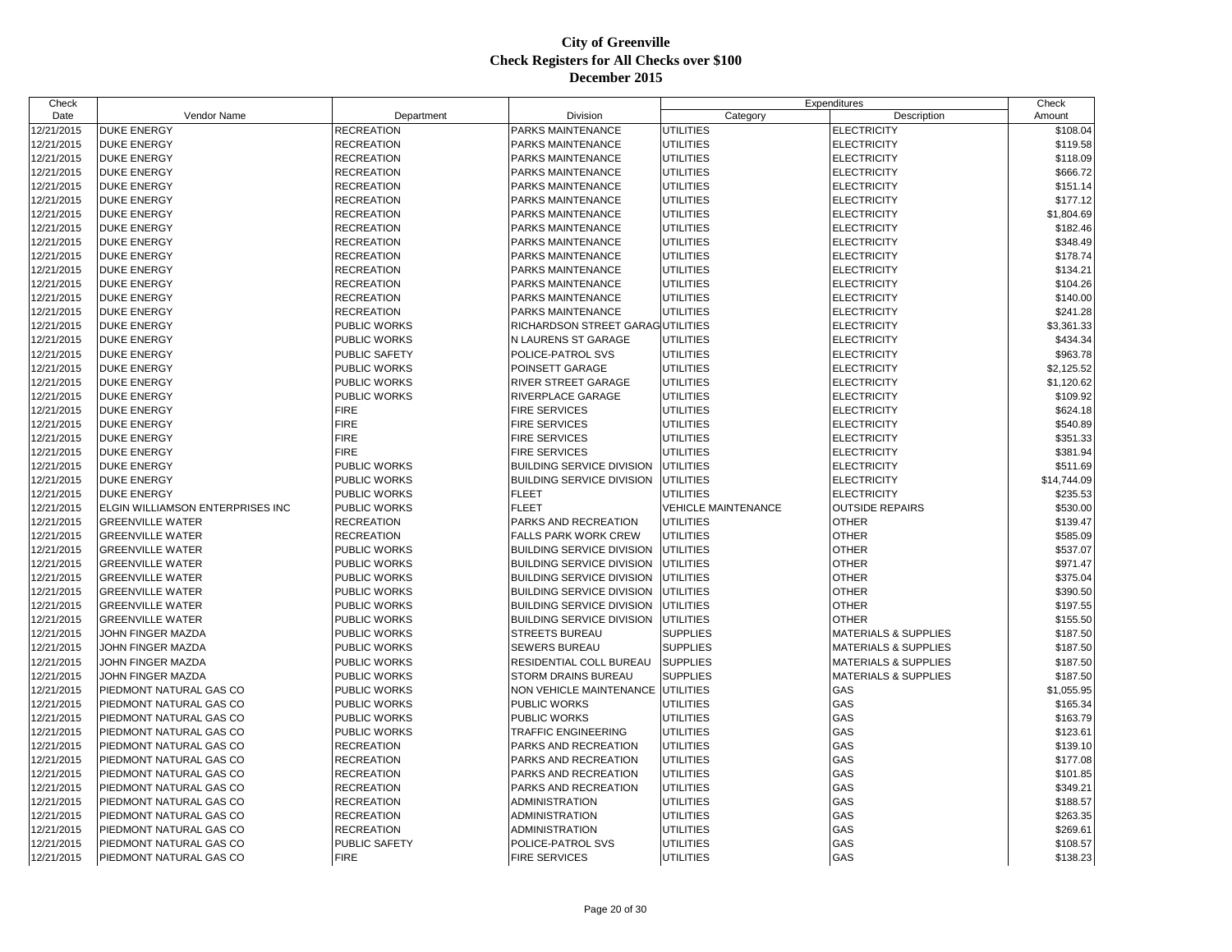| Check      |                                  |                   |                                   |                            | Expenditures                    | Check       |
|------------|----------------------------------|-------------------|-----------------------------------|----------------------------|---------------------------------|-------------|
| Date       | Vendor Name                      | Department        | Division                          | Category                   | Description                     | Amount      |
| 12/21/2015 | <b>DUKE ENERGY</b>               | <b>RECREATION</b> | <b>PARKS MAINTENANCE</b>          | <b>UTILITIES</b>           | <b>ELECTRICITY</b>              | \$108.04    |
| 12/21/2015 | <b>DUKE ENERGY</b>               | <b>RECREATION</b> | PARKS MAINTENANCE                 | <b>UTILITIES</b>           | <b>ELECTRICITY</b>              | \$119.58    |
| 12/21/2015 | <b>DUKE ENERGY</b>               | <b>RECREATION</b> | PARKS MAINTENANCE                 | <b>UTILITIES</b>           | <b>ELECTRICITY</b>              | \$118.09    |
| 12/21/2015 | DUKE ENERGY                      | <b>RECREATION</b> | <b>PARKS MAINTENANCE</b>          | <b>UTILITIES</b>           | <b>ELECTRICITY</b>              | \$666.72    |
| 12/21/2015 | <b>DUKE ENERGY</b>               | <b>RECREATION</b> | <b>PARKS MAINTENANCE</b>          | <b>UTILITIES</b>           | <b>ELECTRICITY</b>              | \$151.14    |
| 12/21/2015 | <b>DUKE ENERGY</b>               | <b>RECREATION</b> | <b>PARKS MAINTENANCE</b>          | <b>UTILITIES</b>           | <b>ELECTRICITY</b>              | \$177.12    |
| 12/21/2015 | <b>DUKE ENERGY</b>               | <b>RECREATION</b> | <b>PARKS MAINTENANCE</b>          | <b>UTILITIES</b>           | <b>ELECTRICITY</b>              | \$1,804.69  |
| 12/21/2015 | <b>DUKE ENERGY</b>               | <b>RECREATION</b> | PARKS MAINTENANCE                 | <b>UTILITIES</b>           | <b>ELECTRICITY</b>              | \$182.46    |
| 12/21/2015 | <b>DUKE ENERGY</b>               | <b>RECREATION</b> | PARKS MAINTENANCE                 | <b>UTILITIES</b>           | <b>ELECTRICITY</b>              | \$348.49    |
| 12/21/2015 | <b>DUKE ENERGY</b>               | <b>RECREATION</b> | <b>PARKS MAINTENANCE</b>          | <b>UTILITIES</b>           | <b>ELECTRICITY</b>              | \$178.74    |
| 12/21/2015 | <b>DUKE ENERGY</b>               | <b>RECREATION</b> | PARKS MAINTENANCE                 | <b>UTILITIES</b>           | <b>ELECTRICITY</b>              | \$134.21    |
| 12/21/2015 | <b>DUKE ENERGY</b>               | <b>RECREATION</b> | <b>PARKS MAINTENANCE</b>          | <b>UTILITIES</b>           | <b>ELECTRICITY</b>              | \$104.26    |
| 12/21/2015 | <b>DUKE ENERGY</b>               | <b>RECREATION</b> | <b>PARKS MAINTENANCE</b>          | <b>UTILITIES</b>           | <b>ELECTRICITY</b>              | \$140.00    |
| 12/21/2015 | <b>DUKE ENERGY</b>               | <b>RECREATION</b> | PARKS MAINTENANCE                 | <b>UTILITIES</b>           | <b>ELECTRICITY</b>              | \$241.28    |
| 12/21/2015 | <b>DUKE ENERGY</b>               | PUBLIC WORKS      | RICHARDSON STREET GARAG UTILITIES |                            | <b>ELECTRICITY</b>              | \$3,361.33  |
| 12/21/2015 | <b>DUKE ENERGY</b>               | PUBLIC WORKS      | N LAURENS ST GARAGE               | <b>UTILITIES</b>           | <b>ELECTRICITY</b>              | \$434.34    |
| 12/21/2015 | <b>DUKE ENERGY</b>               | PUBLIC SAFETY     | POLICE-PATROL SVS                 | UTILITIES                  | <b>ELECTRICITY</b>              | \$963.78    |
| 12/21/2015 | <b>DUKE ENERGY</b>               | PUBLIC WORKS      | POINSETT GARAGE                   | <b>UTILITIES</b>           | <b>ELECTRICITY</b>              | \$2,125.52  |
| 12/21/2015 | <b>DUKE ENERGY</b>               | PUBLIC WORKS      | <b>RIVER STREET GARAGE</b>        | <b>UTILITIES</b>           | <b>ELECTRICITY</b>              | \$1,120.62  |
| 12/21/2015 | <b>DUKE ENERGY</b>               | PUBLIC WORKS      | <b>RIVERPLACE GARAGE</b>          | <b>UTILITIES</b>           | <b>ELECTRICITY</b>              | \$109.92    |
| 12/21/2015 | <b>DUKE ENERGY</b>               | <b>FIRE</b>       | <b>FIRE SERVICES</b>              | <b>UTILITIES</b>           | <b>ELECTRICITY</b>              | \$624.18    |
| 12/21/2015 | <b>DUKE ENERGY</b>               | <b>FIRE</b>       | <b>FIRE SERVICES</b>              | <b>UTILITIES</b>           | <b>ELECTRICITY</b>              | \$540.89    |
| 12/21/2015 | <b>DUKE ENERGY</b>               | <b>FIRE</b>       | <b>FIRE SERVICES</b>              | <b>UTILITIES</b>           | <b>ELECTRICITY</b>              | \$351.33    |
| 12/21/2015 | DUKE ENERGY                      | <b>FIRE</b>       | <b>FIRE SERVICES</b>              | <b>UTILITIES</b>           | <b>ELECTRICITY</b>              | \$381.94    |
| 12/21/2015 | <b>DUKE ENERGY</b>               | PUBLIC WORKS      | <b>BUILDING SERVICE DIVISION</b>  | UTILITIES                  | <b>ELECTRICITY</b>              | \$511.69    |
| 12/21/2015 | <b>DUKE ENERGY</b>               | PUBLIC WORKS      | <b>BUILDING SERVICE DIVISION</b>  | <b>UTILITIES</b>           | <b>ELECTRICITY</b>              | \$14,744.09 |
| 12/21/2015 | <b>DUKE ENERGY</b>               | PUBLIC WORKS      | <b>FLEET</b>                      | <b>UTILITIES</b>           | <b>ELECTRICITY</b>              | \$235.53    |
| 12/21/2015 | ELGIN WILLIAMSON ENTERPRISES INC | PUBLIC WORKS      | <b>FLEET</b>                      | <b>VEHICLE MAINTENANCE</b> | <b>OUTSIDE REPAIRS</b>          | \$530.00    |
| 12/21/2015 | <b>GREENVILLE WATER</b>          | <b>RECREATION</b> | PARKS AND RECREATION              | <b>UTILITIES</b>           | <b>OTHER</b>                    | \$139.47    |
| 12/21/2015 | <b>GREENVILLE WATER</b>          | <b>RECREATION</b> | <b>FALLS PARK WORK CREW</b>       | <b>UTILITIES</b>           | <b>OTHER</b>                    | \$585.09    |
| 12/21/2015 | <b>GREENVILLE WATER</b>          | PUBLIC WORKS      | <b>BUILDING SERVICE DIVISION</b>  | UTILITIES                  | <b>OTHER</b>                    | \$537.07    |
| 12/21/2015 | <b>GREENVILLE WATER</b>          | PUBLIC WORKS      | <b>BUILDING SERVICE DIVISION</b>  | UTILITIES                  | <b>OTHER</b>                    | \$971.47    |
| 12/21/2015 | <b>GREENVILLE WATER</b>          | PUBLIC WORKS      | <b>BUILDING SERVICE DIVISION</b>  | UTILITIES                  | <b>OTHER</b>                    | \$375.04    |
| 12/21/2015 | <b>GREENVILLE WATER</b>          | PUBLIC WORKS      | <b>BUILDING SERVICE DIVISION</b>  | <b>UTILITIES</b>           | <b>OTHER</b>                    | \$390.50    |
| 12/21/2015 | <b>GREENVILLE WATER</b>          | PUBLIC WORKS      | <b>BUILDING SERVICE DIVISION</b>  | <b>UTILITIES</b>           | <b>OTHER</b>                    | \$197.55    |
| 12/21/2015 | <b>GREENVILLE WATER</b>          | PUBLIC WORKS      | <b>BUILDING SERVICE DIVISION</b>  | <b>UTILITIES</b>           | <b>OTHER</b>                    | \$155.50    |
| 12/21/2015 | JOHN FINGER MAZDA                | PUBLIC WORKS      | <b>STREETS BUREAU</b>             | <b>SUPPLIES</b>            | <b>MATERIALS &amp; SUPPLIES</b> | \$187.50    |
| 12/21/2015 | JOHN FINGER MAZDA                | PUBLIC WORKS      | <b>SEWERS BUREAU</b>              | <b>SUPPLIES</b>            | <b>MATERIALS &amp; SUPPLIES</b> | \$187.50    |
| 12/21/2015 | JOHN FINGER MAZDA                | PUBLIC WORKS      | RESIDENTIAL COLL BUREAU           | <b>SUPPLIES</b>            | <b>MATERIALS &amp; SUPPLIES</b> | \$187.50    |
| 12/21/2015 | JOHN FINGER MAZDA                | PUBLIC WORKS      | <b>STORM DRAINS BUREAU</b>        | <b>SUPPLIES</b>            | <b>MATERIALS &amp; SUPPLIES</b> | \$187.50    |
| 12/21/2015 | PIEDMONT NATURAL GAS CO          | PUBLIC WORKS      | NON VEHICLE MAINTENANCE UTILITIES |                            | GAS                             | \$1,055.95  |
| 12/21/2015 | PIEDMONT NATURAL GAS CO          | PUBLIC WORKS      | PUBLIC WORKS                      | <b>UTILITIES</b>           | GAS                             | \$165.34    |
| 12/21/2015 | PIEDMONT NATURAL GAS CO          | PUBLIC WORKS      | PUBLIC WORKS                      | <b>UTILITIES</b>           | GAS                             | \$163.79    |
| 12/21/2015 | PIEDMONT NATURAL GAS CO          | PUBLIC WORKS      | <b>TRAFFIC ENGINEERING</b>        | <b>UTILITIES</b>           | GAS                             | \$123.61    |
| 12/21/2015 | PIEDMONT NATURAL GAS CO          | <b>RECREATION</b> | PARKS AND RECREATION              | <b>UTILITIES</b>           | GAS                             | \$139.10    |
|            |                                  |                   |                                   |                            | GAS                             | \$177.08    |
| 12/21/2015 | PIEDMONT NATURAL GAS CO          | <b>RECREATION</b> | PARKS AND RECREATION              | <b>UTILITIES</b>           | GAS                             |             |
| 12/21/2015 | PIEDMONT NATURAL GAS CO          | <b>RECREATION</b> | PARKS AND RECREATION              | <b>UTILITIES</b>           |                                 | \$101.85    |
| 12/21/2015 | PIEDMONT NATURAL GAS CO          | <b>RECREATION</b> | PARKS AND RECREATION              | <b>UTILITIES</b>           | GAS<br>GAS                      | \$349.21    |
| 12/21/2015 | PIEDMONT NATURAL GAS CO          | <b>RECREATION</b> | <b>ADMINISTRATION</b>             | <b>UTILITIES</b>           |                                 | \$188.57    |
| 12/21/2015 | PIEDMONT NATURAL GAS CO          | <b>RECREATION</b> | <b>ADMINISTRATION</b>             | <b>UTILITIES</b>           | GAS                             | \$263.35    |
| 12/21/2015 | PIEDMONT NATURAL GAS CO          | <b>RECREATION</b> | <b>ADMINISTRATION</b>             | <b>UTILITIES</b>           | GAS                             | \$269.61    |
| 12/21/2015 | PIEDMONT NATURAL GAS CO          | PUBLIC SAFETY     | POLICE-PATROL SVS                 | <b>UTILITIES</b>           | GAS                             | \$108.57    |
| 12/21/2015 | PIEDMONT NATURAL GAS CO          | <b>FIRE</b>       | <b>FIRE SERVICES</b>              | <b>UTILITIES</b>           | GAS                             | \$138.23    |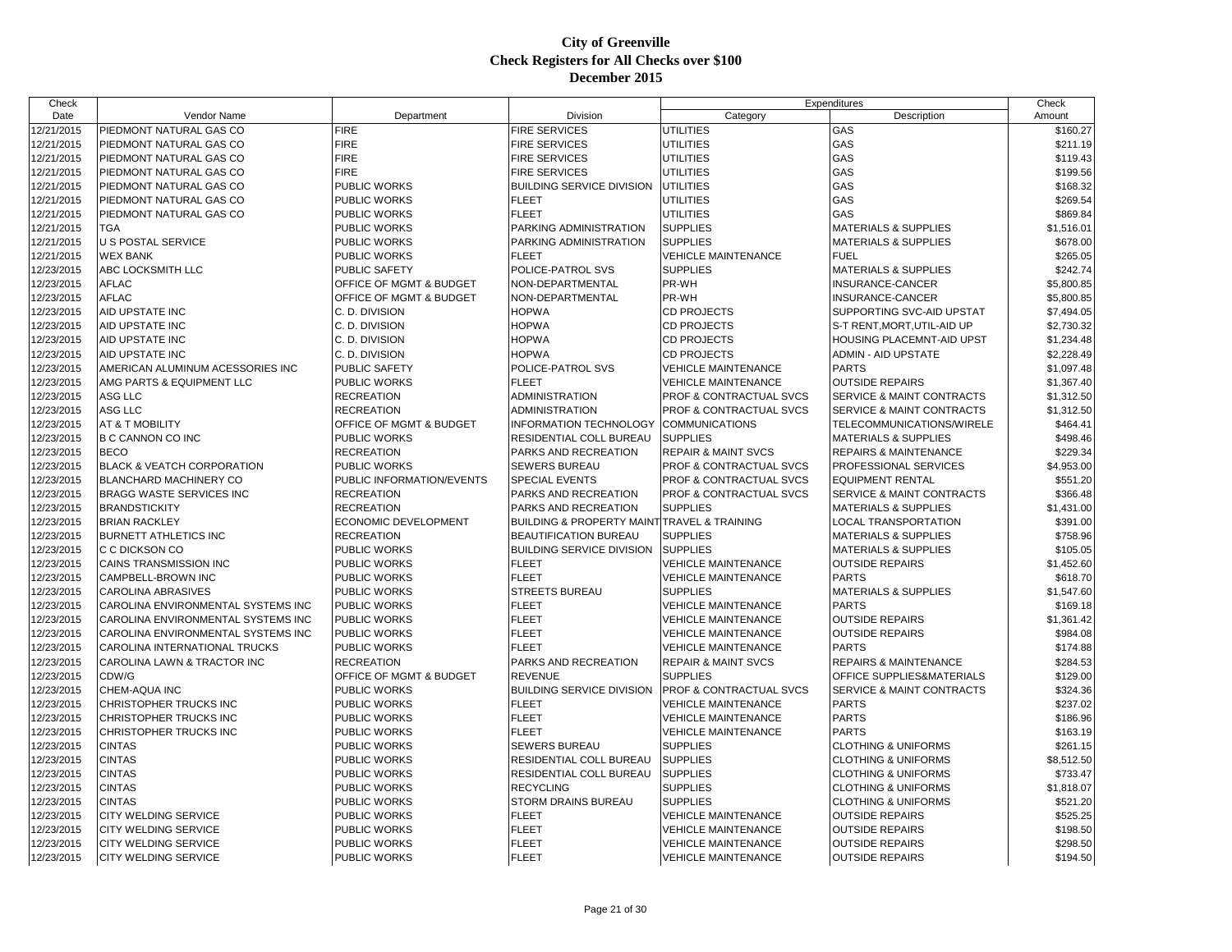| Check                    |                                       |                              |                                                           |                                    | Expenditures                                                     | Check      |
|--------------------------|---------------------------------------|------------------------------|-----------------------------------------------------------|------------------------------------|------------------------------------------------------------------|------------|
| Date                     | <b>Vendor Name</b>                    | Department                   | Division                                                  | Category                           | Description                                                      | Amount     |
| 12/21/2015               | PIEDMONT NATURAL GAS CO               | <b>FIRE</b>                  | <b>FIRE SERVICES</b>                                      | <b>UTILITIES</b>                   | GAS                                                              | \$160.27   |
| 12/21/2015               | PIEDMONT NATURAL GAS CO               | <b>FIRE</b>                  | <b>FIRE SERVICES</b>                                      | <b>UTILITIES</b>                   | GAS                                                              | \$211.19   |
| 12/21/2015               | PIEDMONT NATURAL GAS CO               | <b>FIRE</b>                  | <b>FIRE SERVICES</b>                                      | <b>UTILITIES</b>                   | GAS                                                              | \$119.43   |
| 12/21/2015               | PIEDMONT NATURAL GAS CO               | <b>FIRE</b>                  | <b>FIRE SERVICES</b>                                      | <b>UTILITIES</b>                   | GAS                                                              | \$199.56   |
| 12/21/2015               | PIEDMONT NATURAL GAS CO               | PUBLIC WORKS                 | <b>BUILDING SERVICE DIVISION</b>                          | UTILITIES                          | GAS                                                              | \$168.32   |
| 12/21/2015               | PIEDMONT NATURAL GAS CO               | PUBLIC WORKS                 | <b>FLEET</b>                                              | <b>UTILITIES</b>                   | GAS                                                              | \$269.54   |
| 12/21/2015               | PIEDMONT NATURAL GAS CO               | PUBLIC WORKS                 | <b>FLEET</b>                                              | <b>UTILITIES</b>                   | GAS                                                              | \$869.84   |
| 12/21/2015               | <b>TGA</b>                            | PUBLIC WORKS                 | PARKING ADMINISTRATION                                    | <b>SUPPLIES</b>                    | <b>MATERIALS &amp; SUPPLIES</b>                                  | \$1,516.01 |
| 12/21/2015               | U S POSTAL SERVICE                    | PUBLIC WORKS                 | PARKING ADMINISTRATION                                    | <b>SUPPLIES</b>                    | <b>MATERIALS &amp; SUPPLIES</b>                                  | \$678.00   |
| 12/21/2015               | <b>WEX BANK</b>                       | PUBLIC WORKS                 | <b>FLEET</b>                                              | <b>VEHICLE MAINTENANCE</b>         | <b>FUEL</b>                                                      | \$265.05   |
| 12/23/2015               | ABC LOCKSMITH LLC                     | PUBLIC SAFETY                | POLICE-PATROL SVS                                         | <b>SUPPLIES</b>                    | <b>MATERIALS &amp; SUPPLIES</b>                                  | \$242.74   |
| 12/23/2015               | <b>AFLAC</b>                          | OFFICE OF MGMT & BUDGET      | NON-DEPARTMENTAL                                          | PR-WH                              | INSURANCE-CANCER                                                 | \$5,800.85 |
| 12/23/2015               | <b>AFLAC</b>                          | OFFICE OF MGMT & BUDGET      | NON-DEPARTMENTAL                                          | PR-WH                              | <b>INSURANCE-CANCER</b>                                          | \$5,800.85 |
| 12/23/2015               | AID UPSTATE INC                       | C. D. DIVISION               | <b>HOPWA</b>                                              | <b>CD PROJECTS</b>                 | SUPPORTING SVC-AID UPSTAT                                        | \$7,494.05 |
| 12/23/2015               | AID UPSTATE INC                       | C. D. DIVISION               | <b>HOPWA</b>                                              | <b>CD PROJECTS</b>                 | S-T RENT, MORT, UTIL-AID UP                                      | \$2,730.32 |
| 12/23/2015               | AID UPSTATE INC                       | C. D. DIVISION               | <b>HOPWA</b>                                              | <b>CD PROJECTS</b>                 | HOUSING PLACEMNT-AID UPST                                        | \$1,234.48 |
| 12/23/2015               | AID UPSTATE INC                       | C. D. DIVISION               | <b>HOPWA</b>                                              | <b>CD PROJECTS</b>                 | <b>ADMIN - AID UPSTATE</b>                                       | \$2,228.49 |
| 12/23/2015               | AMERICAN ALUMINUM ACESSORIES INC      | PUBLIC SAFETY                | POLICE-PATROL SVS                                         | <b>VEHICLE MAINTENANCE</b>         | <b>PARTS</b>                                                     | \$1,097.48 |
| 12/23/2015               | AMG PARTS & EQUIPMENT LLC             | PUBLIC WORKS                 | <b>FLEET</b>                                              | <b>VEHICLE MAINTENANCE</b>         | <b>OUTSIDE REPAIRS</b>                                           | \$1,367.40 |
| 12/23/2015               | ASG LLC                               | <b>RECREATION</b>            | <b>ADMINISTRATION</b>                                     | <b>PROF &amp; CONTRACTUAL SVCS</b> | <b>SERVICE &amp; MAINT CONTRACTS</b>                             | \$1,312.50 |
| 12/23/2015               | ASG LLC                               | <b>RECREATION</b>            | <b>ADMINISTRATION</b>                                     | <b>PROF &amp; CONTRACTUAL SVCS</b> | <b>SERVICE &amp; MAINT CONTRACTS</b>                             | \$1,312.50 |
| 12/23/2015               | AT & T MOBILITY                       | OFFICE OF MGMT & BUDGET      | <b>INFORMATION TECHNOLOGY</b>                             | <b>COMMUNICATIONS</b>              | TELECOMMUNICATIONS/WIRELE                                        | \$464.41   |
| 12/23/2015               | B C CANNON CO INC                     | PUBLIC WORKS                 | RESIDENTIAL COLL BUREAU                                   | <b>SUPPLIES</b>                    | <b>MATERIALS &amp; SUPPLIES</b>                                  | \$498.46   |
| 12/23/2015               | <b>BECO</b>                           | <b>RECREATION</b>            | PARKS AND RECREATION                                      | <b>REPAIR &amp; MAINT SVCS</b>     | <b>REPAIRS &amp; MAINTENANCE</b>                                 | \$229.34   |
| 12/23/2015               | <b>BLACK &amp; VEATCH CORPORATION</b> | PUBLIC WORKS                 | <b>SEWERS BUREAU</b>                                      | <b>PROF &amp; CONTRACTUAL SVCS</b> | PROFESSIONAL SERVICES                                            | \$4,953.00 |
| 12/23/2015               | BLANCHARD MACHINERY CO                | PUBLIC INFORMATION/EVENTS    | <b>SPECIAL EVENTS</b>                                     | <b>PROF &amp; CONTRACTUAL SVCS</b> | <b>EQUIPMENT RENTAL</b>                                          | \$551.20   |
| 12/23/2015               | <b>BRAGG WASTE SERVICES INC</b>       | <b>RECREATION</b>            | PARKS AND RECREATION                                      | <b>PROF &amp; CONTRACTUAL SVCS</b> | <b>SERVICE &amp; MAINT CONTRACTS</b>                             | \$366.48   |
| 12/23/2015               | <b>BRANDSTICKITY</b>                  | <b>RECREATION</b>            | <b>PARKS AND RECREATION</b>                               | <b>SUPPLIES</b>                    | <b>MATERIALS &amp; SUPPLIES</b>                                  | \$1,431.00 |
| 12/23/2015               | <b>BRIAN RACKLEY</b>                  | ECONOMIC DEVELOPMENT         | BUILDING & PROPERTY MAINT TRAVEL & TRAINING               |                                    | LOCAL TRANSPORTATION                                             | \$391.00   |
| 12/23/2015               | <b>BURNETT ATHLETICS INC</b>          | <b>RECREATION</b>            | <b>BEAUTIFICATION BUREAU</b>                              | <b>SUPPLIES</b>                    | <b>MATERIALS &amp; SUPPLIES</b>                                  | \$758.96   |
| 12/23/2015               | C C DICKSON CO                        | PUBLIC WORKS                 | <b>BUILDING SERVICE DIVISION</b>                          | <b>SUPPLIES</b>                    | <b>MATERIALS &amp; SUPPLIES</b>                                  | \$105.05   |
| 12/23/2015               | CAINS TRANSMISSION INC                | PUBLIC WORKS                 | <b>FLEET</b>                                              | <b>VEHICLE MAINTENANCE</b>         | <b>OUTSIDE REPAIRS</b>                                           | \$1,452.60 |
| 12/23/2015               | CAMPBELL-BROWN INC                    | PUBLIC WORKS                 | <b>FLEET</b>                                              | <b>VEHICLE MAINTENANCE</b>         | <b>PARTS</b>                                                     | \$618.70   |
| 12/23/2015               | <b>CAROLINA ABRASIVES</b>             | PUBLIC WORKS                 | <b>STREETS BUREAU</b>                                     | <b>SUPPLIES</b>                    | <b>MATERIALS &amp; SUPPLIES</b>                                  | \$1,547.60 |
| 12/23/2015               | CAROLINA ENVIRONMENTAL SYSTEMS INC    | <b>PUBLIC WORKS</b>          | <b>FLEET</b>                                              | <b>VEHICLE MAINTENANCE</b>         | <b>PARTS</b>                                                     | \$169.18   |
| 12/23/2015               | CAROLINA ENVIRONMENTAL SYSTEMS INC    | PUBLIC WORKS                 | <b>FLEET</b>                                              | <b>VEHICLE MAINTENANCE</b>         | <b>OUTSIDE REPAIRS</b>                                           | \$1,361.42 |
| 12/23/2015               | CAROLINA ENVIRONMENTAL SYSTEMS INC    | PUBLIC WORKS                 | <b>FLEET</b>                                              | <b>VEHICLE MAINTENANCE</b>         | <b>OUTSIDE REPAIRS</b>                                           | \$984.08   |
| 12/23/2015               | CAROLINA INTERNATIONAL TRUCKS         | PUBLIC WORKS                 | <b>FLEET</b>                                              | <b>VEHICLE MAINTENANCE</b>         | <b>PARTS</b>                                                     | \$174.88   |
| 12/23/2015               | CAROLINA LAWN & TRACTOR INC           | <b>RECREATION</b>            | PARKS AND RECREATION                                      | <b>REPAIR &amp; MAINT SVCS</b>     | <b>REPAIRS &amp; MAINTENANCE</b>                                 | \$284.53   |
| 12/23/2015               | CDW/G                                 | OFFICE OF MGMT & BUDGET      | <b>REVENUE</b>                                            | <b>SUPPLIES</b>                    | OFFICE SUPPLIES&MATERIALS                                        | \$129.00   |
| 12/23/2015               | CHEM-AQUA INC                         | PUBLIC WORKS                 | <b>BUILDING SERVICE DIVISION</b>                          | PROF & CONTRACTUAL SVCS            | SERVICE & MAINT CONTRACTS                                        | \$324.36   |
| 12/23/2015               | CHRISTOPHER TRUCKS INC                | PUBLIC WORKS                 | <b>FLEET</b>                                              | <b>VEHICLE MAINTENANCE</b>         | <b>PARTS</b>                                                     | \$237.02   |
| 12/23/2015               | CHRISTOPHER TRUCKS INC                | PUBLIC WORKS                 | <b>FLEET</b>                                              | <b>VEHICLE MAINTENANCE</b>         | <b>PARTS</b>                                                     | \$186.96   |
| 12/23/2015               | CHRISTOPHER TRUCKS INC                | PUBLIC WORKS                 | <b>FLEET</b>                                              | <b>VEHICLE MAINTENANCE</b>         | <b>PARTS</b>                                                     | \$163.19   |
| 12/23/2015               | <b>CINTAS</b>                         |                              | <b>SEWERS BUREAU</b>                                      | <b>SUPPLIES</b>                    |                                                                  | \$261.15   |
| 12/23/2015               | <b>CINTAS</b>                         | PUBLIC WORKS                 |                                                           | <b>SUPPLIES</b>                    | <b>CLOTHING &amp; UNIFORMS</b>                                   |            |
|                          | <b>CINTAS</b>                         | PUBLIC WORKS<br>PUBLIC WORKS | <b>RESIDENTIAL COLL BUREAU</b><br>RESIDENTIAL COLL BUREAU | <b>SUPPLIES</b>                    | <b>CLOTHING &amp; UNIFORMS</b><br><b>CLOTHING &amp; UNIFORMS</b> | \$8,512.50 |
| 12/23/2015               |                                       |                              |                                                           |                                    |                                                                  | \$733.47   |
| 12/23/2015<br>12/23/2015 | <b>CINTAS</b><br><b>CINTAS</b>        | PUBLIC WORKS                 | <b>RECYCLING</b>                                          | <b>SUPPLIES</b><br><b>SUPPLIES</b> | <b>CLOTHING &amp; UNIFORMS</b>                                   | \$1,818.07 |
|                          |                                       | PUBLIC WORKS                 | <b>STORM DRAINS BUREAU</b>                                |                                    | <b>CLOTHING &amp; UNIFORMS</b>                                   | \$521.20   |
| 12/23/2015               | <b>CITY WELDING SERVICE</b>           | PUBLIC WORKS                 | <b>FLEET</b>                                              | <b>VEHICLE MAINTENANCE</b>         | <b>OUTSIDE REPAIRS</b>                                           | \$525.25   |
| 12/23/2015               | CITY WELDING SERVICE                  | PUBLIC WORKS                 | <b>FLEET</b>                                              | <b>VEHICLE MAINTENANCE</b>         | <b>OUTSIDE REPAIRS</b>                                           | \$198.50   |
| 12/23/2015               | CITY WELDING SERVICE                  | PUBLIC WORKS                 | <b>FLEET</b>                                              | <b>VEHICLE MAINTENANCE</b>         | <b>OUTSIDE REPAIRS</b>                                           | \$298.50   |
| 12/23/2015               | CITY WELDING SERVICE                  | PUBLIC WORKS                 | <b>FLEET</b>                                              | <b>VEHICLE MAINTENANCE</b>         | <b>OUTSIDE REPAIRS</b>                                           | \$194.50   |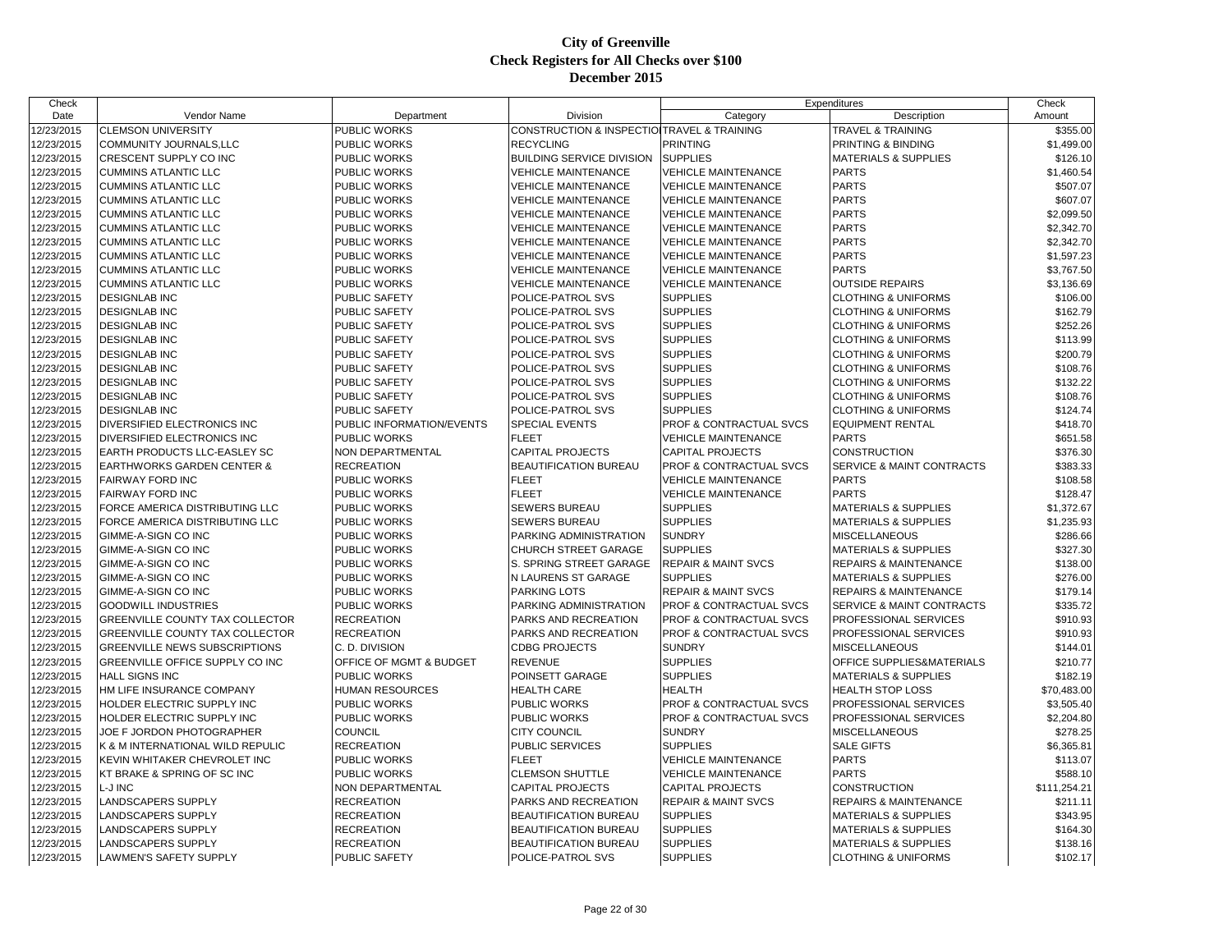| Check      |                                       |                           |                                            | Expenditures                   |                                  | Check        |
|------------|---------------------------------------|---------------------------|--------------------------------------------|--------------------------------|----------------------------------|--------------|
| Date       | Vendor Name                           | Department                | Division                                   | Category                       | Description                      | Amount       |
| 12/23/2015 | <b>CLEMSON UNIVERSITY</b>             | <b>PUBLIC WORKS</b>       | CONSTRUCTION & INSPECTIO TRAVEL & TRAINING |                                | <b>TRAVEL &amp; TRAINING</b>     | \$355.00     |
| 12/23/2015 | COMMUNITY JOURNALS, LLC               | PUBLIC WORKS              | <b>RECYCLING</b>                           | <b>PRINTING</b>                | PRINTING & BINDING               | \$1,499.00   |
| 12/23/2015 | CRESCENT SUPPLY CO INC                | PUBLIC WORKS              | <b>BUILDING SERVICE DIVISION</b>           | <b>SUPPLIES</b>                | <b>MATERIALS &amp; SUPPLIES</b>  | \$126.10     |
| 12/23/2015 | <b>CUMMINS ATLANTIC LLC</b>           | PUBLIC WORKS              | <b>VEHICLE MAINTENANCE</b>                 | <b>VEHICLE MAINTENANCE</b>     | <b>PARTS</b>                     | \$1,460.54   |
| 12/23/2015 | <b>CUMMINS ATLANTIC LLC</b>           | <b>PUBLIC WORKS</b>       | <b>VEHICLE MAINTENANCE</b>                 | <b>VEHICLE MAINTENANCE</b>     | <b>PARTS</b>                     | \$507.07     |
| 12/23/2015 | <b>CUMMINS ATLANTIC LLC</b>           | <b>PUBLIC WORKS</b>       | <b>VEHICLE MAINTENANCE</b>                 | <b>VEHICLE MAINTENANCE</b>     | <b>PARTS</b>                     | \$607.07     |
| 12/23/2015 | <b>CUMMINS ATLANTIC LLC</b>           | PUBLIC WORKS              | <b>VEHICLE MAINTENANCE</b>                 | <b>VEHICLE MAINTENANCE</b>     | <b>PARTS</b>                     | \$2,099.50   |
| 12/23/2015 | <b>CUMMINS ATLANTIC LLC</b>           | PUBLIC WORKS              | <b>VEHICLE MAINTENANCE</b>                 | <b>VEHICLE MAINTENANCE</b>     | <b>PARTS</b>                     | \$2,342.70   |
| 12/23/2015 | <b>CUMMINS ATLANTIC LLC</b>           | PUBLIC WORKS              | <b>VEHICLE MAINTENANCE</b>                 | <b>VEHICLE MAINTENANCE</b>     | <b>PARTS</b>                     | \$2,342.70   |
| 12/23/2015 | <b>CUMMINS ATLANTIC LLC</b>           | PUBLIC WORKS              | <b>VEHICLE MAINTENANCE</b>                 | <b>VEHICLE MAINTENANCE</b>     | <b>PARTS</b>                     | \$1,597.23   |
| 12/23/2015 | <b>CUMMINS ATLANTIC LLC</b>           | PUBLIC WORKS              | <b>VEHICLE MAINTENANCE</b>                 | <b>VEHICLE MAINTENANCE</b>     | <b>PARTS</b>                     | \$3,767.50   |
| 12/23/2015 | <b>CUMMINS ATLANTIC LLC</b>           | PUBLIC WORKS              | <b>VEHICLE MAINTENANCE</b>                 | <b>VEHICLE MAINTENANCE</b>     | <b>OUTSIDE REPAIRS</b>           | \$3,136.69   |
| 12/23/2015 | <b>DESIGNLAB INC</b>                  | PUBLIC SAFETY             | POLICE-PATROL SVS                          | <b>SUPPLIES</b>                | <b>CLOTHING &amp; UNIFORMS</b>   | \$106.00     |
| 12/23/2015 | <b>DESIGNLAB INC</b>                  | PUBLIC SAFETY             | POLICE-PATROL SVS                          | <b>SUPPLIES</b>                | <b>CLOTHING &amp; UNIFORMS</b>   | \$162.79     |
| 12/23/2015 | <b>DESIGNLAB INC</b>                  | PUBLIC SAFETY             | POLICE-PATROL SVS                          | <b>SUPPLIES</b>                | <b>CLOTHING &amp; UNIFORMS</b>   | \$252.26     |
| 12/23/2015 | <b>DESIGNLAB INC</b>                  | PUBLIC SAFETY             | POLICE-PATROL SVS                          | <b>SUPPLIES</b>                | <b>CLOTHING &amp; UNIFORMS</b>   | \$113.99     |
| 12/23/2015 | <b>DESIGNLAB INC</b>                  | PUBLIC SAFETY             | POLICE-PATROL SVS                          | <b>SUPPLIES</b>                | <b>CLOTHING &amp; UNIFORMS</b>   | \$200.79     |
| 12/23/2015 | <b>DESIGNLAB INC</b>                  | PUBLIC SAFETY             | POLICE-PATROL SVS                          | <b>SUPPLIES</b>                | <b>CLOTHING &amp; UNIFORMS</b>   | \$108.76     |
| 12/23/2015 | <b>DESIGNLAB INC</b>                  | PUBLIC SAFETY             | POLICE-PATROL SVS                          | <b>SUPPLIES</b>                | <b>CLOTHING &amp; UNIFORMS</b>   | \$132.22     |
| 12/23/2015 | <b>DESIGNLAB INC</b>                  | PUBLIC SAFETY             | POLICE-PATROL SVS                          | <b>SUPPLIES</b>                | <b>CLOTHING &amp; UNIFORMS</b>   | \$108.76     |
| 12/23/2015 | <b>DESIGNLAB INC</b>                  | PUBLIC SAFETY             | POLICE-PATROL SVS                          | <b>SUPPLIES</b>                | <b>CLOTHING &amp; UNIFORMS</b>   | \$124.74     |
| 12/23/2015 | DIVERSIFIED ELECTRONICS INC           | PUBLIC INFORMATION/EVENTS | <b>SPECIAL EVENTS</b>                      | PROF & CONTRACTUAL SVCS        | <b>EQUIPMENT RENTAL</b>          | \$418.70     |
| 12/23/2015 | DIVERSIFIED ELECTRONICS INC           | PUBLIC WORKS              | <b>FLEET</b>                               | <b>VEHICLE MAINTENANCE</b>     | <b>PARTS</b>                     | \$651.58     |
| 12/23/2015 | EARTH PRODUCTS LLC-EASLEY SC          | NON DEPARTMENTAL          | <b>CAPITAL PROJECTS</b>                    | <b>CAPITAL PROJECTS</b>        | CONSTRUCTION                     | \$376.30     |
| 12/23/2015 | <b>EARTHWORKS GARDEN CENTER &amp;</b> | <b>RECREATION</b>         | <b>BEAUTIFICATION BUREAU</b>               | PROF & CONTRACTUAL SVCS        | SERVICE & MAINT CONTRACTS        | \$383.33     |
| 12/23/2015 | FAIRWAY FORD INC                      | PUBLIC WORKS              | <b>FLEET</b>                               | <b>VEHICLE MAINTENANCE</b>     | <b>PARTS</b>                     | \$108.58     |
| 12/23/2015 | <b>FAIRWAY FORD INC</b>               | <b>PUBLIC WORKS</b>       | <b>FLEET</b>                               | <b>VEHICLE MAINTENANCE</b>     | <b>PARTS</b>                     | \$128.47     |
| 12/23/2015 | FORCE AMERICA DISTRIBUTING LLC        | PUBLIC WORKS              | SEWERS BUREAU                              | <b>SUPPLIES</b>                | <b>MATERIALS &amp; SUPPLIES</b>  | \$1,372.67   |
| 12/23/2015 | FORCE AMERICA DISTRIBUTING LLC        | PUBLIC WORKS              | SEWERS BUREAU                              | <b>SUPPLIES</b>                | <b>MATERIALS &amp; SUPPLIES</b>  | \$1,235.93   |
| 12/23/2015 | GIMME-A-SIGN CO INC                   | PUBLIC WORKS              | PARKING ADMINISTRATION                     | <b>SUNDRY</b>                  | <b>MISCELLANEOUS</b>             | \$286.66     |
| 12/23/2015 | GIMME-A-SIGN CO INC                   | PUBLIC WORKS              | CHURCH STREET GARAGE                       | <b>SUPPLIES</b>                | MATERIALS & SUPPLIES             | \$327.30     |
| 12/23/2015 | GIMME-A-SIGN CO INC                   | PUBLIC WORKS              | S. SPRING STREET GARAGE                    | <b>REPAIR &amp; MAINT SVCS</b> | REPAIRS & MAINTENANCE            | \$138.00     |
| 12/23/2015 | GIMME-A-SIGN CO INC                   | PUBLIC WORKS              | N LAURENS ST GARAGE                        | <b>SUPPLIES</b>                | <b>MATERIALS &amp; SUPPLIES</b>  | \$276.00     |
| 12/23/2015 | GIMME-A-SIGN CO INC                   | <b>PUBLIC WORKS</b>       | PARKING LOTS                               | <b>REPAIR &amp; MAINT SVCS</b> | <b>REPAIRS &amp; MAINTENANCE</b> | \$179.14     |
| 12/23/2015 | <b>GOODWILL INDUSTRIES</b>            | <b>PUBLIC WORKS</b>       | PARKING ADMINISTRATION                     | PROF & CONTRACTUAL SVCS        | SERVICE & MAINT CONTRACTS        | \$335.72     |
| 12/23/2015 | GREENVILLE COUNTY TAX COLLECTOR       | <b>RECREATION</b>         | PARKS AND RECREATION                       | PROF & CONTRACTUAL SVCS        | PROFESSIONAL SERVICES            | \$910.93     |
| 12/23/2015 | GREENVILLE COUNTY TAX COLLECTOR       | <b>RECREATION</b>         | PARKS AND RECREATION                       | PROF & CONTRACTUAL SVCS        | PROFESSIONAL SERVICES            | \$910.93     |
| 12/23/2015 | <b>GREENVILLE NEWS SUBSCRIPTIONS</b>  | C. D. DIVISION            | <b>CDBG PROJECTS</b>                       | <b>SUNDRY</b>                  | <b>MISCELLANEOUS</b>             | \$144.01     |
| 12/23/2015 | GREENVILLE OFFICE SUPPLY CO INC       | OFFICE OF MGMT & BUDGET   | <b>REVENUE</b>                             | <b>SUPPLIES</b>                | OFFICE SUPPLIES&MATERIALS        | \$210.77     |
| 12/23/2015 | HALL SIGNS INC                        | <b>PUBLIC WORKS</b>       | POINSETT GARAGE                            | <b>SUPPLIES</b>                | <b>MATERIALS &amp; SUPPLIES</b>  | \$182.19     |
| 12/23/2015 | HM LIFE INSURANCE COMPANY             | HUMAN RESOURCES           | HEALTH CARE                                | <b>HEALTH</b>                  | <b>HEALTH STOP LOSS</b>          | \$70,483.00  |
| 12/23/2015 | HOLDER ELECTRIC SUPPLY INC            | PUBLIC WORKS              | PUBLIC WORKS                               | PROF & CONTRACTUAL SVCS        | PROFESSIONAL SERVICES            | \$3,505.40   |
| 12/23/2015 | HOLDER ELECTRIC SUPPLY INC            | <b>PUBLIC WORKS</b>       | PUBLIC WORKS                               | PROF & CONTRACTUAL SVCS        | PROFESSIONAL SERVICES            | \$2,204.80   |
| 12/23/2015 | JOE F JORDON PHOTOGRAPHER             | COUNCIL                   | CITY COUNCIL                               | <b>SUNDRY</b>                  | <b>MISCELLANEOUS</b>             | \$278.25     |
| 12/23/2015 | K & M INTERNATIONAL WILD REPULIC      | <b>RECREATION</b>         | PUBLIC SERVICES                            | <b>SUPPLIES</b>                | <b>SALE GIFTS</b>                | \$6,365.81   |
| 12/23/2015 | KEVIN WHITAKER CHEVROLET INC          | <b>PUBLIC WORKS</b>       | <b>FLEET</b>                               | <b>VEHICLE MAINTENANCE</b>     | <b>PARTS</b>                     | \$113.07     |
| 12/23/2015 | KT BRAKE & SPRING OF SC INC           | PUBLIC WORKS              | <b>CLEMSON SHUTTLE</b>                     | <b>VEHICLE MAINTENANCE</b>     | <b>PARTS</b>                     | \$588.10     |
| 12/23/2015 | L-J INC                               | NON DEPARTMENTAL          | <b>CAPITAL PROJECTS</b>                    | <b>CAPITAL PROJECTS</b>        | <b>CONSTRUCTION</b>              | \$111,254.21 |
| 12/23/2015 | LANDSCAPERS SUPPLY                    | <b>RECREATION</b>         | PARKS AND RECREATION                       | <b>REPAIR &amp; MAINT SVCS</b> | <b>REPAIRS &amp; MAINTENANCE</b> | \$211.11     |
| 12/23/2015 | LANDSCAPERS SUPPLY                    | <b>RECREATION</b>         | BEAUTIFICATION BUREAU                      | <b>SUPPLIES</b>                | <b>MATERIALS &amp; SUPPLIES</b>  | \$343.95     |
| 12/23/2015 | LANDSCAPERS SUPPLY                    | <b>RECREATION</b>         | <b>BEAUTIFICATION BUREAU</b>               | <b>SUPPLIES</b>                | <b>MATERIALS &amp; SUPPLIES</b>  | \$164.30     |
| 12/23/2015 | LANDSCAPERS SUPPLY                    | <b>RECREATION</b>         | BEAUTIFICATION BUREAU                      | <b>SUPPLIES</b>                | <b>MATERIALS &amp; SUPPLIES</b>  | \$138.16     |
| 12/23/2015 | LAWMEN'S SAFETY SUPPLY                | <b>PUBLIC SAFETY</b>      | POLICE-PATROL SVS                          | <b>SUPPLIES</b>                | <b>CLOTHING &amp; UNIFORMS</b>   | \$102.17     |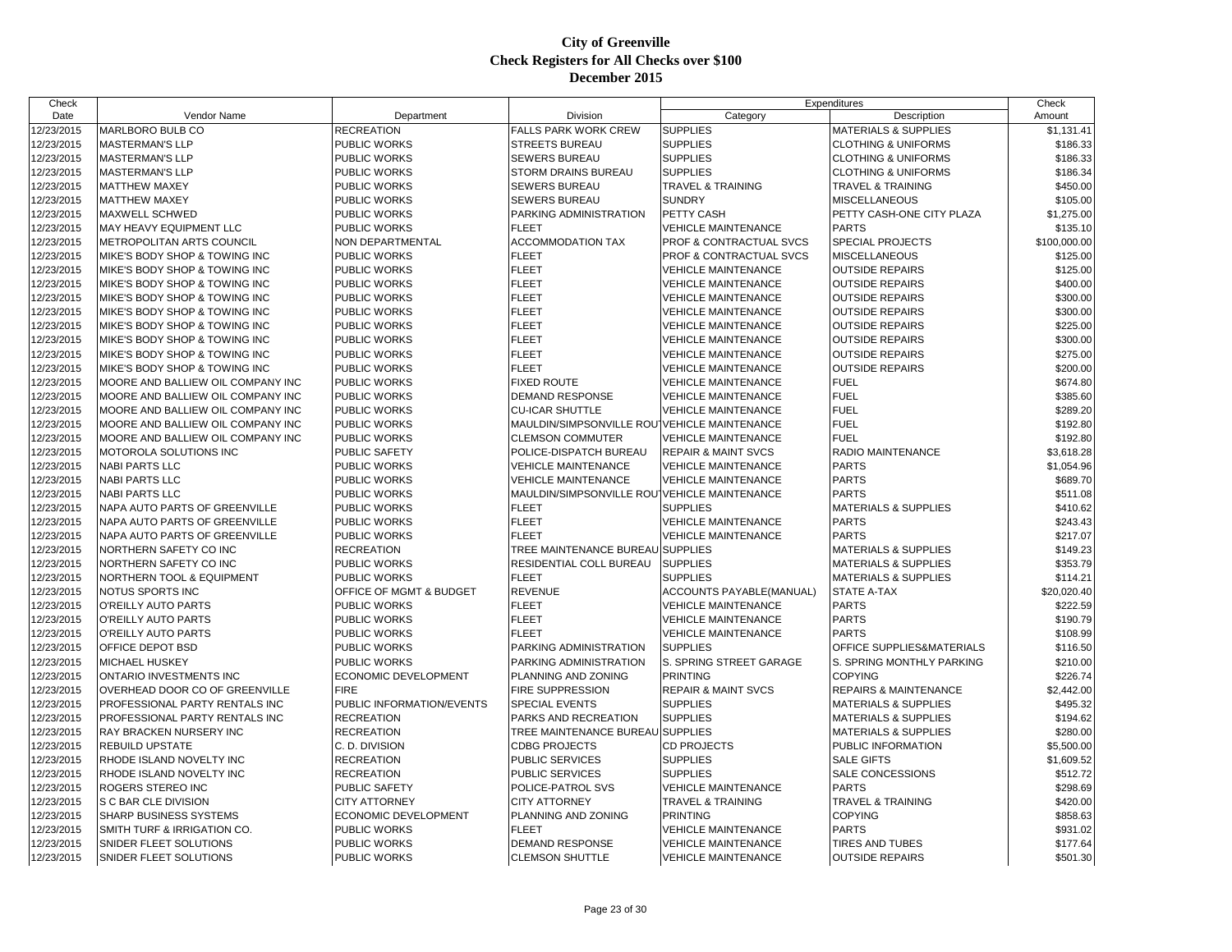| Check      |                                   |                           |                                              | Expenditures                   |                                  | Check        |
|------------|-----------------------------------|---------------------------|----------------------------------------------|--------------------------------|----------------------------------|--------------|
| Date       | Vendor Name                       | Department                | Division                                     | Category                       | Description                      | Amount       |
| 12/23/2015 | MARLBORO BULB CO                  | <b>RECREATION</b>         | <b>FALLS PARK WORK CREW</b>                  | <b>SUPPLIES</b>                | <b>MATERIALS &amp; SUPPLIES</b>  | \$1,131.41   |
| 12/23/2015 | <b>MASTERMAN'S LLP</b>            | PUBLIC WORKS              | <b>STREETS BUREAU</b>                        | <b>SUPPLIES</b>                | <b>CLOTHING &amp; UNIFORMS</b>   | \$186.33     |
| 12/23/2015 | <b>MASTERMAN'S LLP</b>            | PUBLIC WORKS              | <b>SEWERS BUREAU</b>                         | <b>SUPPLIES</b>                | <b>CLOTHING &amp; UNIFORMS</b>   | \$186.33     |
| 12/23/2015 | <b>MASTERMAN'S LLP</b>            | PUBLIC WORKS              | <b>STORM DRAINS BUREAU</b>                   | <b>SUPPLIES</b>                | <b>CLOTHING &amp; UNIFORMS</b>   | \$186.34     |
| 12/23/2015 | <b>MATTHEW MAXEY</b>              | PUBLIC WORKS              | <b>SEWERS BUREAU</b>                         | <b>TRAVEL &amp; TRAINING</b>   | <b>TRAVEL &amp; TRAINING</b>     | \$450.00     |
| 12/23/2015 | <b>MATTHEW MAXEY</b>              | <b>PUBLIC WORKS</b>       | <b>SEWERS BUREAU</b>                         | <b>SUNDRY</b>                  | <b>MISCELLANEOUS</b>             | \$105.00     |
| 12/23/2015 | <b>MAXWELL SCHWED</b>             | PUBLIC WORKS              | PARKING ADMINISTRATION                       | PETTY CASH                     | PETTY CASH-ONE CITY PLAZA        | \$1,275.00   |
| 12/23/2015 | MAY HEAVY EQUIPMENT LLC           | PUBLIC WORKS              | <b>FLEET</b>                                 | <b>VEHICLE MAINTENANCE</b>     | <b>PARTS</b>                     | \$135.10     |
| 12/23/2015 | METROPOLITAN ARTS COUNCIL         | NON DEPARTMENTAL          | <b>ACCOMMODATION TAX</b>                     | PROF & CONTRACTUAL SVCS        | SPECIAL PROJECTS                 | \$100,000.00 |
| 12/23/2015 | MIKE'S BODY SHOP & TOWING INC     | PUBLIC WORKS              | <b>FLEET</b>                                 | PROF & CONTRACTUAL SVCS        | <b>MISCELLANEOUS</b>             | \$125.00     |
| 12/23/2015 | MIKE'S BODY SHOP & TOWING INC     | PUBLIC WORKS              | <b>FLEET</b>                                 | <b>VEHICLE MAINTENANCE</b>     | <b>OUTSIDE REPAIRS</b>           | \$125.00     |
| 12/23/2015 | MIKE'S BODY SHOP & TOWING INC     | PUBLIC WORKS              | <b>FLEET</b>                                 | <b>VEHICLE MAINTENANCE</b>     | <b>OUTSIDE REPAIRS</b>           | \$400.00     |
| 12/23/2015 | MIKE'S BODY SHOP & TOWING INC     | PUBLIC WORKS              | <b>FLEET</b>                                 | <b>VEHICLE MAINTENANCE</b>     | <b>OUTSIDE REPAIRS</b>           | \$300.00     |
| 12/23/2015 | MIKE'S BODY SHOP & TOWING INC     | PUBLIC WORKS              | <b>FLEET</b>                                 | <b>VEHICLE MAINTENANCE</b>     | <b>OUTSIDE REPAIRS</b>           | \$300.00     |
| 12/23/2015 | MIKE'S BODY SHOP & TOWING INC     | PUBLIC WORKS              | <b>FLEET</b>                                 | <b>VEHICLE MAINTENANCE</b>     | <b>OUTSIDE REPAIRS</b>           | \$225.00     |
| 12/23/2015 | MIKE'S BODY SHOP & TOWING INC     | PUBLIC WORKS              | <b>FLEET</b>                                 | <b>VEHICLE MAINTENANCE</b>     | <b>OUTSIDE REPAIRS</b>           | \$300.00     |
| 12/23/2015 | MIKE'S BODY SHOP & TOWING INC     | PUBLIC WORKS              | <b>FLEET</b>                                 | <b>VEHICLE MAINTENANCE</b>     | <b>OUTSIDE REPAIRS</b>           | \$275.00     |
| 12/23/2015 | MIKE'S BODY SHOP & TOWING INC     | PUBLIC WORKS              | <b>FLEET</b>                                 | <b>VEHICLE MAINTENANCE</b>     | <b>OUTSIDE REPAIRS</b>           | \$200.00     |
| 12/23/2015 | MOORE AND BALLIEW OIL COMPANY INC | PUBLIC WORKS              | <b>FIXED ROUTE</b>                           | <b>VEHICLE MAINTENANCE</b>     | <b>FUEL</b>                      | \$674.80     |
| 12/23/2015 | MOORE AND BALLIEW OIL COMPANY INC | PUBLIC WORKS              | <b>DEMAND RESPONSE</b>                       | <b>VEHICLE MAINTENANCE</b>     | <b>FUEL</b>                      | \$385.60     |
| 12/23/2015 | MOORE AND BALLIEW OIL COMPANY INC | <b>PUBLIC WORKS</b>       | <b>CU-ICAR SHUTTLE</b>                       | <b>VEHICLE MAINTENANCE</b>     | <b>FUEL</b>                      | \$289.20     |
| 12/23/2015 | MOORE AND BALLIEW OIL COMPANY INC | PUBLIC WORKS              | MAULDIN/SIMPSONVILLE ROU VEHICLE MAINTENANCE |                                | <b>FUEL</b>                      | \$192.80     |
| 12/23/2015 | MOORE AND BALLIEW OIL COMPANY INC | PUBLIC WORKS              | <b>CLEMSON COMMUTER</b>                      | <b>VEHICLE MAINTENANCE</b>     | <b>FUEL</b>                      | \$192.80     |
| 12/23/2015 | MOTOROLA SOLUTIONS INC            | PUBLIC SAFETY             | POLICE-DISPATCH BUREAU                       | <b>REPAIR &amp; MAINT SVCS</b> | <b>RADIO MAINTENANCE</b>         | \$3,618.28   |
| 12/23/2015 | <b>NABI PARTS LLC</b>             | PUBLIC WORKS              | <b>VEHICLE MAINTENANCE</b>                   | <b>VEHICLE MAINTENANCE</b>     | <b>PARTS</b>                     | \$1,054.96   |
| 12/23/2015 | <b>NABI PARTS LLC</b>             | PUBLIC WORKS              | <b>VEHICLE MAINTENANCE</b>                   | <b>VEHICLE MAINTENANCE</b>     | <b>PARTS</b>                     | \$689.70     |
| 12/23/2015 | <b>NABI PARTS LLC</b>             | PUBLIC WORKS              | MAULDIN/SIMPSONVILLE ROU VEHICLE MAINTENANCE |                                | <b>PARTS</b>                     | \$511.08     |
| 12/23/2015 | NAPA AUTO PARTS OF GREENVILLE     | PUBLIC WORKS              | <b>FLEET</b>                                 | <b>SUPPLIES</b>                | <b>MATERIALS &amp; SUPPLIES</b>  | \$410.62     |
| 12/23/2015 | NAPA AUTO PARTS OF GREENVILLE     | PUBLIC WORKS              | <b>FLEET</b>                                 | <b>VEHICLE MAINTENANCE</b>     | <b>PARTS</b>                     | \$243.43     |
| 12/23/2015 | NAPA AUTO PARTS OF GREENVILLE     | PUBLIC WORKS              | <b>FLEET</b>                                 | <b>VEHICLE MAINTENANCE</b>     | <b>PARTS</b>                     | \$217.07     |
| 12/23/2015 | NORTHERN SAFETY CO INC            | <b>RECREATION</b>         | TREE MAINTENANCE BUREAU SUPPLIES             |                                | <b>MATERIALS &amp; SUPPLIES</b>  | \$149.23     |
| 12/23/2015 | NORTHERN SAFETY CO INC            | PUBLIC WORKS              | <b>RESIDENTIAL COLL BUREAU</b>               | <b>SUPPLIES</b>                | <b>MATERIALS &amp; SUPPLIES</b>  | \$353.79     |
| 12/23/2015 | NORTHERN TOOL & EQUIPMENT         | PUBLIC WORKS              | <b>FLEET</b>                                 | <b>SUPPLIES</b>                | <b>MATERIALS &amp; SUPPLIES</b>  | \$114.21     |
| 12/23/2015 | NOTUS SPORTS INC                  | OFFICE OF MGMT & BUDGET   | <b>REVENUE</b>                               | ACCOUNTS PAYABLE(MANUAL)       | <b>STATE A-TAX</b>               | \$20,020.40  |
| 12/23/2015 | O'REILLY AUTO PARTS               | PUBLIC WORKS              | <b>FLEET</b>                                 | <b>VEHICLE MAINTENANCE</b>     | <b>PARTS</b>                     | \$222.59     |
| 12/23/2015 | O'REILLY AUTO PARTS               | <b>PUBLIC WORKS</b>       | <b>FLEET</b>                                 | <b>VEHICLE MAINTENANCE</b>     | <b>PARTS</b>                     | \$190.79     |
| 12/23/2015 | O'REILLY AUTO PARTS               | PUBLIC WORKS              | <b>FLEET</b>                                 | <b>VEHICLE MAINTENANCE</b>     | <b>PARTS</b>                     | \$108.99     |
| 12/23/2015 | OFFICE DEPOT BSD                  | PUBLIC WORKS              | PARKING ADMINISTRATION                       | <b>SUPPLIES</b>                | OFFICE SUPPLIES&MATERIALS        | \$116.50     |
| 12/23/2015 | MICHAEL HUSKEY                    | PUBLIC WORKS              | PARKING ADMINISTRATION                       | S. SPRING STREET GARAGE        | S. SPRING MONTHLY PARKING        | \$210.00     |
| 12/23/2015 | ONTARIO INVESTMENTS INC           | ECONOMIC DEVELOPMENT      | PLANNING AND ZONING                          | <b>PRINTING</b>                | <b>COPYING</b>                   | \$226.74     |
| 12/23/2015 | OVERHEAD DOOR CO OF GREENVILLE    | <b>FIRE</b>               | <b>FIRE SUPPRESSION</b>                      | <b>REPAIR &amp; MAINT SVCS</b> | <b>REPAIRS &amp; MAINTENANCE</b> | \$2,442.00   |
| 12/23/2015 | PROFESSIONAL PARTY RENTALS INC    | PUBLIC INFORMATION/EVENTS | SPECIAL EVENTS                               | <b>SUPPLIES</b>                | <b>MATERIALS &amp; SUPPLIES</b>  | \$495.32     |
| 12/23/2015 | PROFESSIONAL PARTY RENTALS INC    | <b>RECREATION</b>         | PARKS AND RECREATION                         | <b>SUPPLIES</b>                | <b>MATERIALS &amp; SUPPLIES</b>  | \$194.62     |
| 12/23/2015 | RAY BRACKEN NURSERY INC           | <b>RECREATION</b>         | TREE MAINTENANCE BUREAU SUPPLIES             |                                | <b>MATERIALS &amp; SUPPLIES</b>  | \$280.00     |
| 12/23/2015 | REBUILD UPSTATE                   | C. D. DIVISION            | <b>CDBG PROJECTS</b>                         | <b>CD PROJECTS</b>             | PUBLIC INFORMATION               | \$5,500.00   |
| 12/23/2015 | RHODE ISLAND NOVELTY INC          | <b>RECREATION</b>         | <b>PUBLIC SERVICES</b>                       | <b>SUPPLIES</b>                | <b>SALE GIFTS</b>                | \$1,609.52   |
| 12/23/2015 | RHODE ISLAND NOVELTY INC          | <b>RECREATION</b>         | <b>PUBLIC SERVICES</b>                       | <b>SUPPLIES</b>                | SALE CONCESSIONS                 | \$512.72     |
| 12/23/2015 | ROGERS STEREO INC                 | PUBLIC SAFETY             | POLICE-PATROL SVS                            | VEHICLE MAINTENANCE            | <b>PARTS</b>                     | \$298.69     |
| 12/23/2015 | S C BAR CLE DIVISION              | <b>CITY ATTORNEY</b>      | <b>CITY ATTORNEY</b>                         | <b>TRAVEL &amp; TRAINING</b>   | <b>TRAVEL &amp; TRAINING</b>     | \$420.00     |
| 12/23/2015 | SHARP BUSINESS SYSTEMS            | ECONOMIC DEVELOPMENT      | PLANNING AND ZONING                          | <b>PRINTING</b>                | <b>COPYING</b>                   | \$858.63     |
| 12/23/2015 | SMITH TURF & IRRIGATION CO.       | PUBLIC WORKS              | <b>FLEET</b>                                 | <b>VEHICLE MAINTENANCE</b>     | <b>PARTS</b>                     | \$931.02     |
| 12/23/2015 | SNIDER FLEET SOLUTIONS            | PUBLIC WORKS              | <b>DEMAND RESPONSE</b>                       | <b>VEHICLE MAINTENANCE</b>     | <b>TIRES AND TUBES</b>           | \$177.64     |
| 12/23/2015 | SNIDER FLEET SOLUTIONS            | PUBLIC WORKS              | <b>CLEMSON SHUTTLE</b>                       | <b>VEHICLE MAINTENANCE</b>     | <b>OUTSIDE REPAIRS</b>           | \$501.30     |
|            |                                   |                           |                                              |                                |                                  |              |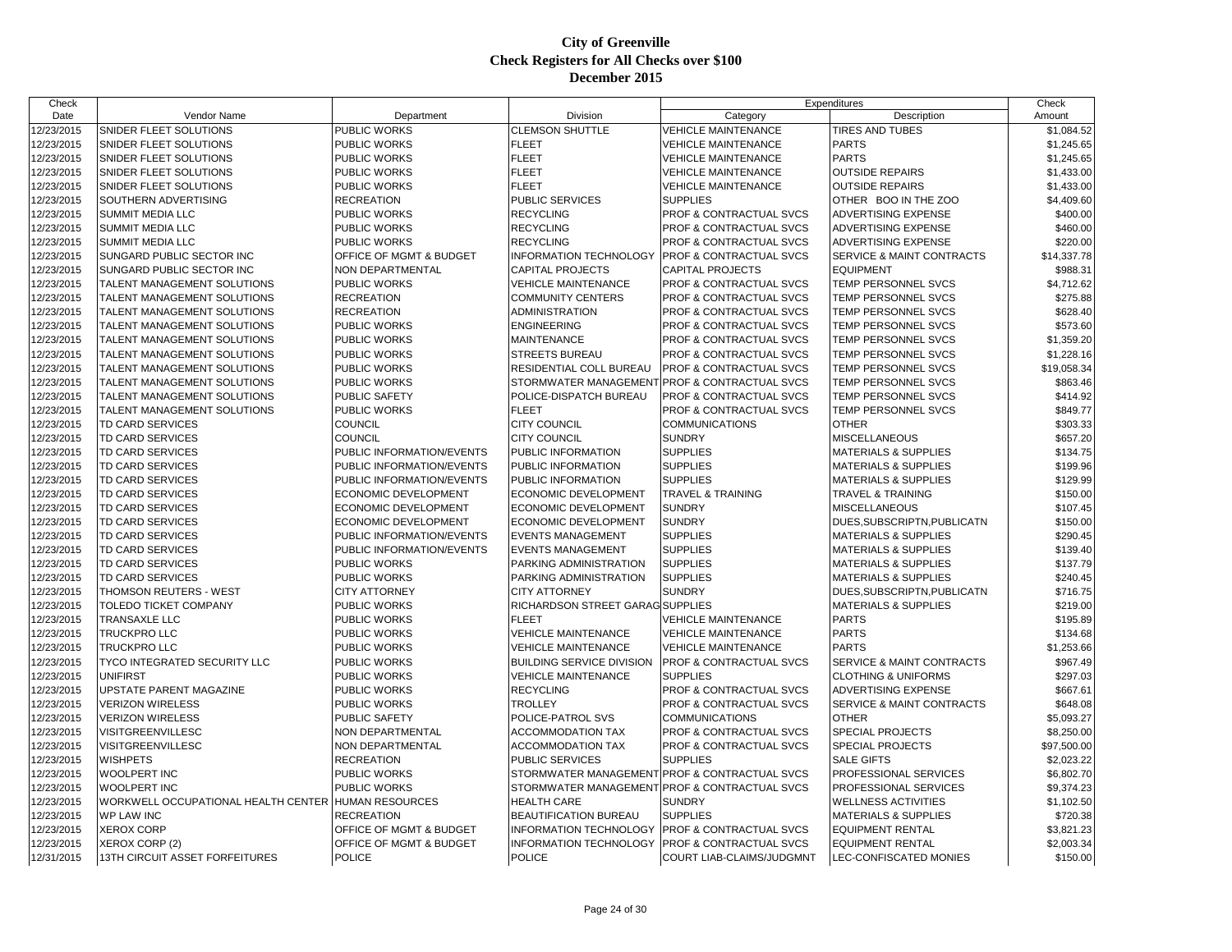| Check      |                                     |                           |                                                | Expenditures                       |                                 | Check       |
|------------|-------------------------------------|---------------------------|------------------------------------------------|------------------------------------|---------------------------------|-------------|
| Date       | <b>Vendor Name</b>                  | Department                | <b>Division</b>                                | Category                           | Description                     | Amount      |
| 12/23/2015 | SNIDER FLEET SOLUTIONS              | PUBLIC WORKS              | <b>CLEMSON SHUTTLE</b>                         | VEHICLE MAINTENANCE                | TIRES AND TUBES                 | \$1,084.52  |
| 12/23/2015 | SNIDER FLEET SOLUTIONS              | PUBLIC WORKS              | <b>FLEET</b>                                   | <b>VEHICLE MAINTENANCE</b>         | <b>PARTS</b>                    | \$1,245.65  |
| 12/23/2015 | SNIDER FLEET SOLUTIONS              | PUBLIC WORKS              | <b>FLEET</b>                                   | <b>VEHICLE MAINTENANCE</b>         | <b>PARTS</b>                    | \$1,245.65  |
| 12/23/2015 | SNIDER FLEET SOLUTIONS              | PUBLIC WORKS              | <b>FLEET</b>                                   | <b>VEHICLE MAINTENANCE</b>         | <b>OUTSIDE REPAIRS</b>          | \$1,433.00  |
| 12/23/2015 | SNIDER FLEET SOLUTIONS              | PUBLIC WORKS              | <b>FLEET</b>                                   | <b>VEHICLE MAINTENANCE</b>         | <b>OUTSIDE REPAIRS</b>          | \$1,433.00  |
| 12/23/2015 | SOUTHERN ADVERTISING                | <b>RECREATION</b>         | <b>PUBLIC SERVICES</b>                         | <b>SUPPLIES</b>                    | OTHER BOO IN THE ZOO            | \$4,409.60  |
| 12/23/2015 | SUMMIT MEDIA LLC                    | PUBLIC WORKS              | <b>RECYCLING</b>                               | PROF & CONTRACTUAL SVCS            | ADVERTISING EXPENSE             | \$400.00    |
| 12/23/2015 | SUMMIT MEDIA LLC                    | PUBLIC WORKS              | <b>RECYCLING</b>                               | PROF & CONTRACTUAL SVCS            | ADVERTISING EXPENSE             | \$460.00    |
| 12/23/2015 | <b>SUMMIT MEDIA LLC</b>             | PUBLIC WORKS              | <b>RECYCLING</b>                               | PROF & CONTRACTUAL SVCS            | ADVERTISING EXPENSE             | \$220.00    |
| 12/23/2015 | SUNGARD PUBLIC SECTOR INC           | OFFICE OF MGMT & BUDGET   | <b>INFORMATION TECHNOLOGY</b>                  | <b>PROF &amp; CONTRACTUAL SVCS</b> | SERVICE & MAINT CONTRACTS       | \$14,337.78 |
| 12/23/2015 | SUNGARD PUBLIC SECTOR INC           | NON DEPARTMENTAL          | <b>CAPITAL PROJECTS</b>                        | <b>CAPITAL PROJECTS</b>            | <b>EQUIPMENT</b>                | \$988.31    |
| 12/23/2015 | TALENT MANAGEMENT SOLUTIONS         | PUBLIC WORKS              | <b>VEHICLE MAINTENANCE</b>                     | <b>PROF &amp; CONTRACTUAL SVCS</b> | TEMP PERSONNEL SVCS             | \$4,712.62  |
| 12/23/2015 | TALENT MANAGEMENT SOLUTIONS         | <b>RECREATION</b>         | <b>COMMUNITY CENTERS</b>                       | PROF & CONTRACTUAL SVCS            | TEMP PERSONNEL SVCS             | \$275.88    |
| 12/23/2015 | TALENT MANAGEMENT SOLUTIONS         | <b>RECREATION</b>         | <b>ADMINISTRATION</b>                          | PROF & CONTRACTUAL SVCS            | TEMP PERSONNEL SVCS             | \$628.40    |
| 12/23/2015 | TALENT MANAGEMENT SOLUTIONS         | PUBLIC WORKS              | <b>ENGINEERING</b>                             | PROF & CONTRACTUAL SVCS            | TEMP PERSONNEL SVCS             | \$573.60    |
| 12/23/2015 | TALENT MANAGEMENT SOLUTIONS         | PUBLIC WORKS              | <b>MAINTENANCE</b>                             | <b>PROF &amp; CONTRACTUAL SVCS</b> | TEMP PERSONNEL SVCS             | \$1,359.20  |
| 12/23/2015 | TALENT MANAGEMENT SOLUTIONS         | PUBLIC WORKS              | <b>STREETS BUREAU</b>                          | PROF & CONTRACTUAL SVCS            | TEMP PERSONNEL SVCS             | \$1,228.16  |
| 12/23/2015 | TALENT MANAGEMENT SOLUTIONS         | PUBLIC WORKS              | RESIDENTIAL COLL BUREAU                        | PROF & CONTRACTUAL SVCS            | TEMP PERSONNEL SVCS             | \$19,058.34 |
| 12/23/2015 | TALENT MANAGEMENT SOLUTIONS         | PUBLIC WORKS              | STORMWATER MANAGEMENT PROF & CONTRACTUAL SVCS  |                                    | TEMP PERSONNEL SVCS             | \$863.46    |
| 12/23/2015 | <b>TALENT MANAGEMENT SOLUTIONS</b>  | PUBLIC SAFETY             | POLICE-DISPATCH BUREAU                         | PROF & CONTRACTUAL SVCS            | TEMP PERSONNEL SVCS             | \$414.92    |
| 12/23/2015 | TALENT MANAGEMENT SOLUTIONS         | PUBLIC WORKS              | <b>FLEET</b>                                   | PROF & CONTRACTUAL SVCS            | TEMP PERSONNEL SVCS             | \$849.77    |
| 12/23/2015 | TD CARD SERVICES                    | <b>COUNCIL</b>            | <b>CITY COUNCIL</b>                            | <b>COMMUNICATIONS</b>              | <b>OTHER</b>                    | \$303.33    |
| 12/23/2015 | TD CARD SERVICES                    | COUNCIL                   | <b>CITY COUNCIL</b>                            | <b>SUNDRY</b>                      | MISCELLANEOUS                   | \$657.20    |
| 12/23/2015 | TD CARD SERVICES                    | PUBLIC INFORMATION/EVENTS | PUBLIC INFORMATION                             | <b>SUPPLIES</b>                    | <b>MATERIALS &amp; SUPPLIES</b> | \$134.75    |
| 12/23/2015 | <b>TD CARD SERVICES</b>             | PUBLIC INFORMATION/EVENTS | PUBLIC INFORMATION                             | <b>SUPPLIES</b>                    | <b>MATERIALS &amp; SUPPLIES</b> | \$199.96    |
| 12/23/2015 | TD CARD SERVICES                    | PUBLIC INFORMATION/EVENTS | PUBLIC INFORMATION                             | <b>SUPPLIES</b>                    | <b>MATERIALS &amp; SUPPLIES</b> | \$129.99    |
| 12/23/2015 | <b>TD CARD SERVICES</b>             | ECONOMIC DEVELOPMENT      | <b>ECONOMIC DEVELOPMENT</b>                    | <b>TRAVEL &amp; TRAINING</b>       | <b>TRAVEL &amp; TRAINING</b>    | \$150.00    |
| 12/23/2015 | TD CARD SERVICES                    | ECONOMIC DEVELOPMENT      | <b>ECONOMIC DEVELOPMENT</b>                    | <b>SUNDRY</b>                      | <b>MISCELLANEOUS</b>            | \$107.45    |
| 12/23/2015 | TD CARD SERVICES                    | ECONOMIC DEVELOPMENT      | ECONOMIC DEVELOPMENT                           | <b>SUNDRY</b>                      | DUES, SUBSCRIPTN, PUBLICATN     | \$150.00    |
| 12/23/2015 | TD CARD SERVICES                    | PUBLIC INFORMATION/EVENTS | <b>EVENTS MANAGEMENT</b>                       | <b>SUPPLIES</b>                    | <b>MATERIALS &amp; SUPPLIES</b> | \$290.45    |
| 12/23/2015 | TD CARD SERVICES                    | PUBLIC INFORMATION/EVENTS | <b>EVENTS MANAGEMENT</b>                       | <b>SUPPLIES</b>                    | <b>MATERIALS &amp; SUPPLIES</b> | \$139.40    |
| 12/23/2015 | TD CARD SERVICES                    | PUBLIC WORKS              | PARKING ADMINISTRATION                         | <b>SUPPLIES</b>                    | <b>MATERIALS &amp; SUPPLIES</b> | \$137.79    |
| 12/23/2015 | TD CARD SERVICES                    | PUBLIC WORKS              | PARKING ADMINISTRATION                         | <b>SUPPLIES</b>                    | <b>MATERIALS &amp; SUPPLIES</b> | \$240.45    |
| 12/23/2015 | THOMSON REUTERS - WEST              | <b>CITY ATTORNEY</b>      | <b>CITY ATTORNEY</b>                           | <b>SUNDRY</b>                      | DUES, SUBSCRIPTN, PUBLICATN     | \$716.75    |
| 12/23/2015 | TOLEDO TICKET COMPANY               | PUBLIC WORKS              | <b>RICHARDSON STREET GARAG SUPPLIES</b>        |                                    | <b>MATERIALS &amp; SUPPLIES</b> | \$219.00    |
| 12/23/2015 | TRANSAXLE LLC                       | PUBLIC WORKS              | <b>FLEET</b>                                   | <b>VEHICLE MAINTENANCE</b>         | <b>PARTS</b>                    | \$195.89    |
| 12/23/2015 | TRUCKPRO LLC                        | PUBLIC WORKS              | <b>VEHICLE MAINTENANCE</b>                     | <b>VEHICLE MAINTENANCE</b>         | <b>PARTS</b>                    | \$134.68    |
| 12/23/2015 | TRUCKPRO LLC                        | PUBLIC WORKS              | <b>VEHICLE MAINTENANCE</b>                     | <b>VEHICLE MAINTENANCE</b>         | <b>PARTS</b>                    | \$1,253.66  |
| 12/23/2015 | TYCO INTEGRATED SECURITY LLC        | PUBLIC WORKS              | <b>BUILDING SERVICE DIVISION</b>               | <b>PROF &amp; CONTRACTUAL SVCS</b> | SERVICE & MAINT CONTRACTS       | \$967.49    |
| 12/23/2015 | UNIFIRST                            | PUBLIC WORKS              | <b>VEHICLE MAINTENANCE</b>                     | <b>SUPPLIES</b>                    | <b>CLOTHING &amp; UNIFORMS</b>  | \$297.03    |
| 12/23/2015 | <b>UPSTATE PARENT MAGAZINE</b>      | PUBLIC WORKS              | <b>RECYCLING</b>                               | PROF & CONTRACTUAL SVCS            | ADVERTISING EXPENSE             | \$667.61    |
| 12/23/2015 | <b>VERIZON WIRELESS</b>             | PUBLIC WORKS              | <b>TROLLEY</b>                                 | PROF & CONTRACTUAL SVCS            | SERVICE & MAINT CONTRACTS       | \$648.08    |
| 12/23/2015 | <b>VERIZON WIRELESS</b>             | PUBLIC SAFETY             | POLICE-PATROL SVS                              | <b>COMMUNICATIONS</b>              | <b>OTHER</b>                    | \$5,093.27  |
| 12/23/2015 | VISITGREENVILLESC                   | NON DEPARTMENTAL          | <b>ACCOMMODATION TAX</b>                       | PROF & CONTRACTUAL SVCS            | SPECIAL PROJECTS                | \$8,250.00  |
| 12/23/2015 | VISITGREENVILLESC                   | NON DEPARTMENTAL          | <b>ACCOMMODATION TAX</b>                       | PROF & CONTRACTUAL SVCS            | SPECIAL PROJECTS                |             |
| 12/23/2015 | <b>WISHPETS</b>                     | <b>RECREATION</b>         | <b>PUBLIC SERVICES</b>                         | <b>SUPPLIES</b>                    | <b>SALE GIFTS</b>               | \$97,500.00 |
|            | <b>WOOLPERT INC</b>                 | PUBLIC WORKS              |                                                |                                    | PROFESSIONAL SERVICES           | \$2,023.22  |
| 12/23/2015 |                                     |                           | STORMWATER MANAGEMENT PROF & CONTRACTUAL SVCS  |                                    |                                 | \$6,802.70  |
| 12/23/2015 | <b>WOOLPERT INC</b>                 | PUBLIC WORKS              | STORMWATER MANAGEMENT PROF & CONTRACTUAL SVCS  |                                    | PROFESSIONAL SERVICES           | \$9,374.23  |
| 12/23/2015 | WORKWELL OCCUPATIONAL HEALTH CENTER | <b>HUMAN RESOURCES</b>    | <b>HEALTH CARE</b>                             | <b>SUNDRY</b><br><b>SUPPLIES</b>   | <b>WELLNESS ACTIVITIES</b>      | \$1,102.50  |
| 12/23/2015 | WP LAW INC                          | <b>RECREATION</b>         | <b>BEAUTIFICATION BUREAU</b>                   |                                    | <b>MATERIALS &amp; SUPPLIES</b> | \$720.38    |
| 12/23/2015 | <b>XEROX CORP</b>                   | OFFICE OF MGMT & BUDGET   | <b>INFORMATION TECHNOLOGY</b>                  | <b>PROF &amp; CONTRACTUAL SVCS</b> | <b>EQUIPMENT RENTAL</b>         | \$3,821.23  |
| 12/23/2015 | XEROX CORP (2)                      | OFFICE OF MGMT & BUDGET   | INFORMATION TECHNOLOGY PROF & CONTRACTUAL SVCS |                                    | <b>EQUIPMENT RENTAL</b>         | \$2,003.34  |
| 12/31/2015 | 13TH CIRCUIT ASSET FORFEITURES      | <b>POLICE</b>             | <b>POLICE</b>                                  | COURT LIAB-CLAIMS/JUDGMNT          | LEC-CONFISCATED MONIES          | \$150.00    |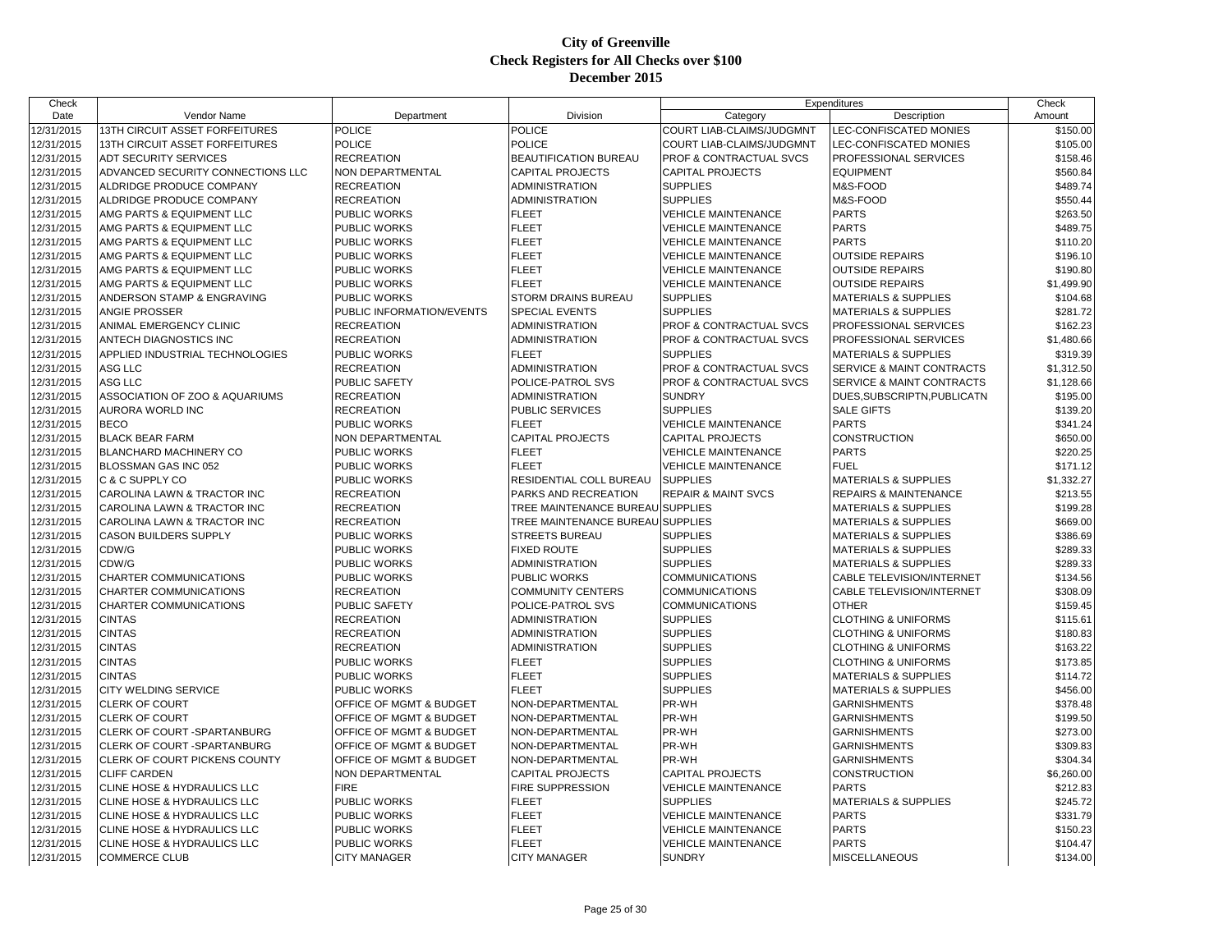| Check                    |                                       |                           |                                  | Expenditures                     |                                                                    | Check                |
|--------------------------|---------------------------------------|---------------------------|----------------------------------|----------------------------------|--------------------------------------------------------------------|----------------------|
| Date                     | Vendor Name                           | Department                | Division                         | Category                         | Description                                                        | Amount               |
| 12/31/2015               | <b>13TH CIRCUIT ASSET FORFEITURES</b> | <b>POLICE</b>             | <b>POLICE</b>                    | <b>COURT LIAB-CLAIMS/JUDGMNT</b> | LEC-CONFISCATED MONIES                                             | \$150.00             |
| 12/31/2015               | <b>13TH CIRCUIT ASSET FORFEITURES</b> | <b>POLICE</b>             | <b>POLICE</b>                    | <b>COURT LIAB-CLAIMS/JUDGMNT</b> | LEC-CONFISCATED MONIES                                             | \$105.00             |
| 12/31/2015               | <b>ADT SECURITY SERVICES</b>          | <b>RECREATION</b>         | <b>BEAUTIFICATION BUREAU</b>     | PROF & CONTRACTUAL SVCS          | PROFESSIONAL SERVICES                                              | \$158.46             |
| 12/31/2015               | ADVANCED SECURITY CONNECTIONS LLC     | NON DEPARTMENTAL          | <b>CAPITAL PROJECTS</b>          | <b>CAPITAL PROJECTS</b>          | <b>EQUIPMENT</b>                                                   | \$560.84             |
| 12/31/2015               | ALDRIDGE PRODUCE COMPANY              | <b>RECREATION</b>         | <b>ADMINISTRATION</b>            | <b>SUPPLIES</b>                  | M&S-FOOD                                                           | \$489.74             |
| 12/31/2015               | ALDRIDGE PRODUCE COMPANY              | <b>RECREATION</b>         | <b>ADMINISTRATION</b>            | <b>SUPPLIES</b>                  | M&S-FOOD                                                           | \$550.44             |
| 12/31/2015               | AMG PARTS & EQUIPMENT LLC             | PUBLIC WORKS              | <b>FLEET</b>                     | <b>VEHICLE MAINTENANCE</b>       | <b>PARTS</b>                                                       | \$263.50             |
| 12/31/2015               | AMG PARTS & EQUIPMENT LLC             | <b>PUBLIC WORKS</b>       | <b>FLEET</b>                     | <b>VEHICLE MAINTENANCE</b>       | <b>PARTS</b>                                                       | \$489.75             |
| 12/31/2015               | AMG PARTS & EQUIPMENT LLC             | <b>PUBLIC WORKS</b>       | <b>FLEET</b>                     | <b>VEHICLE MAINTENANCE</b>       | <b>PARTS</b>                                                       | \$110.20             |
| 12/31/2015               | AMG PARTS & EQUIPMENT LLC             | PUBLIC WORKS              | <b>FLEET</b>                     | VEHICLE MAINTENANCE              | <b>OUTSIDE REPAIRS</b>                                             | \$196.10             |
| 12/31/2015               | AMG PARTS & EQUIPMENT LLC             | PUBLIC WORKS              | <b>FLEET</b>                     | <b>VEHICLE MAINTENANCE</b>       | <b>OUTSIDE REPAIRS</b>                                             | \$190.80             |
| 12/31/2015               | AMG PARTS & EQUIPMENT LLC             | PUBLIC WORKS              | <b>FLEET</b>                     | <b>VEHICLE MAINTENANCE</b>       | <b>OUTSIDE REPAIRS</b>                                             | \$1,499.90           |
| 12/31/2015               | ANDERSON STAMP & ENGRAVING            | PUBLIC WORKS              | STORM DRAINS BUREAU              | <b>SUPPLIES</b>                  | <b>MATERIALS &amp; SUPPLIES</b>                                    | \$104.68             |
| 12/31/2015               | <b>ANGIE PROSSER</b>                  | PUBLIC INFORMATION/EVENTS | SPECIAL EVENTS                   | <b>SUPPLIES</b>                  | <b>MATERIALS &amp; SUPPLIES</b>                                    | \$281.72             |
| 12/31/2015               | ANIMAL EMERGENCY CLINIC               | <b>RECREATION</b>         | <b>ADMINISTRATION</b>            | PROF & CONTRACTUAL SVCS          | PROFESSIONAL SERVICES                                              | \$162.23             |
| 12/31/2015               | ANTECH DIAGNOSTICS INC                | <b>RECREATION</b>         | <b>ADMINISTRATION</b>            | PROF & CONTRACTUAL SVCS          | PROFESSIONAL SERVICES                                              | \$1,480.66           |
| 12/31/2015               | APPLIED INDUSTRIAL TECHNOLOGIES       | PUBLIC WORKS              | <b>FLEET</b>                     | <b>SUPPLIES</b>                  | <b>MATERIALS &amp; SUPPLIES</b>                                    | \$319.39             |
| 12/31/2015               | ASG LLC                               | <b>RECREATION</b>         | <b>ADMINISTRATION</b>            | PROF & CONTRACTUAL SVCS          | SERVICE & MAINT CONTRACTS                                          | \$1,312.50           |
| 12/31/2015               | ASG LLC                               | <b>PUBLIC SAFETY</b>      | POLICE-PATROL SVS                | PROF & CONTRACTUAL SVCS          | SERVICE & MAINT CONTRACTS                                          | \$1,128.66           |
| 12/31/2015               | ASSOCIATION OF ZOO & AQUARIUMS        | <b>RECREATION</b>         | <b>ADMINISTRATION</b>            | <b>SUNDRY</b>                    | DUES, SUBSCRIPTN, PUBLICATN                                        | \$195.00             |
| 12/31/2015               | AURORA WORLD INC                      | <b>RECREATION</b>         | PUBLIC SERVICES                  | <b>SUPPLIES</b>                  | <b>SALE GIFTS</b>                                                  | \$139.20             |
| 12/31/2015               | <b>BECO</b>                           | PUBLIC WORKS              | <b>FLEET</b>                     | <b>VEHICLE MAINTENANCE</b>       | <b>PARTS</b>                                                       | \$341.24             |
| 12/31/2015               | <b>BLACK BEAR FARM</b>                | NON DEPARTMENTAL          | <b>CAPITAL PROJECTS</b>          | <b>CAPITAL PROJECTS</b>          | <b>CONSTRUCTION</b>                                                | \$650.00             |
| 12/31/2015               | <b>BLANCHARD MACHINERY CO</b>         | <b>PUBLIC WORKS</b>       | <b>FLEET</b>                     | <b>VEHICLE MAINTENANCE</b>       | <b>PARTS</b>                                                       | \$220.25             |
| 12/31/2015               | BLOSSMAN GAS INC 052                  | PUBLIC WORKS              | <b>FLEET</b>                     | <b>VEHICLE MAINTENANCE</b>       | <b>FUEL</b>                                                        | \$171.12             |
| 12/31/2015               | C & C SUPPLY CO                       | <b>PUBLIC WORKS</b>       | RESIDENTIAL COLL BUREAU          | <b>SUPPLIES</b>                  | <b>MATERIALS &amp; SUPPLIES</b>                                    | \$1,332.27           |
| 12/31/2015               | CAROLINA LAWN & TRACTOR INC           | <b>RECREATION</b>         | PARKS AND RECREATION             | <b>REPAIR &amp; MAINT SVCS</b>   | <b>REPAIRS &amp; MAINTENANCE</b>                                   | \$213.55             |
| 12/31/2015               | CAROLINA LAWN & TRACTOR INC           | <b>RECREATION</b>         | TREE MAINTENANCE BUREAU SUPPLIES |                                  | <b>MATERIALS &amp; SUPPLIES</b>                                    | \$199.28             |
| 12/31/2015               | CAROLINA LAWN & TRACTOR INC           | <b>RECREATION</b>         | TREE MAINTENANCE BUREAU SUPPLIES |                                  | <b>MATERIALS &amp; SUPPLIES</b>                                    | \$669.00             |
| 12/31/2015               | CASON BUILDERS SUPPLY                 | PUBLIC WORKS              | <b>STREETS BUREAU</b>            | <b>SUPPLIES</b>                  | <b>MATERIALS &amp; SUPPLIES</b>                                    | \$386.69             |
| 12/31/2015               | CDW/G                                 | PUBLIC WORKS              | <b>FIXED ROUTE</b>               | <b>SUPPLIES</b>                  | <b>MATERIALS &amp; SUPPLIES</b>                                    | \$289.33             |
| 12/31/2015               | CDW/G                                 | <b>PUBLIC WORKS</b>       | <b>ADMINISTRATION</b>            | <b>SUPPLIES</b>                  | <b>MATERIALS &amp; SUPPLIES</b>                                    | \$289.33             |
| 12/31/2015               | CHARTER COMMUNICATIONS                | PUBLIC WORKS              | PUBLIC WORKS                     | <b>COMMUNICATIONS</b>            | CABLE TELEVISION/INTERNET                                          | \$134.56             |
| 12/31/2015               | CHARTER COMMUNICATIONS                | <b>RECREATION</b>         | <b>COMMUNITY CENTERS</b>         | <b>COMMUNICATIONS</b>            | CABLE TELEVISION/INTERNET                                          | \$308.09             |
| 12/31/2015               | CHARTER COMMUNICATIONS                | PUBLIC SAFETY             | POLICE-PATROL SVS                | <b>COMMUNICATIONS</b>            | <b>OTHER</b>                                                       | \$159.45             |
| 12/31/2015               | <b>CINTAS</b>                         | <b>RECREATION</b>         | ADMINISTRATION                   | <b>SUPPLIES</b>                  | <b>CLOTHING &amp; UNIFORMS</b>                                     | \$115.61             |
|                          | <b>CINTAS</b>                         | <b>RECREATION</b>         | ADMINISTRATION                   | <b>SUPPLIES</b>                  | <b>CLOTHING &amp; UNIFORMS</b>                                     | \$180.83             |
| 12/31/2015<br>12/31/2015 | <b>CINTAS</b>                         | <b>RECREATION</b>         | <b>ADMINISTRATION</b>            | <b>SUPPLIES</b>                  | <b>CLOTHING &amp; UNIFORMS</b>                                     | \$163.22             |
| 12/31/2015               | <b>CINTAS</b>                         | <b>PUBLIC WORKS</b>       | <b>FLEET</b>                     | <b>SUPPLIES</b>                  | <b>CLOTHING &amp; UNIFORMS</b>                                     |                      |
|                          | <b>CINTAS</b>                         | PUBLIC WORKS              | <b>FLEET</b>                     | <b>SUPPLIES</b>                  |                                                                    | \$173.85             |
| 12/31/2015               | CITY WELDING SERVICE                  | PUBLIC WORKS              | <b>FLEET</b>                     | <b>SUPPLIES</b>                  | <b>MATERIALS &amp; SUPPLIES</b><br><b>MATERIALS &amp; SUPPLIES</b> | \$114.72<br>\$456.00 |
| 12/31/2015               |                                       |                           |                                  | PR-WH                            |                                                                    |                      |
| 12/31/2015               | <b>CLERK OF COURT</b>                 | OFFICE OF MGMT & BUDGET   | NON-DEPARTMENTAL                 | PR-WH                            | <b>GARNISHMENTS</b>                                                | \$378.48             |
| 12/31/2015               | <b>CLERK OF COURT</b>                 | OFFICE OF MGMT & BUDGET   | NON-DEPARTMENTAL                 |                                  | <b>GARNISHMENTS</b>                                                | \$199.50             |
| 12/31/2015               | CLERK OF COURT -SPARTANBURG           | OFFICE OF MGMT & BUDGET   | NON-DEPARTMENTAL                 | PR-WH                            | <b>GARNISHMENTS</b>                                                | \$273.00             |
| 12/31/2015               | CLERK OF COURT - SPARTANBURG          | OFFICE OF MGMT & BUDGET   | NON-DEPARTMENTAL                 | PR-WH                            | <b>GARNISHMENTS</b>                                                | \$309.83             |
| 12/31/2015               | CLERK OF COURT PICKENS COUNTY         | OFFICE OF MGMT & BUDGET   | NON-DEPARTMENTAL                 | PR-WH                            | <b>GARNISHMENTS</b>                                                | \$304.34             |
| 12/31/2015               | <b>CLIFF CARDEN</b>                   | <b>NON DEPARTMENTAL</b>   | <b>CAPITAL PROJECTS</b>          | <b>CAPITAL PROJECTS</b>          | <b>CONSTRUCTION</b>                                                | \$6,260.00           |
| 12/31/2015               | CLINE HOSE & HYDRAULICS LLC           | <b>FIRE</b>               | FIRE SUPPRESSION                 | <b>VEHICLE MAINTENANCE</b>       | <b>PARTS</b>                                                       | \$212.83             |
| 12/31/2015               | CLINE HOSE & HYDRAULICS LLC           | <b>PUBLIC WORKS</b>       | <b>FLEET</b>                     | <b>SUPPLIES</b>                  | <b>MATERIALS &amp; SUPPLIES</b>                                    | \$245.72             |
| 12/31/2015               | CLINE HOSE & HYDRAULICS LLC           | PUBLIC WORKS              | <b>FLEET</b>                     | <b>VEHICLE MAINTENANCE</b>       | <b>PARTS</b>                                                       | \$331.79             |
| 12/31/2015               | CLINE HOSE & HYDRAULICS LLC           | PUBLIC WORKS              | <b>FLEET</b>                     | <b>VEHICLE MAINTENANCE</b>       | <b>PARTS</b>                                                       | \$150.23             |
| 12/31/2015               | CLINE HOSE & HYDRAULICS LLC           | PUBLIC WORKS              | <b>FLEET</b>                     | <b>VEHICLE MAINTENANCE</b>       | <b>PARTS</b>                                                       | \$104.47             |
| 12/31/2015               | <b>COMMERCE CLUB</b>                  | <b>CITY MANAGER</b>       | <b>CITY MANAGER</b>              | <b>SUNDRY</b>                    | <b>MISCELLANEOUS</b>                                               | \$134.00             |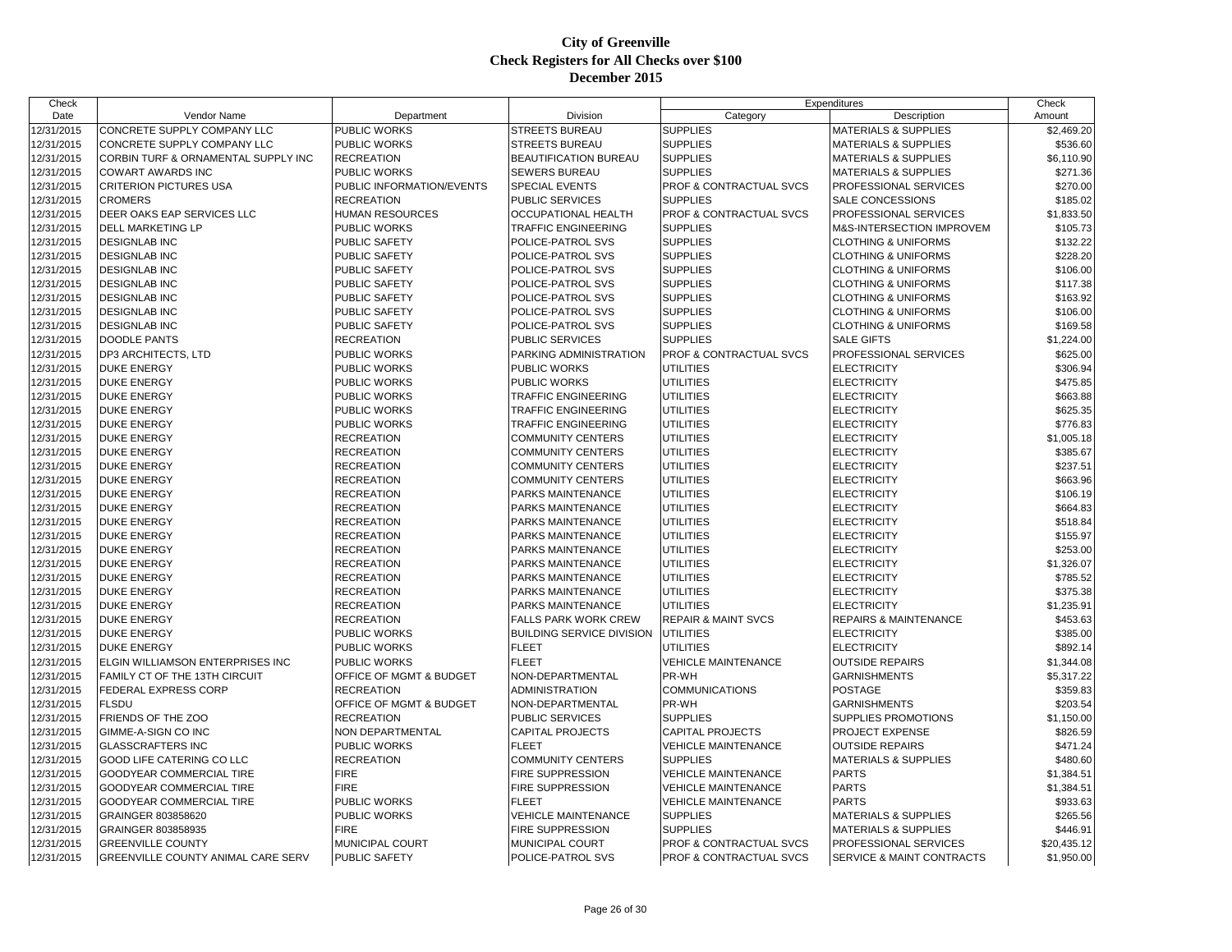| Check      |                                     |                           |                                  | Expenditures                   |                                      | Check       |
|------------|-------------------------------------|---------------------------|----------------------------------|--------------------------------|--------------------------------------|-------------|
| Date       | Vendor Name                         | Department                | Division                         | Category                       | Description                          | Amount      |
| 12/31/2015 | CONCRETE SUPPLY COMPANY LLC         | PUBLIC WORKS              | <b>STREETS BUREAU</b>            | <b>SUPPLIES</b>                | <b>MATERIALS &amp; SUPPLIES</b>      | \$2,469.20  |
| 12/31/2015 | CONCRETE SUPPLY COMPANY LLC         | PUBLIC WORKS              | <b>STREETS BUREAU</b>            | <b>SUPPLIES</b>                | <b>MATERIALS &amp; SUPPLIES</b>      | \$536.60    |
| 12/31/2015 | CORBIN TURF & ORNAMENTAL SUPPLY INC | <b>RECREATION</b>         | BEAUTIFICATION BUREAU            | <b>SUPPLIES</b>                | <b>MATERIALS &amp; SUPPLIES</b>      | \$6,110.90  |
| 12/31/2015 | <b>COWART AWARDS INC</b>            | <b>PUBLIC WORKS</b>       | SEWERS BUREAU                    | <b>SUPPLIES</b>                | <b>MATERIALS &amp; SUPPLIES</b>      | \$271.36    |
| 12/31/2015 | <b>CRITERION PICTURES USA</b>       | PUBLIC INFORMATION/EVENTS | SPECIAL EVENTS                   | PROF & CONTRACTUAL SVCS        | PROFESSIONAL SERVICES                | \$270.00    |
| 12/31/2015 | <b>CROMERS</b>                      | <b>RECREATION</b>         | PUBLIC SERVICES                  | <b>SUPPLIES</b>                | SALE CONCESSIONS                     | \$185.02    |
| 12/31/2015 | DEER OAKS EAP SERVICES LLC          | <b>HUMAN RESOURCES</b>    | OCCUPATIONAL HEALTH              | PROF & CONTRACTUAL SVCS        | PROFESSIONAL SERVICES                | \$1,833.50  |
| 12/31/2015 | DELL MARKETING LP                   | <b>PUBLIC WORKS</b>       | TRAFFIC ENGINEERING              | <b>SUPPLIES</b>                | M&S-INTERSECTION IMPROVEM            | \$105.73    |
| 12/31/2015 | <b>DESIGNLAB INC</b>                | PUBLIC SAFETY             | POLICE-PATROL SVS                | <b>SUPPLIES</b>                | <b>CLOTHING &amp; UNIFORMS</b>       | \$132.22    |
| 12/31/2015 | <b>DESIGNLAB INC</b>                | PUBLIC SAFETY             | POLICE-PATROL SVS                | <b>SUPPLIES</b>                | <b>CLOTHING &amp; UNIFORMS</b>       | \$228.20    |
| 12/31/2015 | <b>DESIGNLAB INC</b>                | PUBLIC SAFETY             | POLICE-PATROL SVS                | <b>SUPPLIES</b>                | <b>CLOTHING &amp; UNIFORMS</b>       | \$106.00    |
| 12/31/2015 | <b>DESIGNLAB INC</b>                | PUBLIC SAFETY             | POLICE-PATROL SVS                | <b>SUPPLIES</b>                | <b>CLOTHING &amp; UNIFORMS</b>       | \$117.38    |
| 12/31/2015 | <b>DESIGNLAB INC</b>                | PUBLIC SAFETY             | POLICE-PATROL SVS                | <b>SUPPLIES</b>                | <b>CLOTHING &amp; UNIFORMS</b>       | \$163.92    |
| 12/31/2015 | <b>DESIGNLAB INC</b>                | PUBLIC SAFETY             | POLICE-PATROL SVS                | <b>SUPPLIES</b>                | <b>CLOTHING &amp; UNIFORMS</b>       | \$106.00    |
| 12/31/2015 | <b>DESIGNLAB INC</b>                | <b>PUBLIC SAFETY</b>      | POLICE-PATROL SVS                | <b>SUPPLIES</b>                | <b>CLOTHING &amp; UNIFORMS</b>       | \$169.58    |
| 12/31/2015 | <b>DOODLE PANTS</b>                 | <b>RECREATION</b>         | PUBLIC SERVICES                  | <b>SUPPLIES</b>                | <b>SALE GIFTS</b>                    | \$1,224.00  |
| 12/31/2015 | DP3 ARCHITECTS, LTD                 | PUBLIC WORKS              | PARKING ADMINISTRATION           | PROF & CONTRACTUAL SVCS        | PROFESSIONAL SERVICES                | \$625.00    |
| 12/31/2015 | <b>DUKE ENERGY</b>                  | PUBLIC WORKS              | PUBLIC WORKS                     | <b>UTILITIES</b>               | <b>ELECTRICITY</b>                   | \$306.94    |
| 12/31/2015 | <b>DUKE ENERGY</b>                  | <b>PUBLIC WORKS</b>       | PUBLIC WORKS                     | <b>UTILITIES</b>               | <b>ELECTRICITY</b>                   | \$475.85    |
| 12/31/2015 | <b>DUKE ENERGY</b>                  | PUBLIC WORKS              | TRAFFIC ENGINEERING              | <b>UTILITIES</b>               | <b>ELECTRICITY</b>                   | \$663.88    |
| 12/31/2015 | <b>DUKE ENERGY</b>                  | PUBLIC WORKS              | TRAFFIC ENGINEERING              | <b>UTILITIES</b>               | <b>ELECTRICITY</b>                   | \$625.35    |
| 12/31/2015 | <b>DUKE ENERGY</b>                  | <b>PUBLIC WORKS</b>       | <b>TRAFFIC ENGINEERING</b>       | <b>UTILITIES</b>               | <b>ELECTRICITY</b>                   | \$776.83    |
| 12/31/2015 | <b>DUKE ENERGY</b>                  | <b>RECREATION</b>         | <b>COMMUNITY CENTERS</b>         | <b>UTILITIES</b>               | <b>ELECTRICITY</b>                   | \$1,005.18  |
| 12/31/2015 | <b>DUKE ENERGY</b>                  | <b>RECREATION</b>         | <b>COMMUNITY CENTERS</b>         | <b>UTILITIES</b>               | <b>ELECTRICITY</b>                   | \$385.67    |
| 12/31/2015 | <b>DUKE ENERGY</b>                  | <b>RECREATION</b>         | <b>COMMUNITY CENTERS</b>         | <b>UTILITIES</b>               | <b>ELECTRICITY</b>                   | \$237.51    |
| 12/31/2015 | <b>DUKE ENERGY</b>                  | <b>RECREATION</b>         | <b>COMMUNITY CENTERS</b>         | <b>UTILITIES</b>               | <b>ELECTRICITY</b>                   | \$663.96    |
| 12/31/2015 | <b>DUKE ENERGY</b>                  | <b>RECREATION</b>         | PARKS MAINTENANCE                | <b>UTILITIES</b>               | <b>ELECTRICITY</b>                   | \$106.19    |
| 12/31/2015 | <b>DUKE ENERGY</b>                  | <b>RECREATION</b>         | PARKS MAINTENANCE                | <b>UTILITIES</b>               | <b>ELECTRICITY</b>                   | \$664.83    |
| 12/31/2015 | <b>DUKE ENERGY</b>                  | <b>RECREATION</b>         | PARKS MAINTENANCE                | <b>UTILITIES</b>               | <b>ELECTRICITY</b>                   | \$518.84    |
| 12/31/2015 | <b>DUKE ENERGY</b>                  | <b>RECREATION</b>         | PARKS MAINTENANCE                | <b>UTILITIES</b>               | <b>ELECTRICITY</b>                   | \$155.97    |
| 12/31/2015 | <b>DUKE ENERGY</b>                  | <b>RECREATION</b>         | PARKS MAINTENANCE                | <b>UTILITIES</b>               | <b>ELECTRICITY</b>                   | \$253.00    |
| 12/31/2015 | <b>DUKE ENERGY</b>                  | <b>RECREATION</b>         | PARKS MAINTENANCE                | <b>UTILITIES</b>               | <b>ELECTRICITY</b>                   | \$1,326.07  |
| 12/31/2015 | <b>DUKE ENERGY</b>                  | <b>RECREATION</b>         | PARKS MAINTENANCE                | <b>UTILITIES</b>               | <b>ELECTRICITY</b>                   | \$785.52    |
| 12/31/2015 | <b>DUKE ENERGY</b>                  | <b>RECREATION</b>         | PARKS MAINTENANCE                | <b>UTILITIES</b>               | <b>ELECTRICITY</b>                   | \$375.38    |
| 12/31/2015 | <b>DUKE ENERGY</b>                  | <b>RECREATION</b>         | PARKS MAINTENANCE                | <b>UTILITIES</b>               | <b>ELECTRICITY</b>                   | \$1,235.91  |
| 12/31/2015 | <b>DUKE ENERGY</b>                  | <b>RECREATION</b>         | <b>FALLS PARK WORK CREW</b>      | <b>REPAIR &amp; MAINT SVCS</b> | REPAIRS & MAINTENANCE                | \$453.63    |
| 12/31/2015 | <b>DUKE ENERGY</b>                  | PUBLIC WORKS              | <b>BUILDING SERVICE DIVISION</b> | <b>UTILITIES</b>               | <b>ELECTRICITY</b>                   | \$385.00    |
| 12/31/2015 | <b>DUKE ENERGY</b>                  | <b>PUBLIC WORKS</b>       | <b>FLEET</b>                     | <b>UTILITIES</b>               | <b>ELECTRICITY</b>                   | \$892.14    |
| 12/31/2015 | ELGIN WILLIAMSON ENTERPRISES INC    | PUBLIC WORKS              | <b>FLEET</b>                     | <b>VEHICLE MAINTENANCE</b>     | <b>OUTSIDE REPAIRS</b>               | \$1,344.08  |
| 12/31/2015 | FAMILY CT OF THE 13TH CIRCUIT       | OFFICE OF MGMT & BUDGET   | NON-DEPARTMENTAL                 | PR-WH                          | <b>GARNISHMENTS</b>                  | \$5,317.22  |
| 12/31/2015 | <b>FEDERAL EXPRESS CORP</b>         | <b>RECREATION</b>         | <b>ADMINISTRATION</b>            | <b>COMMUNICATIONS</b>          | <b>POSTAGE</b>                       | \$359.83    |
| 12/31/2015 | <b>FLSDU</b>                        | OFFICE OF MGMT & BUDGET   | NON-DEPARTMENTAL                 | PR-WH                          | <b>GARNISHMENTS</b>                  | \$203.54    |
| 12/31/2015 | FRIENDS OF THE ZOO                  | <b>RECREATION</b>         | PUBLIC SERVICES                  | <b>SUPPLIES</b>                | SUPPLIES PROMOTIONS                  | \$1,150.00  |
| 12/31/2015 | GIMME-A-SIGN CO INC                 | NON DEPARTMENTAL          | <b>CAPITAL PROJECTS</b>          | <b>CAPITAL PROJECTS</b>        | PROJECT EXPENSE                      | \$826.59    |
| 12/31/2015 | <b>GLASSCRAFTERS INC</b>            | PUBLIC WORKS              | <b>FLEET</b>                     | <b>VEHICLE MAINTENANCE</b>     | <b>OUTSIDE REPAIRS</b>               | \$471.24    |
| 12/31/2015 | <b>GOOD LIFE CATERING CO LLC</b>    | <b>RECREATION</b>         | <b>COMMUNITY CENTERS</b>         | <b>SUPPLIES</b>                | <b>MATERIALS &amp; SUPPLIES</b>      | \$480.60    |
| 12/31/2015 | <b>GOODYEAR COMMERCIAL TIRE</b>     | <b>FIRE</b>               | FIRE SUPPRESSION                 | <b>VEHICLE MAINTENANCE</b>     | <b>PARTS</b>                         | \$1,384.51  |
| 12/31/2015 | GOODYEAR COMMERCIAL TIRE            | <b>FIRE</b>               | FIRE SUPPRESSION                 | <b>VEHICLE MAINTENANCE</b>     | <b>PARTS</b>                         | \$1,384.51  |
| 12/31/2015 | GOODYEAR COMMERCIAL TIRE            | <b>PUBLIC WORKS</b>       | <b>FLEET</b>                     | <b>VEHICLE MAINTENANCE</b>     | <b>PARTS</b>                         | \$933.63    |
| 12/31/2015 | GRAINGER 803858620                  | PUBLIC WORKS              | <b>VEHICLE MAINTENANCE</b>       | <b>SUPPLIES</b>                | <b>MATERIALS &amp; SUPPLIES</b>      | \$265.56    |
| 12/31/2015 | GRAINGER 803858935                  | <b>FIRE</b>               | <b>FIRE SUPPRESSION</b>          | <b>SUPPLIES</b>                | <b>MATERIALS &amp; SUPPLIES</b>      | \$446.91    |
| 12/31/2015 | <b>GREENVILLE COUNTY</b>            | MUNICIPAL COURT           | MUNICIPAL COURT                  | PROF & CONTRACTUAL SVCS        | PROFESSIONAL SERVICES                | \$20,435.12 |
| 12/31/2015 | GREENVILLE COUNTY ANIMAL CARE SERV  | <b>PUBLIC SAFETY</b>      | POLICE-PATROL SVS                | PROF & CONTRACTUAL SVCS        | <b>SERVICE &amp; MAINT CONTRACTS</b> | \$1,950.00  |
|            |                                     |                           |                                  |                                |                                      |             |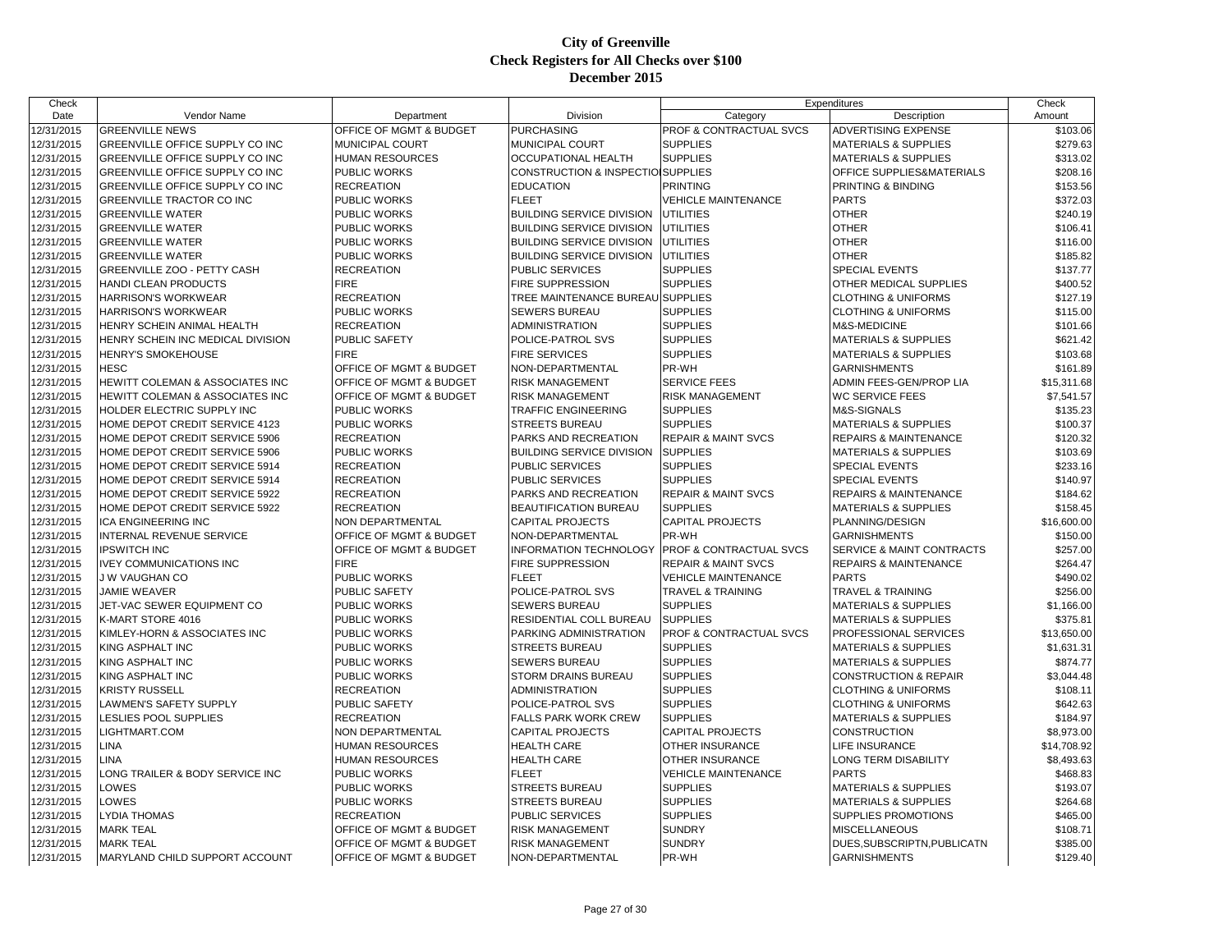| Check      |                                   |                         |                                   | Expenditures                   |                                  | Check       |
|------------|-----------------------------------|-------------------------|-----------------------------------|--------------------------------|----------------------------------|-------------|
| Date       | Vendor Name                       | Department              | Division                          | Category                       | Description                      | Amount      |
| 12/31/2015 | <b>GREENVILLE NEWS</b>            | OFFICE OF MGMT & BUDGET | <b>PURCHASING</b>                 | PROF & CONTRACTUAL SVCS        | ADVERTISING EXPENSE              | \$103.06    |
| 12/31/2015 | GREENVILLE OFFICE SUPPLY CO INC   | MUNICIPAL COURT         | MUNICIPAL COURT                   | <b>SUPPLIES</b>                | <b>MATERIALS &amp; SUPPLIES</b>  | \$279.63    |
| 12/31/2015 | GREENVILLE OFFICE SUPPLY CO INC   | <b>HUMAN RESOURCES</b>  | OCCUPATIONAL HEALTH               | <b>SUPPLIES</b>                | <b>MATERIALS &amp; SUPPLIES</b>  | \$313.02    |
| 12/31/2015 | GREENVILLE OFFICE SUPPLY CO INC   | <b>PUBLIC WORKS</b>     | CONSTRUCTION & INSPECTIOISUPPLIES |                                | OFFICE SUPPLIES&MATERIALS        | \$208.16    |
| 12/31/2015 | GREENVILLE OFFICE SUPPLY CO INC   | <b>RECREATION</b>       | <b>EDUCATION</b>                  | <b>PRINTING</b>                | PRINTING & BINDING               | \$153.56    |
| 12/31/2015 | <b>GREENVILLE TRACTOR CO INC</b>  | <b>PUBLIC WORKS</b>     | <b>FLEET</b>                      | <b>VEHICLE MAINTENANCE</b>     | <b>PARTS</b>                     | \$372.03    |
| 12/31/2015 | <b>GREENVILLE WATER</b>           | PUBLIC WORKS            | <b>BUILDING SERVICE DIVISION</b>  | <b>UTILITIES</b>               | <b>OTHER</b>                     | \$240.19    |
| 12/31/2015 | <b>GREENVILLE WATER</b>           | PUBLIC WORKS            | <b>BUILDING SERVICE DIVISION</b>  | <b>UTILITIES</b>               | <b>OTHER</b>                     | \$106.41    |
| 12/31/2015 | <b>GREENVILLE WATER</b>           | PUBLIC WORKS            | <b>BUILDING SERVICE DIVISION</b>  | <b>UTILITIES</b>               | <b>OTHER</b>                     | \$116.00    |
| 12/31/2015 | <b>GREENVILLE WATER</b>           | <b>PUBLIC WORKS</b>     | <b>BUILDING SERVICE DIVISION</b>  | <b>UTILITIES</b>               | <b>OTHER</b>                     | \$185.82    |
| 12/31/2015 | GREENVILLE ZOO - PETTY CASH       | <b>RECREATION</b>       | PUBLIC SERVICES                   | <b>SUPPLIES</b>                | <b>SPECIAL EVENTS</b>            | \$137.77    |
| 12/31/2015 | HANDI CLEAN PRODUCTS              | <b>FIRE</b>             | FIRE SUPPRESSION                  | <b>SUPPLIES</b>                | OTHER MEDICAL SUPPLIES           | \$400.52    |
| 12/31/2015 | <b>HARRISON'S WORKWEAR</b>        | <b>RECREATION</b>       | TREE MAINTENANCE BUREAU SUPPLIES  |                                | <b>CLOTHING &amp; UNIFORMS</b>   | \$127.19    |
| 12/31/2015 | <b>HARRISON'S WORKWEAR</b>        | PUBLIC WORKS            | SEWERS BUREAU                     | <b>SUPPLIES</b>                | <b>CLOTHING &amp; UNIFORMS</b>   | \$115.00    |
| 12/31/2015 | HENRY SCHEIN ANIMAL HEALTH        | <b>RECREATION</b>       | <b>ADMINISTRATION</b>             | <b>SUPPLIES</b>                | M&S-MEDICINE                     | \$101.66    |
| 12/31/2015 | HENRY SCHEIN INC MEDICAL DIVISION | <b>PUBLIC SAFETY</b>    | POLICE-PATROL SVS                 | <b>SUPPLIES</b>                | <b>MATERIALS &amp; SUPPLIES</b>  | \$621.42    |
| 12/31/2015 | <b>HENRY'S SMOKEHOUSE</b>         | <b>FIRE</b>             | <b>FIRE SERVICES</b>              | <b>SUPPLIES</b>                | <b>MATERIALS &amp; SUPPLIES</b>  | \$103.68    |
| 12/31/2015 | <b>HESC</b>                       | OFFICE OF MGMT & BUDGET | NON-DEPARTMENTAL                  | PR-WH                          | <b>GARNISHMENTS</b>              | \$161.89    |
| 12/31/2015 | HEWITT COLEMAN & ASSOCIATES INC   | OFFICE OF MGMT & BUDGET | <b>RISK MANAGEMENT</b>            | <b>SERVICE FEES</b>            | ADMIN FEES-GEN/PROP LIA          | \$15,311.68 |
| 12/31/2015 | HEWITT COLEMAN & ASSOCIATES INC   | OFFICE OF MGMT & BUDGET | RISK MANAGEMENT                   | <b>RISK MANAGEMENT</b>         | <b>WC SERVICE FEES</b>           | \$7,541.57  |
| 12/31/2015 | HOLDER ELECTRIC SUPPLY INC        | <b>PUBLIC WORKS</b>     | TRAFFIC ENGINEERING               | <b>SUPPLIES</b>                | M&S-SIGNALS                      | \$135.23    |
| 12/31/2015 | HOME DEPOT CREDIT SERVICE 4123    | PUBLIC WORKS            | <b>STREETS BUREAU</b>             | <b>SUPPLIES</b>                | <b>MATERIALS &amp; SUPPLIES</b>  | \$100.37    |
| 12/31/2015 | HOME DEPOT CREDIT SERVICE 5906    | <b>RECREATION</b>       | PARKS AND RECREATION              | <b>REPAIR &amp; MAINT SVCS</b> | <b>REPAIRS &amp; MAINTENANCE</b> | \$120.32    |
| 12/31/2015 | HOME DEPOT CREDIT SERVICE 5906    | <b>PUBLIC WORKS</b>     | <b>BUILDING SERVICE DIVISION</b>  | <b>SUPPLIES</b>                | <b>MATERIALS &amp; SUPPLIES</b>  | \$103.69    |
| 12/31/2015 | HOME DEPOT CREDIT SERVICE 5914    | <b>RECREATION</b>       | <b>PUBLIC SERVICES</b>            | <b>SUPPLIES</b>                | <b>SPECIAL EVENTS</b>            | \$233.16    |
| 12/31/2015 | HOME DEPOT CREDIT SERVICE 5914    | <b>RECREATION</b>       | PUBLIC SERVICES                   | <b>SUPPLIES</b>                | <b>SPECIAL EVENTS</b>            | \$140.97    |
| 12/31/2015 | HOME DEPOT CREDIT SERVICE 5922    | <b>RECREATION</b>       | PARKS AND RECREATION              | <b>REPAIR &amp; MAINT SVCS</b> | <b>REPAIRS &amp; MAINTENANCE</b> | \$184.62    |
| 12/31/2015 | HOME DEPOT CREDIT SERVICE 5922    | <b>RECREATION</b>       | BEAUTIFICATION BUREAU             | <b>SUPPLIES</b>                | <b>MATERIALS &amp; SUPPLIES</b>  | \$158.45    |
| 12/31/2015 | <b>ICA ENGINEERING INC</b>        | NON DEPARTMENTAL        | <b>CAPITAL PROJECTS</b>           | <b>CAPITAL PROJECTS</b>        | PLANNING/DESIGN                  | \$16,600.00 |
| 12/31/2015 | INTERNAL REVENUE SERVICE          | OFFICE OF MGMT & BUDGET | NON-DEPARTMENTAL                  | PR-WH                          | <b>GARNISHMENTS</b>              | \$150.00    |
| 12/31/2015 | <b>IPSWITCH INC</b>               | OFFICE OF MGMT & BUDGET | <b>INFORMATION TECHNOLOGY</b>     | PROF & CONTRACTUAL SVCS        | SERVICE & MAINT CONTRACTS        | \$257.00    |
| 12/31/2015 | <b>IVEY COMMUNICATIONS INC</b>    | <b>FIRE</b>             | <b>FIRE SUPPRESSION</b>           | <b>REPAIR &amp; MAINT SVCS</b> | <b>REPAIRS &amp; MAINTENANCE</b> | \$264.47    |
| 12/31/2015 | J W VAUGHAN CO                    | PUBLIC WORKS            | <b>FLEET</b>                      | <b>VEHICLE MAINTENANCE</b>     | <b>PARTS</b>                     | \$490.02    |
| 12/31/2015 | <b>JAMIE WEAVER</b>               | <b>PUBLIC SAFETY</b>    | POLICE-PATROL SVS                 | <b>TRAVEL &amp; TRAINING</b>   | <b>TRAVEL &amp; TRAINING</b>     | \$256.00    |
| 12/31/2015 | JET-VAC SEWER EQUIPMENT CO        | <b>PUBLIC WORKS</b>     | SEWERS BUREAU                     | <b>SUPPLIES</b>                | <b>MATERIALS &amp; SUPPLIES</b>  | \$1,166.00  |
| 12/31/2015 | K-MART STORE 4016                 | <b>PUBLIC WORKS</b>     | RESIDENTIAL COLL BUREAU           | <b>SUPPLIES</b>                | <b>MATERIALS &amp; SUPPLIES</b>  | \$375.81    |
| 12/31/2015 | KIMLEY-HORN & ASSOCIATES INC      | PUBLIC WORKS            | PARKING ADMINISTRATION            | PROF & CONTRACTUAL SVCS        | PROFESSIONAL SERVICES            | \$13,650.00 |
| 12/31/2015 | KING ASPHALT INC                  | <b>PUBLIC WORKS</b>     | STREETS BUREAU                    | <b>SUPPLIES</b>                | <b>MATERIALS &amp; SUPPLIES</b>  | \$1,631.31  |
| 12/31/2015 | KING ASPHALT INC                  | PUBLIC WORKS            | SEWERS BUREAU                     | <b>SUPPLIES</b>                | <b>MATERIALS &amp; SUPPLIES</b>  | \$874.77    |
| 12/31/2015 | KING ASPHALT INC                  | <b>PUBLIC WORKS</b>     | STORM DRAINS BUREAU               | <b>SUPPLIES</b>                | <b>CONSTRUCTION &amp; REPAIR</b> | \$3,044.48  |
| 12/31/2015 | KRISTY RUSSELL                    | <b>RECREATION</b>       | <b>ADMINISTRATION</b>             | <b>SUPPLIES</b>                | <b>CLOTHING &amp; UNIFORMS</b>   | \$108.11    |
| 12/31/2015 | LAWMEN'S SAFETY SUPPLY            | <b>PUBLIC SAFETY</b>    | POLICE-PATROL SVS                 | <b>SUPPLIES</b>                | <b>CLOTHING &amp; UNIFORMS</b>   | \$642.63    |
| 12/31/2015 | LESLIES POOL SUPPLIES             | <b>RECREATION</b>       | <b>FALLS PARK WORK CREW</b>       | <b>SUPPLIES</b>                | <b>MATERIALS &amp; SUPPLIES</b>  | \$184.97    |
| 12/31/2015 | LIGHTMART.COM                     | NON DEPARTMENTAL        | <b>CAPITAL PROJECTS</b>           | <b>CAPITAL PROJECTS</b>        | <b>CONSTRUCTION</b>              | \$8,973.00  |
| 12/31/2015 | LINA                              | <b>HUMAN RESOURCES</b>  | HEALTH CARE                       | OTHER INSURANCE                | LIFE INSURANCE                   | \$14,708.92 |
| 12/31/2015 | LINA                              | <b>HUMAN RESOURCES</b>  | <b>HEALTH CARE</b>                | <b>OTHER INSURANCE</b>         | LONG TERM DISABILITY             | \$8,493.63  |
| 12/31/2015 | LONG TRAILER & BODY SERVICE INC   | <b>PUBLIC WORKS</b>     | <b>FLEET</b>                      | <b>VEHICLE MAINTENANCE</b>     | <b>PARTS</b>                     | \$468.83    |
| 12/31/2015 | LOWES                             | PUBLIC WORKS            | <b>STREETS BUREAU</b>             | <b>SUPPLIES</b>                | <b>MATERIALS &amp; SUPPLIES</b>  | \$193.07    |
| 12/31/2015 | LOWES                             | <b>PUBLIC WORKS</b>     | <b>STREETS BUREAU</b>             | <b>SUPPLIES</b>                | <b>MATERIALS &amp; SUPPLIES</b>  | \$264.68    |
| 12/31/2015 | LYDIA THOMAS                      | <b>RECREATION</b>       | <b>PUBLIC SERVICES</b>            | <b>SUPPLIES</b>                | SUPPLIES PROMOTIONS              | \$465.00    |
| 12/31/2015 | <b>MARK TEAL</b>                  | OFFICE OF MGMT & BUDGET | <b>RISK MANAGEMENT</b>            | <b>SUNDRY</b>                  | <b>MISCELLANEOUS</b>             | \$108.71    |
| 12/31/2015 | <b>MARK TEAL</b>                  | OFFICE OF MGMT & BUDGET | <b>RISK MANAGEMENT</b>            | <b>SUNDRY</b>                  | DUES, SUBSCRIPTN, PUBLICATN      | \$385.00    |
| 12/31/2015 | MARYLAND CHILD SUPPORT ACCOUNT    | OFFICE OF MGMT & BUDGET | NON-DEPARTMENTAL                  | PR-WH                          | <b>GARNISHMENTS</b>              | \$129.40    |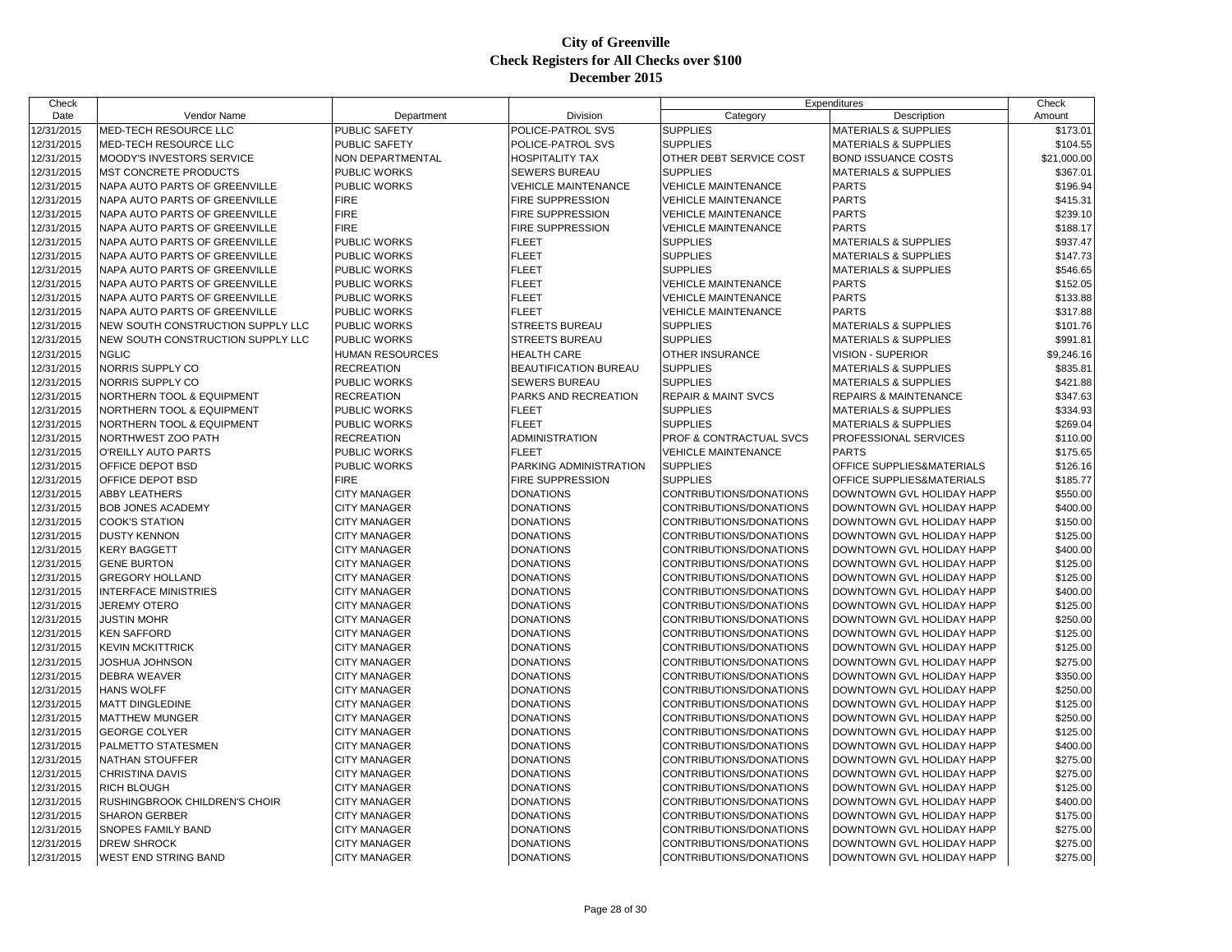| Check      |                                   |                        |                            | Expenditures                   |                                  | Check       |
|------------|-----------------------------------|------------------------|----------------------------|--------------------------------|----------------------------------|-------------|
| Date       | Vendor Name                       | Department             | Division                   | Category                       | Description                      | Amount      |
| 12/31/2015 | <b>MED-TECH RESOURCE LLC</b>      | PUBLIC SAFETY          | POLICE-PATROL SVS          | <b>SUPPLIES</b>                | <b>MATERIALS &amp; SUPPLIES</b>  | \$173.01    |
| 12/31/2015 | MED-TECH RESOURCE LLC             | PUBLIC SAFETY          | POLICE-PATROL SVS          | <b>SUPPLIES</b>                | <b>MATERIALS &amp; SUPPLIES</b>  | \$104.55    |
| 12/31/2015 | MOODY'S INVESTORS SERVICE         | NON DEPARTMENTAL       | <b>HOSPITALITY TAX</b>     | OTHER DEBT SERVICE COST        | <b>BOND ISSUANCE COSTS</b>       | \$21,000.00 |
| 12/31/2015 | MST CONCRETE PRODUCTS             | <b>PUBLIC WORKS</b>    | <b>SEWERS BUREAU</b>       | <b>SUPPLIES</b>                | <b>MATERIALS &amp; SUPPLIES</b>  | \$367.01    |
| 12/31/2015 | NAPA AUTO PARTS OF GREENVILLE     | <b>PUBLIC WORKS</b>    | <b>VEHICLE MAINTENANCE</b> | <b>VEHICLE MAINTENANCE</b>     | <b>PARTS</b>                     | \$196.94    |
| 12/31/2015 | NAPA AUTO PARTS OF GREENVILLE     | <b>FIRE</b>            | <b>FIRE SUPPRESSION</b>    | <b>VEHICLE MAINTENANCE</b>     | <b>PARTS</b>                     | \$415.31    |
| 12/31/2015 | NAPA AUTO PARTS OF GREENVILLE     | <b>FIRE</b>            | <b>FIRE SUPPRESSION</b>    | <b>VEHICLE MAINTENANCE</b>     | <b>PARTS</b>                     | \$239.10    |
| 12/31/2015 | NAPA AUTO PARTS OF GREENVILLE     | <b>FIRE</b>            | <b>FIRE SUPPRESSION</b>    | <b>VEHICLE MAINTENANCE</b>     | <b>PARTS</b>                     | \$188.17    |
| 12/31/2015 | NAPA AUTO PARTS OF GREENVILLE     | PUBLIC WORKS           | <b>FLEET</b>               | <b>SUPPLIES</b>                | <b>MATERIALS &amp; SUPPLIES</b>  | \$937.47    |
| 12/31/2015 | NAPA AUTO PARTS OF GREENVILLE     | <b>PUBLIC WORKS</b>    | <b>FLEET</b>               | <b>SUPPLIES</b>                | <b>MATERIALS &amp; SUPPLIES</b>  | \$147.73    |
| 12/31/2015 | NAPA AUTO PARTS OF GREENVILLE     | PUBLIC WORKS           | FLEET                      | <b>SUPPLIES</b>                | <b>MATERIALS &amp; SUPPLIES</b>  | \$546.65    |
| 12/31/2015 | NAPA AUTO PARTS OF GREENVILLE     | <b>PUBLIC WORKS</b>    | <b>FLEET</b>               | <b>VEHICLE MAINTENANCE</b>     | <b>PARTS</b>                     | \$152.05    |
| 12/31/2015 | NAPA AUTO PARTS OF GREENVILLE     | <b>PUBLIC WORKS</b>    | <b>FLEET</b>               | <b>VEHICLE MAINTENANCE</b>     | <b>PARTS</b>                     | \$133.88    |
| 12/31/2015 | NAPA AUTO PARTS OF GREENVILLE     | PUBLIC WORKS           | <b>FLEET</b>               | <b>VEHICLE MAINTENANCE</b>     | <b>PARTS</b>                     | \$317.88    |
| 12/31/2015 | NEW SOUTH CONSTRUCTION SUPPLY LLC | <b>PUBLIC WORKS</b>    | <b>STREETS BUREAU</b>      | <b>SUPPLIES</b>                | <b>MATERIALS &amp; SUPPLIES</b>  | \$101.76    |
| 12/31/2015 | NEW SOUTH CONSTRUCTION SUPPLY LLC | PUBLIC WORKS           | STREETS BUREAU             | <b>SUPPLIES</b>                | <b>MATERIALS &amp; SUPPLIES</b>  | \$991.81    |
| 12/31/2015 | <b>NGLIC</b>                      | <b>HUMAN RESOURCES</b> | <b>HEALTH CARE</b>         | <b>OTHER INSURANCE</b>         | <b>VISION - SUPERIOR</b>         | \$9,246.16  |
| 12/31/2015 | NORRIS SUPPLY CO                  | <b>RECREATION</b>      | BEAUTIFICATION BUREAU      | <b>SUPPLIES</b>                | MATERIALS & SUPPLIES             | \$835.81    |
| 12/31/2015 | NORRIS SUPPLY CO                  | PUBLIC WORKS           | <b>SEWERS BUREAU</b>       | <b>SUPPLIES</b>                | <b>MATERIALS &amp; SUPPLIES</b>  | \$421.88    |
| 12/31/2015 | NORTHERN TOOL & EQUIPMENT         | <b>RECREATION</b>      | PARKS AND RECREATION       | <b>REPAIR &amp; MAINT SVCS</b> | <b>REPAIRS &amp; MAINTENANCE</b> | \$347.63    |
| 12/31/2015 | NORTHERN TOOL & EQUIPMENT         | PUBLIC WORKS           | <b>FLEET</b>               | <b>SUPPLIES</b>                | <b>MATERIALS &amp; SUPPLIES</b>  | \$334.93    |
| 12/31/2015 | NORTHERN TOOL & EQUIPMENT         | PUBLIC WORKS           | <b>FLEET</b>               | <b>SUPPLIES</b>                | <b>MATERIALS &amp; SUPPLIES</b>  | \$269.04    |
| 12/31/2015 | NORTHWEST ZOO PATH                | <b>RECREATION</b>      | <b>ADMINISTRATION</b>      | PROF & CONTRACTUAL SVCS        | PROFESSIONAL SERVICES            | \$110.00    |
| 12/31/2015 | O'REILLY AUTO PARTS               | PUBLIC WORKS           | <b>FLEET</b>               | <b>VEHICLE MAINTENANCE</b>     | <b>PARTS</b>                     | \$175.65    |
| 12/31/2015 | OFFICE DEPOT BSD                  | PUBLIC WORKS           | PARKING ADMINISTRATION     | <b>SUPPLIES</b>                | OFFICE SUPPLIES&MATERIALS        | \$126.16    |
| 12/31/2015 | OFFICE DEPOT BSD                  | <b>FIRE</b>            | FIRE SUPPRESSION           | <b>SUPPLIES</b>                | OFFICE SUPPLIES&MATERIALS        | \$185.77    |
| 12/31/2015 | ABBY LEATHERS                     | <b>CITY MANAGER</b>    | <b>DONATIONS</b>           | CONTRIBUTIONS/DONATIONS        | DOWNTOWN GVL HOLIDAY HAPP        | \$550.00    |
| 12/31/2015 | <b>BOB JONES ACADEMY</b>          | <b>CITY MANAGER</b>    | <b>DONATIONS</b>           | CONTRIBUTIONS/DONATIONS        | DOWNTOWN GVL HOLIDAY HAPP        | \$400.00    |
| 12/31/2015 | COOK'S STATION                    | <b>CITY MANAGER</b>    | <b>DONATIONS</b>           | CONTRIBUTIONS/DONATIONS        | DOWNTOWN GVL HOLIDAY HAPP        | \$150.00    |
| 12/31/2015 | <b>DUSTY KENNON</b>               | <b>CITY MANAGER</b>    | <b>DONATIONS</b>           | CONTRIBUTIONS/DONATIONS        | DOWNTOWN GVL HOLIDAY HAPP        | \$125.00    |
| 12/31/2015 | KERY BAGGETT                      | <b>CITY MANAGER</b>    | <b>DONATIONS</b>           | CONTRIBUTIONS/DONATIONS        | DOWNTOWN GVL HOLIDAY HAPP        | \$400.00    |
| 12/31/2015 | <b>GENE BURTON</b>                | <b>CITY MANAGER</b>    | <b>DONATIONS</b>           | CONTRIBUTIONS/DONATIONS        | DOWNTOWN GVL HOLIDAY HAPP        | \$125.00    |
| 12/31/2015 | <b>GREGORY HOLLAND</b>            | <b>CITY MANAGER</b>    | <b>DONATIONS</b>           | CONTRIBUTIONS/DONATIONS        | DOWNTOWN GVL HOLIDAY HAPP        | \$125.00    |
| 12/31/2015 | <b>INTERFACE MINISTRIES</b>       | <b>CITY MANAGER</b>    | <b>DONATIONS</b>           | CONTRIBUTIONS/DONATIONS        | DOWNTOWN GVL HOLIDAY HAPP        | \$400.00    |
| 12/31/2015 | <b>JEREMY OTERO</b>               | <b>CITY MANAGER</b>    | <b>DONATIONS</b>           | CONTRIBUTIONS/DONATIONS        | DOWNTOWN GVL HOLIDAY HAPP        | \$125.00    |
| 12/31/2015 | JUSTIN MOHR                       | <b>CITY MANAGER</b>    | <b>DONATIONS</b>           | CONTRIBUTIONS/DONATIONS        | DOWNTOWN GVL HOLIDAY HAPP        | \$250.00    |
| 12/31/2015 | <b>KEN SAFFORD</b>                | <b>CITY MANAGER</b>    | <b>DONATIONS</b>           | CONTRIBUTIONS/DONATIONS        | DOWNTOWN GVL HOLIDAY HAPP        | \$125.00    |
| 12/31/2015 | <b>KEVIN MCKITTRICK</b>           | <b>CITY MANAGER</b>    | <b>DONATIONS</b>           | CONTRIBUTIONS/DONATIONS        | DOWNTOWN GVL HOLIDAY HAPP        | \$125.00    |
| 12/31/2015 | JOSHUA JOHNSON                    | <b>CITY MANAGER</b>    | <b>DONATIONS</b>           | CONTRIBUTIONS/DONATIONS        | DOWNTOWN GVL HOLIDAY HAPP        | \$275.00    |
| 12/31/2015 | DEBRA WEAVER                      | <b>CITY MANAGER</b>    | <b>DONATIONS</b>           | CONTRIBUTIONS/DONATIONS        | DOWNTOWN GVL HOLIDAY HAPP        | \$350.00    |
| 12/31/2015 | <b>HANS WOLFF</b>                 | <b>CITY MANAGER</b>    | <b>DONATIONS</b>           | CONTRIBUTIONS/DONATIONS        | DOWNTOWN GVL HOLIDAY HAPP        | \$250.00    |
| 12/31/2015 | <b>MATT DINGLEDINE</b>            | <b>CITY MANAGER</b>    | <b>DONATIONS</b>           | CONTRIBUTIONS/DONATIONS        | DOWNTOWN GVL HOLIDAY HAPP        | \$125.00    |
| 12/31/2015 | MATTHEW MUNGER                    | <b>CITY MANAGER</b>    | <b>DONATIONS</b>           | CONTRIBUTIONS/DONATIONS        | DOWNTOWN GVL HOLIDAY HAPP        | \$250.00    |
| 12/31/2015 | <b>GEORGE COLYER</b>              | <b>CITY MANAGER</b>    | <b>DONATIONS</b>           | CONTRIBUTIONS/DONATIONS        | DOWNTOWN GVL HOLIDAY HAPP        | \$125.00    |
| 12/31/2015 | PALMETTO STATESMEN                | <b>CITY MANAGER</b>    | <b>DONATIONS</b>           | CONTRIBUTIONS/DONATIONS        | DOWNTOWN GVL HOLIDAY HAPP        | \$400.00    |
| 12/31/2015 | <b>NATHAN STOUFFER</b>            | <b>CITY MANAGER</b>    | <b>DONATIONS</b>           | CONTRIBUTIONS/DONATIONS        | DOWNTOWN GVL HOLIDAY HAPP        | \$275.00    |
| 12/31/2015 | <b>CHRISTINA DAVIS</b>            | <b>CITY MANAGER</b>    | <b>DONATIONS</b>           | CONTRIBUTIONS/DONATIONS        | DOWNTOWN GVL HOLIDAY HAPP        | \$275.00    |
| 12/31/2015 | RICH BLOUGH                       | <b>CITY MANAGER</b>    | <b>DONATIONS</b>           | CONTRIBUTIONS/DONATIONS        | DOWNTOWN GVL HOLIDAY HAPP        | \$125.00    |
| 12/31/2015 | RUSHINGBROOK CHILDREN'S CHOIR     | <b>CITY MANAGER</b>    | <b>DONATIONS</b>           | CONTRIBUTIONS/DONATIONS        | DOWNTOWN GVL HOLIDAY HAPP        | \$400.00    |
| 12/31/2015 | <b>SHARON GERBER</b>              | <b>CITY MANAGER</b>    | <b>DONATIONS</b>           | CONTRIBUTIONS/DONATIONS        | DOWNTOWN GVL HOLIDAY HAPP        | \$175.00    |
| 12/31/2015 | SNOPES FAMILY BAND                | <b>CITY MANAGER</b>    | <b>DONATIONS</b>           | CONTRIBUTIONS/DONATIONS        | DOWNTOWN GVL HOLIDAY HAPP        | \$275.00    |
| 12/31/2015 | <b>DREW SHROCK</b>                | <b>CITY MANAGER</b>    | <b>DONATIONS</b>           | CONTRIBUTIONS/DONATIONS        | DOWNTOWN GVL HOLIDAY HAPP        | \$275.00    |
| 12/31/2015 | <b>WEST END STRING BAND</b>       | <b>CITY MANAGER</b>    | <b>DONATIONS</b>           | CONTRIBUTIONS/DONATIONS        | DOWNTOWN GVL HOLIDAY HAPP        | \$275.00    |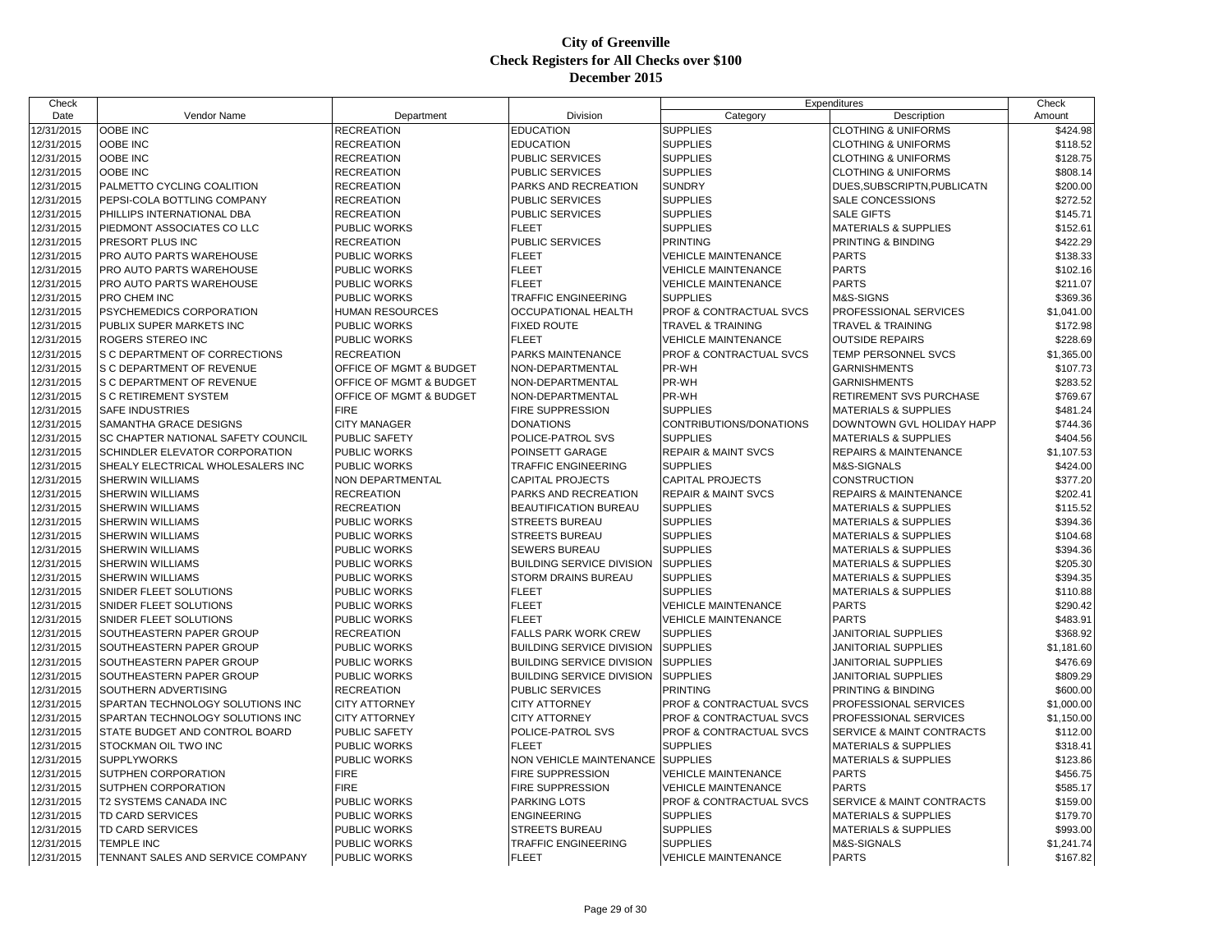| Category<br>Date<br>Vendor Name<br>Department<br>Division<br>Description<br>Amount<br>12/31/2015<br>OOBE INC<br><b>RECREATION</b><br><b>EDUCATION</b><br><b>SUPPLIES</b><br><b>CLOTHING &amp; UNIFORMS</b><br>\$424.98<br><b>SUPPLIES</b><br>OOBE INC<br><b>EDUCATION</b><br>12/31/2015<br>RECREATION<br><b>CLOTHING &amp; UNIFORMS</b><br>\$118.52<br>12/31/2015<br>OOBE INC<br><b>RECREATION</b><br><b>PUBLIC SERVICES</b><br><b>SUPPLIES</b><br><b>CLOTHING &amp; UNIFORMS</b><br>\$128.75<br>OOBE INC<br><b>SUPPLIES</b><br>12/31/2015<br><b>RECREATION</b><br><b>PUBLIC SERVICES</b><br><b>CLOTHING &amp; UNIFORMS</b><br>\$808.14<br>12/31/2015<br>PALMETTO CYCLING COALITION<br><b>RECREATION</b><br>PARKS AND RECREATION<br><b>SUNDRY</b><br>DUES, SUBSCRIPTN, PUBLICATN<br>\$200.00<br>\$272.52<br>12/31/2015<br>PEPSI-COLA BOTTLING COMPANY<br><b>PUBLIC SERVICES</b><br><b>SUPPLIES</b><br>SALE CONCESSIONS<br><b>RECREATION</b><br><b>SUPPLIES</b><br>12/31/2015<br>PHILLIPS INTERNATIONAL DBA<br><b>RECREATION</b><br><b>PUBLIC SERVICES</b><br><b>SALE GIFTS</b><br>\$145.71<br>12/31/2015<br>PIEDMONT ASSOCIATES CO LLC<br><b>FLEET</b><br><b>SUPPLIES</b><br><b>MATERIALS &amp; SUPPLIES</b><br>\$152.61<br><b>PUBLIC WORKS</b><br>\$422.29<br>12/31/2015<br>PRESORT PLUS INC<br><b>RECREATION</b><br><b>PUBLIC SERVICES</b><br><b>PRINTING</b><br>PRINTING & BINDING<br>12/31/2015<br>PRO AUTO PARTS WAREHOUSE<br>PUBLIC WORKS<br><b>FLEET</b><br>VEHICLE MAINTENANCE<br><b>PARTS</b><br>\$138.33<br><b>FLEET</b><br><b>PARTS</b><br>12/31/2015<br>PRO AUTO PARTS WAREHOUSE<br>\$102.16<br><b>PUBLIC WORKS</b><br><b>VEHICLE MAINTENANCE</b><br>12/31/2015<br>PRO AUTO PARTS WAREHOUSE<br>PUBLIC WORKS<br><b>FLEET</b><br><b>VEHICLE MAINTENANCE</b><br><b>PARTS</b><br>\$211.07<br>12/31/2015<br>PRO CHEM INC<br><b>TRAFFIC ENGINEERING</b><br><b>SUPPLIES</b><br>M&S-SIGNS<br>\$369.36<br>PUBLIC WORKS<br>12/31/2015<br>PSYCHEMEDICS CORPORATION<br><b>HUMAN RESOURCES</b><br><b>OCCUPATIONAL HEALTH</b><br>PROF & CONTRACTUAL SVCS<br>PROFESSIONAL SERVICES<br>\$1,041.00<br>12/31/2015<br>PUBLIX SUPER MARKETS INC<br>PUBLIC WORKS<br><b>FIXED ROUTE</b><br><b>TRAVEL &amp; TRAINING</b><br><b>TRAVEL &amp; TRAINING</b><br>\$172.98<br>12/31/2015<br>\$228.69<br>ROGERS STEREO INC<br><b>PUBLIC WORKS</b><br><b>FLEET</b><br><b>VEHICLE MAINTENANCE</b><br><b>OUTSIDE REPAIRS</b><br>12/31/2015<br>S C DEPARTMENT OF CORRECTIONS<br><b>RECREATION</b><br><b>PARKS MAINTENANCE</b><br>PROF & CONTRACTUAL SVCS<br><b>TEMP PERSONNEL SVCS</b><br>\$1,365.00<br>12/31/2015<br>PR-WH<br>\$107.73<br>S C DEPARTMENT OF REVENUE<br>OFFICE OF MGMT & BUDGET<br>NON-DEPARTMENTAL<br><b>GARNISHMENTS</b><br>PR-WH<br>12/31/2015<br>S C DEPARTMENT OF REVENUE<br><b>OFFICE OF MGMT &amp; BUDGET</b><br>\$283.52<br>NON-DEPARTMENTAL<br><b>GARNISHMENTS</b><br>12/31/2015<br>OFFICE OF MGMT & BUDGET<br>NON-DEPARTMENTAL<br>PR-WH<br>\$769.67<br>S C RETIREMENT SYSTEM<br>RETIREMENT SVS PURCHASE<br><b>FIRE</b><br><b>SUPPLIES</b><br>12/31/2015<br><b>SAFE INDUSTRIES</b><br><b>FIRE SUPPRESSION</b><br>\$481.24<br><b>MATERIALS &amp; SUPPLIES</b><br>12/31/2015<br>SAMANTHA GRACE DESIGNS<br><b>CITY MANAGER</b><br><b>DONATIONS</b><br>CONTRIBUTIONS/DONATIONS<br>DOWNTOWN GVL HOLIDAY HAPP<br>\$744.36<br>12/31/2015<br>SC CHAPTER NATIONAL SAFETY COUNCIL<br><b>SUPPLIES</b><br>\$404.56<br>PUBLIC SAFETY<br>POLICE-PATROL SVS<br><b>MATERIALS &amp; SUPPLIES</b><br>12/31/2015<br>SCHINDLER ELEVATOR CORPORATION<br><b>PUBLIC WORKS</b><br>POINSETT GARAGE<br><b>REPAIR &amp; MAINT SVCS</b><br><b>REPAIRS &amp; MAINTENANCE</b><br>\$1,107.53<br><b>SUPPLIES</b><br>12/31/2015<br>SHEALY ELECTRICAL WHOLESALERS INC<br>PUBLIC WORKS<br><b>TRAFFIC ENGINEERING</b><br>M&S-SIGNALS<br>\$424.00<br><b>SHERWIN WILLIAMS</b><br>12/31/2015<br><b>NON DEPARTMENTAL</b><br><b>CAPITAL PROJECTS</b><br><b>CAPITAL PROJECTS</b><br><b>CONSTRUCTION</b><br>\$377.20<br>12/31/2015<br>SHERWIN WILLIAMS<br><b>RECREATION</b><br>PARKS AND RECREATION<br><b>REPAIR &amp; MAINT SVCS</b><br><b>REPAIRS &amp; MAINTENANCE</b><br>\$202.41<br>\$115.52<br>12/31/2015<br><b>SHERWIN WILLIAMS</b><br><b>RECREATION</b><br><b>BEAUTIFICATION BUREAU</b><br><b>SUPPLIES</b><br><b>MATERIALS &amp; SUPPLIES</b><br><b>SUPPLIES</b><br>12/31/2015<br>SHERWIN WILLIAMS<br>PUBLIC WORKS<br>\$394.36<br><b>STREETS BUREAU</b><br><b>MATERIALS &amp; SUPPLIES</b><br>12/31/2015<br><b>SHERWIN WILLIAMS</b><br>PUBLIC WORKS<br><b>STREETS BUREAU</b><br><b>SUPPLIES</b><br>\$104.68<br><b>MATERIALS &amp; SUPPLIES</b><br>12/31/2015<br>SHERWIN WILLIAMS<br>PUBLIC WORKS<br><b>SUPPLIES</b><br>\$394.36<br><b>SEWERS BUREAU</b><br><b>MATERIALS &amp; SUPPLIES</b><br>12/31/2015<br>PUBLIC WORKS<br><b>SUPPLIES</b><br>\$205.30<br><b>SHERWIN WILLIAMS</b><br><b>BUILDING SERVICE DIVISION</b><br><b>MATERIALS &amp; SUPPLIES</b><br>12/31/2015<br>\$394.35<br><b>SHERWIN WILLIAMS</b><br>PUBLIC WORKS<br><b>STORM DRAINS BUREAU</b><br><b>SUPPLIES</b><br><b>MATERIALS &amp; SUPPLIES</b><br>SNIDER FLEET SOLUTIONS<br><b>FLEET</b><br><b>SUPPLIES</b><br>12/31/2015<br><b>PUBLIC WORKS</b><br><b>MATERIALS &amp; SUPPLIES</b><br>\$110.88<br>12/31/2015<br><b>PARTS</b><br>\$290.42<br>SNIDER FLEET SOLUTIONS<br>PUBLIC WORKS<br><b>FLEET</b><br><b>VEHICLE MAINTENANCE</b><br><b>PARTS</b><br>\$483.91<br>12/31/2015<br><b>SNIDER FLEET SOLUTIONS</b><br>PUBLIC WORKS<br><b>FLEET</b><br><b>VEHICLE MAINTENANCE</b><br>12/31/2015<br>SOUTHEASTERN PAPER GROUP<br><b>RECREATION</b><br><b>FALLS PARK WORK CREW</b><br><b>SUPPLIES</b><br>\$368.92<br>JANITORIAL SUPPLIES<br>12/31/2015<br>SOUTHEASTERN PAPER GROUP<br>PUBLIC WORKS<br><b>BUILDING SERVICE DIVISION</b><br><b>SUPPLIES</b><br><b>JANITORIAL SUPPLIES</b><br>\$1,181.60<br>12/31/2015<br>PUBLIC WORKS<br><b>BUILDING SERVICE DIVISION</b><br><b>SUPPLIES</b><br>JANITORIAL SUPPLIES<br>\$476.69<br>SOUTHEASTERN PAPER GROUP<br><b>SUPPLIES</b><br>12/31/2015<br>SOUTHEASTERN PAPER GROUP<br>PUBLIC WORKS<br><b>BUILDING SERVICE DIVISION</b><br><b>JANITORIAL SUPPLIES</b><br>\$809.29<br>\$600.00<br>12/31/2015<br>SOUTHERN ADVERTISING<br><b>RECREATION</b><br><b>PUBLIC SERVICES</b><br><b>PRINTING</b><br>PRINTING & BINDING<br>12/31/2015<br>SPARTAN TECHNOLOGY SOLUTIONS INC<br><b>CITY ATTORNEY</b><br><b>CITY ATTORNEY</b><br>PROF & CONTRACTUAL SVCS<br>PROFESSIONAL SERVICES<br>\$1,000.00<br>12/31/2015<br>SPARTAN TECHNOLOGY SOLUTIONS INC<br><b>CITY ATTORNEY</b><br><b>CITY ATTORNEY</b><br>PROF & CONTRACTUAL SVCS<br>PROFESSIONAL SERVICES<br>\$1,150.00<br>12/31/2015<br>STATE BUDGET AND CONTROL BOARD<br>PUBLIC SAFETY<br>POLICE-PATROL SVS<br>PROF & CONTRACTUAL SVCS<br>SERVICE & MAINT CONTRACTS<br>\$112.00<br>12/31/2015<br>STOCKMAN OIL TWO INC<br><b>FLEET</b><br><b>SUPPLIES</b><br><b>PUBLIC WORKS</b><br><b>MATERIALS &amp; SUPPLIES</b><br>\$318.41<br>12/31/2015<br><b>SUPPLYWORKS</b><br>PUBLIC WORKS<br>NON VEHICLE MAINTENANCE SUPPLIES<br>MATERIALS & SUPPLIES<br>\$123.86<br><b>FIRE</b><br>FIRE SUPPRESSION<br><b>PARTS</b><br>\$456.75<br>12/31/2015<br>SUTPHEN CORPORATION<br><b>VEHICLE MAINTENANCE</b><br><b>FIRE</b><br>12/31/2015<br>SUTPHEN CORPORATION<br><b>FIRE SUPPRESSION</b><br><b>VEHICLE MAINTENANCE</b><br><b>PARTS</b><br>\$585.17<br>T2 SYSTEMS CANADA INC<br>12/31/2015<br>PUBLIC WORKS<br><b>PARKING LOTS</b><br>PROF & CONTRACTUAL SVCS<br>\$159.00<br>SERVICE & MAINT CONTRACTS<br>\$179.70<br>12/31/2015<br><b>TD CARD SERVICES</b><br>PUBLIC WORKS<br><b>ENGINEERING</b><br><b>SUPPLIES</b><br><b>MATERIALS &amp; SUPPLIES</b><br><b>SUPPLIES</b><br>12/31/2015<br>TD CARD SERVICES<br>PUBLIC WORKS<br><b>STREETS BUREAU</b><br>\$993.00<br><b>MATERIALS &amp; SUPPLIES</b><br>12/31/2015<br><b>TRAFFIC ENGINEERING</b><br><b>SUPPLIES</b><br>\$1,241.74<br><b>TEMPLE INC</b><br>PUBLIC WORKS<br>M&S-SIGNALS | Check |  | Expenditures |  | Check |
|-----------------------------------------------------------------------------------------------------------------------------------------------------------------------------------------------------------------------------------------------------------------------------------------------------------------------------------------------------------------------------------------------------------------------------------------------------------------------------------------------------------------------------------------------------------------------------------------------------------------------------------------------------------------------------------------------------------------------------------------------------------------------------------------------------------------------------------------------------------------------------------------------------------------------------------------------------------------------------------------------------------------------------------------------------------------------------------------------------------------------------------------------------------------------------------------------------------------------------------------------------------------------------------------------------------------------------------------------------------------------------------------------------------------------------------------------------------------------------------------------------------------------------------------------------------------------------------------------------------------------------------------------------------------------------------------------------------------------------------------------------------------------------------------------------------------------------------------------------------------------------------------------------------------------------------------------------------------------------------------------------------------------------------------------------------------------------------------------------------------------------------------------------------------------------------------------------------------------------------------------------------------------------------------------------------------------------------------------------------------------------------------------------------------------------------------------------------------------------------------------------------------------------------------------------------------------------------------------------------------------------------------------------------------------------------------------------------------------------------------------------------------------------------------------------------------------------------------------------------------------------------------------------------------------------------------------------------------------------------------------------------------------------------------------------------------------------------------------------------------------------------------------------------------------------------------------------------------------------------------------------------------------------------------------------------------------------------------------------------------------------------------------------------------------------------------------------------------------------------------------------------------------------------------------------------------------------------------------------------------------------------------------------------------------------------------------------------------------------------------------------------------------------------------------------------------------------------------------------------------------------------------------------------------------------------------------------------------------------------------------------------------------------------------------------------------------------------------------------------------------------------------------------------------------------------------------------------------------------------------------------------------------------------------------------------------------------------------------------------------------------------------------------------------------------------------------------------------------------------------------------------------------------------------------------------------------------------------------------------------------------------------------------------------------------------------------------------------------------------------------------------------------------------------------------------------------------------------------------------------------------------------------------------------------------------------------------------------------------------------------------------------------------------------------------------------------------------------------------------------------------------------------------------------------------------------------------------------------------------------------------------------------------------------------------------------------------------------------------------------------------------------------------------------------------------------------------------------------------------------------------------------------------------------------------------------------------------------------------------------------------------------------------------------------------------------------------------------------------------------------------------------------------------------------------------------------------------------------------------------------------------------------------------------------------------------------------------------------------------------------------------------------------------------------------------------------------------------------------------------------------------------------------------------------------------------------------------------------------------------------------------------------------------------------------------------------------------------------------------------------------------------------------------------------------------------------------------------------------------------------------------------------------------------------------------------------------------------------------------------------------------------------------------------------------------------------------------------------------------------------------------------------------------------------------------------------------------------------------------------------------------------------------------------------------------------------------------------------------------------------------------------------------------------------------------------------------------------------------------------------------------------------------------------------------------------------------------------------------------------------------------------------------------------------------------------------------------------------------------------------------------------------------------------------------------------------------------------------------------------------------------------------------------------------------------------------------------------------------------------------------------------------------------------------------------------------------------------------------------------------------------------------------------------------------------------------------------------------------------------------------------------------------------------------------------|-------|--|--------------|--|-------|
|                                                                                                                                                                                                                                                                                                                                                                                                                                                                                                                                                                                                                                                                                                                                                                                                                                                                                                                                                                                                                                                                                                                                                                                                                                                                                                                                                                                                                                                                                                                                                                                                                                                                                                                                                                                                                                                                                                                                                                                                                                                                                                                                                                                                                                                                                                                                                                                                                                                                                                                                                                                                                                                                                                                                                                                                                                                                                                                                                                                                                                                                                                                                                                                                                                                                                                                                                                                                                                                                                                                                                                                                                                                                                                                                                                                                                                                                                                                                                                                                                                                                                                                                                                                                                                                                                                                                                                                                                                                                                                                                                                                                                                                                                                                                                                                                                                                                                                                                                                                                                                                                                                                                                                                                                                                                                                                                                                                                                                                                                                                                                                                                                                                                                                                                                                                                                                                                                                                                                                                                                                                                                                                                                                                                                                                                                                                                                                                                                                                                                                                                                                                                                                                                                                                                                                                                                                                                                                                                                                                                                                                                                                                                                                                                                                                                                                                                                                                                                                                                                                                                                                                                                                                                                                                                                                                                                                                                                                                                   |       |  |              |  |       |
|                                                                                                                                                                                                                                                                                                                                                                                                                                                                                                                                                                                                                                                                                                                                                                                                                                                                                                                                                                                                                                                                                                                                                                                                                                                                                                                                                                                                                                                                                                                                                                                                                                                                                                                                                                                                                                                                                                                                                                                                                                                                                                                                                                                                                                                                                                                                                                                                                                                                                                                                                                                                                                                                                                                                                                                                                                                                                                                                                                                                                                                                                                                                                                                                                                                                                                                                                                                                                                                                                                                                                                                                                                                                                                                                                                                                                                                                                                                                                                                                                                                                                                                                                                                                                                                                                                                                                                                                                                                                                                                                                                                                                                                                                                                                                                                                                                                                                                                                                                                                                                                                                                                                                                                                                                                                                                                                                                                                                                                                                                                                                                                                                                                                                                                                                                                                                                                                                                                                                                                                                                                                                                                                                                                                                                                                                                                                                                                                                                                                                                                                                                                                                                                                                                                                                                                                                                                                                                                                                                                                                                                                                                                                                                                                                                                                                                                                                                                                                                                                                                                                                                                                                                                                                                                                                                                                                                                                                                                                   |       |  |              |  |       |
|                                                                                                                                                                                                                                                                                                                                                                                                                                                                                                                                                                                                                                                                                                                                                                                                                                                                                                                                                                                                                                                                                                                                                                                                                                                                                                                                                                                                                                                                                                                                                                                                                                                                                                                                                                                                                                                                                                                                                                                                                                                                                                                                                                                                                                                                                                                                                                                                                                                                                                                                                                                                                                                                                                                                                                                                                                                                                                                                                                                                                                                                                                                                                                                                                                                                                                                                                                                                                                                                                                                                                                                                                                                                                                                                                                                                                                                                                                                                                                                                                                                                                                                                                                                                                                                                                                                                                                                                                                                                                                                                                                                                                                                                                                                                                                                                                                                                                                                                                                                                                                                                                                                                                                                                                                                                                                                                                                                                                                                                                                                                                                                                                                                                                                                                                                                                                                                                                                                                                                                                                                                                                                                                                                                                                                                                                                                                                                                                                                                                                                                                                                                                                                                                                                                                                                                                                                                                                                                                                                                                                                                                                                                                                                                                                                                                                                                                                                                                                                                                                                                                                                                                                                                                                                                                                                                                                                                                                                                                   |       |  |              |  |       |
|                                                                                                                                                                                                                                                                                                                                                                                                                                                                                                                                                                                                                                                                                                                                                                                                                                                                                                                                                                                                                                                                                                                                                                                                                                                                                                                                                                                                                                                                                                                                                                                                                                                                                                                                                                                                                                                                                                                                                                                                                                                                                                                                                                                                                                                                                                                                                                                                                                                                                                                                                                                                                                                                                                                                                                                                                                                                                                                                                                                                                                                                                                                                                                                                                                                                                                                                                                                                                                                                                                                                                                                                                                                                                                                                                                                                                                                                                                                                                                                                                                                                                                                                                                                                                                                                                                                                                                                                                                                                                                                                                                                                                                                                                                                                                                                                                                                                                                                                                                                                                                                                                                                                                                                                                                                                                                                                                                                                                                                                                                                                                                                                                                                                                                                                                                                                                                                                                                                                                                                                                                                                                                                                                                                                                                                                                                                                                                                                                                                                                                                                                                                                                                                                                                                                                                                                                                                                                                                                                                                                                                                                                                                                                                                                                                                                                                                                                                                                                                                                                                                                                                                                                                                                                                                                                                                                                                                                                                                                   |       |  |              |  |       |
|                                                                                                                                                                                                                                                                                                                                                                                                                                                                                                                                                                                                                                                                                                                                                                                                                                                                                                                                                                                                                                                                                                                                                                                                                                                                                                                                                                                                                                                                                                                                                                                                                                                                                                                                                                                                                                                                                                                                                                                                                                                                                                                                                                                                                                                                                                                                                                                                                                                                                                                                                                                                                                                                                                                                                                                                                                                                                                                                                                                                                                                                                                                                                                                                                                                                                                                                                                                                                                                                                                                                                                                                                                                                                                                                                                                                                                                                                                                                                                                                                                                                                                                                                                                                                                                                                                                                                                                                                                                                                                                                                                                                                                                                                                                                                                                                                                                                                                                                                                                                                                                                                                                                                                                                                                                                                                                                                                                                                                                                                                                                                                                                                                                                                                                                                                                                                                                                                                                                                                                                                                                                                                                                                                                                                                                                                                                                                                                                                                                                                                                                                                                                                                                                                                                                                                                                                                                                                                                                                                                                                                                                                                                                                                                                                                                                                                                                                                                                                                                                                                                                                                                                                                                                                                                                                                                                                                                                                                                                   |       |  |              |  |       |
|                                                                                                                                                                                                                                                                                                                                                                                                                                                                                                                                                                                                                                                                                                                                                                                                                                                                                                                                                                                                                                                                                                                                                                                                                                                                                                                                                                                                                                                                                                                                                                                                                                                                                                                                                                                                                                                                                                                                                                                                                                                                                                                                                                                                                                                                                                                                                                                                                                                                                                                                                                                                                                                                                                                                                                                                                                                                                                                                                                                                                                                                                                                                                                                                                                                                                                                                                                                                                                                                                                                                                                                                                                                                                                                                                                                                                                                                                                                                                                                                                                                                                                                                                                                                                                                                                                                                                                                                                                                                                                                                                                                                                                                                                                                                                                                                                                                                                                                                                                                                                                                                                                                                                                                                                                                                                                                                                                                                                                                                                                                                                                                                                                                                                                                                                                                                                                                                                                                                                                                                                                                                                                                                                                                                                                                                                                                                                                                                                                                                                                                                                                                                                                                                                                                                                                                                                                                                                                                                                                                                                                                                                                                                                                                                                                                                                                                                                                                                                                                                                                                                                                                                                                                                                                                                                                                                                                                                                                                                   |       |  |              |  |       |
|                                                                                                                                                                                                                                                                                                                                                                                                                                                                                                                                                                                                                                                                                                                                                                                                                                                                                                                                                                                                                                                                                                                                                                                                                                                                                                                                                                                                                                                                                                                                                                                                                                                                                                                                                                                                                                                                                                                                                                                                                                                                                                                                                                                                                                                                                                                                                                                                                                                                                                                                                                                                                                                                                                                                                                                                                                                                                                                                                                                                                                                                                                                                                                                                                                                                                                                                                                                                                                                                                                                                                                                                                                                                                                                                                                                                                                                                                                                                                                                                                                                                                                                                                                                                                                                                                                                                                                                                                                                                                                                                                                                                                                                                                                                                                                                                                                                                                                                                                                                                                                                                                                                                                                                                                                                                                                                                                                                                                                                                                                                                                                                                                                                                                                                                                                                                                                                                                                                                                                                                                                                                                                                                                                                                                                                                                                                                                                                                                                                                                                                                                                                                                                                                                                                                                                                                                                                                                                                                                                                                                                                                                                                                                                                                                                                                                                                                                                                                                                                                                                                                                                                                                                                                                                                                                                                                                                                                                                                                   |       |  |              |  |       |
|                                                                                                                                                                                                                                                                                                                                                                                                                                                                                                                                                                                                                                                                                                                                                                                                                                                                                                                                                                                                                                                                                                                                                                                                                                                                                                                                                                                                                                                                                                                                                                                                                                                                                                                                                                                                                                                                                                                                                                                                                                                                                                                                                                                                                                                                                                                                                                                                                                                                                                                                                                                                                                                                                                                                                                                                                                                                                                                                                                                                                                                                                                                                                                                                                                                                                                                                                                                                                                                                                                                                                                                                                                                                                                                                                                                                                                                                                                                                                                                                                                                                                                                                                                                                                                                                                                                                                                                                                                                                                                                                                                                                                                                                                                                                                                                                                                                                                                                                                                                                                                                                                                                                                                                                                                                                                                                                                                                                                                                                                                                                                                                                                                                                                                                                                                                                                                                                                                                                                                                                                                                                                                                                                                                                                                                                                                                                                                                                                                                                                                                                                                                                                                                                                                                                                                                                                                                                                                                                                                                                                                                                                                                                                                                                                                                                                                                                                                                                                                                                                                                                                                                                                                                                                                                                                                                                                                                                                                                                   |       |  |              |  |       |
|                                                                                                                                                                                                                                                                                                                                                                                                                                                                                                                                                                                                                                                                                                                                                                                                                                                                                                                                                                                                                                                                                                                                                                                                                                                                                                                                                                                                                                                                                                                                                                                                                                                                                                                                                                                                                                                                                                                                                                                                                                                                                                                                                                                                                                                                                                                                                                                                                                                                                                                                                                                                                                                                                                                                                                                                                                                                                                                                                                                                                                                                                                                                                                                                                                                                                                                                                                                                                                                                                                                                                                                                                                                                                                                                                                                                                                                                                                                                                                                                                                                                                                                                                                                                                                                                                                                                                                                                                                                                                                                                                                                                                                                                                                                                                                                                                                                                                                                                                                                                                                                                                                                                                                                                                                                                                                                                                                                                                                                                                                                                                                                                                                                                                                                                                                                                                                                                                                                                                                                                                                                                                                                                                                                                                                                                                                                                                                                                                                                                                                                                                                                                                                                                                                                                                                                                                                                                                                                                                                                                                                                                                                                                                                                                                                                                                                                                                                                                                                                                                                                                                                                                                                                                                                                                                                                                                                                                                                                                   |       |  |              |  |       |
|                                                                                                                                                                                                                                                                                                                                                                                                                                                                                                                                                                                                                                                                                                                                                                                                                                                                                                                                                                                                                                                                                                                                                                                                                                                                                                                                                                                                                                                                                                                                                                                                                                                                                                                                                                                                                                                                                                                                                                                                                                                                                                                                                                                                                                                                                                                                                                                                                                                                                                                                                                                                                                                                                                                                                                                                                                                                                                                                                                                                                                                                                                                                                                                                                                                                                                                                                                                                                                                                                                                                                                                                                                                                                                                                                                                                                                                                                                                                                                                                                                                                                                                                                                                                                                                                                                                                                                                                                                                                                                                                                                                                                                                                                                                                                                                                                                                                                                                                                                                                                                                                                                                                                                                                                                                                                                                                                                                                                                                                                                                                                                                                                                                                                                                                                                                                                                                                                                                                                                                                                                                                                                                                                                                                                                                                                                                                                                                                                                                                                                                                                                                                                                                                                                                                                                                                                                                                                                                                                                                                                                                                                                                                                                                                                                                                                                                                                                                                                                                                                                                                                                                                                                                                                                                                                                                                                                                                                                                                   |       |  |              |  |       |
|                                                                                                                                                                                                                                                                                                                                                                                                                                                                                                                                                                                                                                                                                                                                                                                                                                                                                                                                                                                                                                                                                                                                                                                                                                                                                                                                                                                                                                                                                                                                                                                                                                                                                                                                                                                                                                                                                                                                                                                                                                                                                                                                                                                                                                                                                                                                                                                                                                                                                                                                                                                                                                                                                                                                                                                                                                                                                                                                                                                                                                                                                                                                                                                                                                                                                                                                                                                                                                                                                                                                                                                                                                                                                                                                                                                                                                                                                                                                                                                                                                                                                                                                                                                                                                                                                                                                                                                                                                                                                                                                                                                                                                                                                                                                                                                                                                                                                                                                                                                                                                                                                                                                                                                                                                                                                                                                                                                                                                                                                                                                                                                                                                                                                                                                                                                                                                                                                                                                                                                                                                                                                                                                                                                                                                                                                                                                                                                                                                                                                                                                                                                                                                                                                                                                                                                                                                                                                                                                                                                                                                                                                                                                                                                                                                                                                                                                                                                                                                                                                                                                                                                                                                                                                                                                                                                                                                                                                                                                   |       |  |              |  |       |
|                                                                                                                                                                                                                                                                                                                                                                                                                                                                                                                                                                                                                                                                                                                                                                                                                                                                                                                                                                                                                                                                                                                                                                                                                                                                                                                                                                                                                                                                                                                                                                                                                                                                                                                                                                                                                                                                                                                                                                                                                                                                                                                                                                                                                                                                                                                                                                                                                                                                                                                                                                                                                                                                                                                                                                                                                                                                                                                                                                                                                                                                                                                                                                                                                                                                                                                                                                                                                                                                                                                                                                                                                                                                                                                                                                                                                                                                                                                                                                                                                                                                                                                                                                                                                                                                                                                                                                                                                                                                                                                                                                                                                                                                                                                                                                                                                                                                                                                                                                                                                                                                                                                                                                                                                                                                                                                                                                                                                                                                                                                                                                                                                                                                                                                                                                                                                                                                                                                                                                                                                                                                                                                                                                                                                                                                                                                                                                                                                                                                                                                                                                                                                                                                                                                                                                                                                                                                                                                                                                                                                                                                                                                                                                                                                                                                                                                                                                                                                                                                                                                                                                                                                                                                                                                                                                                                                                                                                                                                   |       |  |              |  |       |
|                                                                                                                                                                                                                                                                                                                                                                                                                                                                                                                                                                                                                                                                                                                                                                                                                                                                                                                                                                                                                                                                                                                                                                                                                                                                                                                                                                                                                                                                                                                                                                                                                                                                                                                                                                                                                                                                                                                                                                                                                                                                                                                                                                                                                                                                                                                                                                                                                                                                                                                                                                                                                                                                                                                                                                                                                                                                                                                                                                                                                                                                                                                                                                                                                                                                                                                                                                                                                                                                                                                                                                                                                                                                                                                                                                                                                                                                                                                                                                                                                                                                                                                                                                                                                                                                                                                                                                                                                                                                                                                                                                                                                                                                                                                                                                                                                                                                                                                                                                                                                                                                                                                                                                                                                                                                                                                                                                                                                                                                                                                                                                                                                                                                                                                                                                                                                                                                                                                                                                                                                                                                                                                                                                                                                                                                                                                                                                                                                                                                                                                                                                                                                                                                                                                                                                                                                                                                                                                                                                                                                                                                                                                                                                                                                                                                                                                                                                                                                                                                                                                                                                                                                                                                                                                                                                                                                                                                                                                                   |       |  |              |  |       |
|                                                                                                                                                                                                                                                                                                                                                                                                                                                                                                                                                                                                                                                                                                                                                                                                                                                                                                                                                                                                                                                                                                                                                                                                                                                                                                                                                                                                                                                                                                                                                                                                                                                                                                                                                                                                                                                                                                                                                                                                                                                                                                                                                                                                                                                                                                                                                                                                                                                                                                                                                                                                                                                                                                                                                                                                                                                                                                                                                                                                                                                                                                                                                                                                                                                                                                                                                                                                                                                                                                                                                                                                                                                                                                                                                                                                                                                                                                                                                                                                                                                                                                                                                                                                                                                                                                                                                                                                                                                                                                                                                                                                                                                                                                                                                                                                                                                                                                                                                                                                                                                                                                                                                                                                                                                                                                                                                                                                                                                                                                                                                                                                                                                                                                                                                                                                                                                                                                                                                                                                                                                                                                                                                                                                                                                                                                                                                                                                                                                                                                                                                                                                                                                                                                                                                                                                                                                                                                                                                                                                                                                                                                                                                                                                                                                                                                                                                                                                                                                                                                                                                                                                                                                                                                                                                                                                                                                                                                                                   |       |  |              |  |       |
|                                                                                                                                                                                                                                                                                                                                                                                                                                                                                                                                                                                                                                                                                                                                                                                                                                                                                                                                                                                                                                                                                                                                                                                                                                                                                                                                                                                                                                                                                                                                                                                                                                                                                                                                                                                                                                                                                                                                                                                                                                                                                                                                                                                                                                                                                                                                                                                                                                                                                                                                                                                                                                                                                                                                                                                                                                                                                                                                                                                                                                                                                                                                                                                                                                                                                                                                                                                                                                                                                                                                                                                                                                                                                                                                                                                                                                                                                                                                                                                                                                                                                                                                                                                                                                                                                                                                                                                                                                                                                                                                                                                                                                                                                                                                                                                                                                                                                                                                                                                                                                                                                                                                                                                                                                                                                                                                                                                                                                                                                                                                                                                                                                                                                                                                                                                                                                                                                                                                                                                                                                                                                                                                                                                                                                                                                                                                                                                                                                                                                                                                                                                                                                                                                                                                                                                                                                                                                                                                                                                                                                                                                                                                                                                                                                                                                                                                                                                                                                                                                                                                                                                                                                                                                                                                                                                                                                                                                                                                   |       |  |              |  |       |
|                                                                                                                                                                                                                                                                                                                                                                                                                                                                                                                                                                                                                                                                                                                                                                                                                                                                                                                                                                                                                                                                                                                                                                                                                                                                                                                                                                                                                                                                                                                                                                                                                                                                                                                                                                                                                                                                                                                                                                                                                                                                                                                                                                                                                                                                                                                                                                                                                                                                                                                                                                                                                                                                                                                                                                                                                                                                                                                                                                                                                                                                                                                                                                                                                                                                                                                                                                                                                                                                                                                                                                                                                                                                                                                                                                                                                                                                                                                                                                                                                                                                                                                                                                                                                                                                                                                                                                                                                                                                                                                                                                                                                                                                                                                                                                                                                                                                                                                                                                                                                                                                                                                                                                                                                                                                                                                                                                                                                                                                                                                                                                                                                                                                                                                                                                                                                                                                                                                                                                                                                                                                                                                                                                                                                                                                                                                                                                                                                                                                                                                                                                                                                                                                                                                                                                                                                                                                                                                                                                                                                                                                                                                                                                                                                                                                                                                                                                                                                                                                                                                                                                                                                                                                                                                                                                                                                                                                                                                                   |       |  |              |  |       |
|                                                                                                                                                                                                                                                                                                                                                                                                                                                                                                                                                                                                                                                                                                                                                                                                                                                                                                                                                                                                                                                                                                                                                                                                                                                                                                                                                                                                                                                                                                                                                                                                                                                                                                                                                                                                                                                                                                                                                                                                                                                                                                                                                                                                                                                                                                                                                                                                                                                                                                                                                                                                                                                                                                                                                                                                                                                                                                                                                                                                                                                                                                                                                                                                                                                                                                                                                                                                                                                                                                                                                                                                                                                                                                                                                                                                                                                                                                                                                                                                                                                                                                                                                                                                                                                                                                                                                                                                                                                                                                                                                                                                                                                                                                                                                                                                                                                                                                                                                                                                                                                                                                                                                                                                                                                                                                                                                                                                                                                                                                                                                                                                                                                                                                                                                                                                                                                                                                                                                                                                                                                                                                                                                                                                                                                                                                                                                                                                                                                                                                                                                                                                                                                                                                                                                                                                                                                                                                                                                                                                                                                                                                                                                                                                                                                                                                                                                                                                                                                                                                                                                                                                                                                                                                                                                                                                                                                                                                                                   |       |  |              |  |       |
|                                                                                                                                                                                                                                                                                                                                                                                                                                                                                                                                                                                                                                                                                                                                                                                                                                                                                                                                                                                                                                                                                                                                                                                                                                                                                                                                                                                                                                                                                                                                                                                                                                                                                                                                                                                                                                                                                                                                                                                                                                                                                                                                                                                                                                                                                                                                                                                                                                                                                                                                                                                                                                                                                                                                                                                                                                                                                                                                                                                                                                                                                                                                                                                                                                                                                                                                                                                                                                                                                                                                                                                                                                                                                                                                                                                                                                                                                                                                                                                                                                                                                                                                                                                                                                                                                                                                                                                                                                                                                                                                                                                                                                                                                                                                                                                                                                                                                                                                                                                                                                                                                                                                                                                                                                                                                                                                                                                                                                                                                                                                                                                                                                                                                                                                                                                                                                                                                                                                                                                                                                                                                                                                                                                                                                                                                                                                                                                                                                                                                                                                                                                                                                                                                                                                                                                                                                                                                                                                                                                                                                                                                                                                                                                                                                                                                                                                                                                                                                                                                                                                                                                                                                                                                                                                                                                                                                                                                                                                   |       |  |              |  |       |
|                                                                                                                                                                                                                                                                                                                                                                                                                                                                                                                                                                                                                                                                                                                                                                                                                                                                                                                                                                                                                                                                                                                                                                                                                                                                                                                                                                                                                                                                                                                                                                                                                                                                                                                                                                                                                                                                                                                                                                                                                                                                                                                                                                                                                                                                                                                                                                                                                                                                                                                                                                                                                                                                                                                                                                                                                                                                                                                                                                                                                                                                                                                                                                                                                                                                                                                                                                                                                                                                                                                                                                                                                                                                                                                                                                                                                                                                                                                                                                                                                                                                                                                                                                                                                                                                                                                                                                                                                                                                                                                                                                                                                                                                                                                                                                                                                                                                                                                                                                                                                                                                                                                                                                                                                                                                                                                                                                                                                                                                                                                                                                                                                                                                                                                                                                                                                                                                                                                                                                                                                                                                                                                                                                                                                                                                                                                                                                                                                                                                                                                                                                                                                                                                                                                                                                                                                                                                                                                                                                                                                                                                                                                                                                                                                                                                                                                                                                                                                                                                                                                                                                                                                                                                                                                                                                                                                                                                                                                                   |       |  |              |  |       |
|                                                                                                                                                                                                                                                                                                                                                                                                                                                                                                                                                                                                                                                                                                                                                                                                                                                                                                                                                                                                                                                                                                                                                                                                                                                                                                                                                                                                                                                                                                                                                                                                                                                                                                                                                                                                                                                                                                                                                                                                                                                                                                                                                                                                                                                                                                                                                                                                                                                                                                                                                                                                                                                                                                                                                                                                                                                                                                                                                                                                                                                                                                                                                                                                                                                                                                                                                                                                                                                                                                                                                                                                                                                                                                                                                                                                                                                                                                                                                                                                                                                                                                                                                                                                                                                                                                                                                                                                                                                                                                                                                                                                                                                                                                                                                                                                                                                                                                                                                                                                                                                                                                                                                                                                                                                                                                                                                                                                                                                                                                                                                                                                                                                                                                                                                                                                                                                                                                                                                                                                                                                                                                                                                                                                                                                                                                                                                                                                                                                                                                                                                                                                                                                                                                                                                                                                                                                                                                                                                                                                                                                                                                                                                                                                                                                                                                                                                                                                                                                                                                                                                                                                                                                                                                                                                                                                                                                                                                                                   |       |  |              |  |       |
|                                                                                                                                                                                                                                                                                                                                                                                                                                                                                                                                                                                                                                                                                                                                                                                                                                                                                                                                                                                                                                                                                                                                                                                                                                                                                                                                                                                                                                                                                                                                                                                                                                                                                                                                                                                                                                                                                                                                                                                                                                                                                                                                                                                                                                                                                                                                                                                                                                                                                                                                                                                                                                                                                                                                                                                                                                                                                                                                                                                                                                                                                                                                                                                                                                                                                                                                                                                                                                                                                                                                                                                                                                                                                                                                                                                                                                                                                                                                                                                                                                                                                                                                                                                                                                                                                                                                                                                                                                                                                                                                                                                                                                                                                                                                                                                                                                                                                                                                                                                                                                                                                                                                                                                                                                                                                                                                                                                                                                                                                                                                                                                                                                                                                                                                                                                                                                                                                                                                                                                                                                                                                                                                                                                                                                                                                                                                                                                                                                                                                                                                                                                                                                                                                                                                                                                                                                                                                                                                                                                                                                                                                                                                                                                                                                                                                                                                                                                                                                                                                                                                                                                                                                                                                                                                                                                                                                                                                                                                   |       |  |              |  |       |
|                                                                                                                                                                                                                                                                                                                                                                                                                                                                                                                                                                                                                                                                                                                                                                                                                                                                                                                                                                                                                                                                                                                                                                                                                                                                                                                                                                                                                                                                                                                                                                                                                                                                                                                                                                                                                                                                                                                                                                                                                                                                                                                                                                                                                                                                                                                                                                                                                                                                                                                                                                                                                                                                                                                                                                                                                                                                                                                                                                                                                                                                                                                                                                                                                                                                                                                                                                                                                                                                                                                                                                                                                                                                                                                                                                                                                                                                                                                                                                                                                                                                                                                                                                                                                                                                                                                                                                                                                                                                                                                                                                                                                                                                                                                                                                                                                                                                                                                                                                                                                                                                                                                                                                                                                                                                                                                                                                                                                                                                                                                                                                                                                                                                                                                                                                                                                                                                                                                                                                                                                                                                                                                                                                                                                                                                                                                                                                                                                                                                                                                                                                                                                                                                                                                                                                                                                                                                                                                                                                                                                                                                                                                                                                                                                                                                                                                                                                                                                                                                                                                                                                                                                                                                                                                                                                                                                                                                                                                                   |       |  |              |  |       |
|                                                                                                                                                                                                                                                                                                                                                                                                                                                                                                                                                                                                                                                                                                                                                                                                                                                                                                                                                                                                                                                                                                                                                                                                                                                                                                                                                                                                                                                                                                                                                                                                                                                                                                                                                                                                                                                                                                                                                                                                                                                                                                                                                                                                                                                                                                                                                                                                                                                                                                                                                                                                                                                                                                                                                                                                                                                                                                                                                                                                                                                                                                                                                                                                                                                                                                                                                                                                                                                                                                                                                                                                                                                                                                                                                                                                                                                                                                                                                                                                                                                                                                                                                                                                                                                                                                                                                                                                                                                                                                                                                                                                                                                                                                                                                                                                                                                                                                                                                                                                                                                                                                                                                                                                                                                                                                                                                                                                                                                                                                                                                                                                                                                                                                                                                                                                                                                                                                                                                                                                                                                                                                                                                                                                                                                                                                                                                                                                                                                                                                                                                                                                                                                                                                                                                                                                                                                                                                                                                                                                                                                                                                                                                                                                                                                                                                                                                                                                                                                                                                                                                                                                                                                                                                                                                                                                                                                                                                                                   |       |  |              |  |       |
|                                                                                                                                                                                                                                                                                                                                                                                                                                                                                                                                                                                                                                                                                                                                                                                                                                                                                                                                                                                                                                                                                                                                                                                                                                                                                                                                                                                                                                                                                                                                                                                                                                                                                                                                                                                                                                                                                                                                                                                                                                                                                                                                                                                                                                                                                                                                                                                                                                                                                                                                                                                                                                                                                                                                                                                                                                                                                                                                                                                                                                                                                                                                                                                                                                                                                                                                                                                                                                                                                                                                                                                                                                                                                                                                                                                                                                                                                                                                                                                                                                                                                                                                                                                                                                                                                                                                                                                                                                                                                                                                                                                                                                                                                                                                                                                                                                                                                                                                                                                                                                                                                                                                                                                                                                                                                                                                                                                                                                                                                                                                                                                                                                                                                                                                                                                                                                                                                                                                                                                                                                                                                                                                                                                                                                                                                                                                                                                                                                                                                                                                                                                                                                                                                                                                                                                                                                                                                                                                                                                                                                                                                                                                                                                                                                                                                                                                                                                                                                                                                                                                                                                                                                                                                                                                                                                                                                                                                                                                   |       |  |              |  |       |
|                                                                                                                                                                                                                                                                                                                                                                                                                                                                                                                                                                                                                                                                                                                                                                                                                                                                                                                                                                                                                                                                                                                                                                                                                                                                                                                                                                                                                                                                                                                                                                                                                                                                                                                                                                                                                                                                                                                                                                                                                                                                                                                                                                                                                                                                                                                                                                                                                                                                                                                                                                                                                                                                                                                                                                                                                                                                                                                                                                                                                                                                                                                                                                                                                                                                                                                                                                                                                                                                                                                                                                                                                                                                                                                                                                                                                                                                                                                                                                                                                                                                                                                                                                                                                                                                                                                                                                                                                                                                                                                                                                                                                                                                                                                                                                                                                                                                                                                                                                                                                                                                                                                                                                                                                                                                                                                                                                                                                                                                                                                                                                                                                                                                                                                                                                                                                                                                                                                                                                                                                                                                                                                                                                                                                                                                                                                                                                                                                                                                                                                                                                                                                                                                                                                                                                                                                                                                                                                                                                                                                                                                                                                                                                                                                                                                                                                                                                                                                                                                                                                                                                                                                                                                                                                                                                                                                                                                                                                                   |       |  |              |  |       |
|                                                                                                                                                                                                                                                                                                                                                                                                                                                                                                                                                                                                                                                                                                                                                                                                                                                                                                                                                                                                                                                                                                                                                                                                                                                                                                                                                                                                                                                                                                                                                                                                                                                                                                                                                                                                                                                                                                                                                                                                                                                                                                                                                                                                                                                                                                                                                                                                                                                                                                                                                                                                                                                                                                                                                                                                                                                                                                                                                                                                                                                                                                                                                                                                                                                                                                                                                                                                                                                                                                                                                                                                                                                                                                                                                                                                                                                                                                                                                                                                                                                                                                                                                                                                                                                                                                                                                                                                                                                                                                                                                                                                                                                                                                                                                                                                                                                                                                                                                                                                                                                                                                                                                                                                                                                                                                                                                                                                                                                                                                                                                                                                                                                                                                                                                                                                                                                                                                                                                                                                                                                                                                                                                                                                                                                                                                                                                                                                                                                                                                                                                                                                                                                                                                                                                                                                                                                                                                                                                                                                                                                                                                                                                                                                                                                                                                                                                                                                                                                                                                                                                                                                                                                                                                                                                                                                                                                                                                                                   |       |  |              |  |       |
|                                                                                                                                                                                                                                                                                                                                                                                                                                                                                                                                                                                                                                                                                                                                                                                                                                                                                                                                                                                                                                                                                                                                                                                                                                                                                                                                                                                                                                                                                                                                                                                                                                                                                                                                                                                                                                                                                                                                                                                                                                                                                                                                                                                                                                                                                                                                                                                                                                                                                                                                                                                                                                                                                                                                                                                                                                                                                                                                                                                                                                                                                                                                                                                                                                                                                                                                                                                                                                                                                                                                                                                                                                                                                                                                                                                                                                                                                                                                                                                                                                                                                                                                                                                                                                                                                                                                                                                                                                                                                                                                                                                                                                                                                                                                                                                                                                                                                                                                                                                                                                                                                                                                                                                                                                                                                                                                                                                                                                                                                                                                                                                                                                                                                                                                                                                                                                                                                                                                                                                                                                                                                                                                                                                                                                                                                                                                                                                                                                                                                                                                                                                                                                                                                                                                                                                                                                                                                                                                                                                                                                                                                                                                                                                                                                                                                                                                                                                                                                                                                                                                                                                                                                                                                                                                                                                                                                                                                                                                   |       |  |              |  |       |
|                                                                                                                                                                                                                                                                                                                                                                                                                                                                                                                                                                                                                                                                                                                                                                                                                                                                                                                                                                                                                                                                                                                                                                                                                                                                                                                                                                                                                                                                                                                                                                                                                                                                                                                                                                                                                                                                                                                                                                                                                                                                                                                                                                                                                                                                                                                                                                                                                                                                                                                                                                                                                                                                                                                                                                                                                                                                                                                                                                                                                                                                                                                                                                                                                                                                                                                                                                                                                                                                                                                                                                                                                                                                                                                                                                                                                                                                                                                                                                                                                                                                                                                                                                                                                                                                                                                                                                                                                                                                                                                                                                                                                                                                                                                                                                                                                                                                                                                                                                                                                                                                                                                                                                                                                                                                                                                                                                                                                                                                                                                                                                                                                                                                                                                                                                                                                                                                                                                                                                                                                                                                                                                                                                                                                                                                                                                                                                                                                                                                                                                                                                                                                                                                                                                                                                                                                                                                                                                                                                                                                                                                                                                                                                                                                                                                                                                                                                                                                                                                                                                                                                                                                                                                                                                                                                                                                                                                                                                                   |       |  |              |  |       |
|                                                                                                                                                                                                                                                                                                                                                                                                                                                                                                                                                                                                                                                                                                                                                                                                                                                                                                                                                                                                                                                                                                                                                                                                                                                                                                                                                                                                                                                                                                                                                                                                                                                                                                                                                                                                                                                                                                                                                                                                                                                                                                                                                                                                                                                                                                                                                                                                                                                                                                                                                                                                                                                                                                                                                                                                                                                                                                                                                                                                                                                                                                                                                                                                                                                                                                                                                                                                                                                                                                                                                                                                                                                                                                                                                                                                                                                                                                                                                                                                                                                                                                                                                                                                                                                                                                                                                                                                                                                                                                                                                                                                                                                                                                                                                                                                                                                                                                                                                                                                                                                                                                                                                                                                                                                                                                                                                                                                                                                                                                                                                                                                                                                                                                                                                                                                                                                                                                                                                                                                                                                                                                                                                                                                                                                                                                                                                                                                                                                                                                                                                                                                                                                                                                                                                                                                                                                                                                                                                                                                                                                                                                                                                                                                                                                                                                                                                                                                                                                                                                                                                                                                                                                                                                                                                                                                                                                                                                                                   |       |  |              |  |       |
|                                                                                                                                                                                                                                                                                                                                                                                                                                                                                                                                                                                                                                                                                                                                                                                                                                                                                                                                                                                                                                                                                                                                                                                                                                                                                                                                                                                                                                                                                                                                                                                                                                                                                                                                                                                                                                                                                                                                                                                                                                                                                                                                                                                                                                                                                                                                                                                                                                                                                                                                                                                                                                                                                                                                                                                                                                                                                                                                                                                                                                                                                                                                                                                                                                                                                                                                                                                                                                                                                                                                                                                                                                                                                                                                                                                                                                                                                                                                                                                                                                                                                                                                                                                                                                                                                                                                                                                                                                                                                                                                                                                                                                                                                                                                                                                                                                                                                                                                                                                                                                                                                                                                                                                                                                                                                                                                                                                                                                                                                                                                                                                                                                                                                                                                                                                                                                                                                                                                                                                                                                                                                                                                                                                                                                                                                                                                                                                                                                                                                                                                                                                                                                                                                                                                                                                                                                                                                                                                                                                                                                                                                                                                                                                                                                                                                                                                                                                                                                                                                                                                                                                                                                                                                                                                                                                                                                                                                                                                   |       |  |              |  |       |
|                                                                                                                                                                                                                                                                                                                                                                                                                                                                                                                                                                                                                                                                                                                                                                                                                                                                                                                                                                                                                                                                                                                                                                                                                                                                                                                                                                                                                                                                                                                                                                                                                                                                                                                                                                                                                                                                                                                                                                                                                                                                                                                                                                                                                                                                                                                                                                                                                                                                                                                                                                                                                                                                                                                                                                                                                                                                                                                                                                                                                                                                                                                                                                                                                                                                                                                                                                                                                                                                                                                                                                                                                                                                                                                                                                                                                                                                                                                                                                                                                                                                                                                                                                                                                                                                                                                                                                                                                                                                                                                                                                                                                                                                                                                                                                                                                                                                                                                                                                                                                                                                                                                                                                                                                                                                                                                                                                                                                                                                                                                                                                                                                                                                                                                                                                                                                                                                                                                                                                                                                                                                                                                                                                                                                                                                                                                                                                                                                                                                                                                                                                                                                                                                                                                                                                                                                                                                                                                                                                                                                                                                                                                                                                                                                                                                                                                                                                                                                                                                                                                                                                                                                                                                                                                                                                                                                                                                                                                                   |       |  |              |  |       |
|                                                                                                                                                                                                                                                                                                                                                                                                                                                                                                                                                                                                                                                                                                                                                                                                                                                                                                                                                                                                                                                                                                                                                                                                                                                                                                                                                                                                                                                                                                                                                                                                                                                                                                                                                                                                                                                                                                                                                                                                                                                                                                                                                                                                                                                                                                                                                                                                                                                                                                                                                                                                                                                                                                                                                                                                                                                                                                                                                                                                                                                                                                                                                                                                                                                                                                                                                                                                                                                                                                                                                                                                                                                                                                                                                                                                                                                                                                                                                                                                                                                                                                                                                                                                                                                                                                                                                                                                                                                                                                                                                                                                                                                                                                                                                                                                                                                                                                                                                                                                                                                                                                                                                                                                                                                                                                                                                                                                                                                                                                                                                                                                                                                                                                                                                                                                                                                                                                                                                                                                                                                                                                                                                                                                                                                                                                                                                                                                                                                                                                                                                                                                                                                                                                                                                                                                                                                                                                                                                                                                                                                                                                                                                                                                                                                                                                                                                                                                                                                                                                                                                                                                                                                                                                                                                                                                                                                                                                                                   |       |  |              |  |       |
|                                                                                                                                                                                                                                                                                                                                                                                                                                                                                                                                                                                                                                                                                                                                                                                                                                                                                                                                                                                                                                                                                                                                                                                                                                                                                                                                                                                                                                                                                                                                                                                                                                                                                                                                                                                                                                                                                                                                                                                                                                                                                                                                                                                                                                                                                                                                                                                                                                                                                                                                                                                                                                                                                                                                                                                                                                                                                                                                                                                                                                                                                                                                                                                                                                                                                                                                                                                                                                                                                                                                                                                                                                                                                                                                                                                                                                                                                                                                                                                                                                                                                                                                                                                                                                                                                                                                                                                                                                                                                                                                                                                                                                                                                                                                                                                                                                                                                                                                                                                                                                                                                                                                                                                                                                                                                                                                                                                                                                                                                                                                                                                                                                                                                                                                                                                                                                                                                                                                                                                                                                                                                                                                                                                                                                                                                                                                                                                                                                                                                                                                                                                                                                                                                                                                                                                                                                                                                                                                                                                                                                                                                                                                                                                                                                                                                                                                                                                                                                                                                                                                                                                                                                                                                                                                                                                                                                                                                                                                   |       |  |              |  |       |
|                                                                                                                                                                                                                                                                                                                                                                                                                                                                                                                                                                                                                                                                                                                                                                                                                                                                                                                                                                                                                                                                                                                                                                                                                                                                                                                                                                                                                                                                                                                                                                                                                                                                                                                                                                                                                                                                                                                                                                                                                                                                                                                                                                                                                                                                                                                                                                                                                                                                                                                                                                                                                                                                                                                                                                                                                                                                                                                                                                                                                                                                                                                                                                                                                                                                                                                                                                                                                                                                                                                                                                                                                                                                                                                                                                                                                                                                                                                                                                                                                                                                                                                                                                                                                                                                                                                                                                                                                                                                                                                                                                                                                                                                                                                                                                                                                                                                                                                                                                                                                                                                                                                                                                                                                                                                                                                                                                                                                                                                                                                                                                                                                                                                                                                                                                                                                                                                                                                                                                                                                                                                                                                                                                                                                                                                                                                                                                                                                                                                                                                                                                                                                                                                                                                                                                                                                                                                                                                                                                                                                                                                                                                                                                                                                                                                                                                                                                                                                                                                                                                                                                                                                                                                                                                                                                                                                                                                                                                                   |       |  |              |  |       |
|                                                                                                                                                                                                                                                                                                                                                                                                                                                                                                                                                                                                                                                                                                                                                                                                                                                                                                                                                                                                                                                                                                                                                                                                                                                                                                                                                                                                                                                                                                                                                                                                                                                                                                                                                                                                                                                                                                                                                                                                                                                                                                                                                                                                                                                                                                                                                                                                                                                                                                                                                                                                                                                                                                                                                                                                                                                                                                                                                                                                                                                                                                                                                                                                                                                                                                                                                                                                                                                                                                                                                                                                                                                                                                                                                                                                                                                                                                                                                                                                                                                                                                                                                                                                                                                                                                                                                                                                                                                                                                                                                                                                                                                                                                                                                                                                                                                                                                                                                                                                                                                                                                                                                                                                                                                                                                                                                                                                                                                                                                                                                                                                                                                                                                                                                                                                                                                                                                                                                                                                                                                                                                                                                                                                                                                                                                                                                                                                                                                                                                                                                                                                                                                                                                                                                                                                                                                                                                                                                                                                                                                                                                                                                                                                                                                                                                                                                                                                                                                                                                                                                                                                                                                                                                                                                                                                                                                                                                                                   |       |  |              |  |       |
|                                                                                                                                                                                                                                                                                                                                                                                                                                                                                                                                                                                                                                                                                                                                                                                                                                                                                                                                                                                                                                                                                                                                                                                                                                                                                                                                                                                                                                                                                                                                                                                                                                                                                                                                                                                                                                                                                                                                                                                                                                                                                                                                                                                                                                                                                                                                                                                                                                                                                                                                                                                                                                                                                                                                                                                                                                                                                                                                                                                                                                                                                                                                                                                                                                                                                                                                                                                                                                                                                                                                                                                                                                                                                                                                                                                                                                                                                                                                                                                                                                                                                                                                                                                                                                                                                                                                                                                                                                                                                                                                                                                                                                                                                                                                                                                                                                                                                                                                                                                                                                                                                                                                                                                                                                                                                                                                                                                                                                                                                                                                                                                                                                                                                                                                                                                                                                                                                                                                                                                                                                                                                                                                                                                                                                                                                                                                                                                                                                                                                                                                                                                                                                                                                                                                                                                                                                                                                                                                                                                                                                                                                                                                                                                                                                                                                                                                                                                                                                                                                                                                                                                                                                                                                                                                                                                                                                                                                                                                   |       |  |              |  |       |
|                                                                                                                                                                                                                                                                                                                                                                                                                                                                                                                                                                                                                                                                                                                                                                                                                                                                                                                                                                                                                                                                                                                                                                                                                                                                                                                                                                                                                                                                                                                                                                                                                                                                                                                                                                                                                                                                                                                                                                                                                                                                                                                                                                                                                                                                                                                                                                                                                                                                                                                                                                                                                                                                                                                                                                                                                                                                                                                                                                                                                                                                                                                                                                                                                                                                                                                                                                                                                                                                                                                                                                                                                                                                                                                                                                                                                                                                                                                                                                                                                                                                                                                                                                                                                                                                                                                                                                                                                                                                                                                                                                                                                                                                                                                                                                                                                                                                                                                                                                                                                                                                                                                                                                                                                                                                                                                                                                                                                                                                                                                                                                                                                                                                                                                                                                                                                                                                                                                                                                                                                                                                                                                                                                                                                                                                                                                                                                                                                                                                                                                                                                                                                                                                                                                                                                                                                                                                                                                                                                                                                                                                                                                                                                                                                                                                                                                                                                                                                                                                                                                                                                                                                                                                                                                                                                                                                                                                                                                                   |       |  |              |  |       |
|                                                                                                                                                                                                                                                                                                                                                                                                                                                                                                                                                                                                                                                                                                                                                                                                                                                                                                                                                                                                                                                                                                                                                                                                                                                                                                                                                                                                                                                                                                                                                                                                                                                                                                                                                                                                                                                                                                                                                                                                                                                                                                                                                                                                                                                                                                                                                                                                                                                                                                                                                                                                                                                                                                                                                                                                                                                                                                                                                                                                                                                                                                                                                                                                                                                                                                                                                                                                                                                                                                                                                                                                                                                                                                                                                                                                                                                                                                                                                                                                                                                                                                                                                                                                                                                                                                                                                                                                                                                                                                                                                                                                                                                                                                                                                                                                                                                                                                                                                                                                                                                                                                                                                                                                                                                                                                                                                                                                                                                                                                                                                                                                                                                                                                                                                                                                                                                                                                                                                                                                                                                                                                                                                                                                                                                                                                                                                                                                                                                                                                                                                                                                                                                                                                                                                                                                                                                                                                                                                                                                                                                                                                                                                                                                                                                                                                                                                                                                                                                                                                                                                                                                                                                                                                                                                                                                                                                                                                                                   |       |  |              |  |       |
|                                                                                                                                                                                                                                                                                                                                                                                                                                                                                                                                                                                                                                                                                                                                                                                                                                                                                                                                                                                                                                                                                                                                                                                                                                                                                                                                                                                                                                                                                                                                                                                                                                                                                                                                                                                                                                                                                                                                                                                                                                                                                                                                                                                                                                                                                                                                                                                                                                                                                                                                                                                                                                                                                                                                                                                                                                                                                                                                                                                                                                                                                                                                                                                                                                                                                                                                                                                                                                                                                                                                                                                                                                                                                                                                                                                                                                                                                                                                                                                                                                                                                                                                                                                                                                                                                                                                                                                                                                                                                                                                                                                                                                                                                                                                                                                                                                                                                                                                                                                                                                                                                                                                                                                                                                                                                                                                                                                                                                                                                                                                                                                                                                                                                                                                                                                                                                                                                                                                                                                                                                                                                                                                                                                                                                                                                                                                                                                                                                                                                                                                                                                                                                                                                                                                                                                                                                                                                                                                                                                                                                                                                                                                                                                                                                                                                                                                                                                                                                                                                                                                                                                                                                                                                                                                                                                                                                                                                                                                   |       |  |              |  |       |
|                                                                                                                                                                                                                                                                                                                                                                                                                                                                                                                                                                                                                                                                                                                                                                                                                                                                                                                                                                                                                                                                                                                                                                                                                                                                                                                                                                                                                                                                                                                                                                                                                                                                                                                                                                                                                                                                                                                                                                                                                                                                                                                                                                                                                                                                                                                                                                                                                                                                                                                                                                                                                                                                                                                                                                                                                                                                                                                                                                                                                                                                                                                                                                                                                                                                                                                                                                                                                                                                                                                                                                                                                                                                                                                                                                                                                                                                                                                                                                                                                                                                                                                                                                                                                                                                                                                                                                                                                                                                                                                                                                                                                                                                                                                                                                                                                                                                                                                                                                                                                                                                                                                                                                                                                                                                                                                                                                                                                                                                                                                                                                                                                                                                                                                                                                                                                                                                                                                                                                                                                                                                                                                                                                                                                                                                                                                                                                                                                                                                                                                                                                                                                                                                                                                                                                                                                                                                                                                                                                                                                                                                                                                                                                                                                                                                                                                                                                                                                                                                                                                                                                                                                                                                                                                                                                                                                                                                                                                                   |       |  |              |  |       |
|                                                                                                                                                                                                                                                                                                                                                                                                                                                                                                                                                                                                                                                                                                                                                                                                                                                                                                                                                                                                                                                                                                                                                                                                                                                                                                                                                                                                                                                                                                                                                                                                                                                                                                                                                                                                                                                                                                                                                                                                                                                                                                                                                                                                                                                                                                                                                                                                                                                                                                                                                                                                                                                                                                                                                                                                                                                                                                                                                                                                                                                                                                                                                                                                                                                                                                                                                                                                                                                                                                                                                                                                                                                                                                                                                                                                                                                                                                                                                                                                                                                                                                                                                                                                                                                                                                                                                                                                                                                                                                                                                                                                                                                                                                                                                                                                                                                                                                                                                                                                                                                                                                                                                                                                                                                                                                                                                                                                                                                                                                                                                                                                                                                                                                                                                                                                                                                                                                                                                                                                                                                                                                                                                                                                                                                                                                                                                                                                                                                                                                                                                                                                                                                                                                                                                                                                                                                                                                                                                                                                                                                                                                                                                                                                                                                                                                                                                                                                                                                                                                                                                                                                                                                                                                                                                                                                                                                                                                                                   |       |  |              |  |       |
|                                                                                                                                                                                                                                                                                                                                                                                                                                                                                                                                                                                                                                                                                                                                                                                                                                                                                                                                                                                                                                                                                                                                                                                                                                                                                                                                                                                                                                                                                                                                                                                                                                                                                                                                                                                                                                                                                                                                                                                                                                                                                                                                                                                                                                                                                                                                                                                                                                                                                                                                                                                                                                                                                                                                                                                                                                                                                                                                                                                                                                                                                                                                                                                                                                                                                                                                                                                                                                                                                                                                                                                                                                                                                                                                                                                                                                                                                                                                                                                                                                                                                                                                                                                                                                                                                                                                                                                                                                                                                                                                                                                                                                                                                                                                                                                                                                                                                                                                                                                                                                                                                                                                                                                                                                                                                                                                                                                                                                                                                                                                                                                                                                                                                                                                                                                                                                                                                                                                                                                                                                                                                                                                                                                                                                                                                                                                                                                                                                                                                                                                                                                                                                                                                                                                                                                                                                                                                                                                                                                                                                                                                                                                                                                                                                                                                                                                                                                                                                                                                                                                                                                                                                                                                                                                                                                                                                                                                                                                   |       |  |              |  |       |
|                                                                                                                                                                                                                                                                                                                                                                                                                                                                                                                                                                                                                                                                                                                                                                                                                                                                                                                                                                                                                                                                                                                                                                                                                                                                                                                                                                                                                                                                                                                                                                                                                                                                                                                                                                                                                                                                                                                                                                                                                                                                                                                                                                                                                                                                                                                                                                                                                                                                                                                                                                                                                                                                                                                                                                                                                                                                                                                                                                                                                                                                                                                                                                                                                                                                                                                                                                                                                                                                                                                                                                                                                                                                                                                                                                                                                                                                                                                                                                                                                                                                                                                                                                                                                                                                                                                                                                                                                                                                                                                                                                                                                                                                                                                                                                                                                                                                                                                                                                                                                                                                                                                                                                                                                                                                                                                                                                                                                                                                                                                                                                                                                                                                                                                                                                                                                                                                                                                                                                                                                                                                                                                                                                                                                                                                                                                                                                                                                                                                                                                                                                                                                                                                                                                                                                                                                                                                                                                                                                                                                                                                                                                                                                                                                                                                                                                                                                                                                                                                                                                                                                                                                                                                                                                                                                                                                                                                                                                                   |       |  |              |  |       |
|                                                                                                                                                                                                                                                                                                                                                                                                                                                                                                                                                                                                                                                                                                                                                                                                                                                                                                                                                                                                                                                                                                                                                                                                                                                                                                                                                                                                                                                                                                                                                                                                                                                                                                                                                                                                                                                                                                                                                                                                                                                                                                                                                                                                                                                                                                                                                                                                                                                                                                                                                                                                                                                                                                                                                                                                                                                                                                                                                                                                                                                                                                                                                                                                                                                                                                                                                                                                                                                                                                                                                                                                                                                                                                                                                                                                                                                                                                                                                                                                                                                                                                                                                                                                                                                                                                                                                                                                                                                                                                                                                                                                                                                                                                                                                                                                                                                                                                                                                                                                                                                                                                                                                                                                                                                                                                                                                                                                                                                                                                                                                                                                                                                                                                                                                                                                                                                                                                                                                                                                                                                                                                                                                                                                                                                                                                                                                                                                                                                                                                                                                                                                                                                                                                                                                                                                                                                                                                                                                                                                                                                                                                                                                                                                                                                                                                                                                                                                                                                                                                                                                                                                                                                                                                                                                                                                                                                                                                                                   |       |  |              |  |       |
|                                                                                                                                                                                                                                                                                                                                                                                                                                                                                                                                                                                                                                                                                                                                                                                                                                                                                                                                                                                                                                                                                                                                                                                                                                                                                                                                                                                                                                                                                                                                                                                                                                                                                                                                                                                                                                                                                                                                                                                                                                                                                                                                                                                                                                                                                                                                                                                                                                                                                                                                                                                                                                                                                                                                                                                                                                                                                                                                                                                                                                                                                                                                                                                                                                                                                                                                                                                                                                                                                                                                                                                                                                                                                                                                                                                                                                                                                                                                                                                                                                                                                                                                                                                                                                                                                                                                                                                                                                                                                                                                                                                                                                                                                                                                                                                                                                                                                                                                                                                                                                                                                                                                                                                                                                                                                                                                                                                                                                                                                                                                                                                                                                                                                                                                                                                                                                                                                                                                                                                                                                                                                                                                                                                                                                                                                                                                                                                                                                                                                                                                                                                                                                                                                                                                                                                                                                                                                                                                                                                                                                                                                                                                                                                                                                                                                                                                                                                                                                                                                                                                                                                                                                                                                                                                                                                                                                                                                                                                   |       |  |              |  |       |
|                                                                                                                                                                                                                                                                                                                                                                                                                                                                                                                                                                                                                                                                                                                                                                                                                                                                                                                                                                                                                                                                                                                                                                                                                                                                                                                                                                                                                                                                                                                                                                                                                                                                                                                                                                                                                                                                                                                                                                                                                                                                                                                                                                                                                                                                                                                                                                                                                                                                                                                                                                                                                                                                                                                                                                                                                                                                                                                                                                                                                                                                                                                                                                                                                                                                                                                                                                                                                                                                                                                                                                                                                                                                                                                                                                                                                                                                                                                                                                                                                                                                                                                                                                                                                                                                                                                                                                                                                                                                                                                                                                                                                                                                                                                                                                                                                                                                                                                                                                                                                                                                                                                                                                                                                                                                                                                                                                                                                                                                                                                                                                                                                                                                                                                                                                                                                                                                                                                                                                                                                                                                                                                                                                                                                                                                                                                                                                                                                                                                                                                                                                                                                                                                                                                                                                                                                                                                                                                                                                                                                                                                                                                                                                                                                                                                                                                                                                                                                                                                                                                                                                                                                                                                                                                                                                                                                                                                                                                                   |       |  |              |  |       |
|                                                                                                                                                                                                                                                                                                                                                                                                                                                                                                                                                                                                                                                                                                                                                                                                                                                                                                                                                                                                                                                                                                                                                                                                                                                                                                                                                                                                                                                                                                                                                                                                                                                                                                                                                                                                                                                                                                                                                                                                                                                                                                                                                                                                                                                                                                                                                                                                                                                                                                                                                                                                                                                                                                                                                                                                                                                                                                                                                                                                                                                                                                                                                                                                                                                                                                                                                                                                                                                                                                                                                                                                                                                                                                                                                                                                                                                                                                                                                                                                                                                                                                                                                                                                                                                                                                                                                                                                                                                                                                                                                                                                                                                                                                                                                                                                                                                                                                                                                                                                                                                                                                                                                                                                                                                                                                                                                                                                                                                                                                                                                                                                                                                                                                                                                                                                                                                                                                                                                                                                                                                                                                                                                                                                                                                                                                                                                                                                                                                                                                                                                                                                                                                                                                                                                                                                                                                                                                                                                                                                                                                                                                                                                                                                                                                                                                                                                                                                                                                                                                                                                                                                                                                                                                                                                                                                                                                                                                                                   |       |  |              |  |       |
|                                                                                                                                                                                                                                                                                                                                                                                                                                                                                                                                                                                                                                                                                                                                                                                                                                                                                                                                                                                                                                                                                                                                                                                                                                                                                                                                                                                                                                                                                                                                                                                                                                                                                                                                                                                                                                                                                                                                                                                                                                                                                                                                                                                                                                                                                                                                                                                                                                                                                                                                                                                                                                                                                                                                                                                                                                                                                                                                                                                                                                                                                                                                                                                                                                                                                                                                                                                                                                                                                                                                                                                                                                                                                                                                                                                                                                                                                                                                                                                                                                                                                                                                                                                                                                                                                                                                                                                                                                                                                                                                                                                                                                                                                                                                                                                                                                                                                                                                                                                                                                                                                                                                                                                                                                                                                                                                                                                                                                                                                                                                                                                                                                                                                                                                                                                                                                                                                                                                                                                                                                                                                                                                                                                                                                                                                                                                                                                                                                                                                                                                                                                                                                                                                                                                                                                                                                                                                                                                                                                                                                                                                                                                                                                                                                                                                                                                                                                                                                                                                                                                                                                                                                                                                                                                                                                                                                                                                                                                   |       |  |              |  |       |
|                                                                                                                                                                                                                                                                                                                                                                                                                                                                                                                                                                                                                                                                                                                                                                                                                                                                                                                                                                                                                                                                                                                                                                                                                                                                                                                                                                                                                                                                                                                                                                                                                                                                                                                                                                                                                                                                                                                                                                                                                                                                                                                                                                                                                                                                                                                                                                                                                                                                                                                                                                                                                                                                                                                                                                                                                                                                                                                                                                                                                                                                                                                                                                                                                                                                                                                                                                                                                                                                                                                                                                                                                                                                                                                                                                                                                                                                                                                                                                                                                                                                                                                                                                                                                                                                                                                                                                                                                                                                                                                                                                                                                                                                                                                                                                                                                                                                                                                                                                                                                                                                                                                                                                                                                                                                                                                                                                                                                                                                                                                                                                                                                                                                                                                                                                                                                                                                                                                                                                                                                                                                                                                                                                                                                                                                                                                                                                                                                                                                                                                                                                                                                                                                                                                                                                                                                                                                                                                                                                                                                                                                                                                                                                                                                                                                                                                                                                                                                                                                                                                                                                                                                                                                                                                                                                                                                                                                                                                                   |       |  |              |  |       |
|                                                                                                                                                                                                                                                                                                                                                                                                                                                                                                                                                                                                                                                                                                                                                                                                                                                                                                                                                                                                                                                                                                                                                                                                                                                                                                                                                                                                                                                                                                                                                                                                                                                                                                                                                                                                                                                                                                                                                                                                                                                                                                                                                                                                                                                                                                                                                                                                                                                                                                                                                                                                                                                                                                                                                                                                                                                                                                                                                                                                                                                                                                                                                                                                                                                                                                                                                                                                                                                                                                                                                                                                                                                                                                                                                                                                                                                                                                                                                                                                                                                                                                                                                                                                                                                                                                                                                                                                                                                                                                                                                                                                                                                                                                                                                                                                                                                                                                                                                                                                                                                                                                                                                                                                                                                                                                                                                                                                                                                                                                                                                                                                                                                                                                                                                                                                                                                                                                                                                                                                                                                                                                                                                                                                                                                                                                                                                                                                                                                                                                                                                                                                                                                                                                                                                                                                                                                                                                                                                                                                                                                                                                                                                                                                                                                                                                                                                                                                                                                                                                                                                                                                                                                                                                                                                                                                                                                                                                                                   |       |  |              |  |       |
|                                                                                                                                                                                                                                                                                                                                                                                                                                                                                                                                                                                                                                                                                                                                                                                                                                                                                                                                                                                                                                                                                                                                                                                                                                                                                                                                                                                                                                                                                                                                                                                                                                                                                                                                                                                                                                                                                                                                                                                                                                                                                                                                                                                                                                                                                                                                                                                                                                                                                                                                                                                                                                                                                                                                                                                                                                                                                                                                                                                                                                                                                                                                                                                                                                                                                                                                                                                                                                                                                                                                                                                                                                                                                                                                                                                                                                                                                                                                                                                                                                                                                                                                                                                                                                                                                                                                                                                                                                                                                                                                                                                                                                                                                                                                                                                                                                                                                                                                                                                                                                                                                                                                                                                                                                                                                                                                                                                                                                                                                                                                                                                                                                                                                                                                                                                                                                                                                                                                                                                                                                                                                                                                                                                                                                                                                                                                                                                                                                                                                                                                                                                                                                                                                                                                                                                                                                                                                                                                                                                                                                                                                                                                                                                                                                                                                                                                                                                                                                                                                                                                                                                                                                                                                                                                                                                                                                                                                                                                   |       |  |              |  |       |
|                                                                                                                                                                                                                                                                                                                                                                                                                                                                                                                                                                                                                                                                                                                                                                                                                                                                                                                                                                                                                                                                                                                                                                                                                                                                                                                                                                                                                                                                                                                                                                                                                                                                                                                                                                                                                                                                                                                                                                                                                                                                                                                                                                                                                                                                                                                                                                                                                                                                                                                                                                                                                                                                                                                                                                                                                                                                                                                                                                                                                                                                                                                                                                                                                                                                                                                                                                                                                                                                                                                                                                                                                                                                                                                                                                                                                                                                                                                                                                                                                                                                                                                                                                                                                                                                                                                                                                                                                                                                                                                                                                                                                                                                                                                                                                                                                                                                                                                                                                                                                                                                                                                                                                                                                                                                                                                                                                                                                                                                                                                                                                                                                                                                                                                                                                                                                                                                                                                                                                                                                                                                                                                                                                                                                                                                                                                                                                                                                                                                                                                                                                                                                                                                                                                                                                                                                                                                                                                                                                                                                                                                                                                                                                                                                                                                                                                                                                                                                                                                                                                                                                                                                                                                                                                                                                                                                                                                                                                                   |       |  |              |  |       |
|                                                                                                                                                                                                                                                                                                                                                                                                                                                                                                                                                                                                                                                                                                                                                                                                                                                                                                                                                                                                                                                                                                                                                                                                                                                                                                                                                                                                                                                                                                                                                                                                                                                                                                                                                                                                                                                                                                                                                                                                                                                                                                                                                                                                                                                                                                                                                                                                                                                                                                                                                                                                                                                                                                                                                                                                                                                                                                                                                                                                                                                                                                                                                                                                                                                                                                                                                                                                                                                                                                                                                                                                                                                                                                                                                                                                                                                                                                                                                                                                                                                                                                                                                                                                                                                                                                                                                                                                                                                                                                                                                                                                                                                                                                                                                                                                                                                                                                                                                                                                                                                                                                                                                                                                                                                                                                                                                                                                                                                                                                                                                                                                                                                                                                                                                                                                                                                                                                                                                                                                                                                                                                                                                                                                                                                                                                                                                                                                                                                                                                                                                                                                                                                                                                                                                                                                                                                                                                                                                                                                                                                                                                                                                                                                                                                                                                                                                                                                                                                                                                                                                                                                                                                                                                                                                                                                                                                                                                                                   |       |  |              |  |       |
| 12/31/2015<br>TENNANT SALES AND SERVICE COMPANY<br>PUBLIC WORKS<br><b>FLEET</b><br><b>VEHICLE MAINTENANCE</b><br><b>PARTS</b><br>\$167.82                                                                                                                                                                                                                                                                                                                                                                                                                                                                                                                                                                                                                                                                                                                                                                                                                                                                                                                                                                                                                                                                                                                                                                                                                                                                                                                                                                                                                                                                                                                                                                                                                                                                                                                                                                                                                                                                                                                                                                                                                                                                                                                                                                                                                                                                                                                                                                                                                                                                                                                                                                                                                                                                                                                                                                                                                                                                                                                                                                                                                                                                                                                                                                                                                                                                                                                                                                                                                                                                                                                                                                                                                                                                                                                                                                                                                                                                                                                                                                                                                                                                                                                                                                                                                                                                                                                                                                                                                                                                                                                                                                                                                                                                                                                                                                                                                                                                                                                                                                                                                                                                                                                                                                                                                                                                                                                                                                                                                                                                                                                                                                                                                                                                                                                                                                                                                                                                                                                                                                                                                                                                                                                                                                                                                                                                                                                                                                                                                                                                                                                                                                                                                                                                                                                                                                                                                                                                                                                                                                                                                                                                                                                                                                                                                                                                                                                                                                                                                                                                                                                                                                                                                                                                                                                                                                                         |       |  |              |  |       |